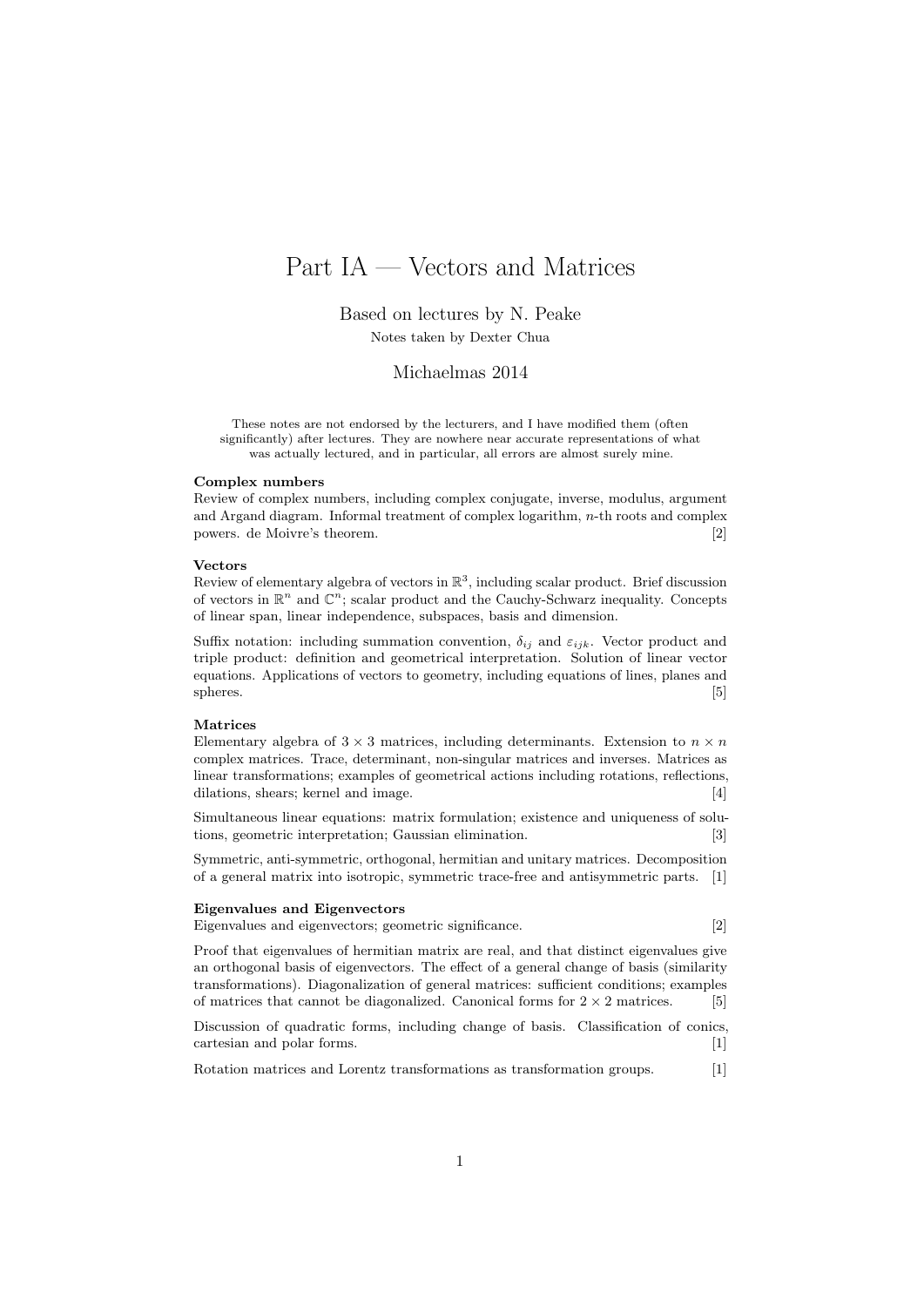# Part IA — Vectors and Matrices

Based on lectures by N. Peake

Notes taken by Dexter Chua

## Michaelmas 2014

These notes are not endorsed by the lecturers, and I have modified them (often significantly) after lectures. They are nowhere near accurate representations of what was actually lectured, and in particular, all errors are almost surely mine.

#### Complex numbers

Review of complex numbers, including complex conjugate, inverse, modulus, argument and Argand diagram. Informal treatment of complex logarithm, n-th roots and complex powers. de Moivre's theorem. [2]

#### Vectors

Review of elementary algebra of vectors in  $\mathbb{R}^3$ , including scalar product. Brief discussion of vectors in  $\mathbb{R}^n$  and  $\mathbb{C}^n$ ; scalar product and the Cauchy-Schwarz inequality. Concepts of linear span, linear independence, subspaces, basis and dimension.

Suffix notation: including summation convention,  $\delta_{ij}$  and  $\varepsilon_{ijk}$ . Vector product and triple product: definition and geometrical interpretation. Solution of linear vector equations. Applications of vectors to geometry, including equations of lines, planes and  $s$ pheres.  $[5]$ 

#### Matrices

Elementary algebra of  $3 \times 3$  matrices, including determinants. Extension to  $n \times n$ complex matrices. Trace, determinant, non-singular matrices and inverses. Matrices as linear transformations; examples of geometrical actions including rotations, reflections, dilations, shears; kernel and image. [4]

Simultaneous linear equations: matrix formulation; existence and uniqueness of solutions, geometric interpretation; Gaussian elimination. [3]

Symmetric, anti-symmetric, orthogonal, hermitian and unitary matrices. Decomposition of a general matrix into isotropic, symmetric trace-free and antisymmetric parts. [1]

#### Eigenvalues and Eigenvectors

Eigenvalues and eigenvectors; geometric significance. [2]

Proof that eigenvalues of hermitian matrix are real, and that distinct eigenvalues give an orthogonal basis of eigenvectors. The effect of a general change of basis (similarity transformations). Diagonalization of general matrices: sufficient conditions; examples of matrices that cannot be diagonalized. Canonical forms for  $2 \times 2$  matrices. [5]

Discussion of quadratic forms, including change of basis. Classification of conics, cartesian and polar forms. [1]

Rotation matrices and Lorentz transformations as transformation groups. [1]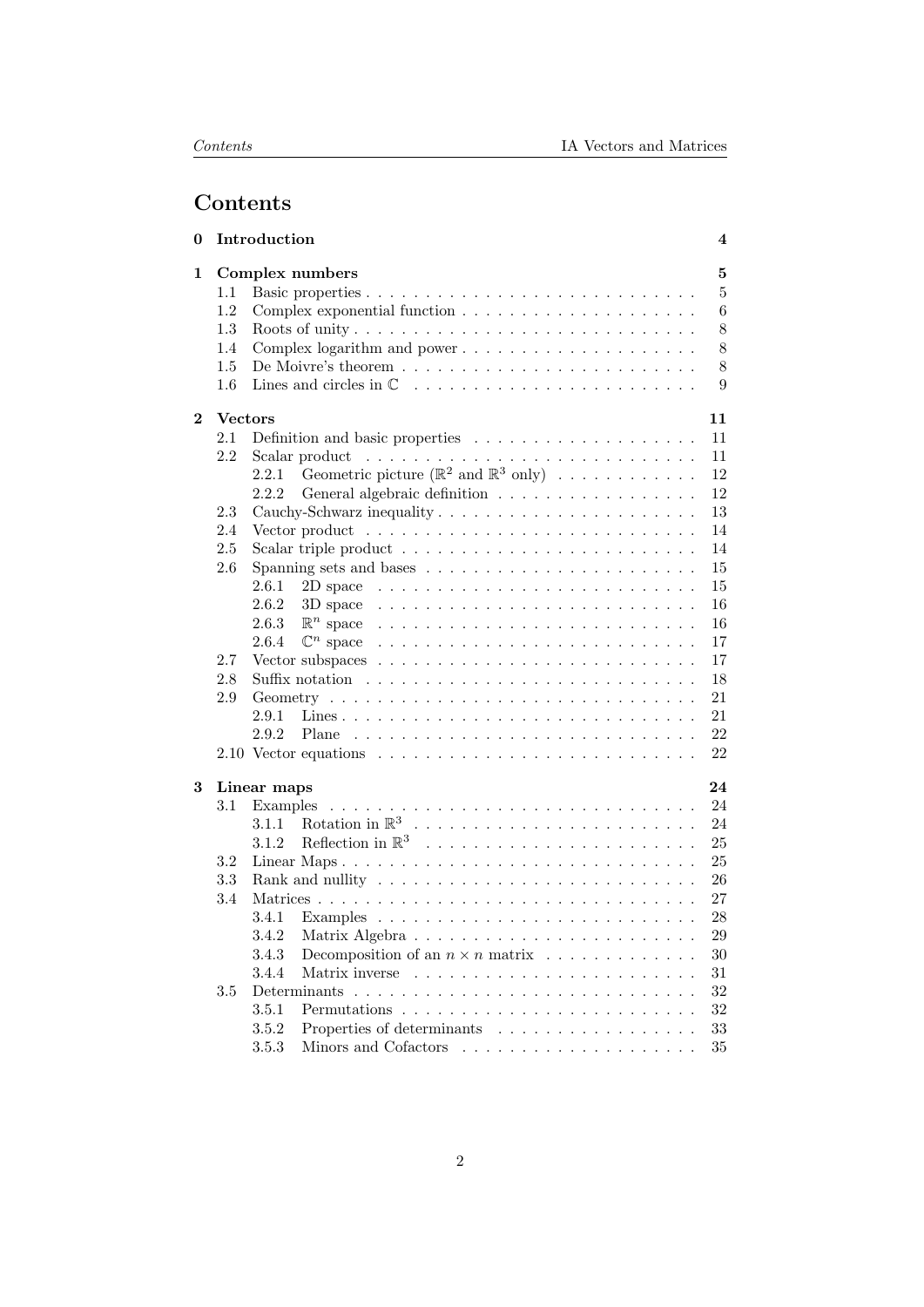# Contents

| 0        |                | Introduction                                                                                    | 4              |
|----------|----------------|-------------------------------------------------------------------------------------------------|----------------|
| 1        |                | Complex numbers                                                                                 | $\bf{5}$       |
|          | 1.1            |                                                                                                 | $\overline{5}$ |
|          | 1.2            | 6                                                                                               |                |
|          | 1.3            |                                                                                                 | 8              |
|          | 1.4            | 8                                                                                               |                |
|          | 1.5            | 8<br>De Moivre's theorem $\dots \dots \dots \dots \dots \dots \dots \dots \dots \dots$          |                |
|          | 1.6            |                                                                                                 | 9              |
| $\bf{2}$ | <b>Vectors</b> | 11                                                                                              |                |
|          | 2.1            | Definition and basic properties $\dots \dots \dots \dots \dots \dots \dots$<br>11               |                |
|          | 2.2            | 11                                                                                              |                |
|          |                | Geometric picture ( $\mathbb{R}^2$ and $\mathbb{R}^3$ only)<br>12<br>2.2.1                      |                |
|          |                | General algebraic definition<br>12<br>2.2.2                                                     |                |
|          | 2.3            | 13                                                                                              |                |
|          | 2.4            | 14<br>Vector product $\ldots \ldots \ldots \ldots \ldots \ldots \ldots \ldots \ldots \ldots$    |                |
|          | 2.5            | 14                                                                                              |                |
|          | 2.6            | 15                                                                                              |                |
|          |                | 15<br>2.6.1<br>2D space $\ldots \ldots \ldots \ldots \ldots \ldots \ldots \ldots \ldots \ldots$ |                |
|          |                | 2.6.2<br>16<br>3D space                                                                         |                |
|          |                | $\mathbb{R}^n$ space<br>16<br>2.6.3                                                             |                |
|          |                | $\mathbb{C}^n$ space<br>17<br>2.6.4                                                             |                |
|          | 2.7            | 17                                                                                              |                |
|          | 2.8            | 18                                                                                              |                |
|          | 2.9            | 21                                                                                              |                |
|          |                | 2.9.1<br>21                                                                                     |                |
|          |                | 22<br>2.9.2                                                                                     |                |
|          |                | 22                                                                                              |                |
| 3        |                | 24                                                                                              |                |
|          | 3.1            | Linear maps<br>24                                                                               |                |
|          |                | Examples<br>24<br>3.1.1                                                                         |                |
|          |                | 3.1.2<br>25                                                                                     |                |
|          | 3.2            | 25                                                                                              |                |
|          | 3.3            | 26                                                                                              |                |
|          | 3.4            | 27                                                                                              |                |
|          |                | 28<br>3.4.1                                                                                     |                |
|          |                |                                                                                                 |                |
|          |                | 3.4.2<br>$\,29$<br>3.4.3<br>30                                                                  |                |
|          |                | Decomposition of an $n \times n$ matrix<br>3.4.4                                                |                |
|          |                | $31\,$<br>Determinants<br>32                                                                    |                |
|          | 3.5            | 32                                                                                              |                |
|          |                | 3.5.1                                                                                           |                |
|          |                | Properties of determinants<br>$33\,$<br>3.5.2                                                   |                |
|          |                | 35<br>3.5.3                                                                                     |                |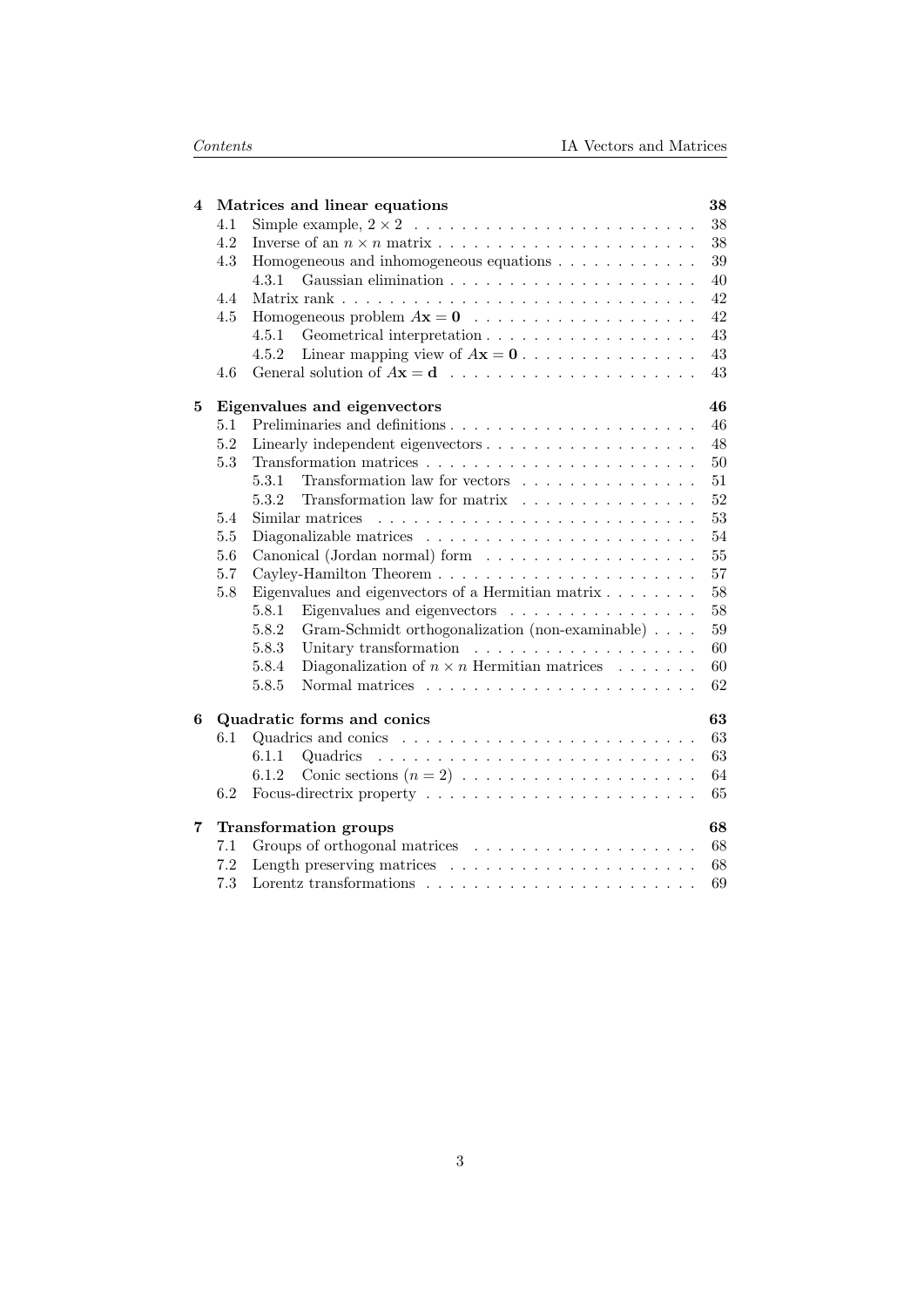| 4 |     | Matrices and linear equations                                    | 38 |
|---|-----|------------------------------------------------------------------|----|
|   | 4.1 |                                                                  | 38 |
|   | 4.2 |                                                                  | 38 |
|   | 4.3 | Homogeneous and inhomogeneous equations                          | 39 |
|   |     | 4.3.1                                                            | 40 |
|   | 4.4 |                                                                  | 42 |
|   | 4.5 | Homogeneous problem $A\mathbf{x} = \mathbf{0}$                   | 42 |
|   |     | 4.5.1                                                            | 43 |
|   |     | Linear mapping view of $A\mathbf{x} = 0$<br>4.5.2                | 43 |
|   | 4.6 |                                                                  | 43 |
| 5 |     | Eigenvalues and eigenvectors                                     | 46 |
|   | 5.1 |                                                                  | 46 |
|   | 5.2 |                                                                  | 48 |
|   | 5.3 |                                                                  | 50 |
|   |     | Transformation law for vectors<br>5.3.1                          | 51 |
|   |     | 5.3.2<br>Transformation law for matrix                           | 52 |
|   | 5.4 | Similar matrices                                                 | 53 |
|   | 5.5 |                                                                  | 54 |
|   | 5.6 |                                                                  | 55 |
|   | 5.7 |                                                                  | 57 |
|   | 5.8 | Eigenvalues and eigenvectors of a Hermitian matrix $\dots \dots$ | 58 |
|   |     | Eigenvalues and eigenvectors<br>5.8.1                            | 58 |
|   |     | 5.8.2<br>Gram-Schmidt orthogonalization (non-examinable)         | 59 |
|   |     | 5.8.3                                                            | 60 |
|   |     | Diagonalization of $n \times n$ Hermitian matrices<br>5.8.4      | 60 |
|   |     | 5.8.5                                                            | 62 |
| 6 |     | Quadratic forms and conics                                       | 63 |
|   | 6.1 |                                                                  | 63 |
|   |     | 6.1.1                                                            | 63 |
|   |     | 6.1.2                                                            | 64 |
|   | 6.2 |                                                                  | 65 |
| 7 |     | <b>Transformation groups</b>                                     | 68 |
|   | 7.1 |                                                                  | 68 |
|   | 7.2 |                                                                  | 68 |
|   | 7.3 |                                                                  | 69 |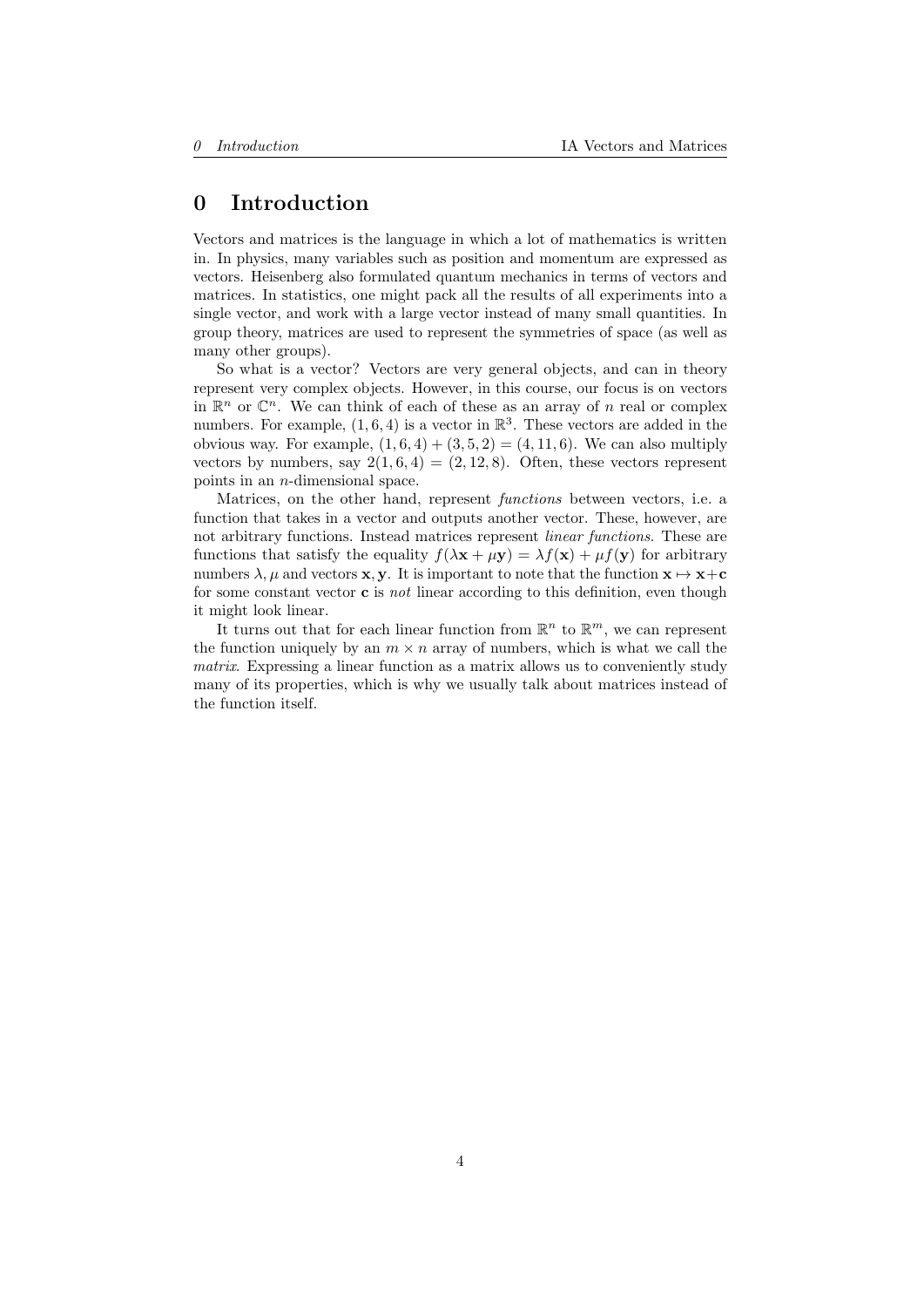# <span id="page-3-0"></span>0 Introduction

Vectors and matrices is the language in which a lot of mathematics is written in. In physics, many variables such as position and momentum are expressed as vectors. Heisenberg also formulated quantum mechanics in terms of vectors and matrices. In statistics, one might pack all the results of all experiments into a single vector, and work with a large vector instead of many small quantities. In group theory, matrices are used to represent the symmetries of space (as well as many other groups).

So what is a vector? Vectors are very general objects, and can in theory represent very complex objects. However, in this course, our focus is on vectors in  $\mathbb{R}^n$  or  $\mathbb{C}^n$ . We can think of each of these as an array of n real or complex numbers. For example,  $(1, 6, 4)$  is a vector in  $\mathbb{R}^3$ . These vectors are added in the obvious way. For example,  $(1, 6, 4) + (3, 5, 2) = (4, 11, 6)$ . We can also multiply vectors by numbers, say  $2(1, 6, 4) = (2, 12, 8)$ . Often, these vectors represent points in an n-dimensional space.

Matrices, on the other hand, represent functions between vectors, i.e. a function that takes in a vector and outputs another vector. These, however, are not arbitrary functions. Instead matrices represent linear functions. These are functions that satisfy the equality  $f(\lambda \mathbf{x} + \mu \mathbf{y}) = \lambda f(\mathbf{x}) + \mu f(\mathbf{y})$  for arbitrary numbers  $\lambda, \mu$  and vectors **x**, **y**. It is important to note that the function  $\mathbf{x} \mapsto \mathbf{x}+\mathbf{c}$ for some constant vector  $\bf{c}$  is not linear according to this definition, even though it might look linear.

It turns out that for each linear function from  $\mathbb{R}^n$  to  $\mathbb{R}^m$ , we can represent the function uniquely by an  $m \times n$  array of numbers, which is what we call the matrix. Expressing a linear function as a matrix allows us to conveniently study many of its properties, which is why we usually talk about matrices instead of the function itself.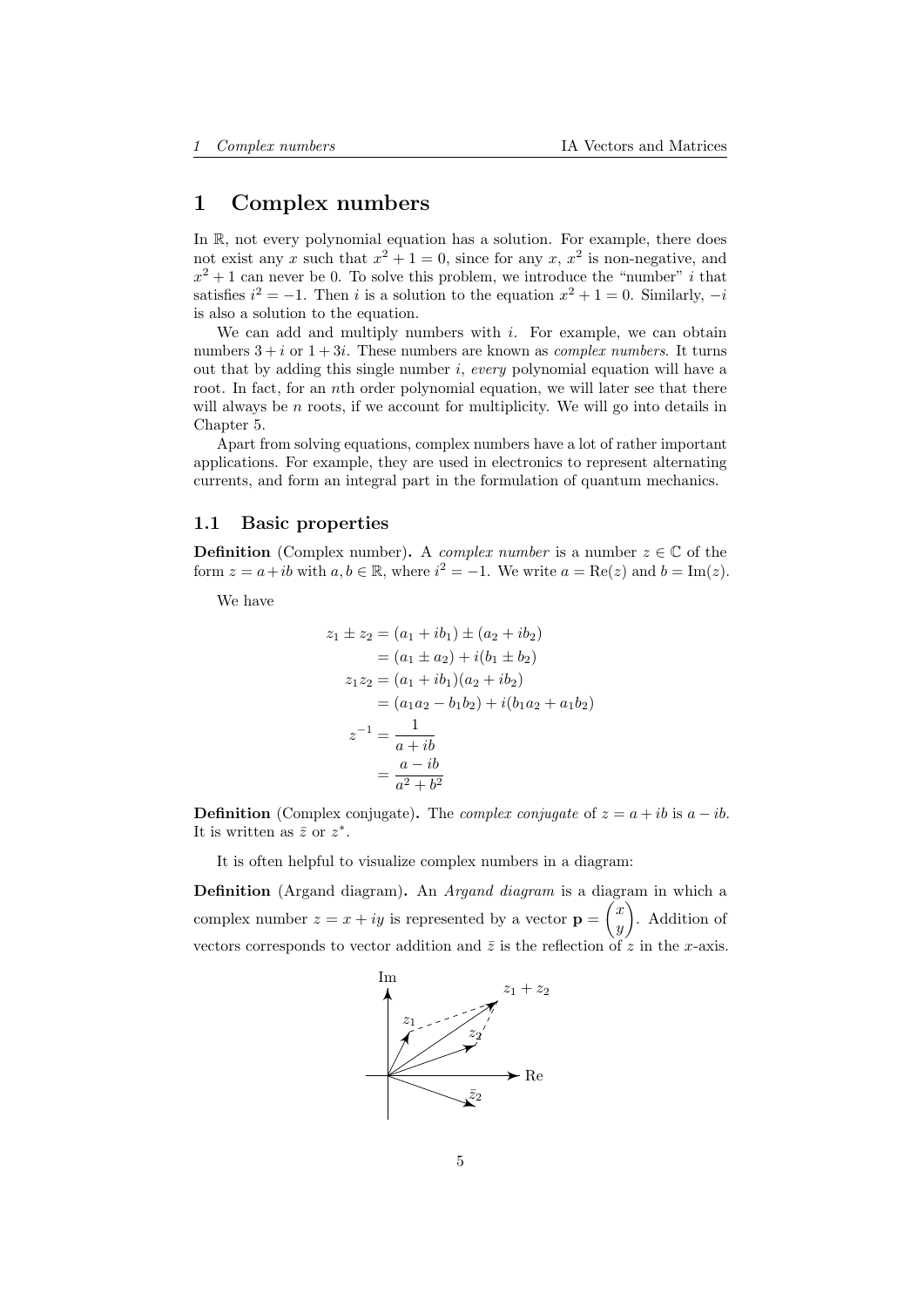# <span id="page-4-0"></span>1 Complex numbers

In R, not every polynomial equation has a solution. For example, there does not exist any x such that  $x^2 + 1 = 0$ , since for any x,  $x^2$  is non-negative, and  $x^2 + 1$  can never be 0. To solve this problem, we introduce the "number" i that satisfies  $i^2 = -1$ . Then i is a solution to the equation  $x^2 + 1 = 0$ . Similarly,  $-i$ is also a solution to the equation.

We can add and multiply numbers with  $i$ . For example, we can obtain numbers  $3 + i$  or  $1 + 3i$ . These numbers are known as *complex numbers*. It turns out that by adding this single number i, every polynomial equation will have a root. In fact, for an nth order polynomial equation, we will later see that there will always be  $n$  roots, if we account for multiplicity. We will go into details in Chapter [5.](#page-45-0)

Apart from solving equations, complex numbers have a lot of rather important applications. For example, they are used in electronics to represent alternating currents, and form an integral part in the formulation of quantum mechanics.

### <span id="page-4-1"></span>1.1 Basic properties

**Definition** (Complex number). A *complex number* is a number  $z \in \mathbb{C}$  of the form  $z = a + ib$  with  $a, b \in \mathbb{R}$ , where  $i^2 = -1$ . We write  $a = \text{Re}(z)$  and  $b = \text{Im}(z)$ .

We have

$$
z_1 \pm z_2 = (a_1 + ib_1) \pm (a_2 + ib_2)
$$
  
=  $(a_1 \pm a_2) + i(b_1 \pm b_2)$   

$$
z_1 z_2 = (a_1 + ib_1)(a_2 + ib_2)
$$
  
=  $(a_1 a_2 - b_1 b_2) + i(b_1 a_2 + a_1 b_2)$   

$$
z^{-1} = \frac{1}{a + ib}
$$
  
=  $\frac{a - ib}{a^2 + b^2}$ 

**Definition** (Complex conjugate). The *complex conjugate* of  $z = a + ib$  is  $a - ib$ . It is written as  $\bar{z}$  or  $z^*$ .

It is often helpful to visualize complex numbers in a diagram:

Definition (Argand diagram). An Argand diagram is a diagram in which a complex number  $z = x + iy$  is represented by a vector  $\mathbf{p} = \begin{pmatrix} x \\ y \end{pmatrix}$  $\hat{y}$  . Addition of vectors corresponds to vector addition and  $\overline{z}$  is the reflection of  $\overline{z}$  in the x-axis.

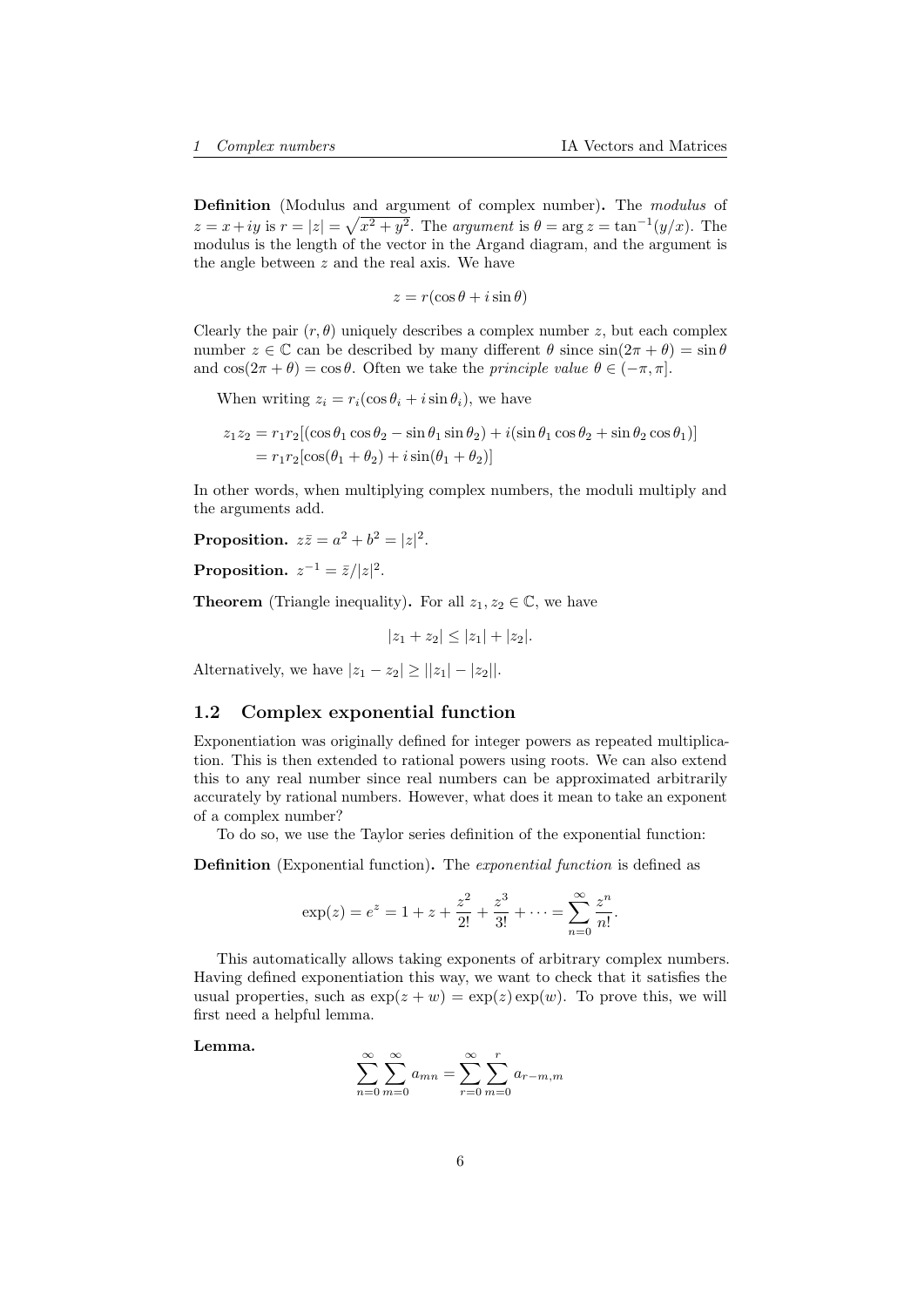Definition (Modulus and argument of complex number). The modulus of  $z = x + iy$  is  $r = |z| = \sqrt{x^2 + y^2}$ . The argument is  $\theta = \arg z = \tan^{-1}(y/x)$ . The modulus is the length of the vector in the Argand diagram, and the argument is the angle between  $z$  and the real axis. We have

$$
z = r(\cos\theta + i\sin\theta)
$$

Clearly the pair  $(r, \theta)$  uniquely describes a complex number z, but each complex number  $z \in \mathbb{C}$  can be described by many different  $\theta$  since  $\sin(2\pi + \theta) = \sin \theta$ and  $\cos(2\pi + \theta) = \cos \theta$ . Often we take the *principle value*  $\theta \in (-\pi, \pi]$ .

When writing  $z_i = r_i(\cos \theta_i + i \sin \theta_i)$ , we have

$$
z_1 z_2 = r_1 r_2 [(\cos \theta_1 \cos \theta_2 - \sin \theta_1 \sin \theta_2) + i(\sin \theta_1 \cos \theta_2 + \sin \theta_2 \cos \theta_1)]
$$
  
=  $r_1 r_2 [\cos(\theta_1 + \theta_2) + i \sin(\theta_1 + \theta_2)]$ 

In other words, when multiplying complex numbers, the moduli multiply and the arguments add.

Proposition.  $z\overline{z} = a^2 + b^2 = |z|^2$ .

Proposition.  $z^{-1} = \bar{z}/|z|^2$ .

**Theorem** (Triangle inequality). For all  $z_1, z_2 \in \mathbb{C}$ , we have

 $|z_1 + z_2| \leq |z_1| + |z_2|$ .

Alternatively, we have  $|z_1 - z_2| \ge ||z_1| - |z_2||$ .

## <span id="page-5-0"></span>1.2 Complex exponential function

Exponentiation was originally defined for integer powers as repeated multiplication. This is then extended to rational powers using roots. We can also extend this to any real number since real numbers can be approximated arbitrarily accurately by rational numbers. However, what does it mean to take an exponent of a complex number?

To do so, we use the Taylor series definition of the exponential function:

Definition (Exponential function). The exponential function is defined as

$$
\exp(z) = e^z = 1 + z + \frac{z^2}{2!} + \frac{z^3}{3!} + \dots = \sum_{n=0}^{\infty} \frac{z^n}{n!}.
$$

This automatically allows taking exponents of arbitrary complex numbers. Having defined exponentiation this way, we want to check that it satisfies the usual properties, such as  $\exp(z+w) = \exp(z) \exp(w)$ . To prove this, we will first need a helpful lemma.

Lemma.

$$
\sum_{n=0}^{\infty} \sum_{m=0}^{\infty} a_{mn} = \sum_{r=0}^{\infty} \sum_{m=0}^{r} a_{r-m,m}
$$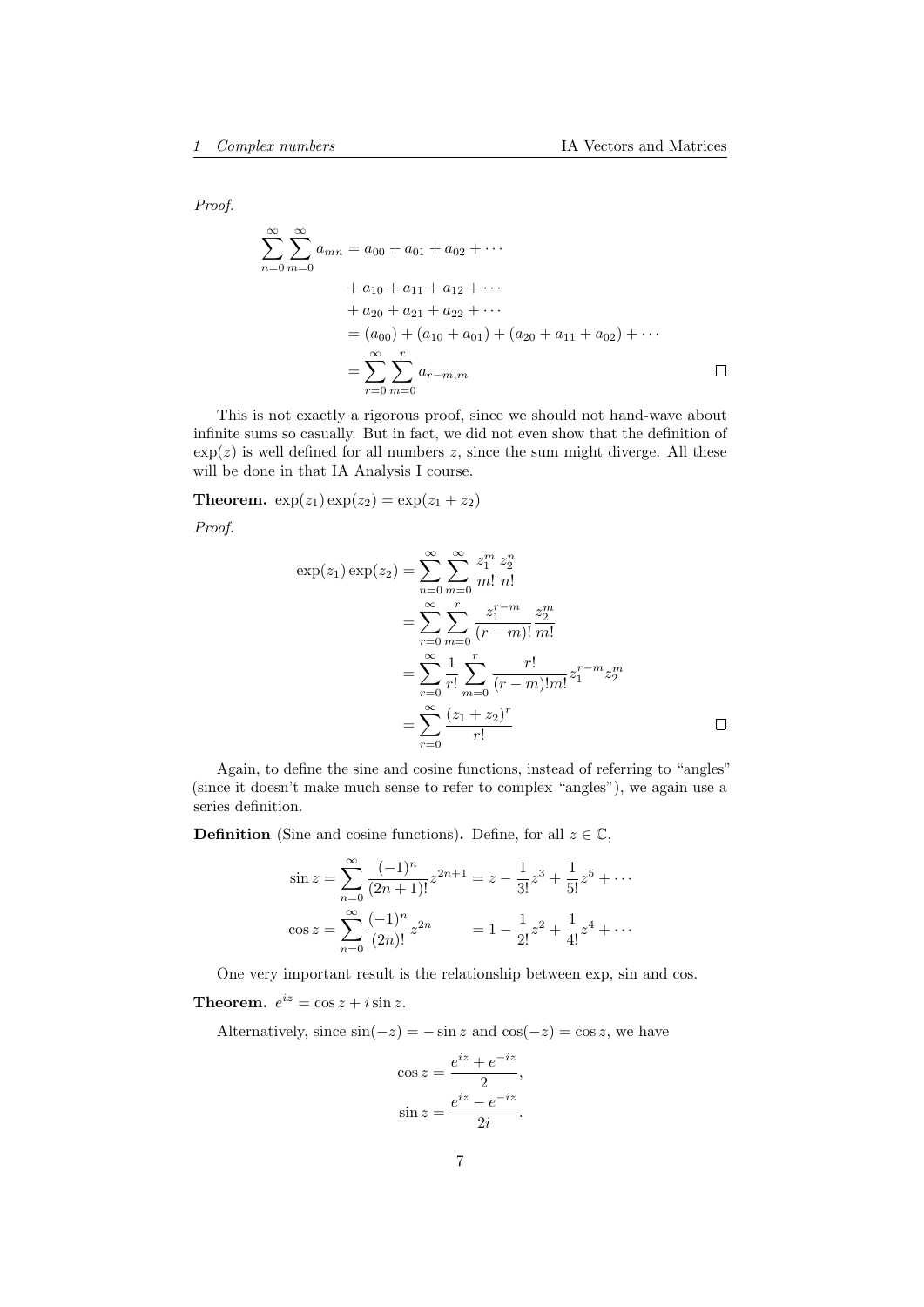Proof.

$$
\sum_{n=0}^{\infty} \sum_{m=0}^{\infty} a_{mn} = a_{00} + a_{01} + a_{02} + \cdots
$$
  
+  $a_{10} + a_{11} + a_{12} + \cdots$   
+  $a_{20} + a_{21} + a_{22} + \cdots$   
=  $(a_{00}) + (a_{10} + a_{01}) + (a_{20} + a_{11} + a_{02}) + \cdots$   
=  $\sum_{r=0}^{\infty} \sum_{m=0}^{r} a_{r-m,m}$ 

This is not exactly a rigorous proof, since we should not hand-wave about infinite sums so casually. But in fact, we did not even show that the definition of  $\exp(z)$  is well defined for all numbers z, since the sum might diverge. All these will be done in that IA Analysis I course.

**Theorem.**  $exp(z_1) exp(z_2) = exp(z_1 + z_2)$ 

Proof.

$$
\exp(z_1) \exp(z_2) = \sum_{n=0}^{\infty} \sum_{m=0}^{\infty} \frac{z_1^m}{m!} \frac{z_2^n}{n!}
$$
  
= 
$$
\sum_{r=0}^{\infty} \sum_{m=0}^r \frac{z_1^{r-m}}{(r-m)!} \frac{z_2^m}{m!}
$$
  
= 
$$
\sum_{r=0}^{\infty} \frac{1}{r!} \sum_{m=0}^r \frac{r!}{(r-m)!m!} z_1^{r-m} z_2^m
$$
  
= 
$$
\sum_{r=0}^{\infty} \frac{(z_1 + z_2)^r}{r!}
$$

Again, to define the sine and cosine functions, instead of referring to "angles" (since it doesn't make much sense to refer to complex "angles"), we again use a series definition.

**Definition** (Sine and cosine functions). Define, for all  $z \in \mathbb{C}$ ,

$$
\sin z = \sum_{n=0}^{\infty} \frac{(-1)^n}{(2n+1)!} z^{2n+1} = z - \frac{1}{3!} z^3 + \frac{1}{5!} z^5 + \cdots
$$
  

$$
\cos z = \sum_{n=0}^{\infty} \frac{(-1)^n}{(2n)!} z^{2n} = 1 - \frac{1}{2!} z^2 + \frac{1}{4!} z^4 + \cdots
$$

One very important result is the relationship between exp, sin and cos.

**Theorem.**  $e^{iz} = \cos z + i \sin z$ .

Alternatively, since  $sin(-z) = -sin z$  and  $cos(-z) = cos z$ , we have

$$
\cos z = \frac{e^{iz} + e^{-iz}}{2},
$$
  

$$
\sin z = \frac{e^{iz} - e^{-iz}}{2i}.
$$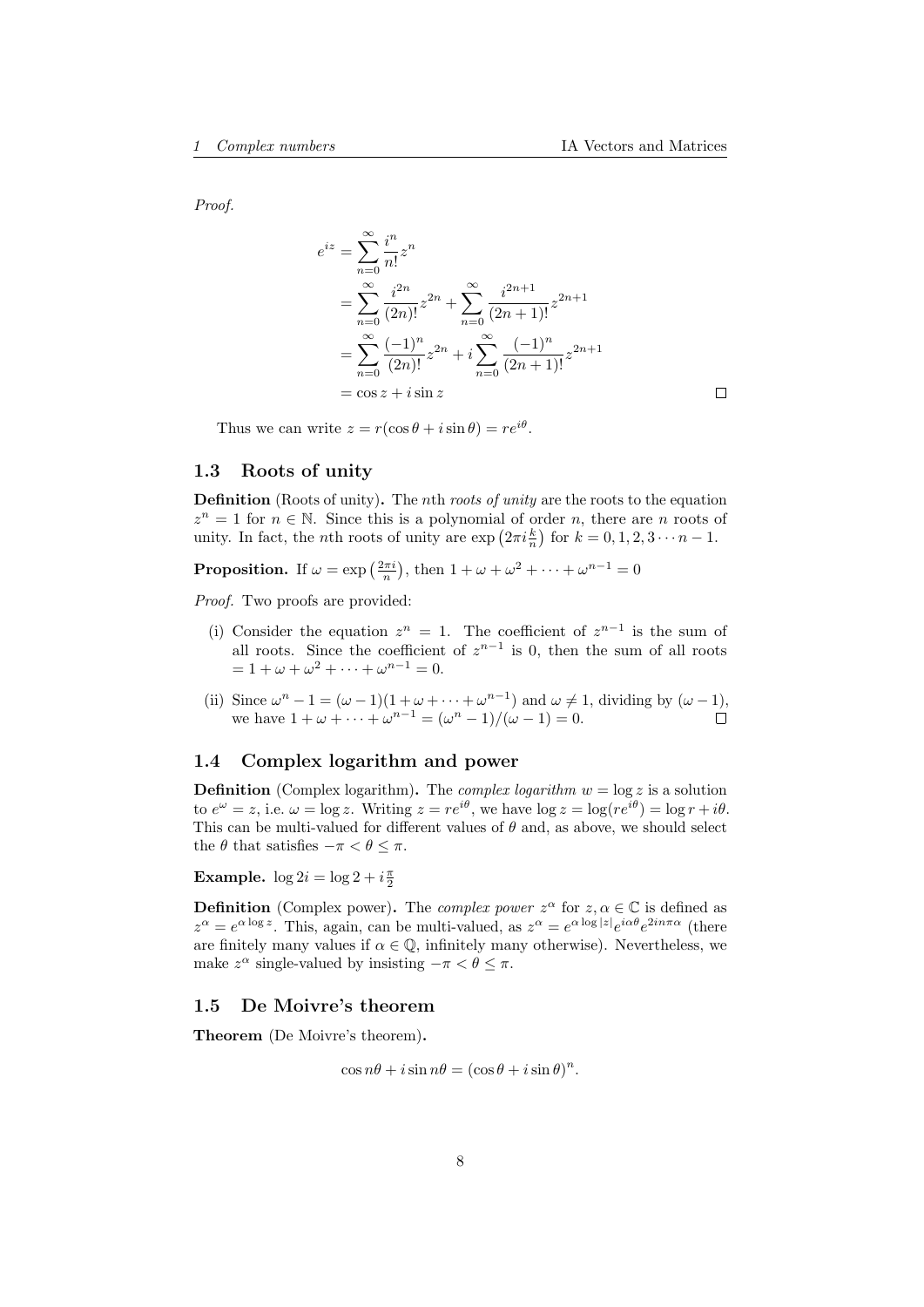Proof.

$$
e^{iz} = \sum_{n=0}^{\infty} \frac{i^n}{n!} z^n
$$
  
= 
$$
\sum_{n=0}^{\infty} \frac{i^{2n}}{(2n)!} z^{2n} + \sum_{n=0}^{\infty} \frac{i^{2n+1}}{(2n+1)!} z^{2n+1}
$$
  
= 
$$
\sum_{n=0}^{\infty} \frac{(-1)^n}{(2n)!} z^{2n} + i \sum_{n=0}^{\infty} \frac{(-1)^n}{(2n+1)!} z^{2n+1}
$$
  
= 
$$
\cos z + i \sin z
$$

Thus we can write  $z = r(\cos \theta + i \sin \theta) = re^{i\theta}$ .

# <span id="page-7-0"></span>1.3 Roots of unity

Definition (Roots of unity). The *n*th *roots of unity* are the roots to the equation  $z^n = 1$  for  $n \in \mathbb{N}$ . Since this is a polynomial of order n, there are n roots of unity. In fact, the *n*th roots of unity are  $\exp\left(2\pi i \frac{k}{n}\right)$  for  $k = 0, 1, 2, 3 \cdots n - 1$ .

**Proposition.** If  $\omega = \exp\left(\frac{2\pi i}{n}\right)$ , then  $1 + \omega + \omega^2 + \cdots + \omega^{n-1} = 0$ 

Proof. Two proofs are provided:

- (i) Consider the equation  $z^n = 1$ . The coefficient of  $z^{n-1}$  is the sum of all roots. Since the coefficient of  $z^{n-1}$  is 0, then the sum of all roots  $= 1 + \omega + \omega^2 + \cdots + \omega^{n-1} = 0.$
- (ii) Since  $\omega^{n} 1 = (\omega 1)(1 + \omega + \cdots + \omega^{n-1})$  and  $\omega \neq 1$ , dividing by  $(\omega 1)$ , we have  $1 + \omega + \cdots + \omega^{n-1} = (\omega^n - 1)/(\omega - 1) = 0.$

# <span id="page-7-1"></span>1.4 Complex logarithm and power

**Definition** (Complex logarithm). The *complex logarithm*  $w = \log z$  is a solution to  $e^{\omega} = z$ , i.e.  $\omega = \log z$ . Writing  $z = re^{i\theta}$ , we have  $\log z = \log(re^{i\theta}) = \log r + i\theta$ . This can be multi-valued for different values of  $\theta$  and, as above, we should select the  $\theta$  that satisfies  $-\pi < \theta \leq \pi$ .

Example.  $\log 2i = \log 2 + i \frac{\pi}{2}$ 

**Definition** (Complex power). The *complex power*  $z^{\alpha}$  for  $z, \alpha \in \mathbb{C}$  is defined as  $z^{\alpha} = e^{\alpha \log z}$ . This, again, can be multi-valued, as  $z^{\alpha} = e^{\alpha \log |z|} e^{i\alpha \theta} e^{2in\pi \alpha}$  (there are finitely many values if  $\alpha \in \mathbb{Q}$ , infinitely many otherwise). Nevertheless, we make  $z^{\alpha}$  single-valued by insisting  $-\pi < \theta \leq \pi$ .

#### <span id="page-7-2"></span>1.5 De Moivre's theorem

Theorem (De Moivre's theorem).

 $\cos n\theta + i\sin n\theta = (\cos \theta + i\sin \theta)^n$ .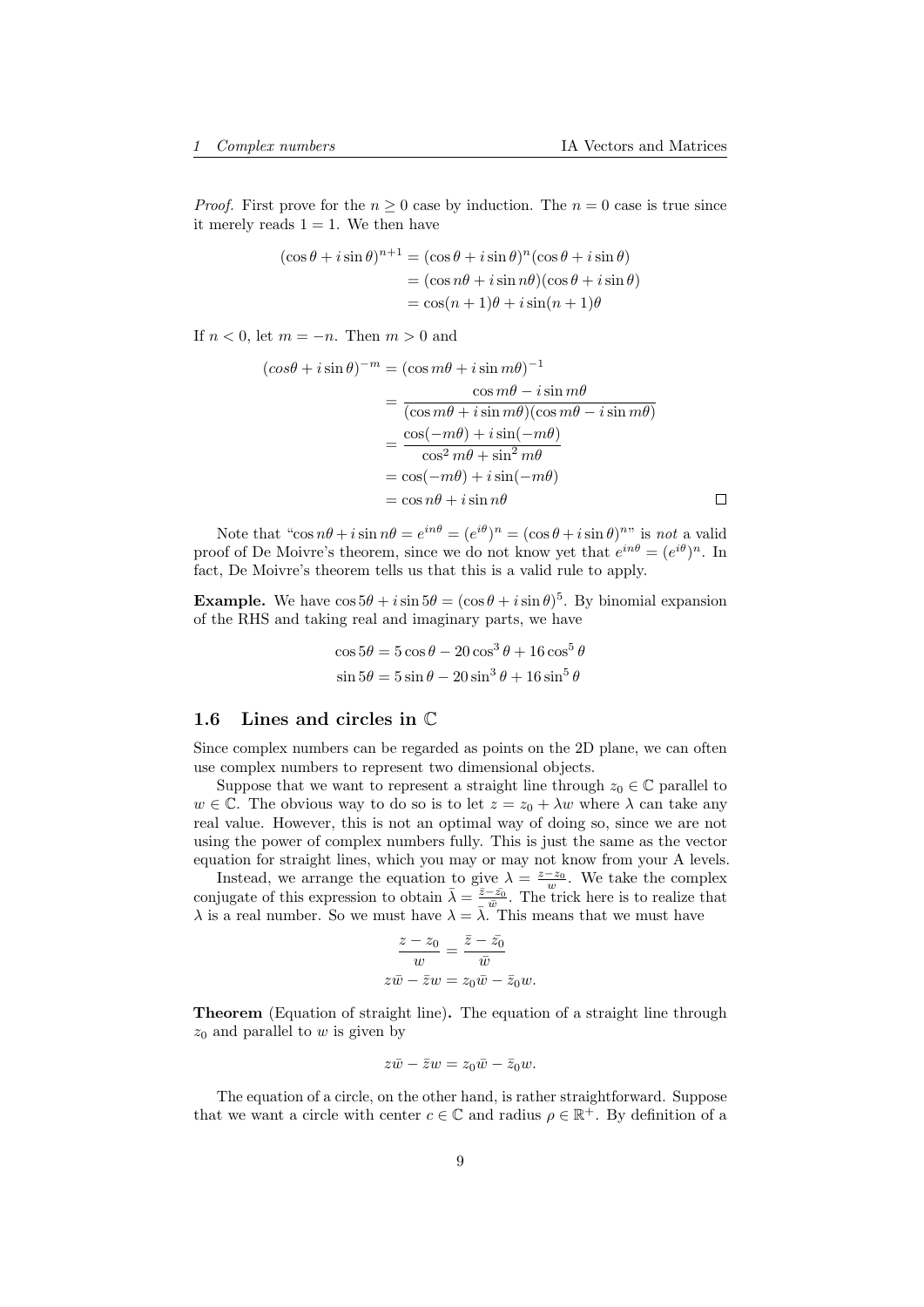$\Box$ 

*Proof.* First prove for the  $n \geq 0$  case by induction. The  $n = 0$  case is true since it merely reads  $1 = 1$ . We then have

$$
(\cos \theta + i \sin \theta)^{n+1} = (\cos \theta + i \sin \theta)^n (\cos \theta + i \sin \theta)
$$
  
= 
$$
(\cos n\theta + i \sin n\theta)(\cos \theta + i \sin \theta)
$$
  
= 
$$
\cos(n+1)\theta + i \sin(n+1)\theta
$$

If  $n < 0$ , let  $m = -n$ . Then  $m > 0$  and

$$
\begin{aligned} (\cos\theta + i\sin\theta)^{-m} &= (\cos m\theta + i\sin m\theta)^{-1} \\ &= \frac{\cos m\theta - i\sin m\theta}{(\cos m\theta + i\sin m\theta)(\cos m\theta - i\sin m\theta)} \\ &= \frac{\cos(-m\theta) + i\sin(-m\theta)}{\cos^2 m\theta + \sin^2 m\theta} \\ &= \cos(-m\theta) + i\sin(-m\theta) \\ &= \cos n\theta + i\sin n\theta \end{aligned}
$$

Note that " $\cos n\theta + i \sin n\theta = e^{in\theta} = (e^{i\theta})^n = (\cos \theta + i \sin \theta)^{n}$ " is not a valid proof of De Moivre's theorem, since we do not know yet that  $e^{in\theta} = (e^{i\theta})^n$ . In fact, De Moivre's theorem tells us that this is a valid rule to apply.

**Example.** We have  $\cos 5\theta + i \sin 5\theta = (\cos \theta + i \sin \theta)^5$ . By binomial expansion of the RHS and taking real and imaginary parts, we have

$$
\cos 5\theta = 5\cos \theta - 20\cos^3 \theta + 16\cos^5 \theta
$$
  

$$
\sin 5\theta = 5\sin \theta - 20\sin^3 \theta + 16\sin^5 \theta
$$

#### <span id="page-8-0"></span>1.6 Lines and circles in C

Since complex numbers can be regarded as points on the 2D plane, we can often use complex numbers to represent two dimensional objects.

Suppose that we want to represent a straight line through  $z_0 \in \mathbb{C}$  parallel to  $w \in \mathbb{C}$ . The obvious way to do so is to let  $z = z_0 + \lambda w$  where  $\lambda$  can take any real value. However, this is not an optimal way of doing so, since we are not using the power of complex numbers fully. This is just the same as the vector equation for straight lines, which you may or may not know from your A levels.

Instead, we arrange the equation to give  $\lambda = \frac{z-z_0}{w}$ . We take the complex conjugate of this expression to obtain  $\bar{\lambda} = \frac{\bar{z} - \bar{z_0}}{\bar{w}}$ . The trick here is to realize that  $\lambda$  is a real number. So we must have  $\lambda = \overline{\lambda}$ . This means that we must have

$$
\frac{z - z_0}{w} = \frac{\bar{z} - \bar{z_0}}{\bar{w}}
$$

$$
z\bar{w} - \bar{z}w = z_0\bar{w} - \bar{z}_0w.
$$

Theorem (Equation of straight line). The equation of a straight line through  $z_0$  and parallel to w is given by

$$
z\bar{w} - \bar{z}w = z_0\bar{w} - \bar{z}_0w.
$$

The equation of a circle, on the other hand, is rather straightforward. Suppose that we want a circle with center  $c \in \mathbb{C}$  and radius  $\rho \in \mathbb{R}^+$ . By definition of a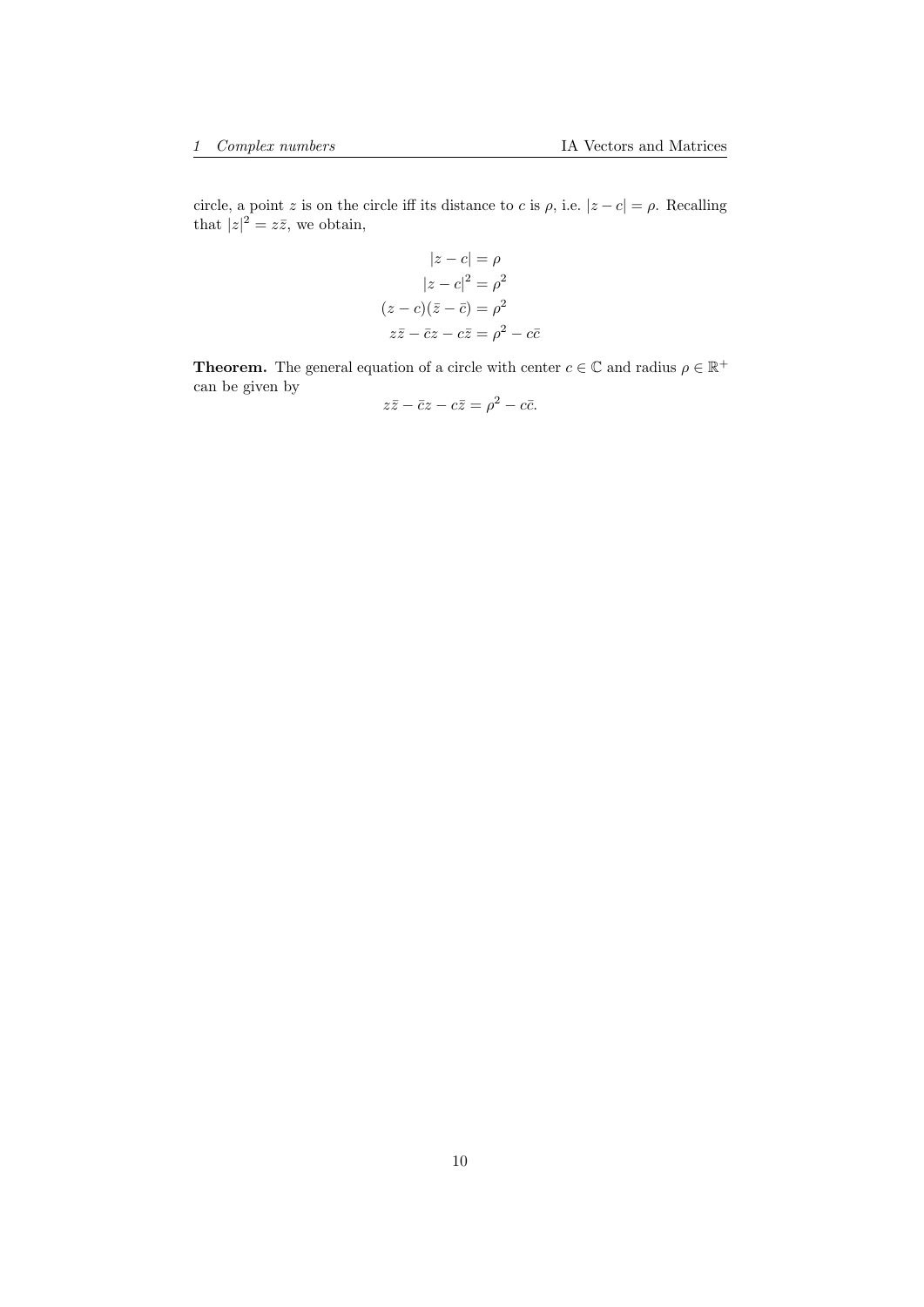circle, a point z is on the circle iff its distance to c is  $\rho$ , i.e.  $|z-c| = \rho$ . Recalling that  $|z|^2 = z\overline{z}$ , we obtain,

$$
|z - c| = \rho
$$

$$
|z - c|^2 = \rho^2
$$

$$
(z - c)(\overline{z} - \overline{c}) = \rho^2
$$

$$
z\overline{z} - \overline{c}z - c\overline{z} = \rho^2 - c\overline{c}
$$

**Theorem.** The general equation of a circle with center  $c \in \mathbb{C}$  and radius  $\rho \in \mathbb{R}^+$ can be given by

$$
z\bar{z} - \bar{c}z - c\bar{z} = \rho^2 - c\bar{c}.
$$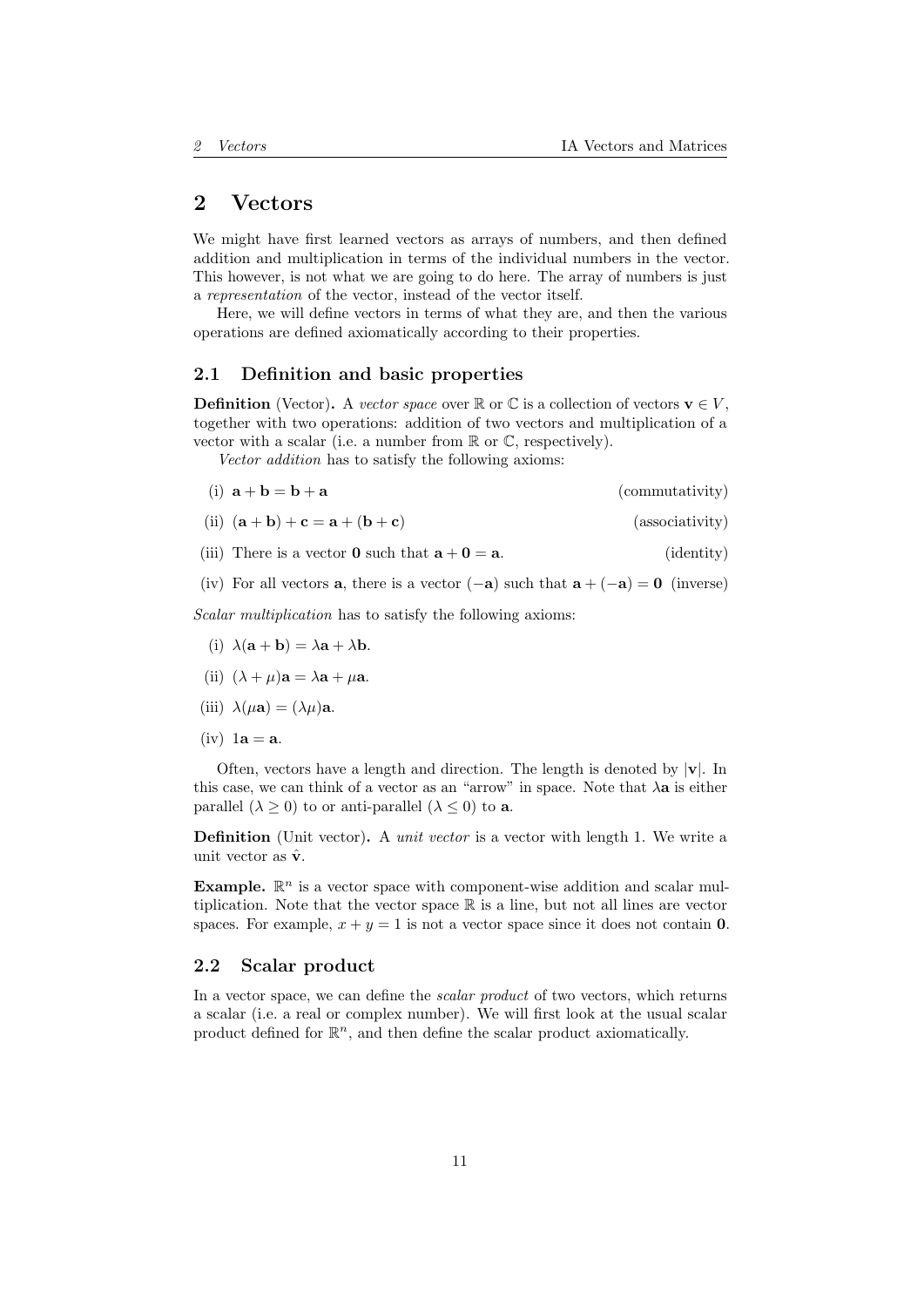# <span id="page-10-0"></span>2 Vectors

We might have first learned vectors as arrays of numbers, and then defined addition and multiplication in terms of the individual numbers in the vector. This however, is not what we are going to do here. The array of numbers is just a representation of the vector, instead of the vector itself.

Here, we will define vectors in terms of what they are, and then the various operations are defined axiomatically according to their properties.

## <span id="page-10-1"></span>2.1 Definition and basic properties

**Definition** (Vector). A vector space over  $\mathbb{R}$  or  $\mathbb{C}$  is a collection of vectors  $\mathbf{v} \in V$ , together with two operations: addition of two vectors and multiplication of a vector with a scalar (i.e. a number from R or C, respectively).

Vector addition has to satisfy the following axioms:

(i) 
$$
\mathbf{a} + \mathbf{b} = \mathbf{b} + \mathbf{a}
$$
 (commutativity)

- (ii)  $(a + b) + c = a + (b + c)$  (associativity)
- (iii) There is a vector **0** such that  $\mathbf{a} + \mathbf{0} = \mathbf{a}$ . (identity)

(iv) For all vectors **a**, there is a vector  $(-a)$  such that  $a + (-a) = 0$  (inverse)

Scalar multiplication has to satisfy the following axioms:

- (i)  $\lambda(\mathbf{a} + \mathbf{b}) = \lambda \mathbf{a} + \lambda \mathbf{b}$ .
- (ii)  $(\lambda + \mu)\mathbf{a} = \lambda \mathbf{a} + \mu \mathbf{a}$ .
- (iii)  $\lambda(\mu \mathbf{a}) = (\lambda \mu) \mathbf{a}$ .
- $(iv)$  1a = a.

Often, vectors have a length and direction. The length is denoted by  $|v|$ . In this case, we can think of a vector as an "arrow" in space. Note that  $\lambda a$  is either parallel  $(\lambda \geq 0)$  to or anti-parallel  $(\lambda \leq 0)$  to **a**.

Definition (Unit vector). A *unit vector* is a vector with length 1. We write a unit vector as  $\hat{\mathbf{v}}.$ 

**Example.**  $\mathbb{R}^n$  is a vector space with component-wise addition and scalar multiplication. Note that the vector space R is a line, but not all lines are vector spaces. For example,  $x + y = 1$  is not a vector space since it does not contain 0.

## <span id="page-10-2"></span>2.2 Scalar product

In a vector space, we can define the *scalar product* of two vectors, which returns a scalar (i.e. a real or complex number). We will first look at the usual scalar product defined for  $\mathbb{R}^n$ , and then define the scalar product axiomatically.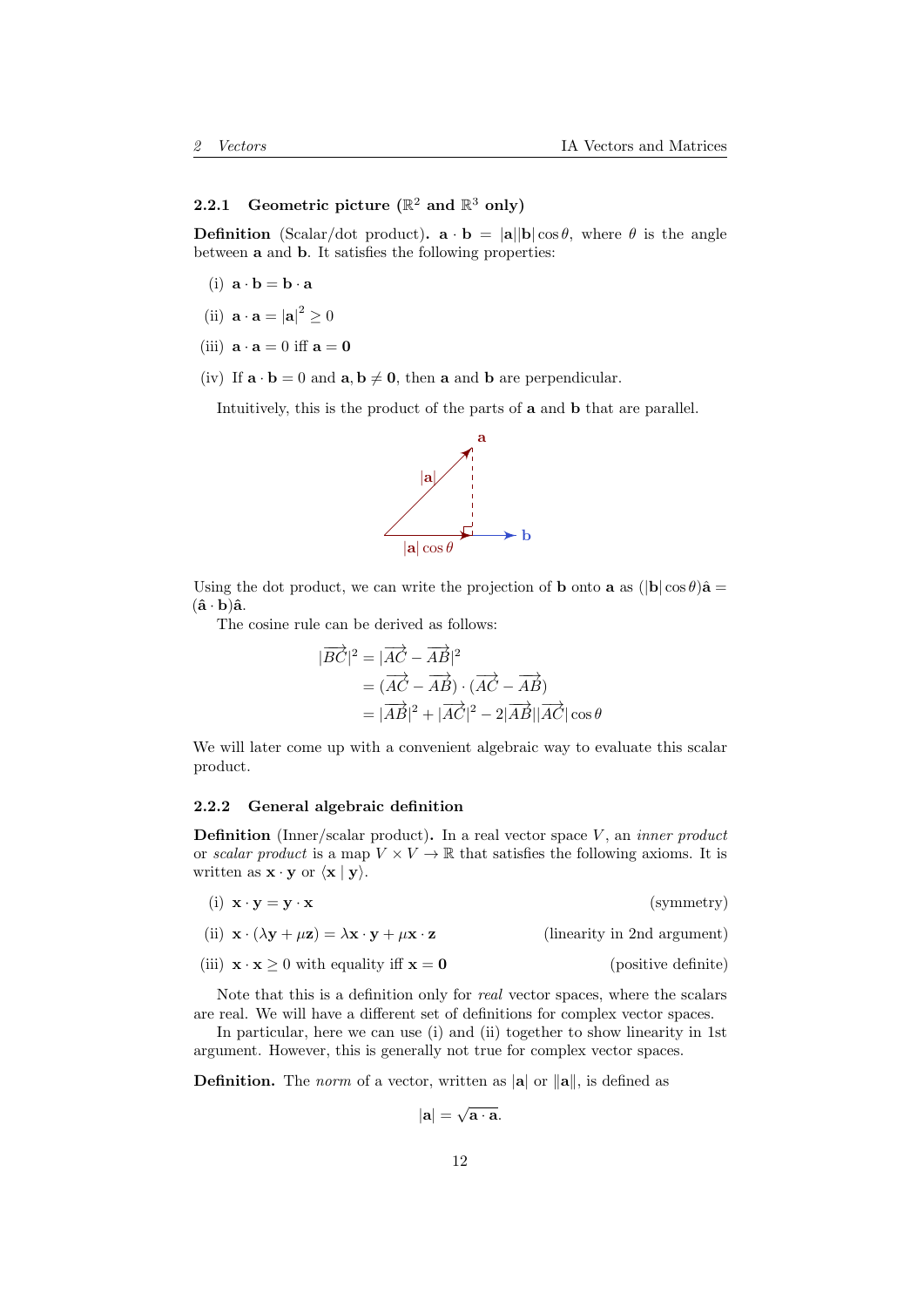# <span id="page-11-0"></span>2.2.1 Geometric picture ( $\mathbb{R}^2$  and  $\mathbb{R}^3$  only)

**Definition** (Scalar/dot product).  $\mathbf{a} \cdot \mathbf{b} = |\mathbf{a}||\mathbf{b}| \cos \theta$ , where  $\theta$  is the angle between a and b. It satisfies the following properties:

- (i)  $\mathbf{a} \cdot \mathbf{b} = \mathbf{b} \cdot \mathbf{a}$
- (ii)  $\mathbf{a} \cdot \mathbf{a} = |\mathbf{a}|^2 \geq 0$
- (iii)  $\mathbf{a} \cdot \mathbf{a} = 0$  iff  $\mathbf{a} = \mathbf{0}$
- (iv) If  $\mathbf{a} \cdot \mathbf{b} = 0$  and  $\mathbf{a}, \mathbf{b} \neq \mathbf{0}$ , then a and b are perpendicular.

Intuitively, this is the product of the parts of a and b that are parallel.



Using the dot product, we can write the projection of **b** onto **a** as  $(|\mathbf{b}| \cos \theta) \hat{\mathbf{a}} =$  $(\hat{\mathbf{a}} \cdot \mathbf{b})\hat{\mathbf{a}}$ .

The cosine rule can be derived as follows:

$$
|\overrightarrow{BC}|^2 = |\overrightarrow{AC} - \overrightarrow{AB}|^2
$$
  
=  $(\overrightarrow{AC} - \overrightarrow{AB}) \cdot (\overrightarrow{AC} - \overrightarrow{AB})$   
=  $|\overrightarrow{AB}|^2 + |\overrightarrow{AC}|^2 - 2|\overrightarrow{AB}||\overrightarrow{AC}|\cos\theta$ 

We will later come up with a convenient algebraic way to evaluate this scalar product.

## <span id="page-11-1"></span>2.2.2 General algebraic definition

**Definition** (Inner/scalar product). In a real vector space  $V$ , an *inner product* or scalar product is a map  $V \times V \to \mathbb{R}$  that satisfies the following axioms. It is written as  $\mathbf{x} \cdot \mathbf{y}$  or  $\langle \mathbf{x} | \mathbf{y} \rangle$ .

| $(i) \mathbf{x} \cdot \mathbf{y} = \mathbf{y} \cdot \mathbf{x}$                                                                       | (symmetry)                  |
|---------------------------------------------------------------------------------------------------------------------------------------|-----------------------------|
| (ii) $\mathbf{x} \cdot (\lambda \mathbf{y} + \mu \mathbf{z}) = \lambda \mathbf{x} \cdot \mathbf{y} + \mu \mathbf{x} \cdot \mathbf{z}$ | (linearity in 2nd argument) |
| (iii) $\mathbf{x} \cdot \mathbf{x} \ge 0$ with equality iff $\mathbf{x} = \mathbf{0}$                                                 | (positive definite)         |

Note that this is a definition only for real vector spaces, where the scalars are real. We will have a different set of definitions for complex vector spaces.

In particular, here we can use (i) and (ii) together to show linearity in 1st argument. However, this is generally not true for complex vector spaces.

**Definition.** The norm of a vector, written as  $|\mathbf{a}|$  or  $\|\mathbf{a}\|$ , is defined as

$$
|\mathbf{a}| = \sqrt{\mathbf{a} \cdot \mathbf{a}}.
$$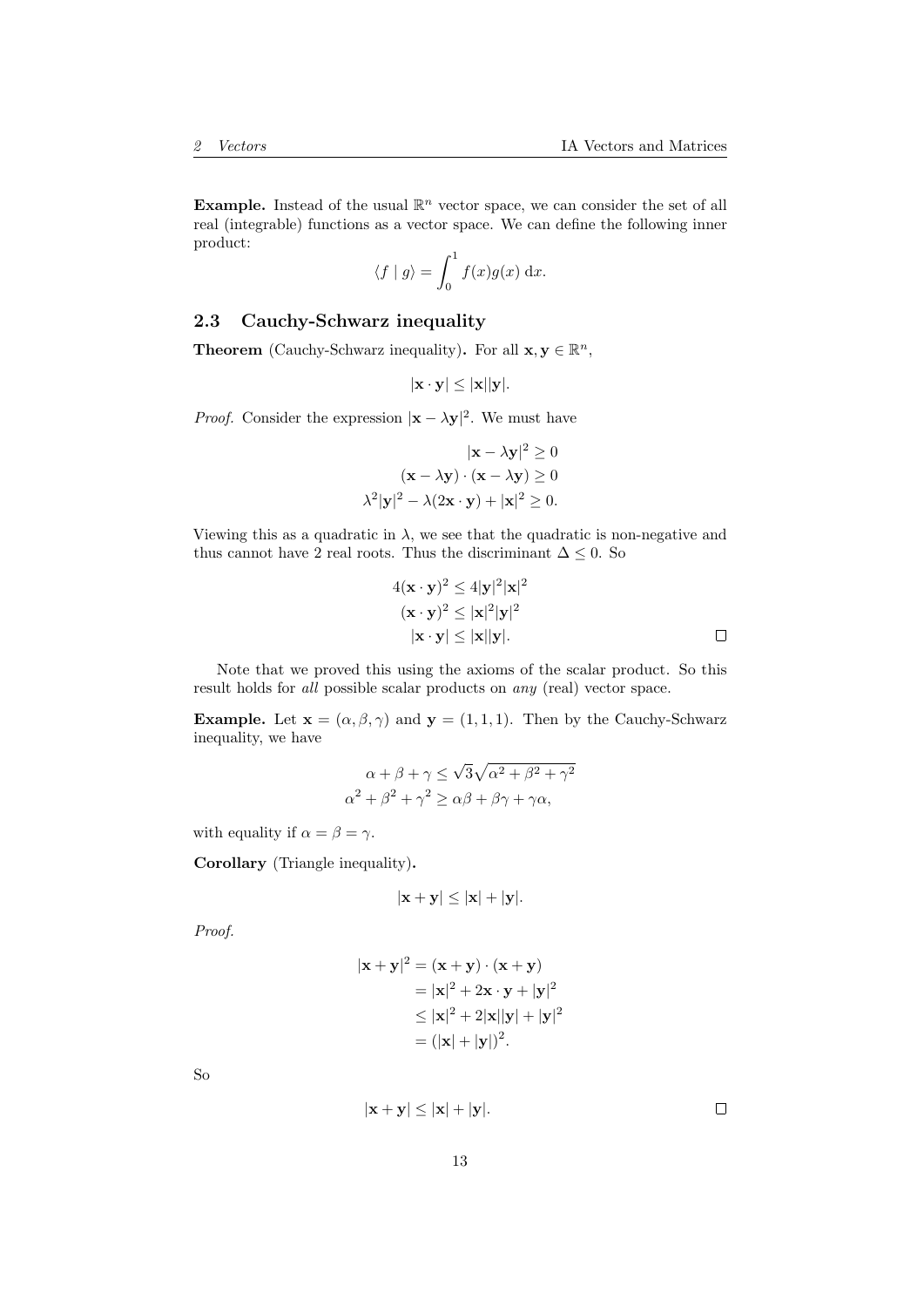**Example.** Instead of the usual  $\mathbb{R}^n$  vector space, we can consider the set of all real (integrable) functions as a vector space. We can define the following inner product:

$$
\langle f | g \rangle = \int_0^1 f(x)g(x) \, \mathrm{d}x.
$$

## <span id="page-12-0"></span>2.3 Cauchy-Schwarz inequality

**Theorem** (Cauchy-Schwarz inequality). For all  $\mathbf{x}, \mathbf{y} \in \mathbb{R}^n$ ,

$$
|\mathbf{x} \cdot \mathbf{y}| \leq |\mathbf{x}||\mathbf{y}|.
$$

*Proof.* Consider the expression  $|\mathbf{x} - \lambda \mathbf{y}|^2$ . We must have

$$
|\mathbf{x} - \lambda \mathbf{y}|^2 \ge 0
$$
  

$$
(\mathbf{x} - \lambda \mathbf{y}) \cdot (\mathbf{x} - \lambda \mathbf{y}) \ge 0
$$
  

$$
\lambda^2 |\mathbf{y}|^2 - \lambda (2\mathbf{x} \cdot \mathbf{y}) + |\mathbf{x}|^2 \ge 0.
$$

Viewing this as a quadratic in  $\lambda$ , we see that the quadratic is non-negative and thus cannot have 2 real roots. Thus the discriminant  $\Delta \leq 0$ . So

$$
4(\mathbf{x} \cdot \mathbf{y})^2 \le 4|\mathbf{y}|^2|\mathbf{x}|^2
$$
  

$$
(\mathbf{x} \cdot \mathbf{y})^2 \le |\mathbf{x}|^2|\mathbf{y}|^2
$$
  

$$
|\mathbf{x} \cdot \mathbf{y}| \le |\mathbf{x}||\mathbf{y}|.
$$

Note that we proved this using the axioms of the scalar product. So this result holds for all possible scalar products on any (real) vector space.

**Example.** Let  $\mathbf{x} = (\alpha, \beta, \gamma)$  and  $\mathbf{y} = (1, 1, 1)$ . Then by the Cauchy-Schwarz inequality, we have

$$
\alpha + \beta + \gamma \le \sqrt{3}\sqrt{\alpha^2 + \beta^2 + \gamma^2}
$$

$$
\alpha^2 + \beta^2 + \gamma^2 \ge \alpha\beta + \beta\gamma + \gamma\alpha,
$$

with equality if  $\alpha = \beta = \gamma$ .

Corollary (Triangle inequality).

$$
|\mathbf{x} + \mathbf{y}| \leq |\mathbf{x}| + |\mathbf{y}|.
$$

Proof.

$$
|\mathbf{x} + \mathbf{y}|^2 = (\mathbf{x} + \mathbf{y}) \cdot (\mathbf{x} + \mathbf{y})
$$
  
=  $|\mathbf{x}|^2 + 2\mathbf{x} \cdot \mathbf{y} + |\mathbf{y}|^2$   
 $\leq |\mathbf{x}|^2 + 2|\mathbf{x}||\mathbf{y}| + |\mathbf{y}|^2$   
=  $(|\mathbf{x}| + |\mathbf{y}|)^2$ .

So

 $|\mathbf{x} + \mathbf{y}| \leq |\mathbf{x}| + |\mathbf{y}|.$ 

 $\Box$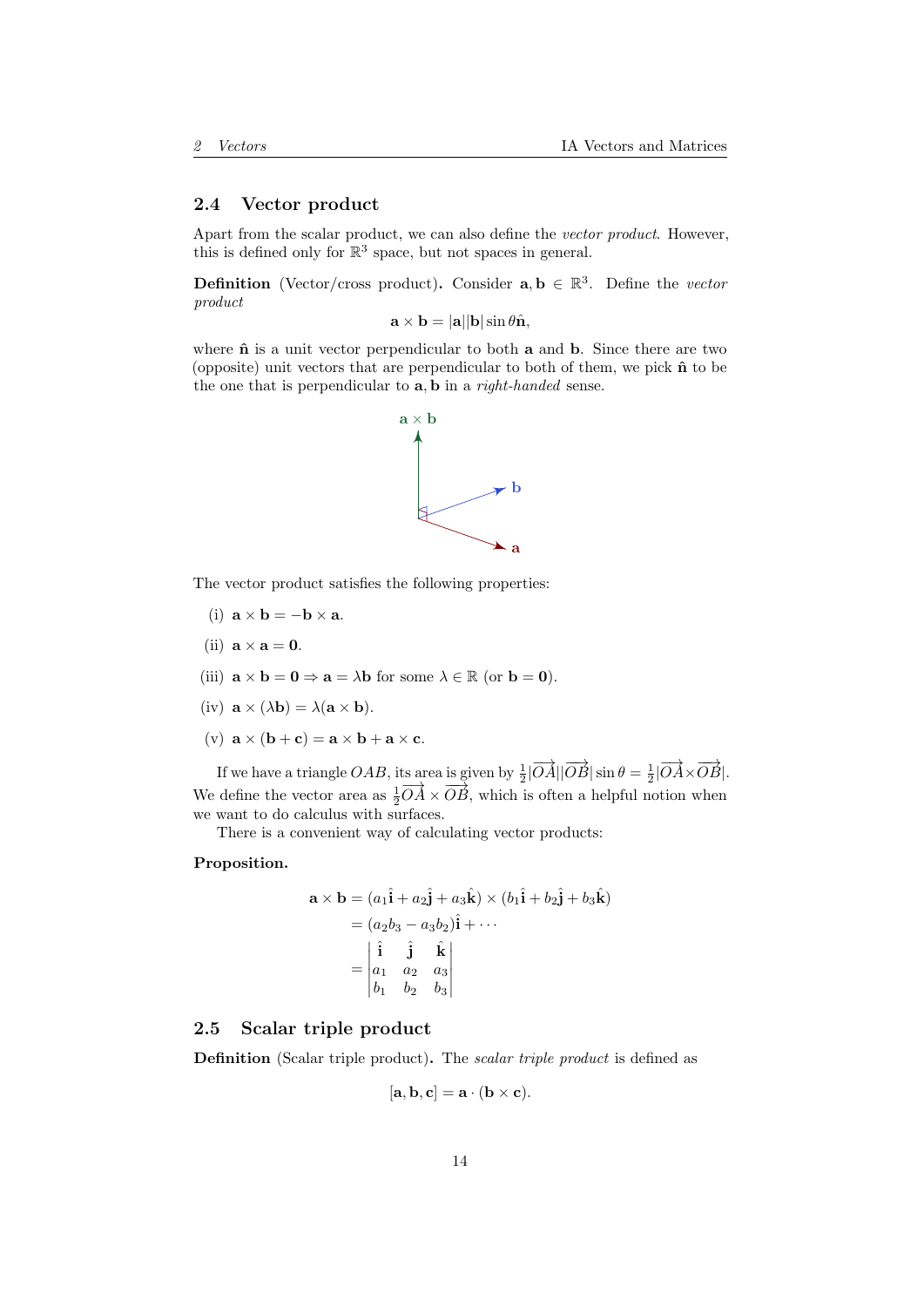## <span id="page-13-0"></span>2.4 Vector product

Apart from the scalar product, we can also define the vector product. However, this is defined only for  $\mathbb{R}^3$  space, but not spaces in general.

**Definition** (Vector/cross product). Consider  $a, b \in \mathbb{R}^3$ . Define the vector product

 $\mathbf{a} \times \mathbf{b} = |\mathbf{a}| |\mathbf{b}| \sin \theta \hat{\mathbf{n}},$ 

where  $\hat{\mathbf{n}}$  is a unit vector perpendicular to both  $\mathbf{a}$  and  $\mathbf{b}$ . Since there are two (opposite) unit vectors that are perpendicular to both of them, we pick  $\hat{\mathbf{n}}$  to be the one that is perpendicular to **a**, **b** in a *right-handed* sense.



The vector product satisfies the following properties:

- (i)  $\mathbf{a} \times \mathbf{b} = -\mathbf{b} \times \mathbf{a}$ .
- (ii)  $\mathbf{a} \times \mathbf{a} = \mathbf{0}$ .
- (iii)  $\mathbf{a} \times \mathbf{b} = \mathbf{0} \Rightarrow \mathbf{a} = \lambda \mathbf{b}$  for some  $\lambda \in \mathbb{R}$  (or  $\mathbf{b} = \mathbf{0}$ ).
- (iv)  $\mathbf{a} \times (\lambda \mathbf{b}) = \lambda (\mathbf{a} \times \mathbf{b}).$
- (v)  $\mathbf{a} \times (\mathbf{b} + \mathbf{c}) = \mathbf{a} \times \mathbf{b} + \mathbf{a} \times \mathbf{c}$ .

If we have a triangle  $OAB$ , its area is given by  $\frac{1}{2}|\overrightarrow{OA}||\overrightarrow{OB}|\sin \theta = \frac{1}{2}|\overrightarrow{OA} \times \overrightarrow{OB}|$ . We define the vector area as  $\frac{1}{2} \overrightarrow{OA} \times \overrightarrow{OB}$ , which is often a helpful notion when we want to do calculus with surfaces.

There is a convenient way of calculating vector products:

### Proposition.

$$
\mathbf{a} \times \mathbf{b} = (a_1 \hat{\mathbf{i}} + a_2 \hat{\mathbf{j}} + a_3 \hat{\mathbf{k}}) \times (b_1 \hat{\mathbf{i}} + b_2 \hat{\mathbf{j}} + b_3 \hat{\mathbf{k}})
$$
  
=  $(a_2 b_3 - a_3 b_2) \hat{\mathbf{i}} + \cdots$   
=  $\begin{vmatrix} \hat{\mathbf{i}} & \hat{\mathbf{j}} & \hat{\mathbf{k}} \\ a_1 & a_2 & a_3 \\ b_1 & b_2 & b_3 \end{vmatrix}$ 

## <span id="page-13-1"></span>2.5 Scalar triple product

Definition (Scalar triple product). The scalar triple product is defined as

$$
[\mathbf{a}, \mathbf{b}, \mathbf{c}] = \mathbf{a} \cdot (\mathbf{b} \times \mathbf{c}).
$$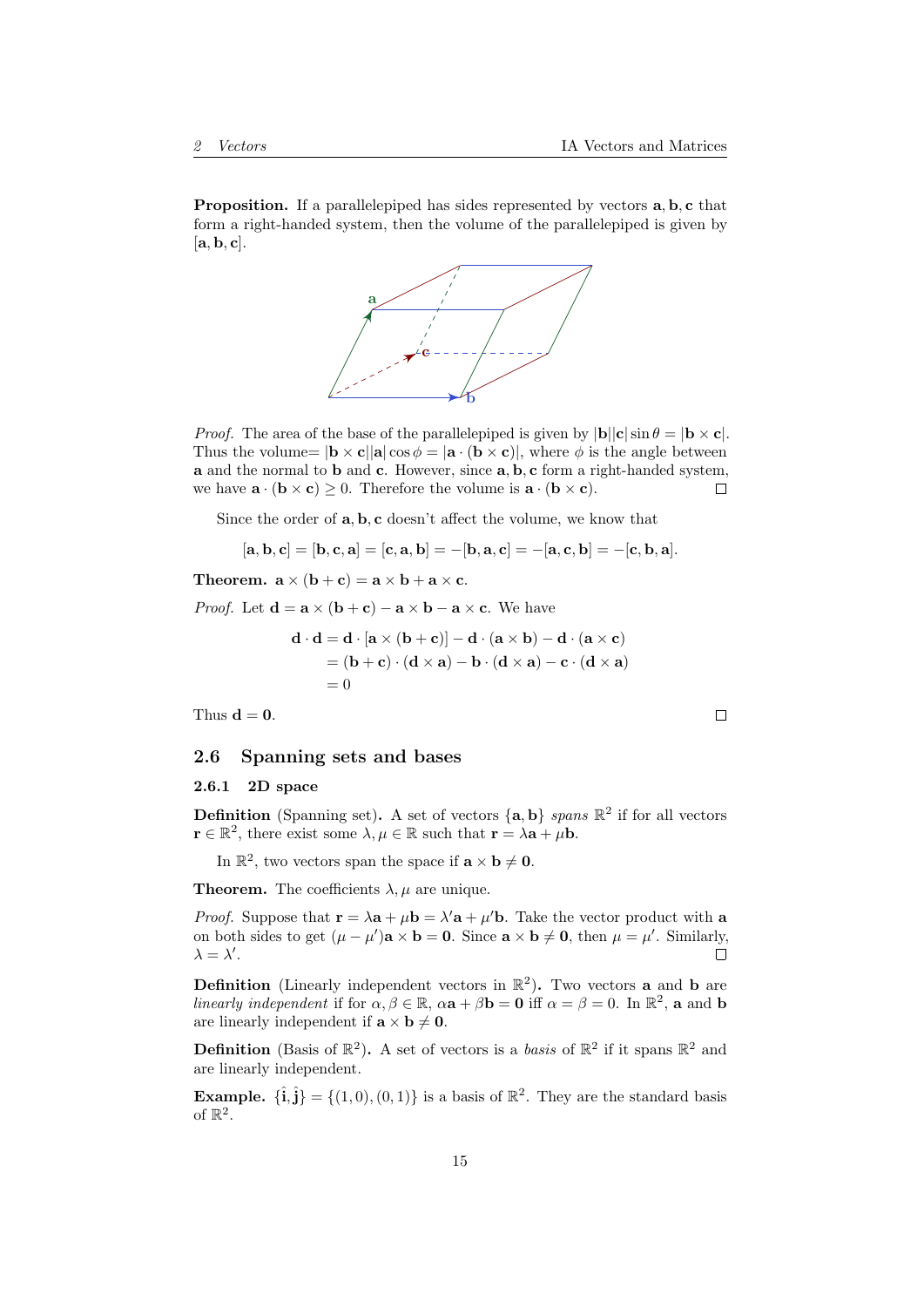Proposition. If a parallelepiped has sides represented by vectors  $a, b, c$  that form a right-handed system, then the volume of the parallelepiped is given by  $[a, b, c]$ .



*Proof.* The area of the base of the parallelepiped is given by  $|\mathbf{b}||\mathbf{c}| \sin \theta = |\mathbf{b} \times \mathbf{c}|$ . Thus the volume=  $|\mathbf{b} \times \mathbf{c}| |\mathbf{a}| \cos \phi = |\mathbf{a} \cdot (\mathbf{b} \times \mathbf{c})|$ , where  $\phi$  is the angle between a and the normal to b and c. However, since a, b, c form a right-handed system, we have  $\mathbf{a} \cdot (\mathbf{b} \times \mathbf{c}) > 0$ . Therefore the volume is  $\mathbf{a} \cdot (\mathbf{b} \times \mathbf{c})$ .  $\Box$ 

Since the order of  $\mathbf{a}, \mathbf{b}, \mathbf{c}$  doesn't affect the volume, we know that

$$
[\mathbf{a},\mathbf{b},\mathbf{c}] = [\mathbf{b},\mathbf{c},\mathbf{a}] = [\mathbf{c},\mathbf{a},\mathbf{b}] = -[\mathbf{b},\mathbf{a},\mathbf{c}] = -[\mathbf{a},\mathbf{c},\mathbf{b}] = -[\mathbf{c},\mathbf{b},\mathbf{a}].
$$

Theorem.  $\mathbf{a} \times (\mathbf{b} + \mathbf{c}) = \mathbf{a} \times \mathbf{b} + \mathbf{a} \times \mathbf{c}$ .

*Proof.* Let  $\mathbf{d} = \mathbf{a} \times (\mathbf{b} + \mathbf{c}) - \mathbf{a} \times \mathbf{b} - \mathbf{a} \times \mathbf{c}$ . We have

$$
\mathbf{d} \cdot \mathbf{d} = \mathbf{d} \cdot [\mathbf{a} \times (\mathbf{b} + \mathbf{c})] - \mathbf{d} \cdot (\mathbf{a} \times \mathbf{b}) - \mathbf{d} \cdot (\mathbf{a} \times \mathbf{c})
$$
  
=  $(\mathbf{b} + \mathbf{c}) \cdot (\mathbf{d} \times \mathbf{a}) - \mathbf{b} \cdot (\mathbf{d} \times \mathbf{a}) - \mathbf{c} \cdot (\mathbf{d} \times \mathbf{a})$   
= 0

Thus  $d = 0$ .

#### <span id="page-14-0"></span>2.6 Spanning sets and bases

#### <span id="page-14-1"></span>2.6.1 2D space

**Definition** (Spanning set). A set of vectors  $\{a, b\}$  spans  $\mathbb{R}^2$  if for all vectors  $\mathbf{r} \in \mathbb{R}^2$ , there exist some  $\lambda, \mu \in \mathbb{R}$  such that  $\mathbf{r} = \lambda \mathbf{a} + \mu \mathbf{b}$ .

In  $\mathbb{R}^2$ , two vectors span the space if  $\mathbf{a} \times \mathbf{b} \neq \mathbf{0}$ .

**Theorem.** The coefficients  $\lambda, \mu$  are unique.

*Proof.* Suppose that  $\mathbf{r} = \lambda \mathbf{a} + \mu \mathbf{b} = \lambda' \mathbf{a} + \mu' \mathbf{b}$ . Take the vector product with a on both sides to get  $(\mu - \mu')\mathbf{a} \times \mathbf{b} = \mathbf{0}$ . Since  $\mathbf{a} \times \mathbf{b} \neq \mathbf{0}$ , then  $\mu = \mu'$ . Similarly,  $\lambda = \lambda'.$  $\Box$ 

**Definition** (Linearly independent vectors in  $\mathbb{R}^2$ ). Two vectors **a** and **b** are linearly independent if for  $\alpha, \beta \in \mathbb{R}$ ,  $\alpha \mathbf{a} + \beta \mathbf{b} = \mathbf{0}$  iff  $\alpha = \beta = 0$ . In  $\mathbb{R}^2$ , a and b are linearly independent if  $\mathbf{a} \times \mathbf{b} \neq \mathbf{0}$ .

**Definition** (Basis of  $\mathbb{R}^2$ ). A set of vectors is a *basis* of  $\mathbb{R}^2$  if it spans  $\mathbb{R}^2$  and are linearly independent.

**Example.**  $\{\hat{\mathbf{i}}, \hat{\mathbf{j}}\} = \{(1,0), (0,1)\}\$ is a basis of  $\mathbb{R}^2$ . They are the standard basis of  $\mathbb{R}^2$ .

 $\Box$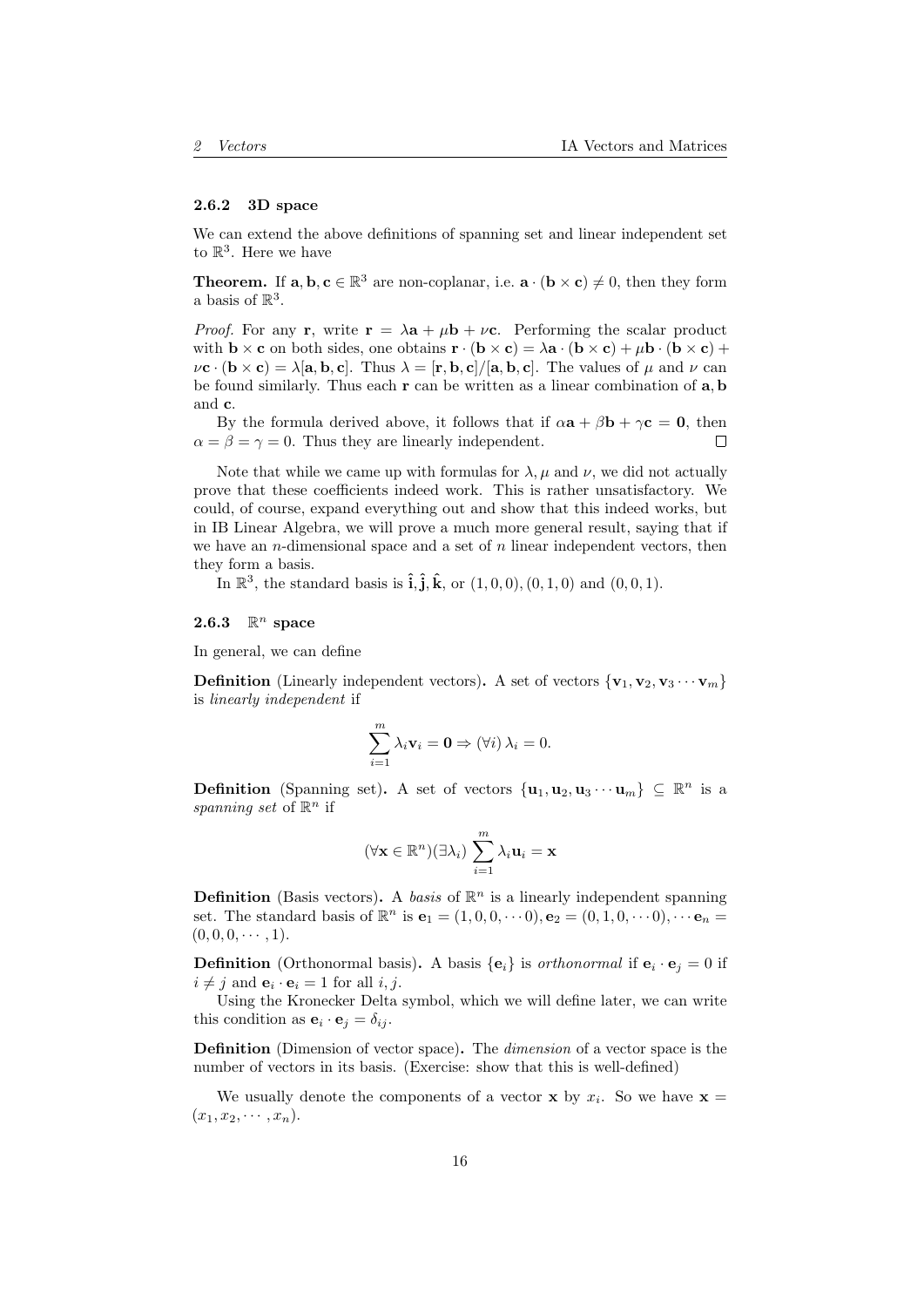#### <span id="page-15-0"></span>2.6.2 3D space

We can extend the above definitions of spanning set and linear independent set to  $\mathbb{R}^3$ . Here we have

**Theorem.** If  $\mathbf{a}, \mathbf{b}, \mathbf{c} \in \mathbb{R}^3$  are non-coplanar, i.e.  $\mathbf{a} \cdot (\mathbf{b} \times \mathbf{c}) \neq 0$ , then they form a basis of  $\mathbb{R}^3$ .

*Proof.* For any **r**, write  $\mathbf{r} = \lambda \mathbf{a} + \mu \mathbf{b} + \nu \mathbf{c}$ . Performing the scalar product with  $\mathbf{b} \times \mathbf{c}$  on both sides, one obtains  $\mathbf{r} \cdot (\mathbf{b} \times \mathbf{c}) = \lambda \mathbf{a} \cdot (\mathbf{b} \times \mathbf{c}) + \mu \mathbf{b} \cdot (\mathbf{b} \times \mathbf{c}) +$  $\nu$ **c** · (**b**  $\times$  **c**) =  $\lambda$ [**a**, **b**, **c**]. Thus  $\lambda = [\mathbf{r}, \mathbf{b}, \mathbf{c}]/[\mathbf{a}, \mathbf{b}, \mathbf{c}]$ . The values of  $\mu$  and  $\nu$  can be found similarly. Thus each  $r$  can be written as a linear combination of  $a, b$ and c.

By the formula derived above, it follows that if  $\alpha \mathbf{a} + \beta \mathbf{b} + \gamma \mathbf{c} = \mathbf{0}$ , then  $\alpha = \beta = \gamma = 0$ . Thus they are linearly independent. П

Note that while we came up with formulas for  $\lambda$ ,  $\mu$  and  $\nu$ , we did not actually prove that these coefficients indeed work. This is rather unsatisfactory. We could, of course, expand everything out and show that this indeed works, but in IB Linear Algebra, we will prove a much more general result, saying that if we have an *n*-dimensional space and a set of  $n$  linear independent vectors, then they form a basis.

In  $\mathbb{R}^3$ , the standard basis is  $\hat{\mathbf{i}}, \hat{\mathbf{j}}, \hat{\mathbf{k}}$ , or  $(1,0,0), (0,1,0)$  and  $(0,0,1)$ .

# <span id="page-15-1"></span>2.6.3  $\mathbb{R}^n$  space

In general, we can define

**Definition** (Linearly independent vectors). A set of vectors  $\{v_1, v_2, v_3 \cdots v_m\}$ is linearly independent if

$$
\sum_{i=1}^{m} \lambda_i \mathbf{v}_i = \mathbf{0} \Rightarrow (\forall i) \lambda_i = 0.
$$

**Definition** (Spanning set). A set of vectors  $\{u_1, u_2, u_3 \cdots u_m\} \subseteq \mathbb{R}^n$  is a spanning set of  $\mathbb{R}^n$  if

$$
(\forall \mathbf{x} \in \mathbb{R}^n)(\exists \lambda_i) \sum_{i=1}^m \lambda_i \mathbf{u}_i = \mathbf{x}
$$

**Definition** (Basis vectors). A basis of  $\mathbb{R}^n$  is a linearly independent spanning set. The standard basis of  $\mathbb{R}^n$  is  $\mathbf{e}_1 = (1, 0, 0, \cdots 0), \mathbf{e}_2 = (0, 1, 0, \cdots 0), \cdots \mathbf{e}_n =$  $(0, 0, 0, \cdots, 1).$ 

**Definition** (Orthonormal basis). A basis  $\{e_i\}$  is *orthonormal* if  $e_i \cdot e_j = 0$  if  $i \neq j$  and  $\mathbf{e}_i \cdot \mathbf{e}_i = 1$  for all  $i, j$ .

Using the Kronecker Delta symbol, which we will define later, we can write this condition as  $\mathbf{e}_i \cdot \mathbf{e}_j = \delta_{ij}$ .

Definition (Dimension of vector space). The dimension of a vector space is the number of vectors in its basis. (Exercise: show that this is well-defined)

We usually denote the components of a vector **x** by  $x_i$ . So we have **x** =  $(x_1, x_2, \cdots, x_n).$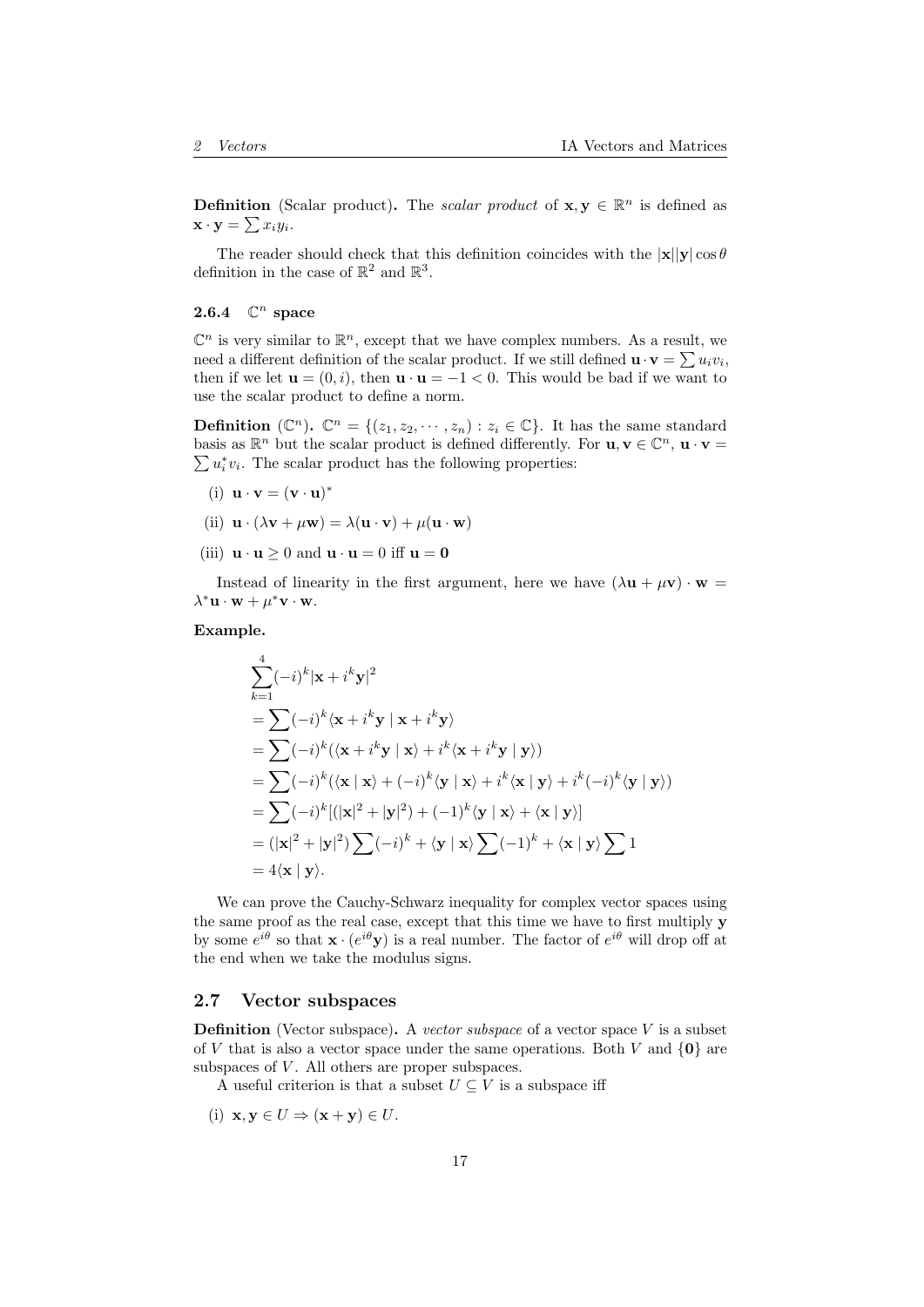**Definition** (Scalar product). The *scalar product* of  $\mathbf{x}, \mathbf{y} \in \mathbb{R}^n$  is defined as  $\mathbf{x} \cdot \mathbf{y} = \sum x_i y_i.$ 

The reader should check that this definition coincides with the  $|x||y|\cos\theta$ definition in the case of  $\mathbb{R}^2$  and  $\mathbb{R}^3$ .

# <span id="page-16-0"></span>2.6.4  $\mathbb{C}^n$  space

 $\mathbb{C}^n$  is very similar to  $\mathbb{R}^n$ , except that we have complex numbers. As a result, we need a different definition of the scalar product. If we still defined  $\mathbf{u} \cdot \mathbf{v} = \sum u_i v_i$ , then if we let  $\mathbf{u} = (0, i)$ , then  $\mathbf{u} \cdot \mathbf{u} = -1 < 0$ . This would be bad if we want to use the scalar product to define a norm.

**Definition** ( $\mathbb{C}^n$ ).  $\mathbb{C}^n = \{(z_1, z_2, \dots, z_n) : z_i \in \mathbb{C}\}$ . It has the same standard basis as  $\mathbb{R}^n$  but the scalar product is defined differently. For  $\mathbf{u}, \mathbf{v} \in \mathbb{C}^n$ ,  $\mathbf{u} \cdot \mathbf{v} = \sum u_i^* v_i$ . The scalar product has the following properties:  $u_i^* v_i$ . The scalar product has the following properties:

- (i)  $\mathbf{u} \cdot \mathbf{v} = (\mathbf{v} \cdot \mathbf{u})^*$
- (ii)  $\mathbf{u} \cdot (\lambda \mathbf{v} + \mu \mathbf{w}) = \lambda (\mathbf{u} \cdot \mathbf{v}) + \mu (\mathbf{u} \cdot \mathbf{w})$
- (iii)  $\mathbf{u} \cdot \mathbf{u} > 0$  and  $\mathbf{u} \cdot \mathbf{u} = 0$  iff  $\mathbf{u} = \mathbf{0}$

Instead of linearity in the first argument, here we have  $(\lambda \mathbf{u} + \mu \mathbf{v}) \cdot \mathbf{w} =$  $\lambda^* \mathbf{u} \cdot \mathbf{w} + \mu^* \mathbf{v} \cdot \mathbf{w}.$ 

#### Example.

$$
\sum_{k=1}^{4}(-i)^{k}|\mathbf{x}+i^{k}\mathbf{y}|^{2}
$$
\n
$$
=\sum (-i)^{k}\langle \mathbf{x}+i^{k}\mathbf{y} | \mathbf{x}+i^{k}\mathbf{y} \rangle
$$
\n
$$
=\sum (-i)^{k}(\langle \mathbf{x}+i^{k}\mathbf{y} | \mathbf{x}\rangle+i^{k}\langle \mathbf{x}+i^{k}\mathbf{y} | \mathbf{y}\rangle)
$$
\n
$$
=\sum (-i)^{k}(\langle \mathbf{x} | \mathbf{x}\rangle+(-i)^{k}\langle \mathbf{y} | \mathbf{x}\rangle+i^{k}\langle \mathbf{x} | \mathbf{y}\rangle+i^{k}(-i)^{k}\langle \mathbf{y} | \mathbf{y}\rangle)
$$
\n
$$
=\sum (-i)^{k}[(|\mathbf{x}|^{2}+|\mathbf{y}|^{2})+(-1)^{k}\langle \mathbf{y} | \mathbf{x}\rangle+\langle \mathbf{x} | \mathbf{y}\rangle]
$$
\n
$$
=(|\mathbf{x}|^{2}+|\mathbf{y}|^{2})\sum (-i)^{k}+\langle \mathbf{y} | \mathbf{x}\rangle\sum (-1)^{k}+\langle \mathbf{x} | \mathbf{y}\rangle\sum 1
$$
\n
$$
=4\langle \mathbf{x} | \mathbf{y}\rangle.
$$

We can prove the Cauchy-Schwarz inequality for complex vector spaces using the same proof as the real case, except that this time we have to first multiply y by some  $e^{i\theta}$  so that  $\mathbf{x} \cdot (e^{i\theta}\mathbf{y})$  is a real number. The factor of  $e^{i\theta}$  will drop off at the end when we take the modulus signs.

#### <span id="page-16-1"></span>2.7 Vector subspaces

**Definition** (Vector subspace). A vector subspace of a vector space  $V$  is a subset of V that is also a vector space under the same operations. Both V and  $\{0\}$  are subspaces of  $V$ . All others are proper subspaces.

A useful criterion is that a subset  $U \subseteq V$  is a subspace iff

(i)  $\mathbf{x}, \mathbf{v} \in U \Rightarrow (\mathbf{x} + \mathbf{v}) \in U$ .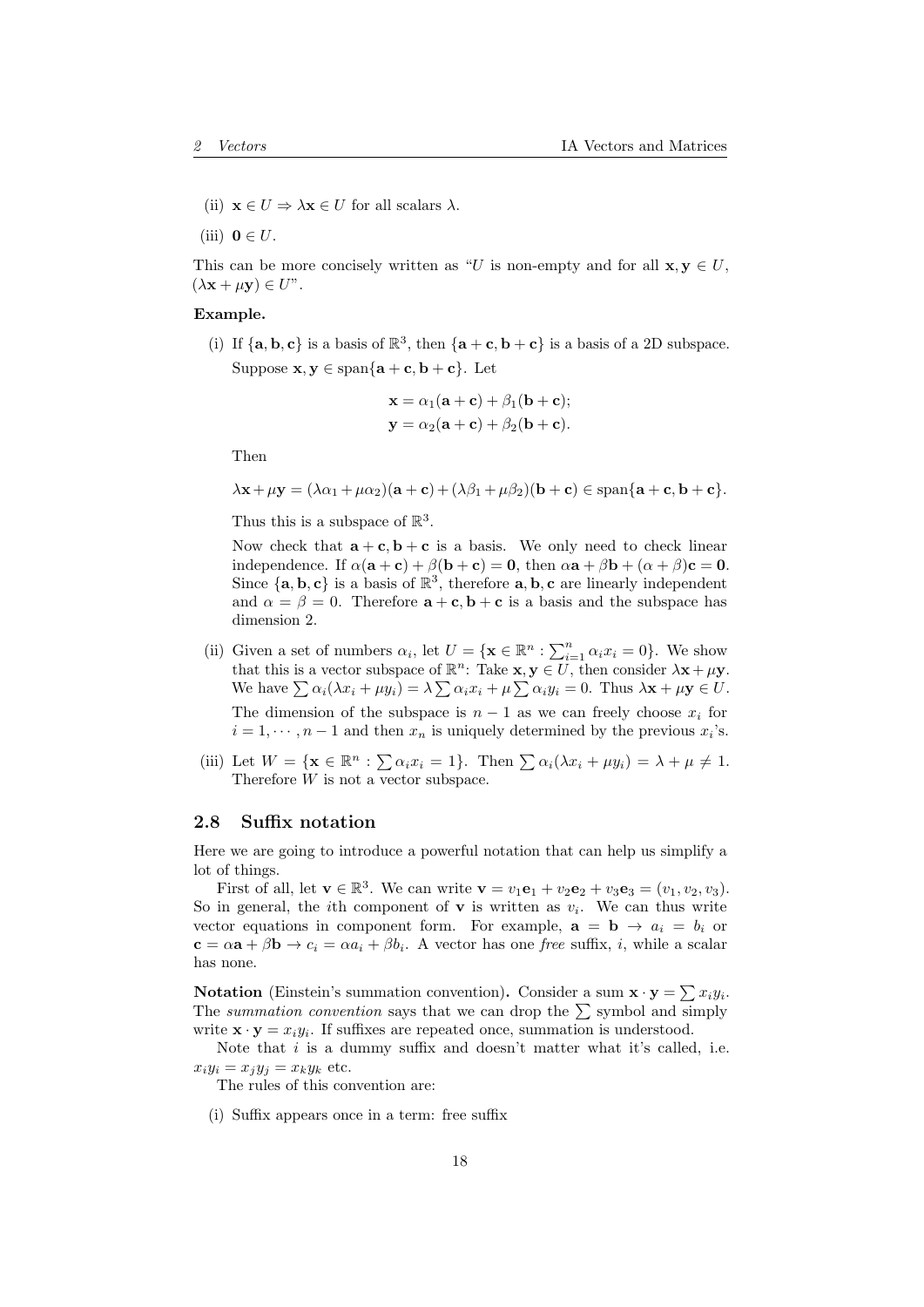- (ii)  $\mathbf{x} \in U \Rightarrow \lambda \mathbf{x} \in U$  for all scalars  $\lambda$ .
- (iii)  $\mathbf{0} \in U$ .

This can be more concisely written as "U is non-empty and for all  $\mathbf{x}, \mathbf{y} \in U$ ,  $(\lambda \mathbf{x} + \mu \mathbf{y}) \in U$ ".

#### Example.

(i) If  $\{a, b, c\}$  is a basis of  $\mathbb{R}^3$ , then  $\{a + c, b + c\}$  is a basis of a 2D subspace. Suppose  $\mathbf{x}, \mathbf{y} \in \text{span}\{\mathbf{a} + \mathbf{c}, \mathbf{b} + \mathbf{c}\}\$ . Let

$$
\mathbf{x} = \alpha_1(\mathbf{a} + \mathbf{c}) + \beta_1(\mathbf{b} + \mathbf{c});
$$
  

$$
\mathbf{y} = \alpha_2(\mathbf{a} + \mathbf{c}) + \beta_2(\mathbf{b} + \mathbf{c}).
$$

Then

 $\lambda$ **x** +  $\mu$ **y** =  $(\lambda \alpha_1 + \mu \alpha_2)(\mathbf{a} + \mathbf{c}) + (\lambda \beta_1 + \mu \beta_2)(\mathbf{b} + \mathbf{c}) \in \text{span}\{\mathbf{a} + \mathbf{c}, \mathbf{b} + \mathbf{c}\}.$ 

Thus this is a subspace of  $\mathbb{R}^3$ .

Now check that  $\mathbf{a} + \mathbf{c}, \mathbf{b} + \mathbf{c}$  is a basis. We only need to check linear independence. If  $\alpha(\mathbf{a} + \mathbf{c}) + \beta(\mathbf{b} + \mathbf{c}) = \mathbf{0}$ , then  $\alpha \mathbf{a} + \beta \mathbf{b} + (\alpha + \beta)\mathbf{c} = \mathbf{0}$ . Since  $\{a, b, c\}$  is a basis of  $\mathbb{R}^3$ , therefore  $a, b, c$  are linearly independent and  $\alpha = \beta = 0$ . Therefore  $\mathbf{a} + \mathbf{c}, \mathbf{b} + \mathbf{c}$  is a basis and the subspace has dimension 2.

- (ii) Given a set of numbers  $\alpha_i$ , let  $U = {\mathbf{x} \in \mathbb{R}^n : \sum_{i=1}^n \alpha_i x_i = 0}$ . We show that this is a vector subspace of  $\mathbb{R}^n$ : Take  $\mathbf{x}, \mathbf{y} \in U$ , then consider  $\lambda \mathbf{x} + \mu \mathbf{y}$ . We have  $\sum \alpha_i(\lambda x_i + \mu y_i) = \lambda \sum \alpha_i x_i + \mu \sum \alpha_i y_i = 0$ . Thus  $\lambda \mathbf{x} + \mu \mathbf{y} \in U$ . The dimension of the subspace is  $n-1$  as we can freely choose  $x_i$  for  $i = 1, \dots, n-1$  and then  $x_n$  is uniquely determined by the previous  $x_i$ 's.
- (iii) Let  $W = {\mathbf{x} \in \mathbb{R}^n : \sum \alpha_i x_i = 1}.$  Then  $\sum \alpha_i (\lambda x_i + \mu y_i) = \lambda + \mu \neq 1.$ Therefore W is not a vector subspace.

## <span id="page-17-0"></span>2.8 Suffix notation

Here we are going to introduce a powerful notation that can help us simplify a lot of things.

First of all, let  $\mathbf{v} \in \mathbb{R}^3$ . We can write  $\mathbf{v} = v_1 \mathbf{e}_1 + v_2 \mathbf{e}_2 + v_3 \mathbf{e}_3 = (v_1, v_2, v_3)$ . So in general, the *i*th component of **v** is written as  $v_i$ . We can thus write vector equations in component form. For example,  $\mathbf{a} = \mathbf{b} \rightarrow a_i = b_i$  or  $\mathbf{c} = \alpha \mathbf{a} + \beta \mathbf{b} \rightarrow c_i = \alpha a_i + \beta b_i$ . A vector has one free suffix, i, while a scalar has none.

**Notation** (Einstein's summation convention). Consider a sum  $\mathbf{x} \cdot \mathbf{y} = \sum x_i y_i$ . The summation convention says that we can drop the  $\sum$  symbol and simply write  $\mathbf{x} \cdot \mathbf{y} = x_i y_i$ . If suffixes are repeated once, summation is understood.

Note that  $i$  is a dummy suffix and doesn't matter what it's called, i.e.  $x_iy_i = x_jy_j = x_ky_k$  etc.

The rules of this convention are:

(i) Suffix appears once in a term: free suffix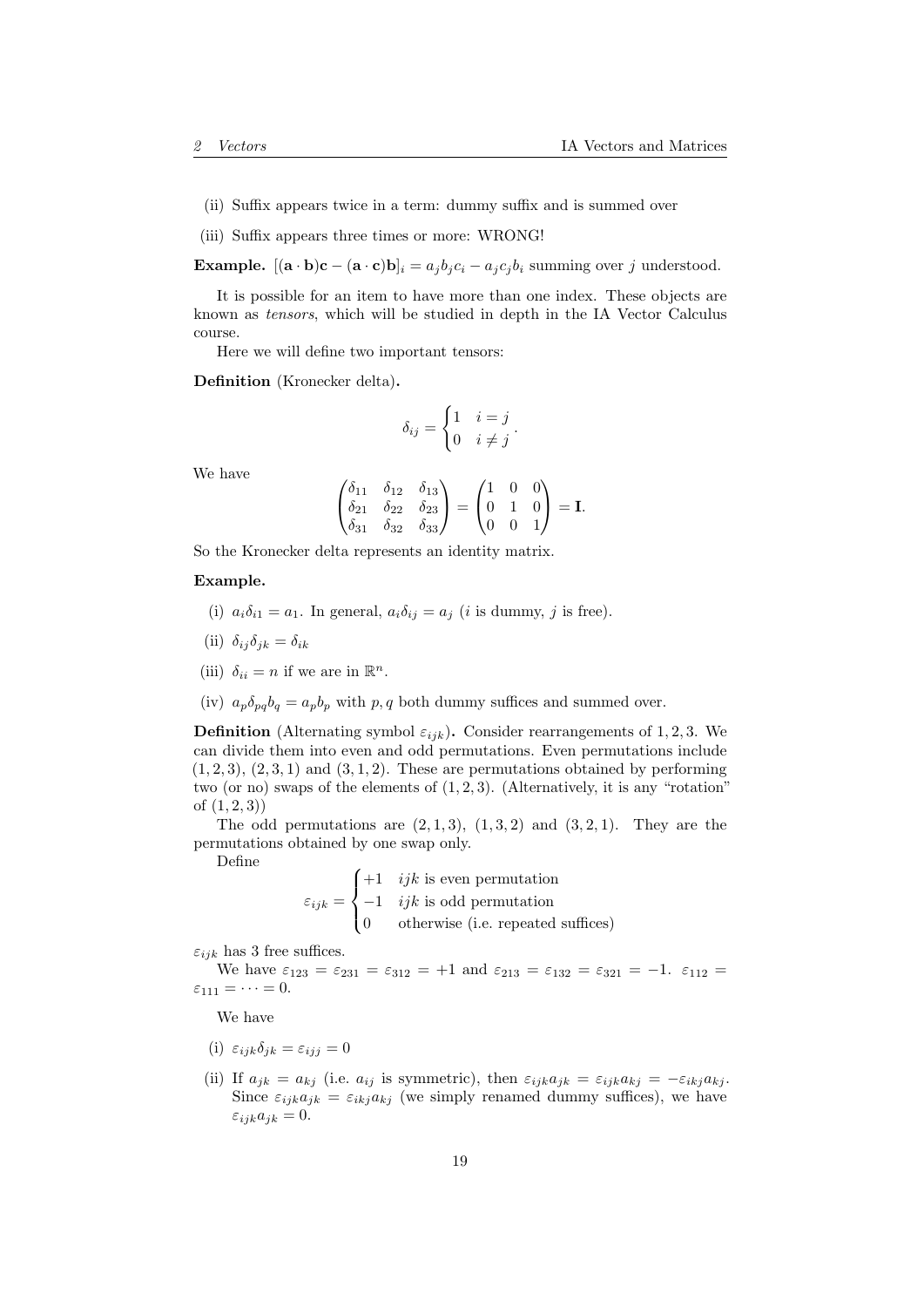- (ii) Suffix appears twice in a term: dummy suffix and is summed over
- (iii) Suffix appears three times or more: WRONG!

**Example.**  $[(\mathbf{a} \cdot \mathbf{b})\mathbf{c} - (\mathbf{a} \cdot \mathbf{c})\mathbf{b}]_i = a_j b_j c_i - a_j c_j b_i$  summing over j understood.

It is possible for an item to have more than one index. These objects are known as tensors, which will be studied in depth in the IA Vector Calculus course.

Here we will define two important tensors:

Definition (Kronecker delta).

$$
\delta_{ij} = \begin{cases} 1 & i = j \\ 0 & i \neq j \end{cases}.
$$

We have

$$
\begin{pmatrix}\n\delta_{11} & \delta_{12} & \delta_{13} \\
\delta_{21} & \delta_{22} & \delta_{23} \\
\delta_{31} & \delta_{32} & \delta_{33}\n\end{pmatrix} = \begin{pmatrix}\n1 & 0 & 0 \\
0 & 1 & 0 \\
0 & 0 & 1\n\end{pmatrix} = I.
$$

So the Kronecker delta represents an identity matrix.

#### Example.

- (i)  $a_i\delta_{i1} = a_1$ . In general,  $a_i\delta_{ij} = a_j$  (*i* is dummy, *j* is free).
- (ii)  $\delta_{ij}\delta_{ik} = \delta_{ik}$
- (iii)  $\delta_{ii} = n$  if we are in  $\mathbb{R}^n$ .
- (iv)  $a_p \delta_{pq} b_q = a_p b_p$  with p, q both dummy suffices and summed over.

**Definition** (Alternating symbol  $\varepsilon_{ijk}$ ). Consider rearrangements of 1, 2, 3. We can divide them into even and odd permutations. Even permutations include  $(1, 2, 3), (2, 3, 1)$  and  $(3, 1, 2)$ . These are permutations obtained by performing two (or no) swaps of the elements of  $(1, 2, 3)$ . (Alternatively, it is any "rotation" of  $(1, 2, 3)$ 

The odd permutations are  $(2, 1, 3)$ ,  $(1, 3, 2)$  and  $(3, 2, 1)$ . They are the permutations obtained by one swap only.

Define

$$
\varepsilon_{ijk} = \begin{cases}\n+1 & ijk \text{ is even permutation} \\
-1 & ijk \text{ is odd permutation} \\
0 & \text{otherwise (i.e. repeated suffices)}\n\end{cases}
$$

 $\varepsilon_{ijk}$  has 3 free suffices.

We have  $\varepsilon_{123} = \varepsilon_{231} = \varepsilon_{312} = +1$  and  $\varepsilon_{213} = \varepsilon_{132} = \varepsilon_{321} = -1$ .  $\varepsilon_{112} =$  $\varepsilon_{111} = \cdots = 0.$ 

We have

- (i)  $\varepsilon_{ijk}\delta_{jk} = \varepsilon_{ij} = 0$
- (ii) If  $a_{ik} = a_{kj}$  (i.e.  $a_{ij}$  is symmetric), then  $\varepsilon_{ijk}a_{jk} = \varepsilon_{ijk}a_{kj} = -\varepsilon_{ikj}a_{kj}$ . Since  $\varepsilon_{ijk}a_{jk} = \varepsilon_{ikj}a_{kj}$  (we simply renamed dummy suffices), we have  $\varepsilon_{ijk}a_{jk} = 0.$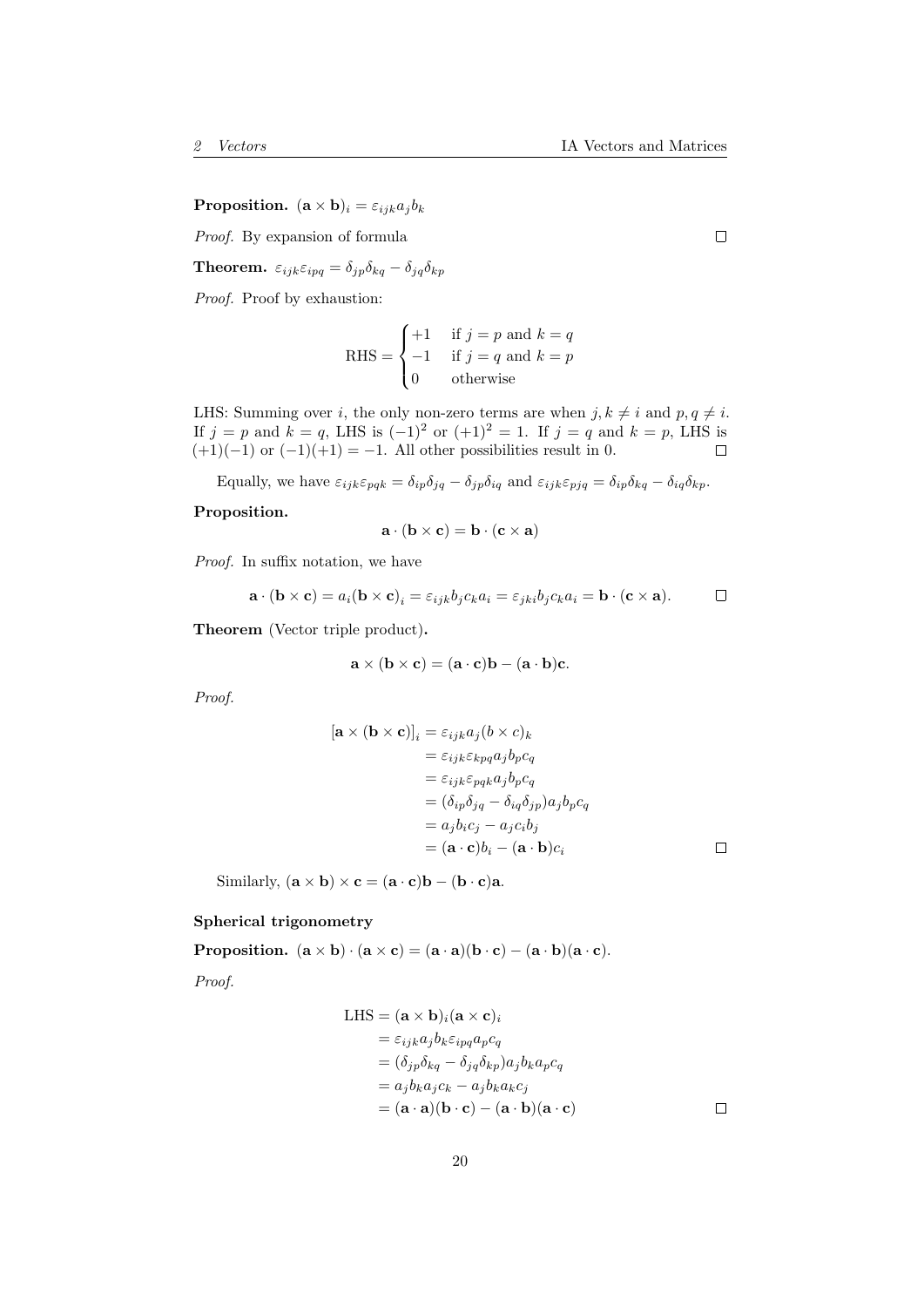**Proposition.**  $(\mathbf{a} \times \mathbf{b})_i = \varepsilon_{ijk} a_j b_k$ 

Proof. By expansion of formula

**Theorem.**  $\varepsilon_{ijk}\varepsilon_{ipq} = \delta_{jp}\delta_{kq} - \delta_{jq}\delta_{kp}$ 

Proof. Proof by exhaustion:

RHS = 
$$
\begin{cases} +1 & \text{if } j=p \text{ and } k=q\\ -1 & \text{if } j=q \text{ and } k=p\\ 0 & \text{otherwise} \end{cases}
$$

LHS: Summing over i, the only non-zero terms are when  $j, k \neq i$  and  $p, q \neq i$ . If  $j = p$  and  $k = q$ , LHS is  $(-1)^2$  or  $(+1)^2 = 1$ . If  $j = q$  and  $k = p$ , LHS is  $(+1)(-1)$  or  $(-1)(+1) = -1$ . All other possibilities result in 0.

Equally, we have  $\varepsilon_{ijk}\varepsilon_{pqk} = \delta_{ip}\delta_{jq} - \delta_{jp}\delta_{iq}$  and  $\varepsilon_{ijk}\varepsilon_{pjq} = \delta_{ip}\delta_{kq} - \delta_{iq}\delta_{kp}$ .

#### Proposition.

$$
\mathbf{a} \cdot (\mathbf{b} \times \mathbf{c}) = \mathbf{b} \cdot (\mathbf{c} \times \mathbf{a})
$$

Proof. In suffix notation, we have

$$
\mathbf{a} \cdot (\mathbf{b} \times \mathbf{c}) = a_i (\mathbf{b} \times \mathbf{c})_i = \varepsilon_{ijk} b_j c_k a_i = \varepsilon_{jki} b_j c_k a_i = \mathbf{b} \cdot (\mathbf{c} \times \mathbf{a}). \square
$$

Theorem (Vector triple product).

$$
\mathbf{a} \times (\mathbf{b} \times \mathbf{c}) = (\mathbf{a} \cdot \mathbf{c})\mathbf{b} - (\mathbf{a} \cdot \mathbf{b})\mathbf{c}.
$$

Proof.

$$
[\mathbf{a} \times (\mathbf{b} \times \mathbf{c})]_i = \varepsilon_{ijk} a_j (b \times c)_k
$$
  
\n
$$
= \varepsilon_{ijk} \varepsilon_{kpq} a_j b_p c_q
$$
  
\n
$$
= \varepsilon_{ijk} \varepsilon_{pqk} a_j b_p c_q
$$
  
\n
$$
= (\delta_{ip} \delta_{jq} - \delta_{iq} \delta_{jp}) a_j b_p c_q
$$
  
\n
$$
= a_j b_i c_j - a_j c_i b_j
$$
  
\n
$$
= (\mathbf{a} \cdot \mathbf{c}) b_i - (\mathbf{a} \cdot \mathbf{b}) c_i
$$

Similarly,  $(\mathbf{a} \times \mathbf{b}) \times \mathbf{c} = (\mathbf{a} \cdot \mathbf{c})\mathbf{b} - (\mathbf{b} \cdot \mathbf{c})\mathbf{a}$ .

## Spherical trigonometry

Proposition.  $(a \times b) \cdot (a \times c) = (a \cdot a)(b \cdot c) - (a \cdot b)(a \cdot c)$ .

Proof.

LHS = 
$$
(\mathbf{a} \times \mathbf{b})_i (\mathbf{a} \times \mathbf{c})_i
$$
  
\n=  $\varepsilon_{ijk} a_j b_k \varepsilon_{ipq} a_p c_q$   
\n=  $(\delta_{jp} \delta_{kq} - \delta_{jq} \delta_{kp}) a_j b_k a_p c_q$   
\n=  $a_j b_k a_j c_k - a_j b_k a_k c_j$   
\n=  $(\mathbf{a} \cdot \mathbf{a})(\mathbf{b} \cdot \mathbf{c}) - (\mathbf{a} \cdot \mathbf{b})(\mathbf{a} \cdot \mathbf{c})$ 

 $\Box$ 

 $\Box$ 

 $\Box$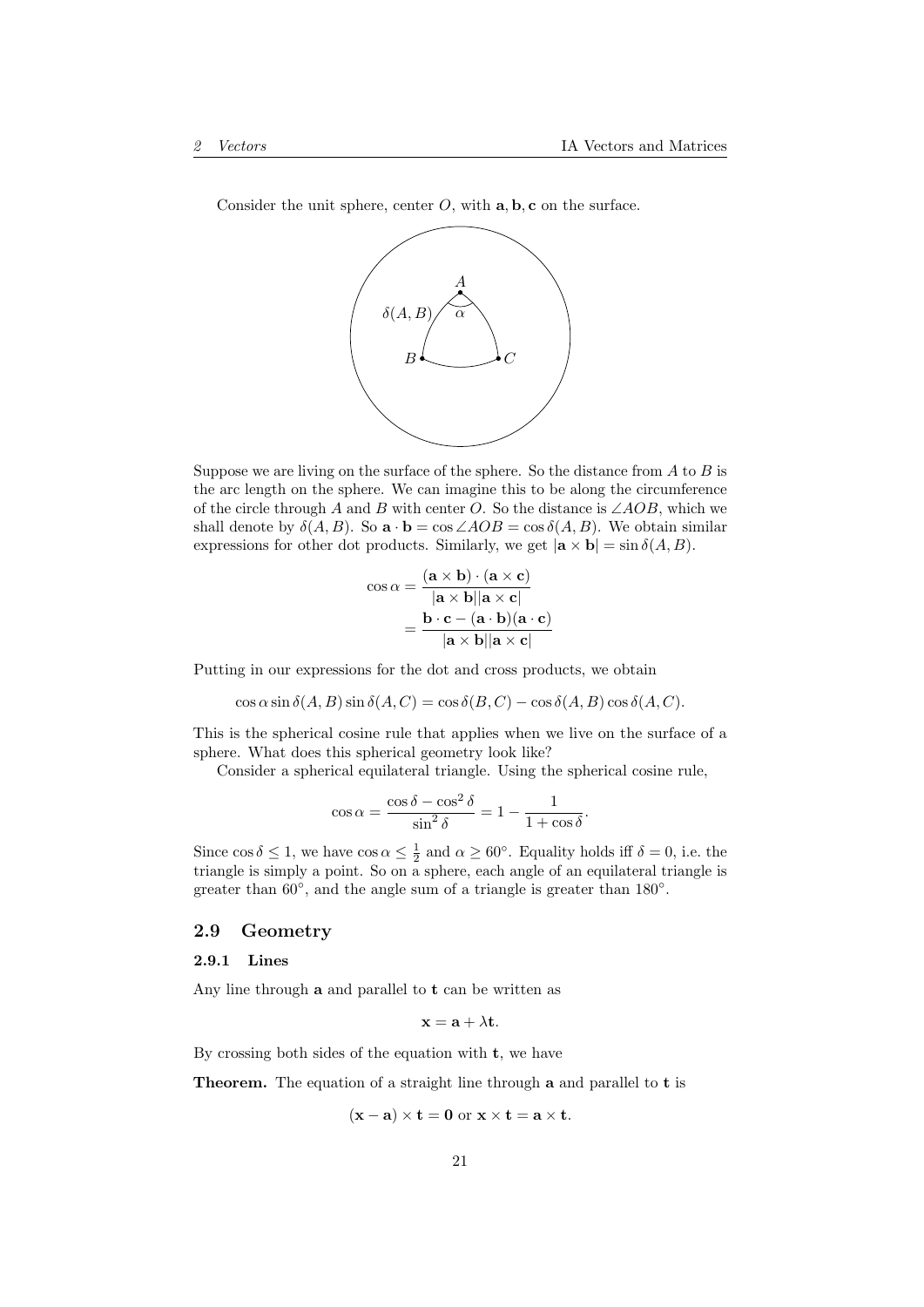Consider the unit sphere, center  $O$ , with  $\mathbf{a}, \mathbf{b}, \mathbf{c}$  on the surface.



Suppose we are living on the surface of the sphere. So the distance from  $A$  to  $B$  is the arc length on the sphere. We can imagine this to be along the circumference of the circle through A and B with center O. So the distance is  $\angle AOB$ , which we shall denote by  $\delta(A, B)$ . So  $\mathbf{a} \cdot \mathbf{b} = \cos \angle AOB = \cos \delta(A, B)$ . We obtain similar expressions for other dot products. Similarly, we get  $|\mathbf{a} \times \mathbf{b}| = \sin \delta(A, B)$ .

$$
\cos \alpha = \frac{(\mathbf{a} \times \mathbf{b}) \cdot (\mathbf{a} \times \mathbf{c})}{|\mathbf{a} \times \mathbf{b}| |\mathbf{a} \times \mathbf{c}|}
$$

$$
= \frac{\mathbf{b} \cdot \mathbf{c} - (\mathbf{a} \cdot \mathbf{b})(\mathbf{a} \cdot \mathbf{c})}{|\mathbf{a} \times \mathbf{b}| |\mathbf{a} \times \mathbf{c}|}
$$

Putting in our expressions for the dot and cross products, we obtain

 $\cos \alpha \sin \delta(A, B) \sin \delta(A, C) = \cos \delta(B, C) - \cos \delta(A, B) \cos \delta(A, C).$ 

This is the spherical cosine rule that applies when we live on the surface of a sphere. What does this spherical geometry look like?

Consider a spherical equilateral triangle. Using the spherical cosine rule,

$$
\cos \alpha = \frac{\cos \delta - \cos^2 \delta}{\sin^2 \delta} = 1 - \frac{1}{1 + \cos \delta}.
$$

Since  $\cos \delta \leq 1$ , we have  $\cos \alpha \leq \frac{1}{2}$  and  $\alpha \geq 60^{\circ}$ . Equality holds iff  $\delta = 0$ , i.e. the triangle is simply a point. So on a sphere, each angle of an equilateral triangle is greater than  $60^{\circ}$ , and the angle sum of a triangle is greater than  $180^{\circ}$ .

## <span id="page-20-0"></span>2.9 Geometry

## <span id="page-20-1"></span>2.9.1 Lines

Any line through  $a$  and parallel to  $t$  can be written as

$$
\mathbf{x} = \mathbf{a} + \lambda \mathbf{t}.
$$

By crossing both sides of the equation with  $t$ , we have

Theorem. The equation of a straight line through a and parallel to t is

$$
(\mathbf{x} - \mathbf{a}) \times \mathbf{t} = \mathbf{0} \text{ or } \mathbf{x} \times \mathbf{t} = \mathbf{a} \times \mathbf{t}.
$$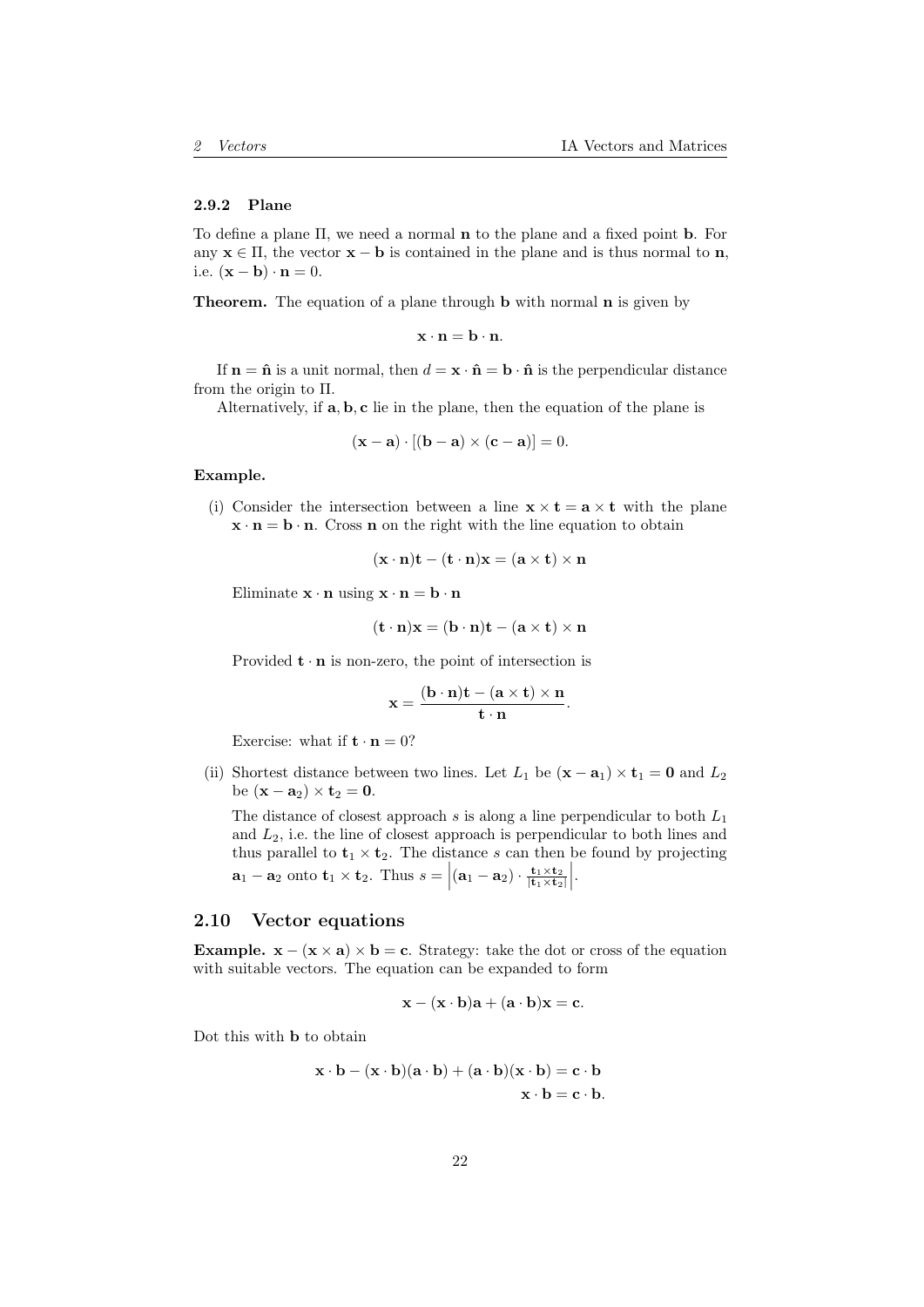#### <span id="page-21-0"></span>2.9.2 Plane

To define a plane Π, we need a normal n to the plane and a fixed point b. For any  $x \in \Pi$ , the vector  $x - b$  is contained in the plane and is thus normal to n, i.e.  $(\mathbf{x} - \mathbf{b}) \cdot \mathbf{n} = 0$ .

Theorem. The equation of a plane through **b** with normal **n** is given by

$$
\mathbf{x}\cdot\mathbf{n}=\mathbf{b}\cdot\mathbf{n}.
$$

If  $\mathbf{n} = \hat{\mathbf{n}}$  is a unit normal, then  $d = \mathbf{x} \cdot \hat{\mathbf{n}} = \mathbf{b} \cdot \hat{\mathbf{n}}$  is the perpendicular distance from the origin to Π.

Alternatively, if a, b, c lie in the plane, then the equation of the plane is

$$
(\mathbf{x} - \mathbf{a}) \cdot [(\mathbf{b} - \mathbf{a}) \times (\mathbf{c} - \mathbf{a})] = 0.
$$

#### Example.

(i) Consider the intersection between a line  $\mathbf{x} \times \mathbf{t} = \mathbf{a} \times \mathbf{t}$  with the plane  $\mathbf{x} \cdot \mathbf{n} = \mathbf{b} \cdot \mathbf{n}$ . Cross **n** on the right with the line equation to obtain

$$
(\mathbf{x} \cdot \mathbf{n})\mathbf{t} - (\mathbf{t} \cdot \mathbf{n})\mathbf{x} = (\mathbf{a} \times \mathbf{t}) \times \mathbf{n}
$$

Eliminate  $\mathbf{x} \cdot \mathbf{n}$  using  $\mathbf{x} \cdot \mathbf{n} = \mathbf{b} \cdot \mathbf{n}$ 

$$
(\mathbf{t} \cdot \mathbf{n})\mathbf{x} = (\mathbf{b} \cdot \mathbf{n})\mathbf{t} - (\mathbf{a} \times \mathbf{t}) \times \mathbf{n}
$$

Provided  $\mathbf{t} \cdot \mathbf{n}$  is non-zero, the point of intersection is

$$
\mathbf{x} = \frac{(\mathbf{b} \cdot \mathbf{n})\mathbf{t} - (\mathbf{a} \times \mathbf{t}) \times \mathbf{n}}{\mathbf{t} \cdot \mathbf{n}}
$$

.

Exercise: what if  $\mathbf{t} \cdot \mathbf{n} = 0$ ?

(ii) Shortest distance between two lines. Let  $L_1$  be  $({\bf x} - {\bf a}_1) \times {\bf t}_1 = {\bf 0}$  and  $L_2$ be  $(\mathbf{x} - \mathbf{a}_2) \times \mathbf{t}_2 = 0$ .

The distance of closest approach s is along a line perpendicular to both  $L_1$ and  $L_2$ , i.e. the line of closest approach is perpendicular to both lines and thus parallel to  $t_1 \times t_2$ . The distance s can then be found by projecting  $\mathbf{a}_1 - \mathbf{a}_2$  onto  $\mathbf{t}_1 \times \mathbf{t}_2$ . Thus  $s = |(\mathbf{a}_1 - \mathbf{a}_2) \cdot \frac{\mathbf{t}_1 \times \mathbf{t}_2}{|\mathbf{t}_1 \times \mathbf{t}_2|}|$ .

#### <span id="page-21-1"></span>2.10 Vector equations

**Example.**  $\mathbf{x} - (\mathbf{x} \times \mathbf{a}) \times \mathbf{b} = \mathbf{c}$ . Strategy: take the dot or cross of the equation with suitable vectors. The equation can be expanded to form

$$
\mathbf{x} - (\mathbf{x} \cdot \mathbf{b})\mathbf{a} + (\mathbf{a} \cdot \mathbf{b})\mathbf{x} = \mathbf{c}.
$$

Dot this with b to obtain

$$
\mathbf{x} \cdot \mathbf{b} - (\mathbf{x} \cdot \mathbf{b})(\mathbf{a} \cdot \mathbf{b}) + (\mathbf{a} \cdot \mathbf{b})(\mathbf{x} \cdot \mathbf{b}) = \mathbf{c} \cdot \mathbf{b}
$$

$$
\mathbf{x} \cdot \mathbf{b} = \mathbf{c} \cdot \mathbf{b}.
$$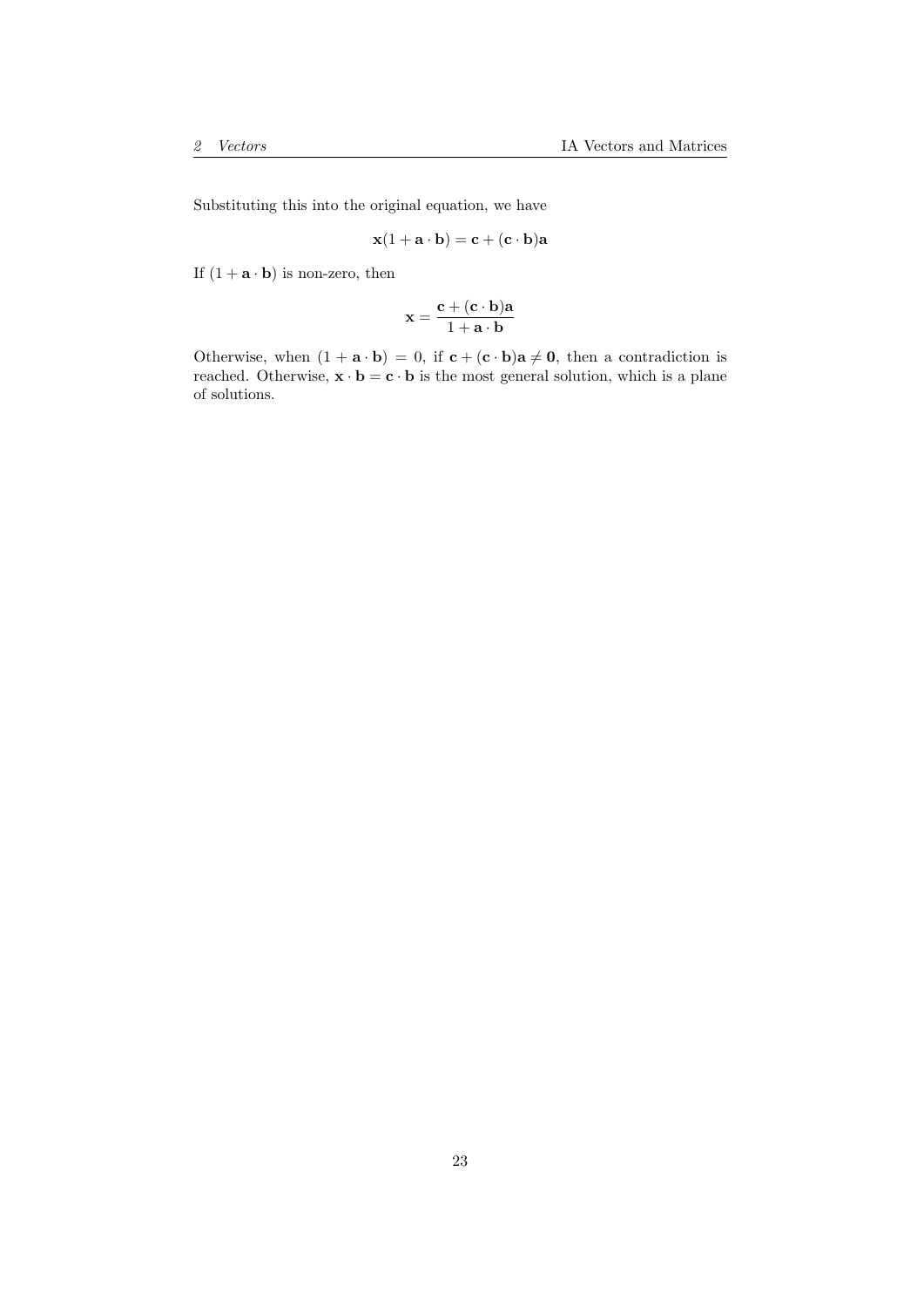Substituting this into the original equation, we have

$$
\mathbf{x}(1+\mathbf{a}\cdot\mathbf{b})=\mathbf{c}+(\mathbf{c}\cdot\mathbf{b})\mathbf{a}
$$

If  $(1 + \mathbf{a} \cdot \mathbf{b})$  is non-zero, then

$$
\mathbf{x} = \frac{\mathbf{c} + (\mathbf{c} \cdot \mathbf{b}) \mathbf{a}}{1 + \mathbf{a} \cdot \mathbf{b}}
$$

Otherwise, when  $(1 + \mathbf{a} \cdot \mathbf{b}) = 0$ , if  $\mathbf{c} + (\mathbf{c} \cdot \mathbf{b})\mathbf{a} \neq \mathbf{0}$ , then a contradiction is reached. Otherwise,  $\mathbf{x} \cdot \mathbf{b} = \mathbf{c} \cdot \mathbf{b}$  is the most general solution, which is a plane of solutions.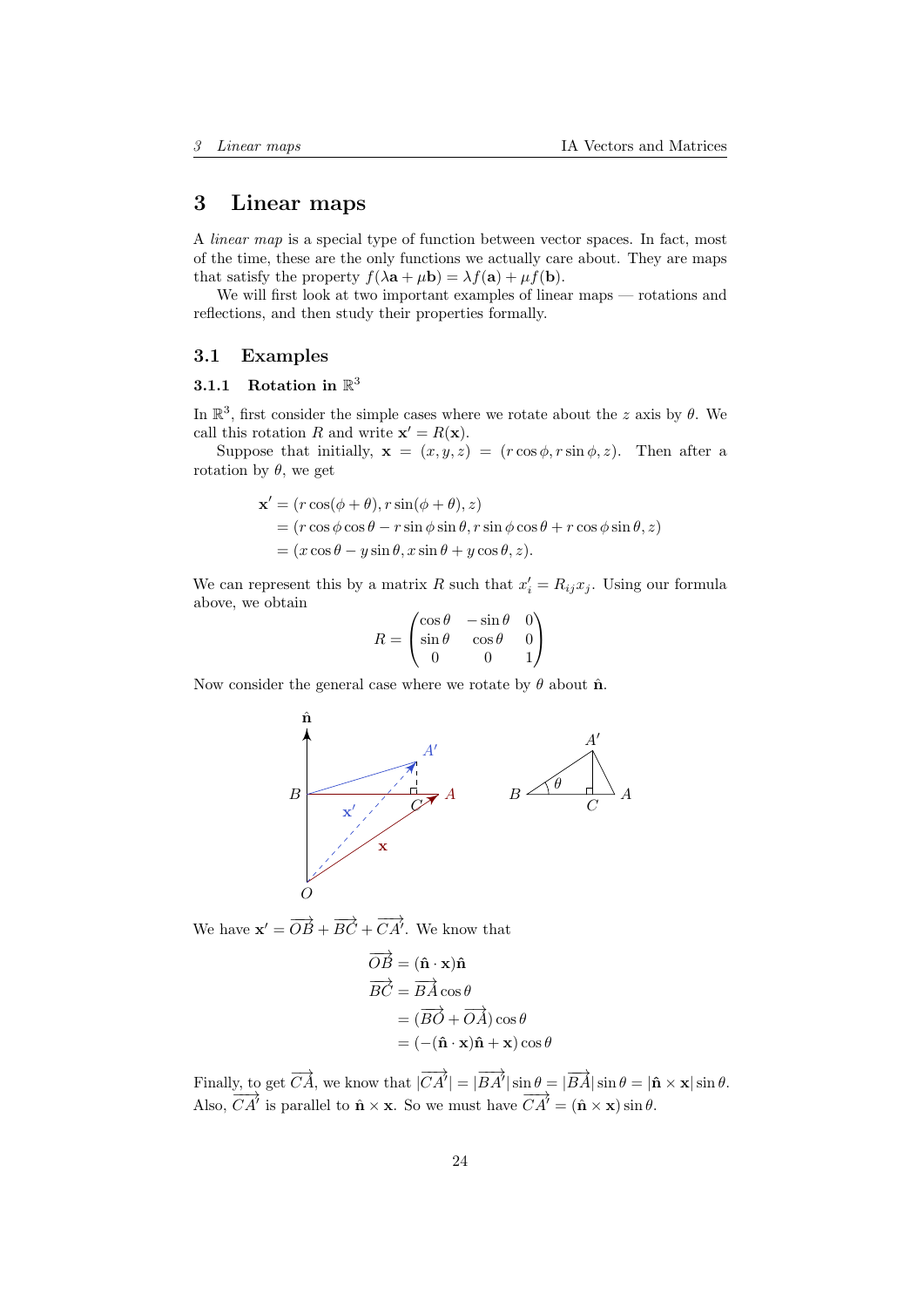# <span id="page-23-0"></span>3 Linear maps

A linear map is a special type of function between vector spaces. In fact, most of the time, these are the only functions we actually care about. They are maps that satisfy the property  $f(\lambda \mathbf{a} + \mu \mathbf{b}) = \lambda f(\mathbf{a}) + \mu f(\mathbf{b}).$ 

We will first look at two important examples of linear maps — rotations and reflections, and then study their properties formally.

### <span id="page-23-1"></span>3.1 Examples

# <span id="page-23-2"></span>3.1.1 Rotation in  $\mathbb{R}^3$

In  $\mathbb{R}^3$ , first consider the simple cases where we rotate about the z axis by  $\theta$ . We call this rotation R and write  $\mathbf{x}' = R(\mathbf{x})$ .

Suppose that initially,  $\mathbf{x} = (x, y, z) = (r \cos \phi, r \sin \phi, z)$ . Then after a rotation by  $\theta$ , we get

$$
\mathbf{x}' = (r \cos(\phi + \theta), r \sin(\phi + \theta), z)
$$
  
=  $(r \cos \phi \cos \theta - r \sin \phi \sin \theta, r \sin \phi \cos \theta + r \cos \phi \sin \theta, z)$   
=  $(x \cos \theta - y \sin \theta, x \sin \theta + y \cos \theta, z).$ 

We can represent this by a matrix R such that  $x'_i = R_{ij}x_j$ . Using our formula above, we obtain

$$
R = \begin{pmatrix} \cos \theta & -\sin \theta & 0 \\ \sin \theta & \cos \theta & 0 \\ 0 & 0 & 1 \end{pmatrix}
$$

Now consider the general case where we rotate by  $\theta$  about  $\hat{\mathbf{n}}$ .



We have  $\mathbf{x}' = \overrightarrow{OB} + \overrightarrow{BC} + \overrightarrow{CA}'$ . We know that

$$
\overrightarrow{OB} = (\hat{\mathbf{n}} \cdot \mathbf{x})\hat{\mathbf{n}}\n\overrightarrow{BC} = \overrightarrow{BA} \cos \theta\n= (\overrightarrow{BO} + \overrightarrow{OA}) \cos \theta\n= (-(\hat{\mathbf{n}} \cdot \mathbf{x})\hat{\mathbf{n}} + \mathbf{x}) \cos \theta
$$

Finally, to get  $\overrightarrow{CA}$ , we know that  $|\overrightarrow{CA'}| = |\overrightarrow{BA'}|\sin \theta = |\overrightarrow{BA}|\sin \theta = |\hat{\mathbf{n}} \times \mathbf{x}| \sin \theta$ . Also,  $\overrightarrow{CA'}$  is parallel to  $\hat{\mathbf{n}} \times \mathbf{x}$ . So we must have  $\overrightarrow{CA'} = (\hat{\mathbf{n}} \times \mathbf{x}) \sin \theta$ .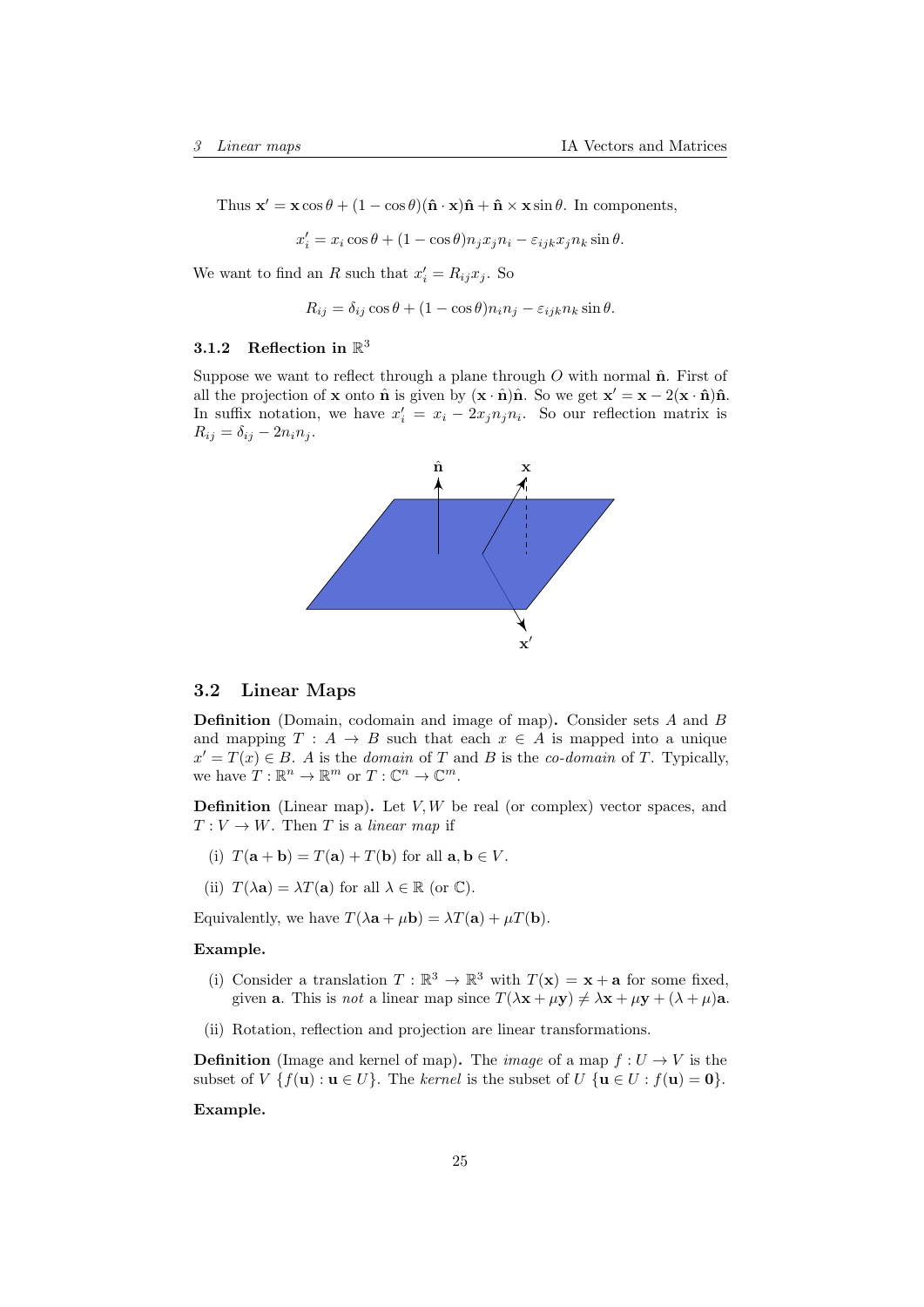Thus  $\mathbf{x}' = \mathbf{x} \cos \theta + (1 - \cos \theta)(\hat{\mathbf{n}} \cdot \mathbf{x})\hat{\mathbf{n}} + \hat{\mathbf{n}} \times \mathbf{x} \sin \theta$ . In components,

$$
x'_{i} = x_{i} \cos \theta + (1 - \cos \theta) n_{j} x_{j} n_{i} - \varepsilon_{ijk} x_{j} n_{k} \sin \theta.
$$

We want to find an R such that  $x'_i = R_{ij}x_j$ . So

$$
R_{ij} = \delta_{ij} \cos \theta + (1 - \cos \theta) n_i n_j - \varepsilon_{ijk} n_k \sin \theta.
$$

# <span id="page-24-0"></span>3.1.2 Reflection in  $\mathbb{R}^3$

Suppose we want to reflect through a plane through  $O$  with normal  $\hat{\mathbf{n}}$ . First of all the projection of **x** onto  $\hat{\mathbf{n}}$  is given by  $(\mathbf{x} \cdot \hat{\mathbf{n}})\hat{\mathbf{n}}$ . So we get  $\mathbf{x}' = \mathbf{x} - 2(\mathbf{x} \cdot \hat{\mathbf{n}})\hat{\mathbf{n}}$ . In suffix notation, we have  $x'_i = x_i - 2x_j n_j n_i$ . So our reflection matrix is  $R_{ij} = \delta_{ij} - 2n_i n_j.$ 



## <span id="page-24-1"></span>3.2 Linear Maps

Definition (Domain, codomain and image of map). Consider sets A and B and mapping  $T : A \rightarrow B$  such that each  $x \in A$  is mapped into a unique  $x' = T(x) \in B$ . A is the domain of T and B is the co-domain of T. Typically, we have  $T: \mathbb{R}^n \to \mathbb{R}^m$  or  $T: \mathbb{C}^n \to \mathbb{C}^m$ .

**Definition** (Linear map). Let  $V, W$  be real (or complex) vector spaces, and  $T: V \to W$ . Then T is a linear map if

- (i)  $T(\mathbf{a} + \mathbf{b}) = T(\mathbf{a}) + T(\mathbf{b})$  for all  $\mathbf{a}, \mathbf{b} \in V$ .
- (ii)  $T(\lambda \mathbf{a}) = \lambda T(\mathbf{a})$  for all  $\lambda \in \mathbb{R}$  (or  $\mathbb{C}$ ).

Equivalently, we have  $T(\lambda \mathbf{a} + \mu \mathbf{b}) = \lambda T(\mathbf{a}) + \mu T(\mathbf{b}).$ 

#### Example.

- (i) Consider a translation  $T : \mathbb{R}^3 \to \mathbb{R}^3$  with  $T(\mathbf{x}) = \mathbf{x} + \mathbf{a}$  for some fixed, given **a**. This is *not* a linear map since  $T(\lambda \mathbf{x} + \mu \mathbf{y}) \neq \lambda \mathbf{x} + \mu \mathbf{y} + (\lambda + \mu) \mathbf{a}$ .
- (ii) Rotation, reflection and projection are linear transformations.

**Definition** (Image and kernel of map). The *image* of a map  $f: U \to V$  is the subset of  $V \{f(\mathbf{u}) : \mathbf{u} \in U\}$ . The kernel is the subset of  $U \{\mathbf{u} \in U : f(\mathbf{u}) = \mathbf{0}\}.$ 

#### Example.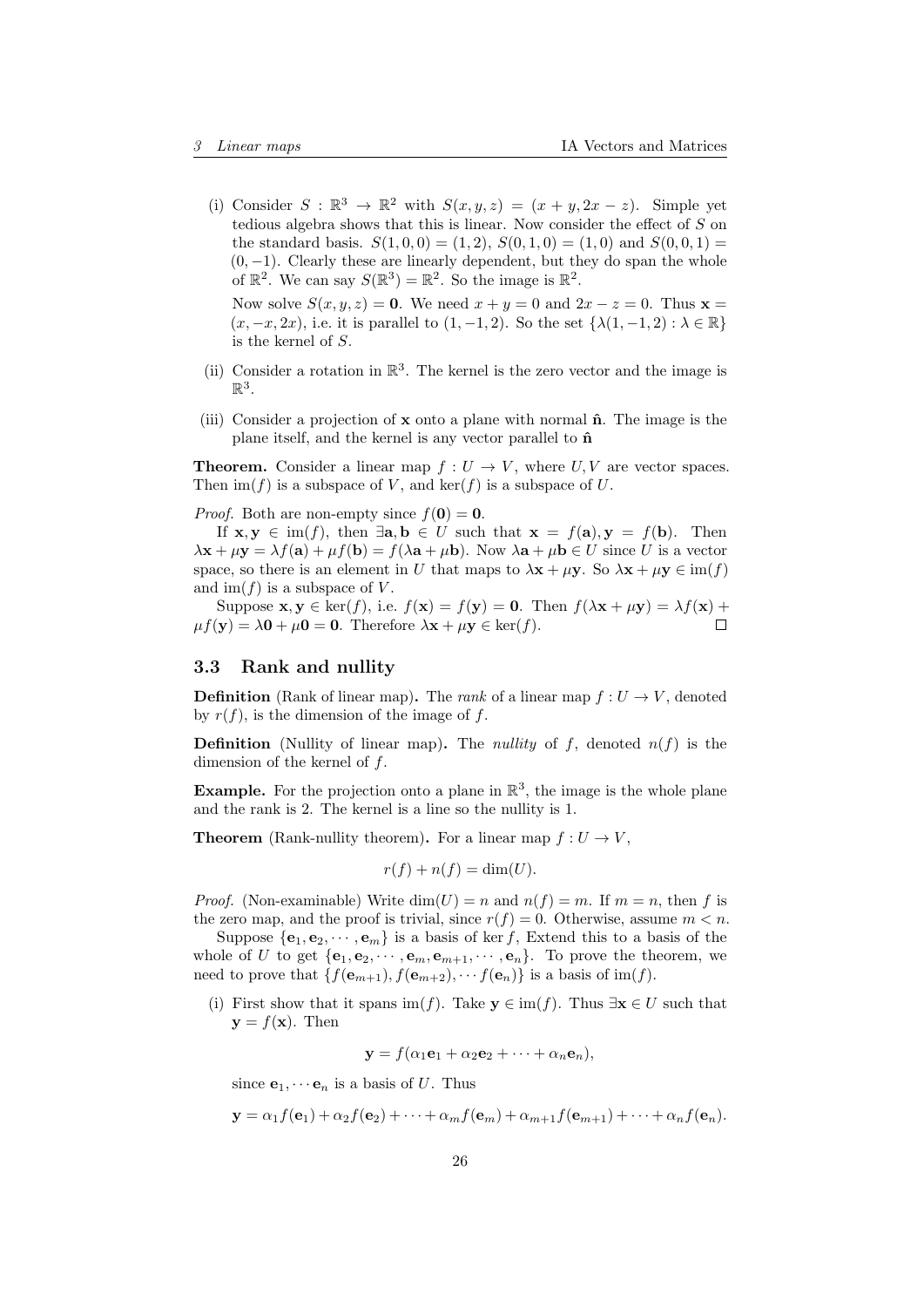(i) Consider  $S : \mathbb{R}^3 \to \mathbb{R}^2$  with  $S(x, y, z) = (x + y, 2x - z)$ . Simple yet tedious algebra shows that this is linear. Now consider the effect of S on the standard basis.  $S(1,0,0) = (1,2), S(0,1,0) = (1,0)$  and  $S(0,0,1) =$  $(0, -1)$ . Clearly these are linearly dependent, but they do span the whole of  $\mathbb{R}^2$ . We can say  $S(\mathbb{R}^3) = \mathbb{R}^2$ . So the image is  $\mathbb{R}^2$ .

Now solve  $S(x, y, z) = 0$ . We need  $x + y = 0$  and  $2x - z = 0$ . Thus  $\mathbf{x} =$  $(x, -x, 2x)$ , i.e. it is parallel to  $(1, -1, 2)$ . So the set  $\{\lambda(1, -1, 2) : \lambda \in \mathbb{R}\}\$ is the kernel of S.

- (ii) Consider a rotation in  $\mathbb{R}^3$ . The kernel is the zero vector and the image is  $\mathbb{R}^3$ .
- (iii) Consider a projection of  $x$  onto a plane with normal  $\hat{n}$ . The image is the plane itself, and the kernel is any vector parallel to  $\hat{\mathbf{n}}$

**Theorem.** Consider a linear map  $f: U \to V$ , where  $U, V$  are vector spaces. Then  $\text{im}(f)$  is a subspace of V, and  $\text{ker}(f)$  is a subspace of U.

*Proof.* Both are non-empty since  $f(\mathbf{0}) = \mathbf{0}$ .

If  $\mathbf{x}, \mathbf{y} \in \text{im}(f)$ , then  $\exists \mathbf{a}, \mathbf{b} \in U$  such that  $\mathbf{x} = f(\mathbf{a}), \mathbf{y} = f(\mathbf{b})$ . Then  $\lambda \mathbf{x} + \mu \mathbf{y} = \lambda f(\mathbf{a}) + \mu f(\mathbf{b}) = f(\lambda \mathbf{a} + \mu \mathbf{b}).$  Now  $\lambda \mathbf{a} + \mu \mathbf{b} \in U$  since U is a vector space, so there is an element in U that maps to  $\lambda x + \mu y$ . So  $\lambda x + \mu y \in im(f)$ and  $\text{im}(f)$  is a subspace of V.

Suppose  $\mathbf{x}, \mathbf{y} \in \text{ker}(f)$ , i.e.  $f(\mathbf{x}) = f(\mathbf{y}) = \mathbf{0}$ . Then  $f(\lambda \mathbf{x} + \mu \mathbf{y}) = \lambda f(\mathbf{x}) + \mu \mathbf{y}$  $\mu f(\mathbf{y}) = \lambda \mathbf{0} + \mu \mathbf{0} = \mathbf{0}$ . Therefore  $\lambda \mathbf{x} + \mu \mathbf{y} \in \text{ker}(f)$ .  $\Box$ 

#### <span id="page-25-0"></span>3.3 Rank and nullity

**Definition** (Rank of linear map). The *rank* of a linear map  $f: U \to V$ , denoted by  $r(f)$ , is the dimension of the image of f.

**Definition** (Nullity of linear map). The *nullity* of f, denoted  $n(f)$  is the dimension of the kernel of f.

**Example.** For the projection onto a plane in  $\mathbb{R}^3$ , the image is the whole plane and the rank is 2. The kernel is a line so the nullity is 1.

**Theorem** (Rank-nullity theorem). For a linear map  $f: U \to V$ ,

$$
r(f) + n(f) = \dim(U).
$$

*Proof.* (Non-examinable) Write  $dim(U) = n$  and  $n(f) = m$ . If  $m = n$ , then f is the zero map, and the proof is trivial, since  $r(f) = 0$ . Otherwise, assume  $m < n$ .

Suppose  $\{e_1, e_2, \dots, e_m\}$  is a basis of ker f, Extend this to a basis of the whole of U to get  ${e_1, e_2, \dots, e_m, e_{m+1}, \dots, e_n}$ . To prove the theorem, we need to prove that  $\{f(\mathbf{e}_{m+1}), f(\mathbf{e}_{m+2}), \cdots, f(\mathbf{e}_n)\}$  is a basis of im(f).

(i) First show that it spans im(f). Take  $y \in \text{im}(f)$ . Thus  $\exists x \in U$  such that  $y = f(x)$ . Then

$$
\mathbf{y} = f(\alpha_1 \mathbf{e}_1 + \alpha_2 \mathbf{e}_2 + \cdots + \alpha_n \mathbf{e}_n),
$$

since  $\mathbf{e}_1, \cdots \mathbf{e}_n$  is a basis of U. Thus

$$
\mathbf{y} = \alpha_1 f(\mathbf{e}_1) + \alpha_2 f(\mathbf{e}_2) + \cdots + \alpha_m f(\mathbf{e}_m) + \alpha_{m+1} f(\mathbf{e}_{m+1}) + \cdots + \alpha_n f(\mathbf{e}_n).
$$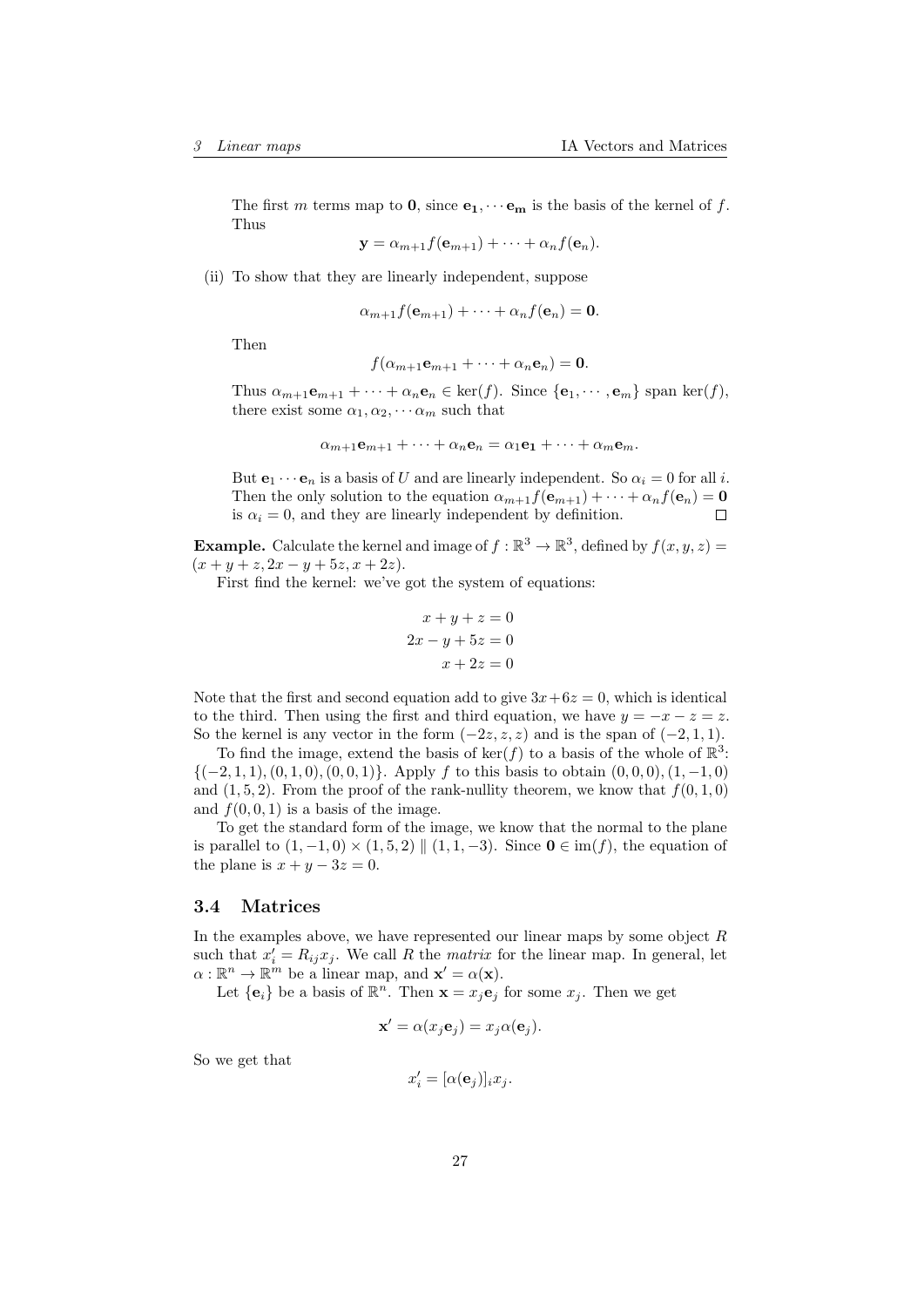The first m terms map to 0, since  $e_1, \dots e_m$  is the basis of the kernel of f. Thus

 $\mathbf{y} = \alpha_{m+1} f(\mathbf{e}_{m+1}) + \cdots + \alpha_n f(\mathbf{e}_n).$ 

(ii) To show that they are linearly independent, suppose

 $\alpha_{m+1}f(\mathbf{e}_{m+1})+\cdots+\alpha_nf(\mathbf{e}_n)=\mathbf{0}.$ 

Then

$$
f(\alpha_{m+1}\mathbf{e}_{m+1}+\cdots+\alpha_n\mathbf{e}_n)=\mathbf{0}.
$$

Thus  $\alpha_{m+1}\mathbf{e}_{m+1} + \cdots + \alpha_n\mathbf{e}_n \in \text{ker}(f)$ . Since  $\{\mathbf{e}_1, \cdots, \mathbf{e}_m\}$  span ker $(f)$ , there exist some  $\alpha_1, \alpha_2, \cdots \alpha_m$  such that

$$
\alpha_{m+1}\mathbf{e}_{m+1} + \cdots + \alpha_n\mathbf{e}_n = \alpha_1\mathbf{e}_1 + \cdots + \alpha_m\mathbf{e}_m.
$$

But  $e_1 \cdots e_n$  is a basis of U and are linearly independent. So  $\alpha_i = 0$  for all i. Then the only solution to the equation  $\alpha_{m+1}f(\mathbf{e}_{m+1}) + \cdots + \alpha_nf(\mathbf{e}_n) = \mathbf{0}$ is  $\alpha_i = 0$ , and they are linearly independent by definition.  $\Box$ 

**Example.** Calculate the kernel and image of  $f : \mathbb{R}^3 \to \mathbb{R}^3$ , defined by  $f(x, y, z) =$  $(x + y + z, 2x - y + 5z, x + 2z).$ 

First find the kernel: we've got the system of equations:

$$
x + y + z = 0
$$

$$
2x - y + 5z = 0
$$

$$
x + 2z = 0
$$

Note that the first and second equation add to give  $3x+6z=0$ , which is identical to the third. Then using the first and third equation, we have  $y = -x - z = z$ . So the kernel is any vector in the form  $(-2z, z, z)$  and is the span of  $(-2, 1, 1)$ .

To find the image, extend the basis of  $\ker(f)$  to a basis of the whole of  $\mathbb{R}^3$ :  $\{(-2, 1, 1), (0, 1, 0), (0, 0, 1)\}.$  Apply f to this basis to obtain  $(0, 0, 0), (1, -1, 0)$ and  $(1, 5, 2)$ . From the proof of the rank-nullity theorem, we know that  $f(0, 1, 0)$ and  $f(0, 0, 1)$  is a basis of the image.

To get the standard form of the image, we know that the normal to the plane is parallel to  $(1, -1, 0) \times (1, 5, 2) \parallel (1, 1, -3)$ . Since  $\mathbf{0} \in \text{im}(f)$ , the equation of the plane is  $x + y - 3z = 0$ .

## <span id="page-26-0"></span>3.4 Matrices

In the examples above, we have represented our linear maps by some object  $R$ such that  $x'_i = R_{ij}x_j$ . We call R the *matrix* for the linear map. In general, let  $\alpha : \mathbb{R}^n \to \mathbb{R}^m$  be a linear map, and  $\mathbf{x}' = \alpha(\mathbf{x})$ .

Let  $\{e_i\}$  be a basis of  $\mathbb{R}^n$ . Then  $\mathbf{x} = x_j e_j$  for some  $x_j$ . Then we get

$$
\mathbf{x}' = \alpha(x_j \mathbf{e}_j) = x_j \alpha(\mathbf{e}_j).
$$

So we get that

$$
x_i' = [\alpha(\mathbf{e}_j)]_i x_j.
$$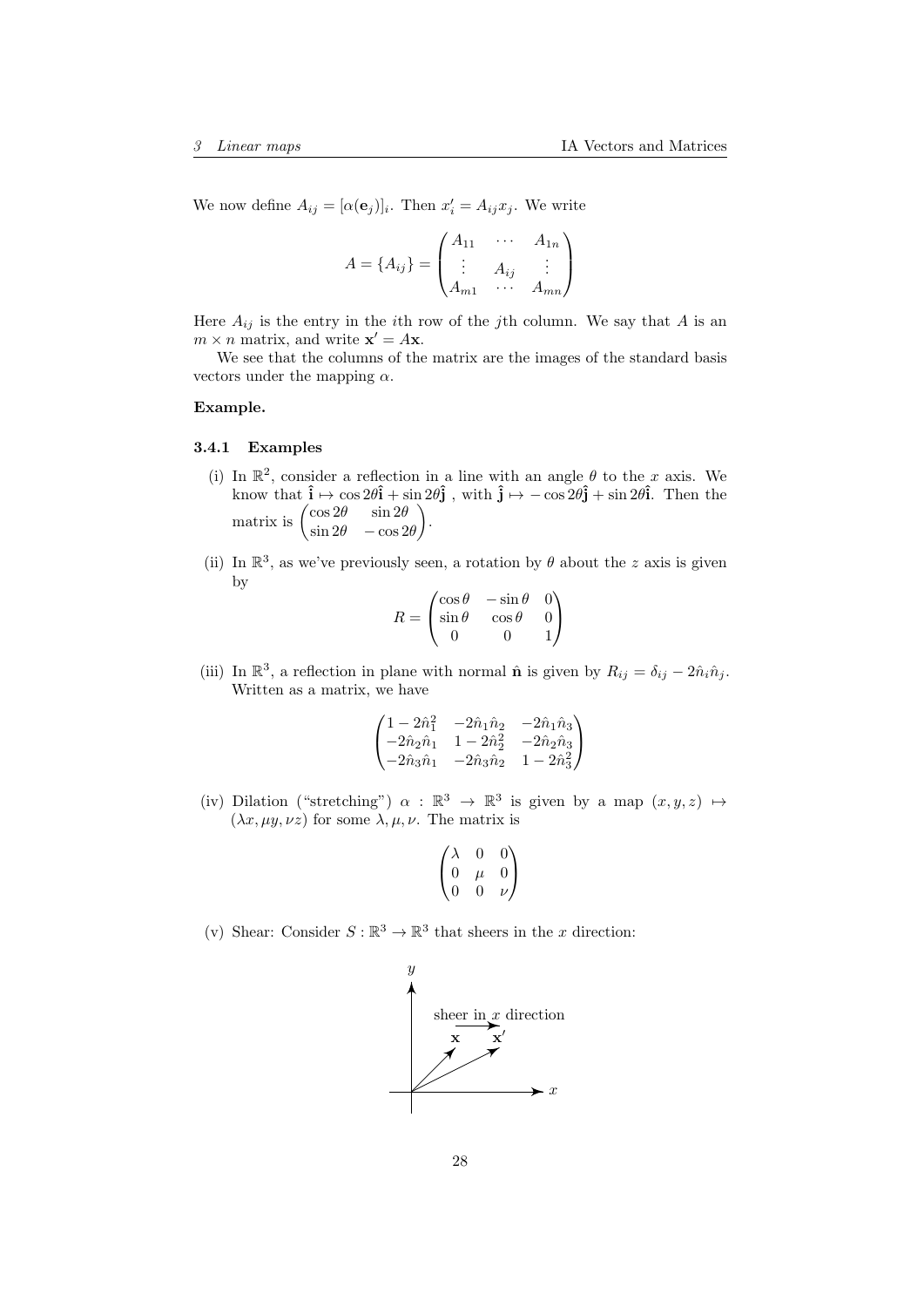We now define  $A_{ij} = [\alpha(\mathbf{e}_j)]_i$ . Then  $x'_i = A_{ij}x_j$ . We write

$$
A = \{A_{ij}\} = \begin{pmatrix} A_{11} & \cdots & A_{1n} \\ \vdots & A_{ij} & \vdots \\ A_{m1} & \cdots & A_{mn} \end{pmatrix}
$$

Here  $A_{ij}$  is the entry in the *i*th row of the *j*th column. We say that A is an  $m \times n$  matrix, and write  $\mathbf{x}' = A\mathbf{x}$ .

We see that the columns of the matrix are the images of the standard basis vectors under the mapping  $\alpha$ .

#### Example.

#### <span id="page-27-0"></span>3.4.1 Examples

- (i) In  $\mathbb{R}^2$ , consider a reflection in a line with an angle  $\theta$  to the x axis. We know that  $\hat{\mathbf{i}} \mapsto \cos 2\theta \hat{\mathbf{i}} + \sin 2\theta \hat{\mathbf{j}}$ , with  $\hat{\mathbf{j}} \mapsto -\cos 2\theta \hat{\mathbf{j}} + \sin 2\theta \hat{\mathbf{i}}$ . Then the matrix is  $\begin{pmatrix} \cos 2\theta & \sin 2\theta \\ \sin 2\theta & \cos 2\theta \end{pmatrix}$  $\sin 2\theta$  −  $\cos 2\theta$ .
- (ii) In  $\mathbb{R}^3$ , as we've previously seen, a rotation by  $\theta$  about the z axis is given by

$$
R = \begin{pmatrix} \cos \theta & -\sin \theta & 0 \\ \sin \theta & \cos \theta & 0 \\ 0 & 0 & 1 \end{pmatrix}
$$

(iii) In  $\mathbb{R}^3$ , a reflection in plane with normal  $\hat{\mathbf{n}}$  is given by  $R_{ij} = \delta_{ij} - 2\hat{n}_i \hat{n}_j$ . Written as a matrix, we have

$$
\begin{pmatrix} 1-2\hat{n}_1^2 & -2\hat{n}_1\hat{n}_2 & -2\hat{n}_1\hat{n}_3 \\ -2\hat{n}_2\hat{n}_1 & 1-2\hat{n}_2^2 & -2\hat{n}_2\hat{n}_3 \\ -2\hat{n}_3\hat{n}_1 & -2\hat{n}_3\hat{n}_2 & 1-2\hat{n}_3^2 \end{pmatrix}
$$

(iv) Dilation ("stretching")  $\alpha : \mathbb{R}^3 \to \mathbb{R}^3$  is given by a map  $(x, y, z) \mapsto$  $(\lambda x, \mu y, \nu z)$  for some  $\lambda, \mu, \nu$ . The matrix is

$$
\begin{pmatrix}\n\lambda & 0 & 0 \\
0 & \mu & 0 \\
0 & 0 & \nu\n\end{pmatrix}
$$

(v) Shear: Consider  $S : \mathbb{R}^3 \to \mathbb{R}^3$  that sheers in the x direction:

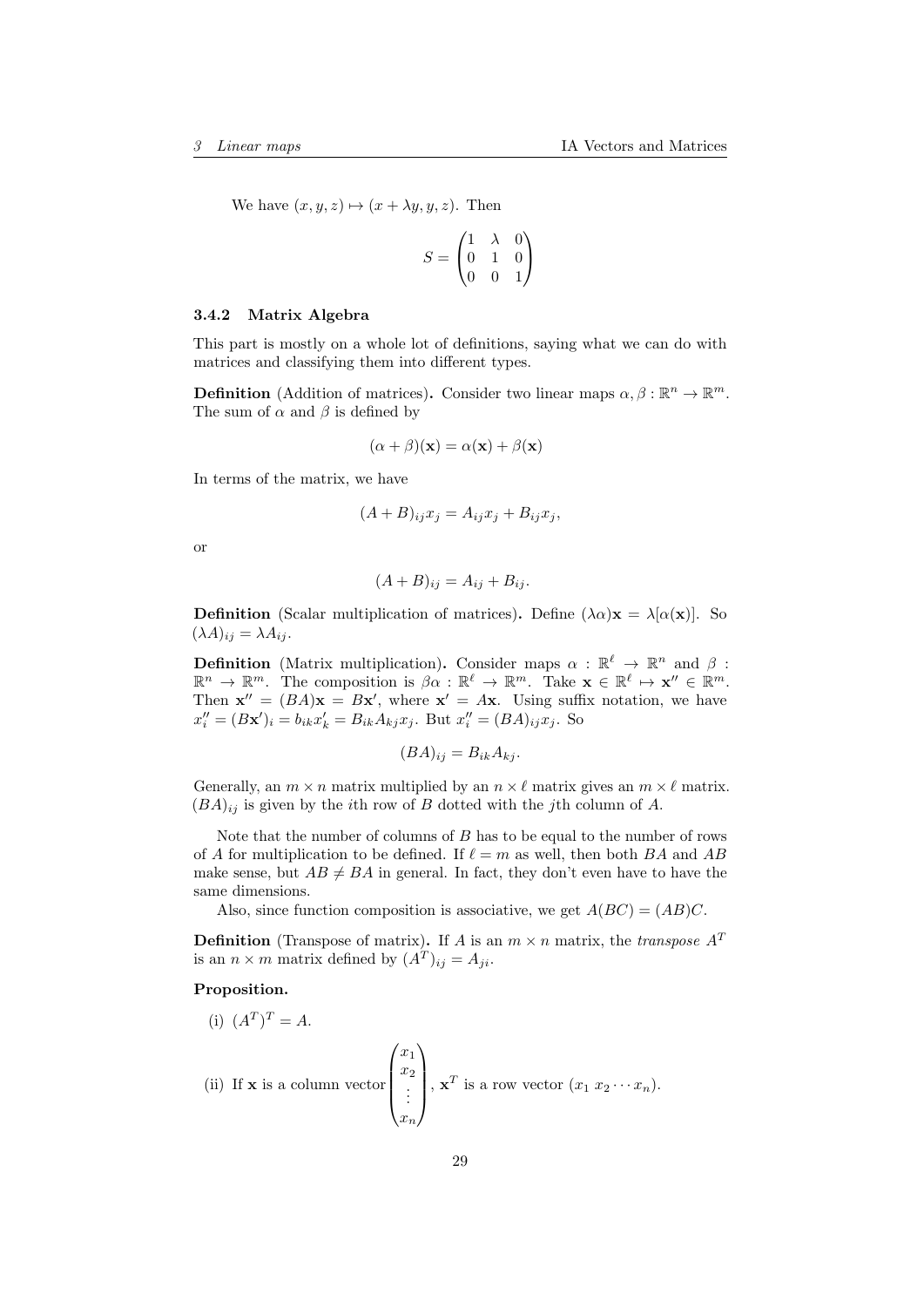We have  $(x, y, z) \mapsto (x + \lambda y, y, z)$ . Then

$$
S = \begin{pmatrix} 1 & \lambda & 0 \\ 0 & 1 & 0 \\ 0 & 0 & 1 \end{pmatrix}
$$

### <span id="page-28-0"></span>3.4.2 Matrix Algebra

This part is mostly on a whole lot of definitions, saying what we can do with matrices and classifying them into different types.

**Definition** (Addition of matrices). Consider two linear maps  $\alpha, \beta : \mathbb{R}^n \to \mathbb{R}^m$ . The sum of  $\alpha$  and  $\beta$  is defined by

$$
(\alpha + \beta)(\mathbf{x}) = \alpha(\mathbf{x}) + \beta(\mathbf{x})
$$

In terms of the matrix, we have

$$
(A + B)_{ij} x_j = A_{ij} x_j + B_{ij} x_j,
$$

or

$$
(A+B)_{ij} = A_{ij} + B_{ij}.
$$

**Definition** (Scalar multiplication of matrices). Define  $(\lambda \alpha) \mathbf{x} = \lambda [\alpha(\mathbf{x})]$ . So  $(\lambda A)_{ij} = \lambda A_{ij}.$ 

**Definition** (Matrix multiplication). Consider maps  $\alpha : \mathbb{R}^{\ell} \to \mathbb{R}^{n}$  and  $\beta$ :  $\mathbb{R}^n \to \mathbb{R}^m$ . The composition is  $\beta \alpha : \mathbb{R}^\ell \to \mathbb{R}^m$ . Take  $\mathbf{x} \in \mathbb{R}^\ell \mapsto \mathbf{x}'' \in \mathbb{R}^m$ . Then  $\mathbf{x}'' = (BA)\mathbf{x} = B\mathbf{x}'$ , where  $\mathbf{x}' = A\mathbf{x}$ . Using suffix notation, we have  $x_i'' = (Bx')_i = b_{ik}x_k' = B_{ik}A_{kj}x_j$ . But  $x_i'' = (BA)_{ij}x_j$ . So

$$
(BA)_{ij} = B_{ik}A_{kj}.
$$

Generally, an  $m \times n$  matrix multiplied by an  $n \times \ell$  matrix gives an  $m \times \ell$  matrix.  $(BA)_{ij}$  is given by the *i*th row of B dotted with the *j*th column of A.

Note that the number of columns of B has to be equal to the number of rows of A for multiplication to be defined. If  $\ell = m$  as well, then both BA and AB make sense, but  $AB \neq BA$  in general. In fact, they don't even have to have the same dimensions.

Also, since function composition is associative, we get  $A(BC) = (AB)C$ .

**Definition** (Transpose of matrix). If A is an  $m \times n$  matrix, the *transpose*  $A<sup>T</sup>$ is an  $n \times m$  matrix defined by  $(A^T)_{ij} = A_{ji}$ .

#### Proposition.

(i) 
$$
(A^T)^T = A
$$
.  
\n(ii) If **x** is a column vector  $\begin{pmatrix} x_1 \\ x_2 \\ \vdots \\ x_n \end{pmatrix}$ ,  $\mathbf{x}^T$  is a row vector  $(x_1 x_2 \cdots x_n)$ .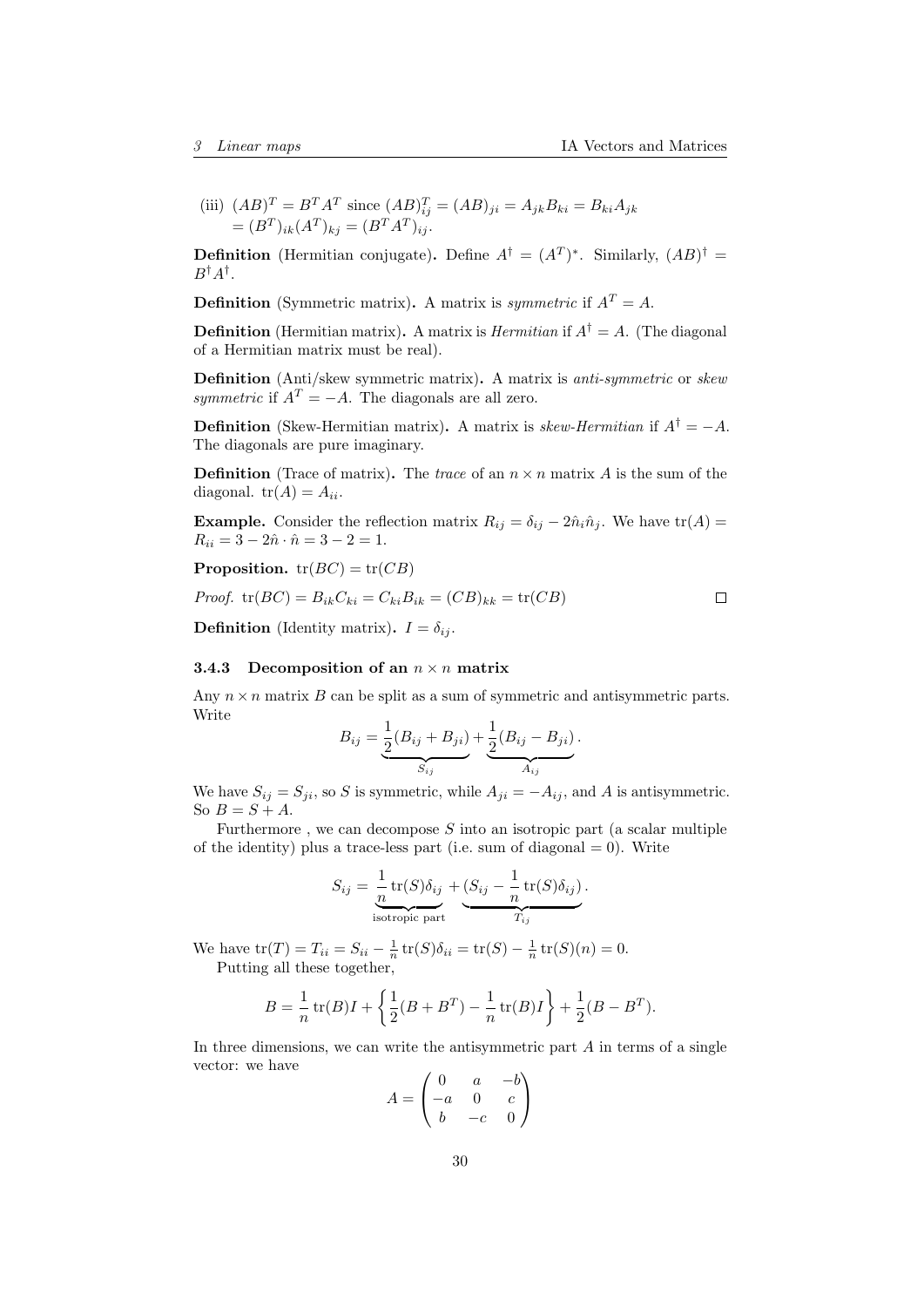(iii)  $(AB)^{T} = B^{T}A^{T}$  since  $(AB)^{T}_{ij} = (AB)_{ji} = A_{jk}B_{ki} = B_{ki}A_{jk}$  $=(B^T)_{ik}(A^T)_{kj} = (B^T A^T)_{ij}.$ 

**Definition** (Hermitian conjugate). Define  $A^{\dagger} = (A^T)^*$ . Similarly,  $(AB)^{\dagger} =$  $B^{\dagger}A^{\dagger}$ .

**Definition** (Symmetric matrix). A matrix is *symmetric* if  $A<sup>T</sup> = A$ .

**Definition** (Hermitian matrix). A matrix is *Hermitian* if  $A^{\dagger} = A$ . (The diagonal of a Hermitian matrix must be real).

Definition (Anti/skew symmetric matrix). A matrix is anti-symmetric or skew symmetric if  $A<sup>T</sup> = -A$ . The diagonals are all zero.

**Definition** (Skew-Hermitian matrix). A matrix is skew-Hermitian if  $A^{\dagger} = -A$ . The diagonals are pure imaginary.

**Definition** (Trace of matrix). The trace of an  $n \times n$  matrix A is the sum of the diagonal.  $tr(A) = A_{ii}$ .

**Example.** Consider the reflection matrix  $R_{ij} = \delta_{ij} - 2\hat{n}_i \hat{n}_j$ . We have tr(A) =  $R_{ii} = 3 - 2\hat{n} \cdot \hat{n} = 3 - 2 = 1.$ 

**Proposition.**  $tr(BC) = tr(CB)$ 

*Proof.* tr(
$$
BC
$$
) =  $B_{ik}C_{ki} = C_{ki}B_{ik} = (CB)_{kk} = \text{tr}(CB)$ 

**Definition** (Identity matrix).  $I = \delta_{ij}$ .

#### <span id="page-29-0"></span>3.4.3 Decomposition of an  $n \times n$  matrix

Any  $n \times n$  matrix B can be split as a sum of symmetric and antisymmetric parts. Write

$$
B_{ij} = \underbrace{\frac{1}{2}(B_{ij} + B_{ji})}_{S_{ij}} + \underbrace{\frac{1}{2}(B_{ij} - B_{ji})}_{A_{ij}}.
$$

We have  $S_{ij} = S_{ji}$ , so S is symmetric, while  $A_{ji} = -A_{ij}$ , and A is antisymmetric. So  $B = S + A$ .

Furthermore, we can decompose  $S$  into an isotropic part (a scalar multiple of the identity) plus a trace-less part (i.e. sum of diagonal  $= 0$ ). Write

$$
S_{ij} = \underbrace{\frac{1}{n} \operatorname{tr}(S) \delta_{ij}}_{\text{isotropic part}} + \underbrace{(S_{ij} - \frac{1}{n} \operatorname{tr}(S) \delta_{ij})}_{T_{ij}}.
$$

We have  $tr(T) = T_{ii} = S_{ii} - \frac{1}{n} tr(S) \delta_{ii} = tr(S) - \frac{1}{n} tr(S)(n) = 0.$ Putting all these together,

$$
B = \frac{1}{n} \operatorname{tr}(B)I + \left\{ \frac{1}{2}(B + B^{T}) - \frac{1}{n} \operatorname{tr}(B)I \right\} + \frac{1}{2}(B - B^{T}).
$$

In three dimensions, we can write the antisymmetric part  $A$  in terms of a single vector: we have  $\sqrt{2}$  $\ddot{\phantom{0}}$ 

$$
A = \begin{pmatrix} 0 & a & -b \\ -a & 0 & c \\ b & -c & 0 \end{pmatrix}
$$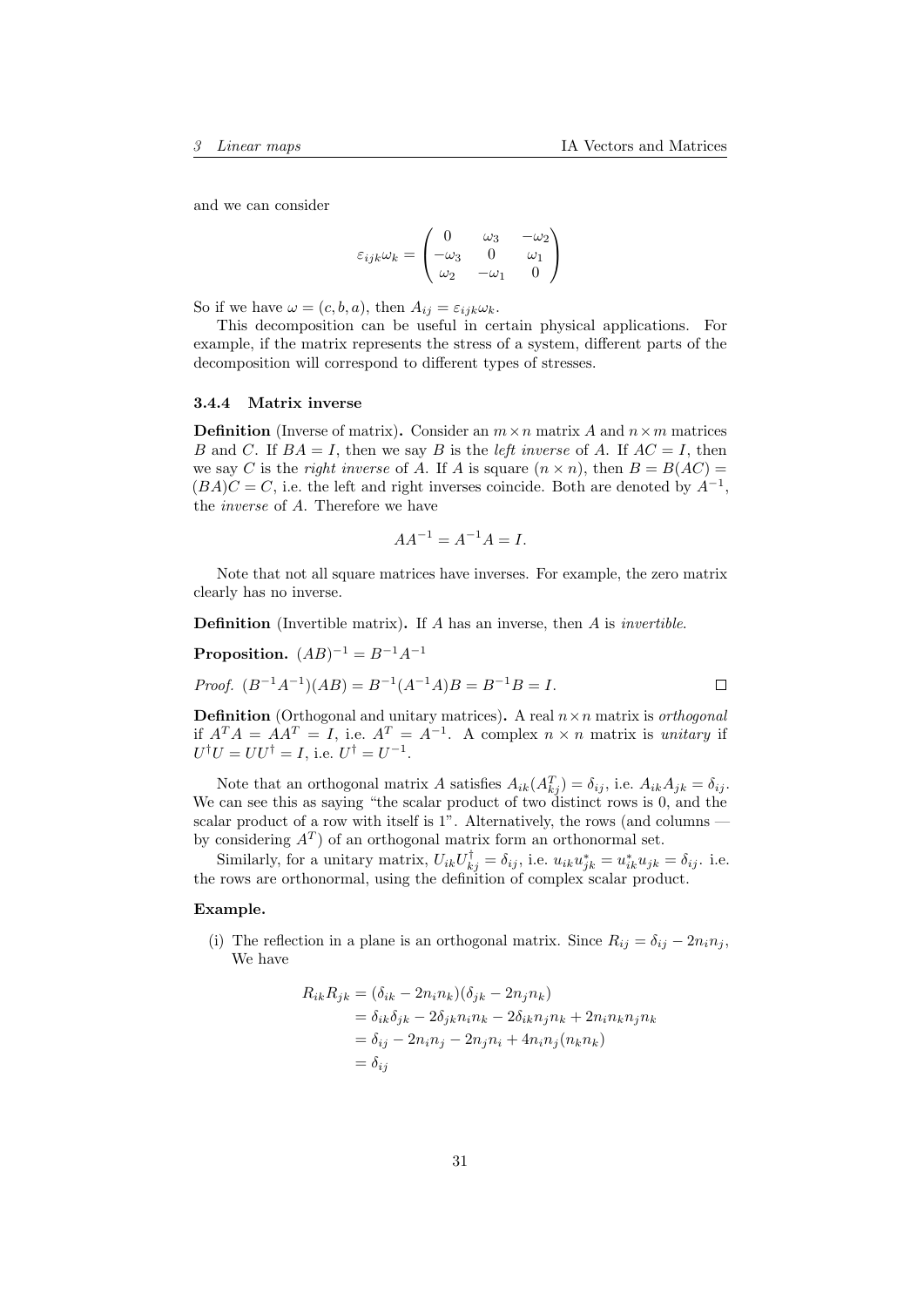and we can consider

$$
\varepsilon_{ijk}\omega_k = \begin{pmatrix} 0 & \omega_3 & -\omega_2 \\ -\omega_3 & 0 & \omega_1 \\ \omega_2 & -\omega_1 & 0 \end{pmatrix}
$$

So if we have  $\omega = (c, b, a)$ , then  $A_{ij} = \varepsilon_{ijk}\omega_k$ .

This decomposition can be useful in certain physical applications. For example, if the matrix represents the stress of a system, different parts of the decomposition will correspond to different types of stresses.

#### <span id="page-30-0"></span>3.4.4 Matrix inverse

**Definition** (Inverse of matrix). Consider an  $m \times n$  matrix A and  $n \times m$  matrices B and C. If  $BA = I$ , then we say B is the *left inverse* of A. If  $AC = I$ , then we say C is the right inverse of A. If A is square  $(n \times n)$ , then  $B = B(AC)$  $(BA)C = C$ , i.e. the left and right inverses coincide. Both are denoted by  $A^{-1}$ , the inverse of A. Therefore we have

$$
AA^{-1} = A^{-1}A = I.
$$

Note that not all square matrices have inverses. For example, the zero matrix clearly has no inverse.

**Definition** (Invertible matrix). If A has an inverse, then A is *invertible*.

**Proposition.**  $(AB)^{-1} = B^{-1}A^{-1}$ 

*Proof.* 
$$
(B^{-1}A^{-1})(AB) = B^{-1}(A^{-1}A)B = B^{-1}B = I.
$$

**Definition** (Orthogonal and unitary matrices). A real  $n \times n$  matrix is *orthogonal* if  $A^T A = A A^T = I$ , i.e.  $A^T = A^{-1}$ . A complex  $n \times n$  matrix is unitary if  $U^{\dagger}U = U U^{\dagger} = I$ , i.e.  $U^{\dagger} = U^{-1}$ .

Note that an orthogonal matrix A satisfies  $A_{ik}(A_{kj}^T) = \delta_{ij}$ , i.e.  $A_{ik}A_{jk} = \delta_{ij}$ . We can see this as saying "the scalar product of two distinct rows is 0, and the scalar product of a row with itself is 1". Alternatively, the rows (and columns  $$ by considering  $A<sup>T</sup>$  of an orthogonal matrix form an orthonormal set.

Similarly, for a unitary matrix,  $U_{ik}U_{kj}^{\dagger} = \delta_{ij}$ , i.e.  $u_{ik}u_{jk}^* = u_{ik}^*u_{jk} = \delta_{ij}$ . i.e. the rows are orthonormal, using the definition of complex scalar product.

#### Example.

(i) The reflection in a plane is an orthogonal matrix. Since  $R_{ij} = \delta_{ij} - 2n_i n_j$ , We have

$$
R_{ik}R_{jk} = (\delta_{ik} - 2n_in_k)(\delta_{jk} - 2n_jn_k)
$$
  
=  $\delta_{ik}\delta_{jk} - 2\delta_{jk}n_in_k - 2\delta_{ik}n_jn_k + 2n_in_kn_jn_k$   
=  $\delta_{ij} - 2n_in_j - 2n_jn_i + 4n_in_j(n_kn_k)$   
=  $\delta_{ij}$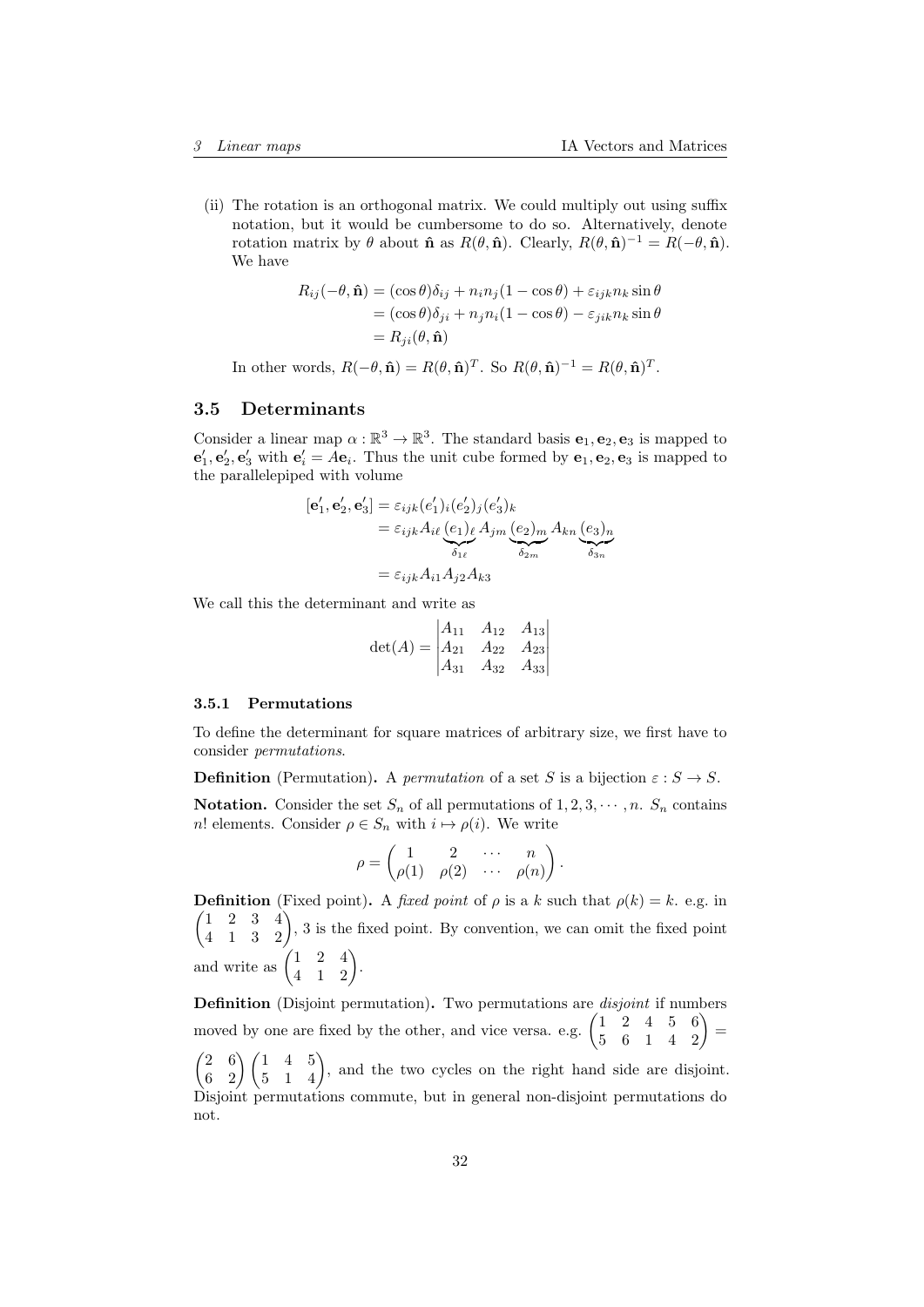(ii) The rotation is an orthogonal matrix. We could multiply out using suffix notation, but it would be cumbersome to do so. Alternatively, denote rotation matrix by  $\theta$  about  $\hat{\mathbf{n}}$  as  $R(\theta, \hat{\mathbf{n}})$ . Clearly,  $R(\theta, \hat{\mathbf{n}})^{-1} = R(-\theta, \hat{\mathbf{n}})$ . We have

$$
R_{ij}(-\theta, \hat{\mathbf{n}}) = (\cos \theta)\delta_{ij} + n_i n_j (1 - \cos \theta) + \varepsilon_{ijk} n_k \sin \theta
$$
  
=  $(\cos \theta)\delta_{ji} + n_j n_i (1 - \cos \theta) - \varepsilon_{jik} n_k \sin \theta$   
=  $R_{ji}(\theta, \hat{\mathbf{n}})$ 

In other words,  $R(-\theta, \hat{\mathbf{n}}) = R(\theta, \hat{\mathbf{n}})^T$ . So  $R(\theta, \hat{\mathbf{n}})^{-1} = R(\theta, \hat{\mathbf{n}})^T$ .

#### <span id="page-31-0"></span>3.5 Determinants

Consider a linear map  $\alpha : \mathbb{R}^3 \to \mathbb{R}^3$ . The standard basis  $e_1, e_2, e_3$  is mapped to  $\mathbf{e}'_1, \mathbf{e}'_2, \mathbf{e}'_3$  with  $\mathbf{e}'_i = A\mathbf{e}_i$ . Thus the unit cube formed by  $\mathbf{e}_1, \mathbf{e}_2, \mathbf{e}_3$  is mapped to the parallelepiped with volume

$$
[\mathbf{e}'_1, \mathbf{e}'_2, \mathbf{e}'_3] = \varepsilon_{ijk} (e'_1)_i (e'_2)_j (e'_3)_k
$$
  

$$
= \varepsilon_{ijk} A_{i\ell} (e_1)_\ell A_{jm} (e_2)_m A_{kn} (e_3)_n
$$
  

$$
= \varepsilon_{ijk} A_{i1} A_{j2} A_{k3}
$$

We call this the determinant and write as

$$
\det(A) = \begin{vmatrix} A_{11} & A_{12} & A_{13} \\ A_{21} & A_{22} & A_{23} \\ A_{31} & A_{32} & A_{33} \end{vmatrix}
$$

#### <span id="page-31-1"></span>3.5.1 Permutations

To define the determinant for square matrices of arbitrary size, we first have to consider permutations.

**Definition** (Permutation). A *permutation* of a set S is a bijection  $\varepsilon : S \to S$ .

**Notation.** Consider the set  $S_n$  of all permutations of  $1, 2, 3, \dots, n$ .  $S_n$  contains n! elements. Consider  $\rho \in S_n$  with  $i \mapsto \rho(i)$ . We write

$$
\rho = \begin{pmatrix} 1 & 2 & \cdots & n \\ \rho(1) & \rho(2) & \cdots & \rho(n) \end{pmatrix}.
$$

**Definition** (Fixed point). A fixed point of  $\rho$  is a k such that  $\rho(k) = k$ . e.g. in  $\begin{pmatrix} 1 & 2 & 3 & 4 \\ 4 & 1 & 3 & 2 \end{pmatrix}$ , 3 is the fixed point. By convention, we can omit the fixed point and write as  $\begin{pmatrix} 1 & 2 & 4 \\ 4 & 1 & 2 \end{pmatrix}$ .

Definition (Disjoint permutation). Two permutations are *disjoint* if numbers moved by one are fixed by the other, and vice versa. e.g.  $\begin{pmatrix} 1 & 2 & 4 & 5 & 6 \\ 5 & 6 & 1 & 4 & 2 \end{pmatrix}$  =

 $\begin{pmatrix} 2 & 6 \\ 6 & 2 \end{pmatrix}$  $\begin{pmatrix} 1 & 4 & 5 \\ 5 & 1 & 4 \end{pmatrix}$ , and the two cycles on the right hand side are disjoint. Disjoint permutations commute, but in general non-disjoint permutations do not.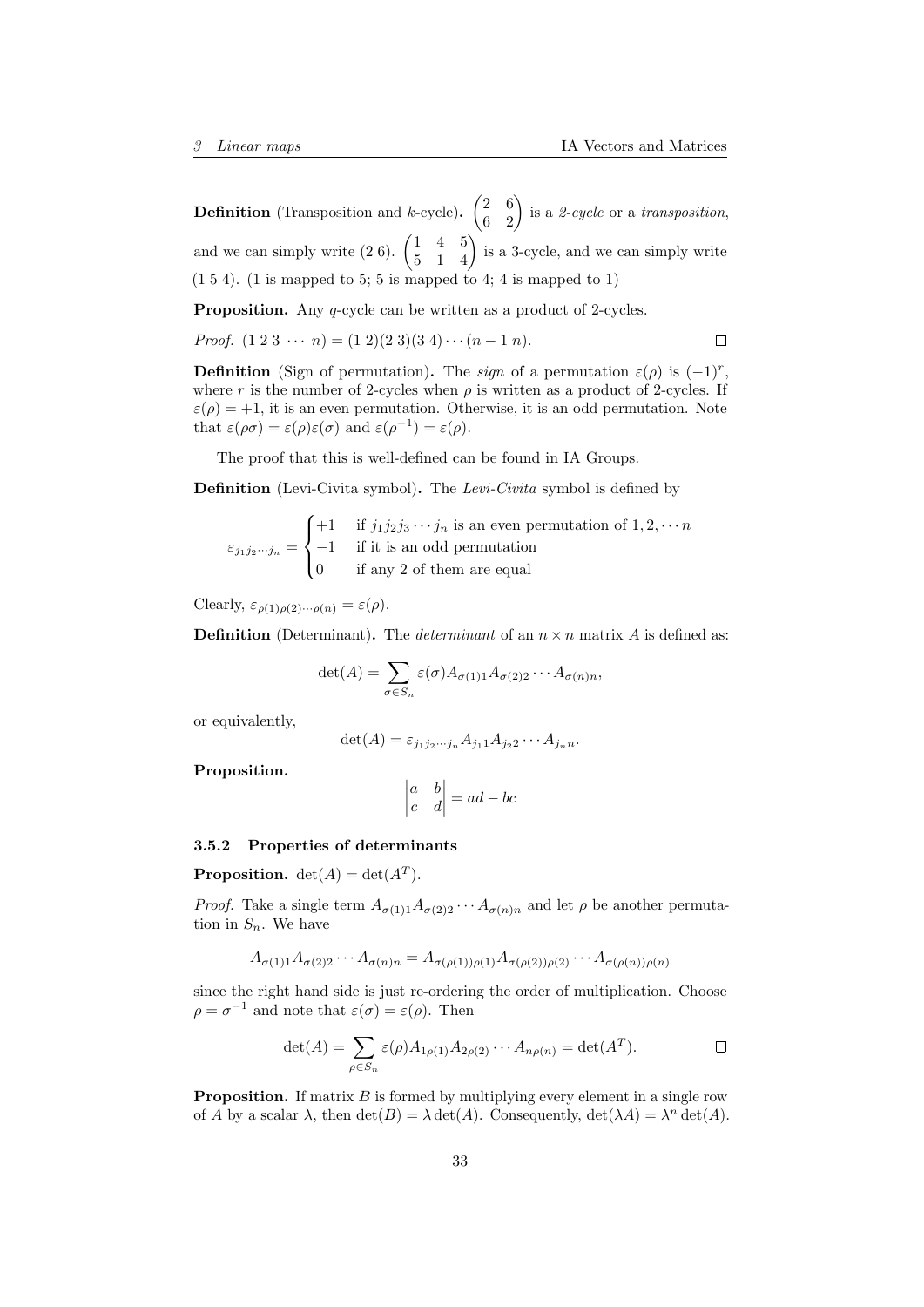**Definition** (Transposition and k-cycle).  $\begin{pmatrix} 2 & 6 \\ 6 & 2 \end{pmatrix}$  is a 2-cycle or a transposition, and we can simply write  $(2 6)$ .  $\begin{pmatrix} 1 & 4 & 5 \\ 5 & 1 & 4 \end{pmatrix}$  is a 3-cycle, and we can simply write  $(1\ 5\ 4)$ . (1 is mapped to 5; 5 is mapped to 4; 4 is mapped to 1)

Proposition. Any q-cycle can be written as a product of 2-cycles.

*Proof.* 
$$
(1\ 2\ 3\ \cdots\ n) = (1\ 2)(2\ 3)(3\ 4)\cdots(n-1\ n).
$$

**Definition** (Sign of permutation). The sign of a permutation  $\varepsilon(\rho)$  is  $(-1)^r$ , where r is the number of 2-cycles when  $\rho$  is written as a product of 2-cycles. If  $\varepsilon(\rho) = +1$ , it is an even permutation. Otherwise, it is an odd permutation. Note that  $\varepsilon(\rho\sigma) = \varepsilon(\rho)\varepsilon(\sigma)$  and  $\varepsilon(\rho^{-1}) = \varepsilon(\rho)$ .

The proof that this is well-defined can be found in IA Groups.

Definition (Levi-Civita symbol). The Levi-Civita symbol is defined by

$$
\varepsilon_{j_1 j_2 \cdots j_n} = \begin{cases}\n+1 & \text{if } j_1 j_2 j_3 \cdots j_n \text{ is an even permutation of } 1, 2, \cdots n \\
-1 & \text{if it is an odd permutation} \\
0 & \text{if any 2 of them are equal}\n\end{cases}
$$

Clearly,  $\varepsilon_{\rho(1)\rho(2)\cdots\rho(n)} = \varepsilon(\rho).$ 

**Definition** (Determinant). The *determinant* of an  $n \times n$  matrix A is defined as:

$$
\det(A) = \sum_{\sigma \in S_n} \varepsilon(\sigma) A_{\sigma(1)1} A_{\sigma(2)2} \cdots A_{\sigma(n)n},
$$

or equivalently,

$$
\det(A) = \varepsilon_{j_1 j_2 \cdots j_n} A_{j_1 1} A_{j_2 2} \cdots A_{j_n n}.
$$

Proposition.

$$
\begin{vmatrix} a & b \\ c & d \end{vmatrix} = ad - bc
$$

#### <span id="page-32-0"></span>3.5.2 Properties of determinants

**Proposition.**  $det(A) = det(A^T)$ .

*Proof.* Take a single term  $A_{\sigma(1)1}A_{\sigma(2)2} \cdots A_{\sigma(n)n}$  and let  $\rho$  be another permutation in  $S_n$ . We have

$$
A_{\sigma(1)1}A_{\sigma(2)2}\cdots A_{\sigma(n)n} = A_{\sigma(\rho(1))\rho(1)}A_{\sigma(\rho(2))\rho(2)}\cdots A_{\sigma(\rho(n))\rho(n)}
$$

since the right hand side is just re-ordering the order of multiplication. Choose  $\rho = \sigma^{-1}$  and note that  $\varepsilon(\sigma) = \varepsilon(\rho)$ . Then

$$
\det(A) = \sum_{\rho \in S_n} \varepsilon(\rho) A_{1\rho(1)} A_{2\rho(2)} \cdots A_{n\rho(n)} = \det(A^T).
$$

**Proposition.** If matrix  $B$  is formed by multiplying every element in a single row of A by a scalar  $\lambda$ , then  $\det(B) = \lambda \det(A)$ . Consequently,  $\det(\lambda A) = \lambda^n \det(A)$ .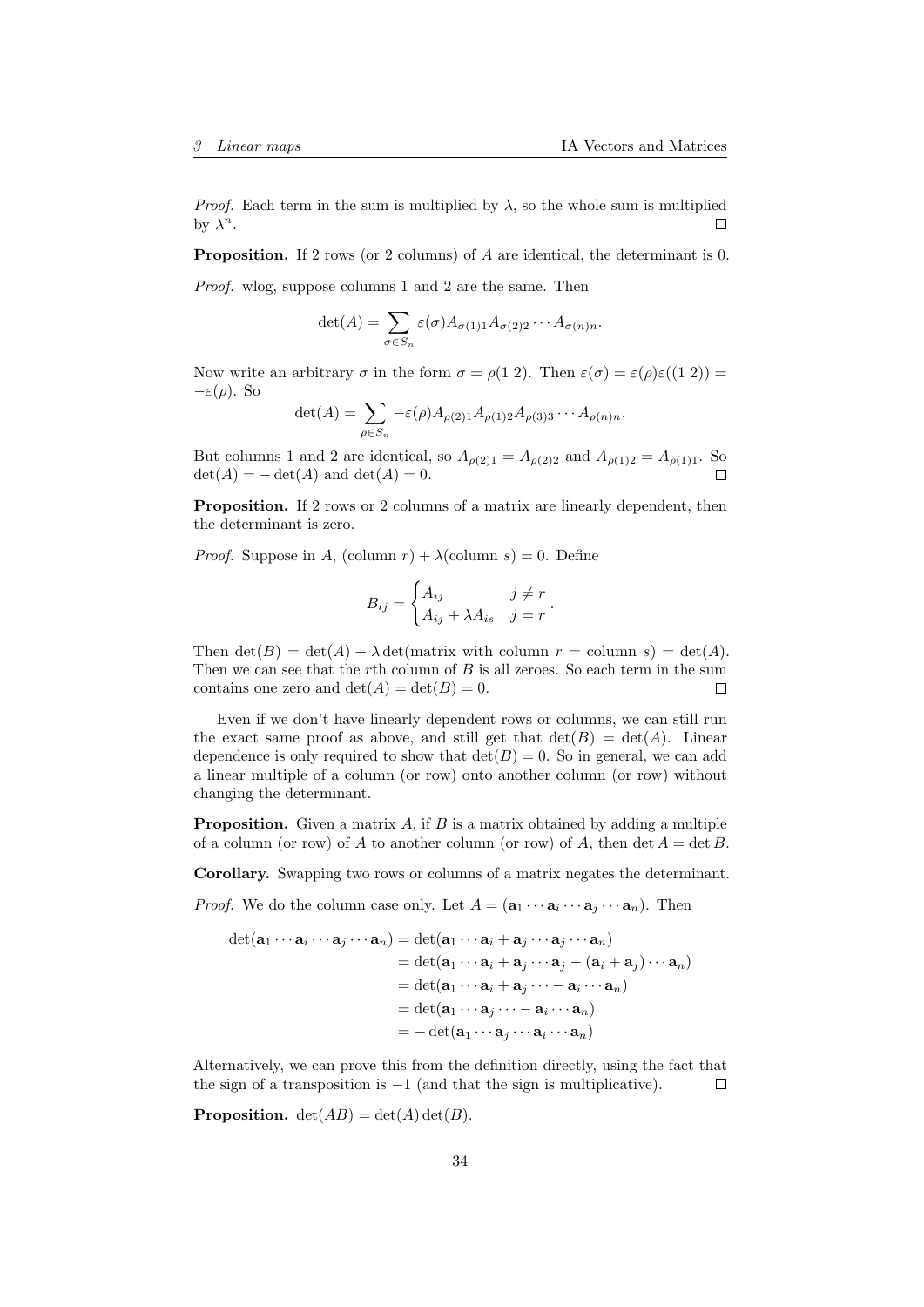*Proof.* Each term in the sum is multiplied by  $\lambda$ , so the whole sum is multiplied by  $\lambda^n$ . □

Proposition. If 2 rows (or 2 columns) of A are identical, the determinant is 0. Proof. wlog, suppose columns 1 and 2 are the same. Then

$$
\det(A) = \sum_{\sigma \in S_n} \varepsilon(\sigma) A_{\sigma(1)1} A_{\sigma(2)2} \cdots A_{\sigma(n)n}.
$$

Now write an arbitrary  $\sigma$  in the form  $\sigma = \rho(1\ 2)$ . Then  $\varepsilon(\sigma) = \varepsilon(\rho)\varepsilon((1\ 2))$  $-\varepsilon(\rho)$ . So

$$
\det(A) = \sum_{\rho \in S_n} -\varepsilon(\rho) A_{\rho(2)1} A_{\rho(1)2} A_{\rho(3)3} \cdots A_{\rho(n)n}.
$$

But columns 1 and 2 are identical, so  $A_{\rho(2)1} = A_{\rho(2)2}$  and  $A_{\rho(1)2} = A_{\rho(1)1}$ . So  $\det(A) = -\det(A)$  and  $\det(A) = 0$ .

Proposition. If 2 rows or 2 columns of a matrix are linearly dependent, then the determinant is zero.

*Proof.* Suppose in A, (column  $r$ ) +  $\lambda$ (column s) = 0. Define

$$
B_{ij} = \begin{cases} A_{ij} & j \neq r \\ A_{ij} + \lambda A_{is} & j = r \end{cases}.
$$

Then  $\det(B) = \det(A) + \lambda \det(\text{matrix with column } r = \text{column } s) = \det(A).$ Then we can see that the rth column of  $B$  is all zeroes. So each term in the sum contains one zero and  $\det(A) = \det(B) = 0$ .  $\Box$ 

Even if we don't have linearly dependent rows or columns, we can still run the exact same proof as above, and still get that  $\det(B) = \det(A)$ . Linear dependence is only required to show that  $\det(B) = 0$ . So in general, we can add a linear multiple of a column (or row) onto another column (or row) without changing the determinant.

**Proposition.** Given a matrix  $A$ , if  $B$  is a matrix obtained by adding a multiple of a column (or row) of A to another column (or row) of A, then  $\det A = \det B$ .

Corollary. Swapping two rows or columns of a matrix negates the determinant.

*Proof.* We do the column case only. Let  $A = (\mathbf{a}_1 \cdots \mathbf{a}_i \cdots \mathbf{a}_j \cdots \mathbf{a}_n)$ . Then

$$
\det(\mathbf{a}_1 \cdots \mathbf{a}_i \cdots \mathbf{a}_j \cdots \mathbf{a}_n) = \det(\mathbf{a}_1 \cdots \mathbf{a}_i + \mathbf{a}_j \cdots \mathbf{a}_j \cdots \mathbf{a}_n)
$$
  
\n
$$
= \det(\mathbf{a}_1 \cdots \mathbf{a}_i + \mathbf{a}_j \cdots \mathbf{a}_j - (\mathbf{a}_i + \mathbf{a}_j) \cdots \mathbf{a}_n)
$$
  
\n
$$
= \det(\mathbf{a}_1 \cdots \mathbf{a}_i + \mathbf{a}_j \cdots - \mathbf{a}_i \cdots \mathbf{a}_n)
$$
  
\n
$$
= \det(\mathbf{a}_1 \cdots \mathbf{a}_j \cdots - \mathbf{a}_i \cdots \mathbf{a}_n)
$$
  
\n
$$
= -\det(\mathbf{a}_1 \cdots \mathbf{a}_j \cdots \mathbf{a}_i \cdots \mathbf{a}_n)
$$

Alternatively, we can prove this from the definition directly, using the fact that the sign of a transposition is  $-1$  (and that the sign is multiplicative).  $\Box$ 

**Proposition.**  $det(AB) = det(A) det(B)$ .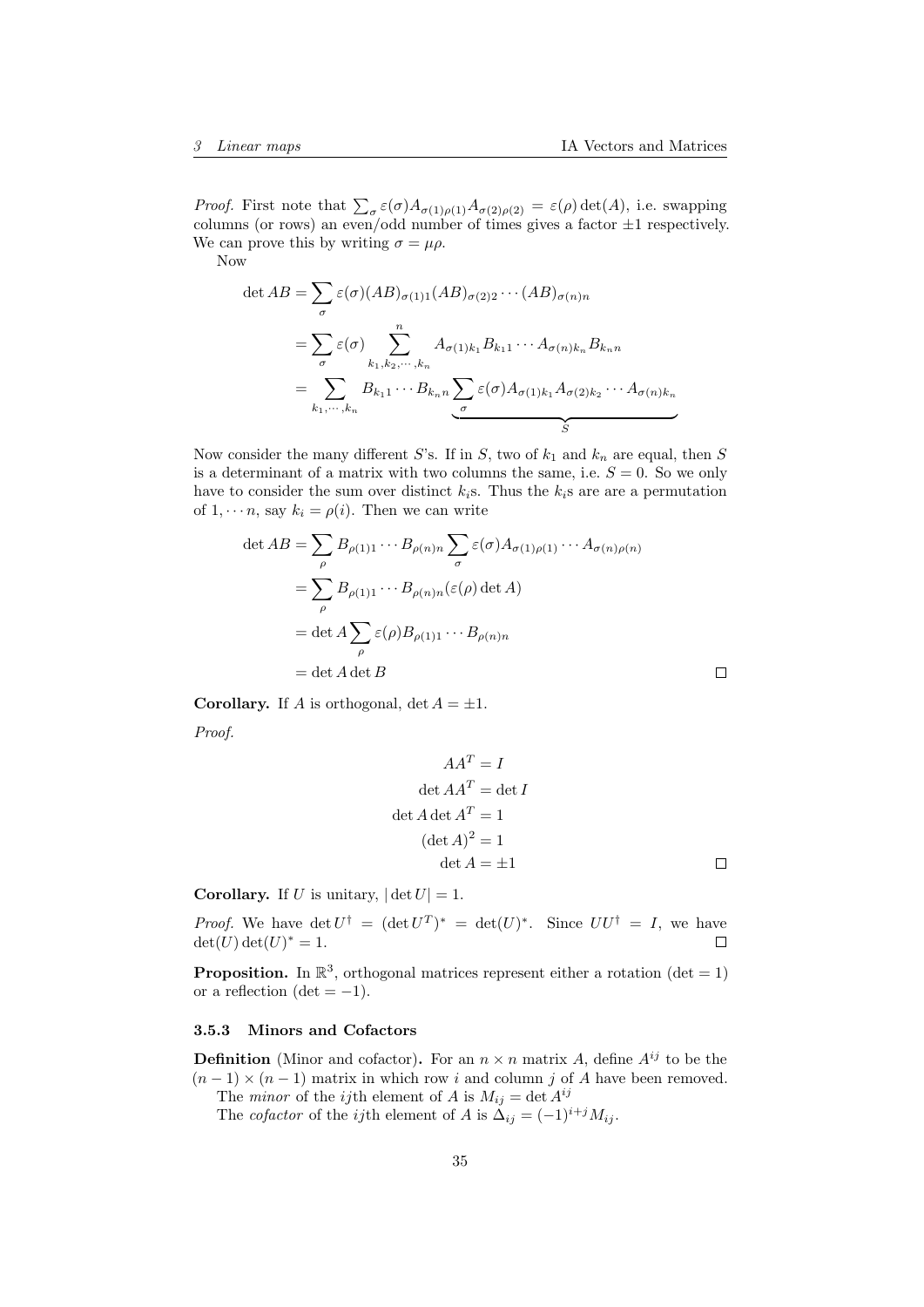*Proof.* First note that  $\sum_{\sigma} \varepsilon(\sigma) A_{\sigma(1)\rho(1)} A_{\sigma(2)\rho(2)} = \varepsilon(\rho) \det(A)$ , i.e. swapping columns (or rows) an even/odd number of times gives a factor  $\pm 1$  respectively. We can prove this by writing  $\sigma = \mu \rho$ .

Now

$$
\det AB = \sum_{\sigma} \varepsilon(\sigma) (AB)_{\sigma(1)1} (AB)_{\sigma(2)2} \cdots (AB)_{\sigma(n)n}
$$
  
= 
$$
\sum_{\sigma} \varepsilon(\sigma) \sum_{k_1, k_2, \cdots, k_n} A_{\sigma(1)k_1} B_{k_1 1} \cdots A_{\sigma(n)k_n} B_{k_n n}
$$
  
= 
$$
\sum_{k_1, \cdots, k_n} B_{k_1 1} \cdots B_{k_n n} \sum_{\sigma} \varepsilon(\sigma) A_{\sigma(1)k_1} A_{\sigma(2)k_2} \cdots A_{\sigma(n)k_n}
$$

Now consider the many different S's. If in S, two of  $k_1$  and  $k_n$  are equal, then S is a determinant of a matrix with two columns the same, i.e.  $S = 0$ . So we only have to consider the sum over distinct  $k_i$ s. Thus the  $k_i$ s are are a permutation of  $1, \dots n$ , say  $k_i = \rho(i)$ . Then we can write

$$
\det AB = \sum_{\rho} B_{\rho(1)1} \cdots B_{\rho(n)n} \sum_{\sigma} \varepsilon(\sigma) A_{\sigma(1)\rho(1)} \cdots A_{\sigma(n)\rho(n)}
$$
  
= 
$$
\sum_{\rho} B_{\rho(1)1} \cdots B_{\rho(n)n} (\varepsilon(\rho) \det A)
$$
  
= 
$$
\det A \sum_{\rho} \varepsilon(\rho) B_{\rho(1)1} \cdots B_{\rho(n)n}
$$
  
= 
$$
\det A \det B
$$

**Corollary.** If A is orthogonal,  $\det A = \pm 1$ .

Proof.

$$
AAT = I
$$
  
det  $AAT$  = det I  
det A det  $AT$  = 1  
(det  $A$ )<sup>2</sup> = 1  
det  $A$  = ±1

**Corollary.** If U is unitary,  $|\det U| = 1$ .

*Proof.* We have  $\det U^{\dagger} = (\det U^T)^* = \det(U)^*$ . Since  $UU^{\dagger} = I$ , we have  $\det(U) \det(U)^* = 1.$  $\Box$ 

**Proposition.** In  $\mathbb{R}^3$ , orthogonal matrices represent either a rotation (det = 1) or a reflection (det  $= -1$ ).

#### <span id="page-34-0"></span>3.5.3 Minors and Cofactors

**Definition** (Minor and cofactor). For an  $n \times n$  matrix A, define  $A^{ij}$  to be the  $(n-1) \times (n-1)$  matrix in which row i and column j of A have been removed.

The *minor* of the *ij*th element of A is  $M_{ij} = \det A^{ij}$ 

The *cofactor* of the *ij*th element of A is  $\Delta_{ij} = (-1)^{i+j} M_{ij}$ .

 $\Box$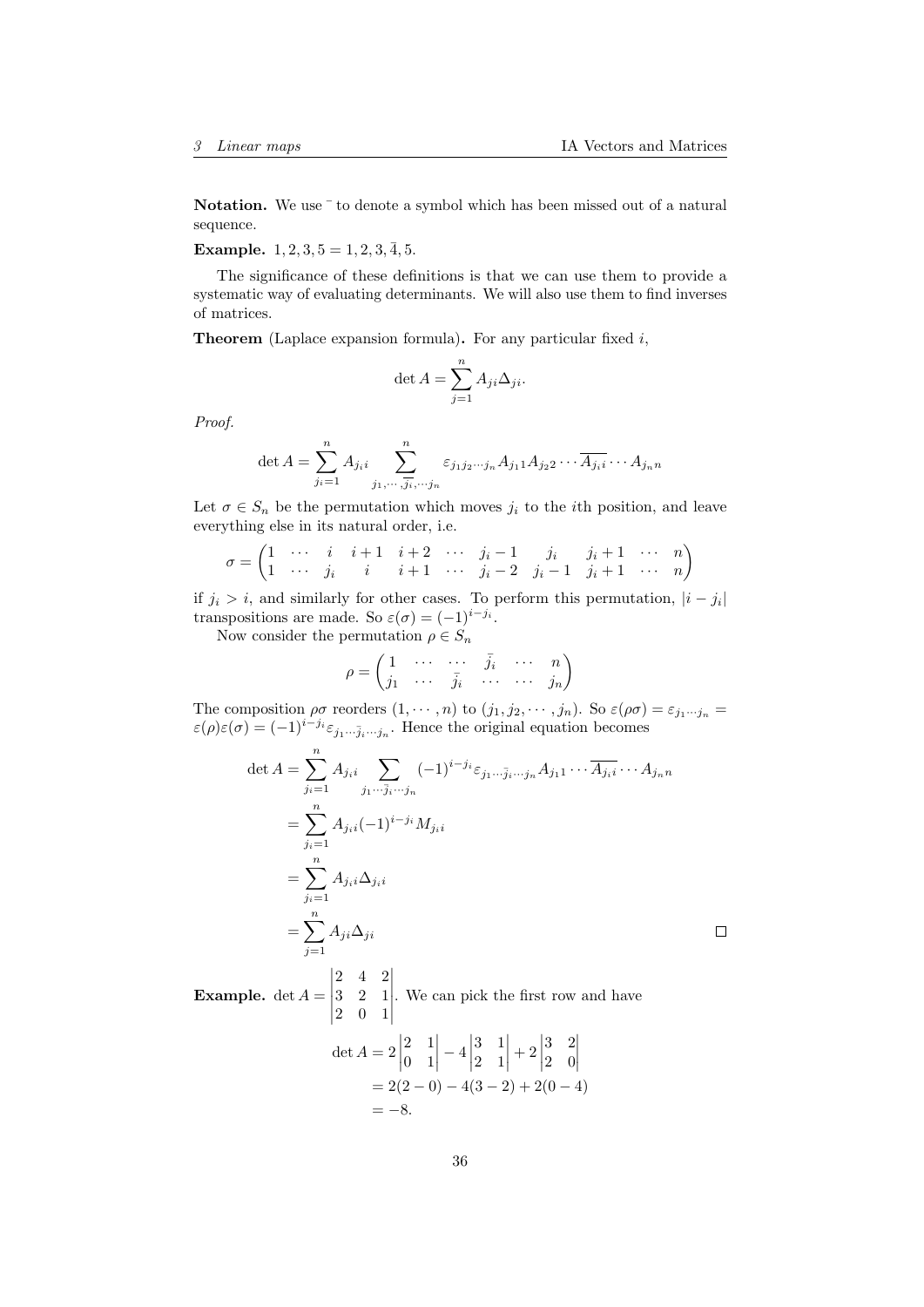$\Box$ 

Notation. We use  $\bar{ }$  to denote a symbol which has been missed out of a natural sequence.

Example.  $1, 2, 3, 5 = 1, 2, 3, \overline{4}, 5.$ 

The significance of these definitions is that we can use them to provide a systematic way of evaluating determinants. We will also use them to find inverses of matrices.

**Theorem** (Laplace expansion formula). For any particular fixed  $i$ ,

$$
\det A = \sum_{j=1}^{n} A_{ji} \Delta_{ji}.
$$

Proof.

det 
$$
A = \sum_{j_i=1}^n A_{j_i i} \sum_{j_1, \dots, j_i, \dots, j_n}^n \varepsilon_{j_1 j_2 \dots j_n} A_{j_1 1} A_{j_2 2} \dots \overline{A_{j_i i}} \dots A_{j_n n}
$$

Let  $\sigma \in S_n$  be the permutation which moves  $j_i$  to the *i*th position, and leave everything else in its natural order, i.e.

$$
\sigma = \begin{pmatrix} 1 & \cdots & i & i+1 & i+2 & \cdots & j_i-1 & j_i & j_i+1 & \cdots & n \\ 1 & \cdots & j_i & i & i+1 & \cdots & j_i-2 & j_i-1 & j_i+1 & \cdots & n \end{pmatrix}
$$

if  $j_i > i$ , and similarly for other cases. To perform this permutation,  $|i - j_i|$ transpositions are made. So  $\varepsilon(\sigma) = (-1)^{i-j_i}$ .

Now consider the permutation  $\rho \in S_n$ 

$$
\rho = \begin{pmatrix} 1 & \cdots & \cdots & \bar{j}_i & \cdots & n \\ j_1 & \cdots & \bar{j}_i & \cdots & \cdots & j_n \end{pmatrix}
$$

The composition  $\rho\sigma$  reorders  $(1,\dots,n)$  to  $(j_1,j_2,\dots,j_n)$ . So  $\varepsilon(\rho\sigma)=\varepsilon_{j_1\dots j_n}=$  $\varepsilon(\rho)\varepsilon(\sigma) = (-1)^{i-j_i}\varepsilon_{j_1\cdots\bar{j}_i\cdots j_n}$ . Hence the original equation becomes

$$
\det A = \sum_{j_i=1}^{n} A_{j_i i} \sum_{j_1 \cdots \bar{j}_i \cdots j_n} (-1)^{i-j_i} \varepsilon_{j_1 \cdots \bar{j}_i \cdots j_n} A_{j_1 1} \cdots \overline{A_{j_i i}} \cdots A_{j_n n}
$$
  
= 
$$
\sum_{j_i=1}^{n} A_{j_i i} (-1)^{i-j_i} M_{j_i i}
$$
  
= 
$$
\sum_{j_i=1}^{n} A_{j_i i} \Delta_{j_i i}
$$
  
= 
$$
\sum_{j=1}^{n} A_{j i} \Delta_{j i}
$$

**Example.**  $\det A =$  2 4 2 3 2 1 2 0 1 . We can pick the first row and have

$$
\det A = 2 \begin{vmatrix} 2 & 1 \\ 0 & 1 \end{vmatrix} - 4 \begin{vmatrix} 3 & 1 \\ 2 & 1 \end{vmatrix} + 2 \begin{vmatrix} 3 & 2 \\ 2 & 0 \end{vmatrix}
$$
  
= 2(2 - 0) - 4(3 - 2) + 2(0 - 4)  
= -8.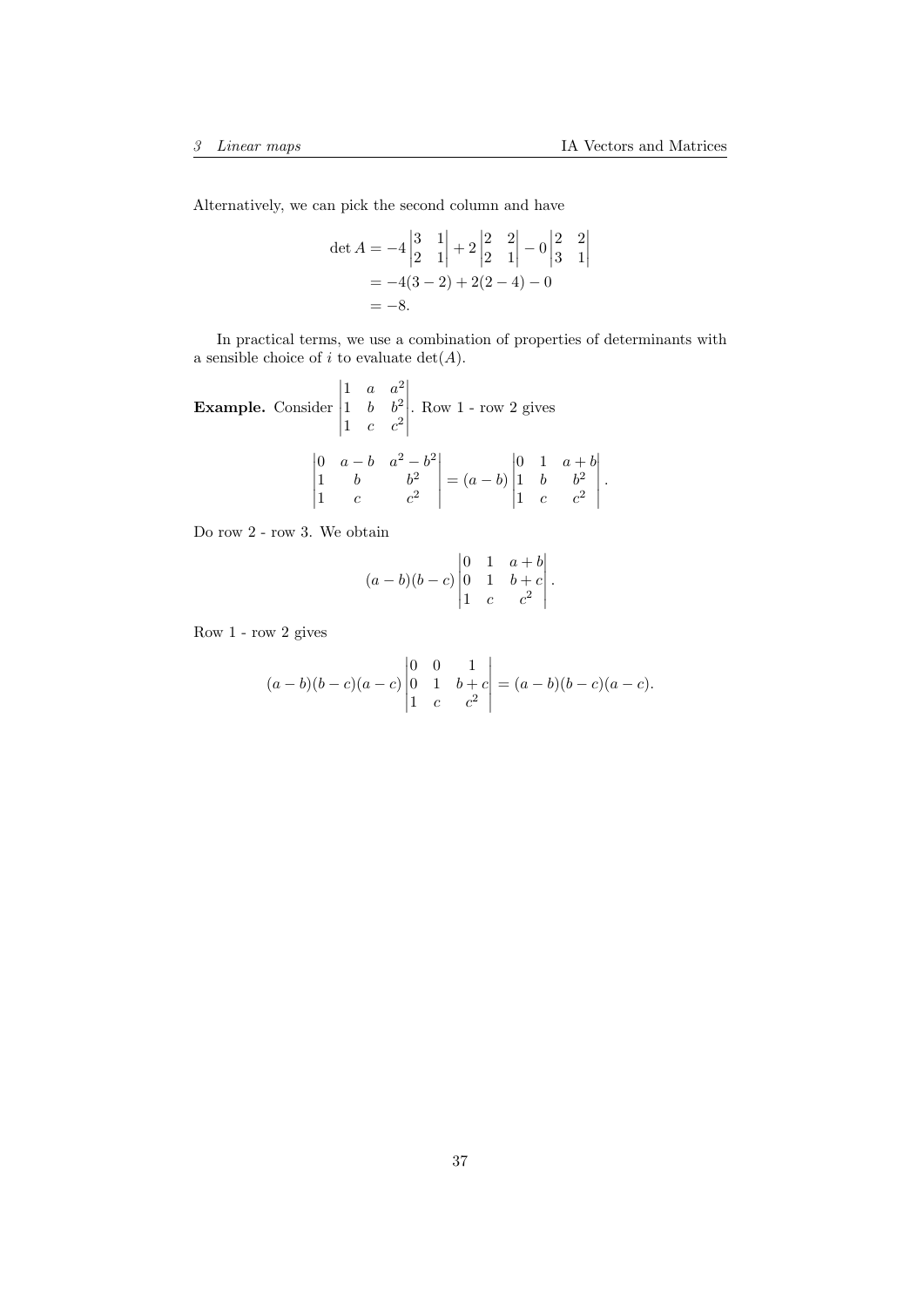$\begin{array}{c} \begin{array}{c} \begin{array}{c} \begin{array}{c} \end{array}\\ \end{array} \end{array} \end{array} \end{array}$ .

Alternatively, we can pick the second column and have

$$
\det A = -4 \begin{vmatrix} 3 & 1 \\ 2 & 1 \end{vmatrix} + 2 \begin{vmatrix} 2 & 2 \\ 2 & 1 \end{vmatrix} - 0 \begin{vmatrix} 2 & 2 \\ 3 & 1 \end{vmatrix}
$$
  
= -4(3 - 2) + 2(2 - 4) - 0  
= -8.

In practical terms, we use a combination of properties of determinants with a sensible choice of i to evaluate  $det(A)$ .

Example. Consider 1  $a \cdot a^2$ 1 b  $b^2$ 1  $c$   $c^2$  . Row 1 - row 2 gives 0  $a-b$   $a^2-b^2$ 1 b  $b^2$ 1  $c$   $c^2$   $=(a - b)$  0 1  $a + b$ 1  $b$   $b^2$ 1  $c$   $c^2$ 

Do row 2 - row 3. We obtain

$$
(a-b)(b-c)\begin{vmatrix} 0 & 1 & a+b \\ 0 & 1 & b+c \\ 1 & c & c^2 \end{vmatrix}.
$$

Row 1 - row 2 gives

$$
(a-b)(b-c)(a-c)\begin{vmatrix} 0 & 0 & 1 \\ 0 & 1 & b+c \\ 1 & c & c^2 \end{vmatrix} = (a-b)(b-c)(a-c).
$$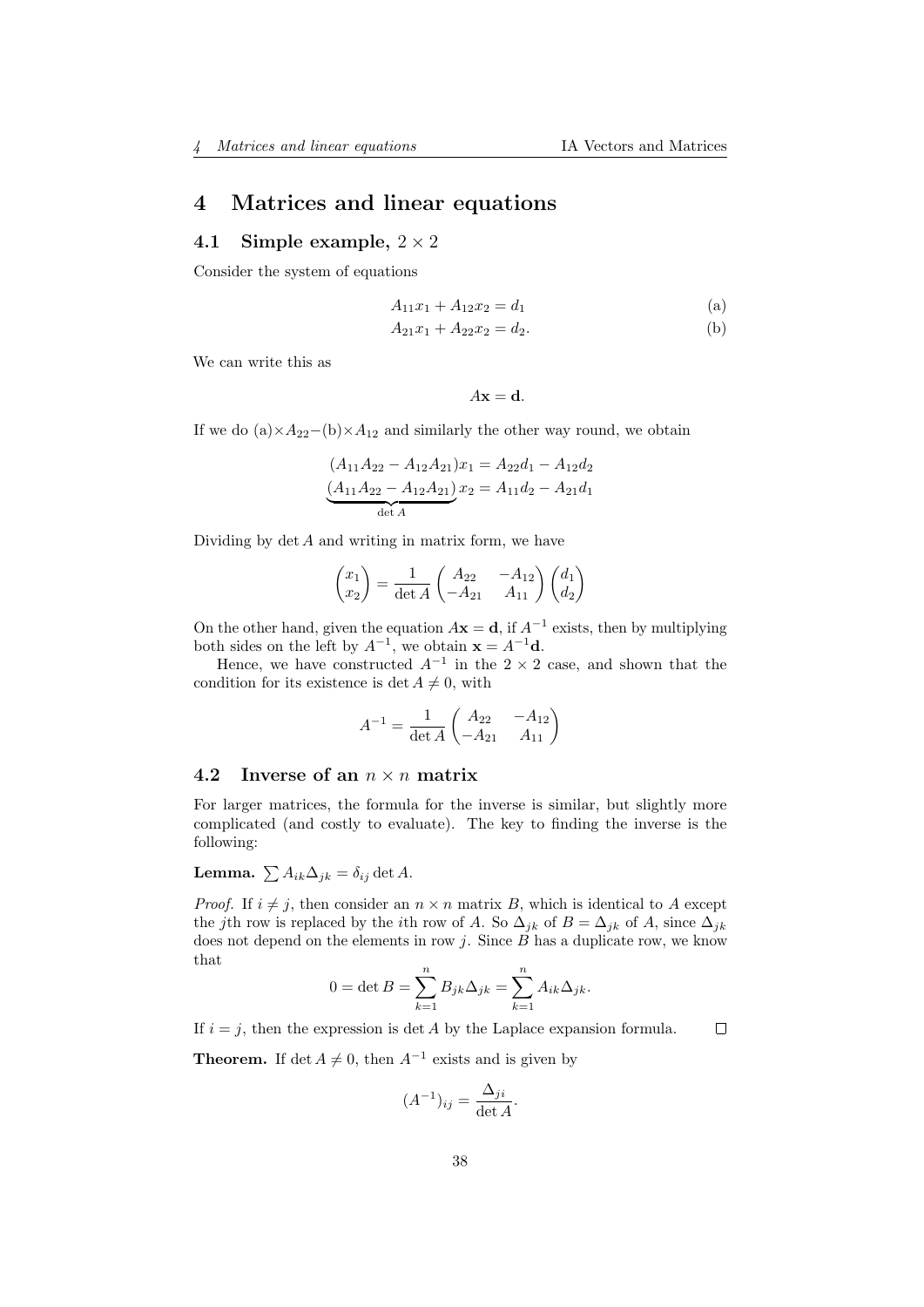# <span id="page-37-0"></span>4 Matrices and linear equations

## <span id="page-37-1"></span>4.1 Simple example,  $2 \times 2$

Consider the system of equations

$$
A_{11}x_1 + A_{12}x_2 = d_1 \tag{a}
$$

$$
A_{21}x_1 + A_{22}x_2 = d_2.
$$
 (b)

We can write this as

 $A\mathbf{x} = \mathbf{d}$ .

If we do  $(a) \times A_{22}-(b) \times A_{12}$  and similarly the other way round, we obtain

$$
(A_{11}A_{22} - A_{12}A_{21})x_1 = A_{22}d_1 - A_{12}d_2
$$

$$
(A_{11}A_{22} - A_{12}A_{21})x_2 = A_{11}d_2 - A_{21}d_1
$$

$$
\det A
$$

Dividing by  $\det A$  and writing in matrix form, we have

$$
\begin{pmatrix} x_1 \\ x_2 \end{pmatrix} = \frac{1}{\det A} \begin{pmatrix} A_{22} & -A_{12} \\ -A_{21} & A_{11} \end{pmatrix} \begin{pmatrix} d_1 \\ d_2 \end{pmatrix}
$$

On the other hand, given the equation  $A\mathbf{x} = \mathbf{d}$ , if  $A^{-1}$  exists, then by multiplying both sides on the left by  $A^{-1}$ , we obtain  $\mathbf{x} = A^{-1}\mathbf{d}$ .

Hence, we have constructed  $A^{-1}$  in the 2 × 2 case, and shown that the condition for its existence is det  $A \neq 0$ , with

$$
A^{-1} = \frac{1}{\det A} \begin{pmatrix} A_{22} & -A_{12} \\ -A_{21} & A_{11} \end{pmatrix}
$$

## <span id="page-37-2"></span>4.2 Inverse of an  $n \times n$  matrix

For larger matrices, the formula for the inverse is similar, but slightly more complicated (and costly to evaluate). The key to finding the inverse is the following:

**Lemma.**  $\sum A_{ik}\Delta_{jk} = \delta_{ij} \det A$ .

*Proof.* If  $i \neq j$ , then consider an  $n \times n$  matrix B, which is identical to A except the jth row is replaced by the *i*th row of A. So  $\Delta_{ik}$  of  $B = \Delta_{ik}$  of A, since  $\Delta_{ik}$ does not depend on the elements in row  $j$ . Since  $B$  has a duplicate row, we know that

$$
0 = \det B = \sum_{k=1}^{n} B_{jk} \Delta_{jk} = \sum_{k=1}^{n} A_{ik} \Delta_{jk}.
$$

If  $i = j$ , then the expression is det A by the Laplace expansion formula.  $\Box$ 

**Theorem.** If det  $A \neq 0$ , then  $A^{-1}$  exists and is given by

$$
(A^{-1})_{ij} = \frac{\Delta_{ji}}{\det A}.
$$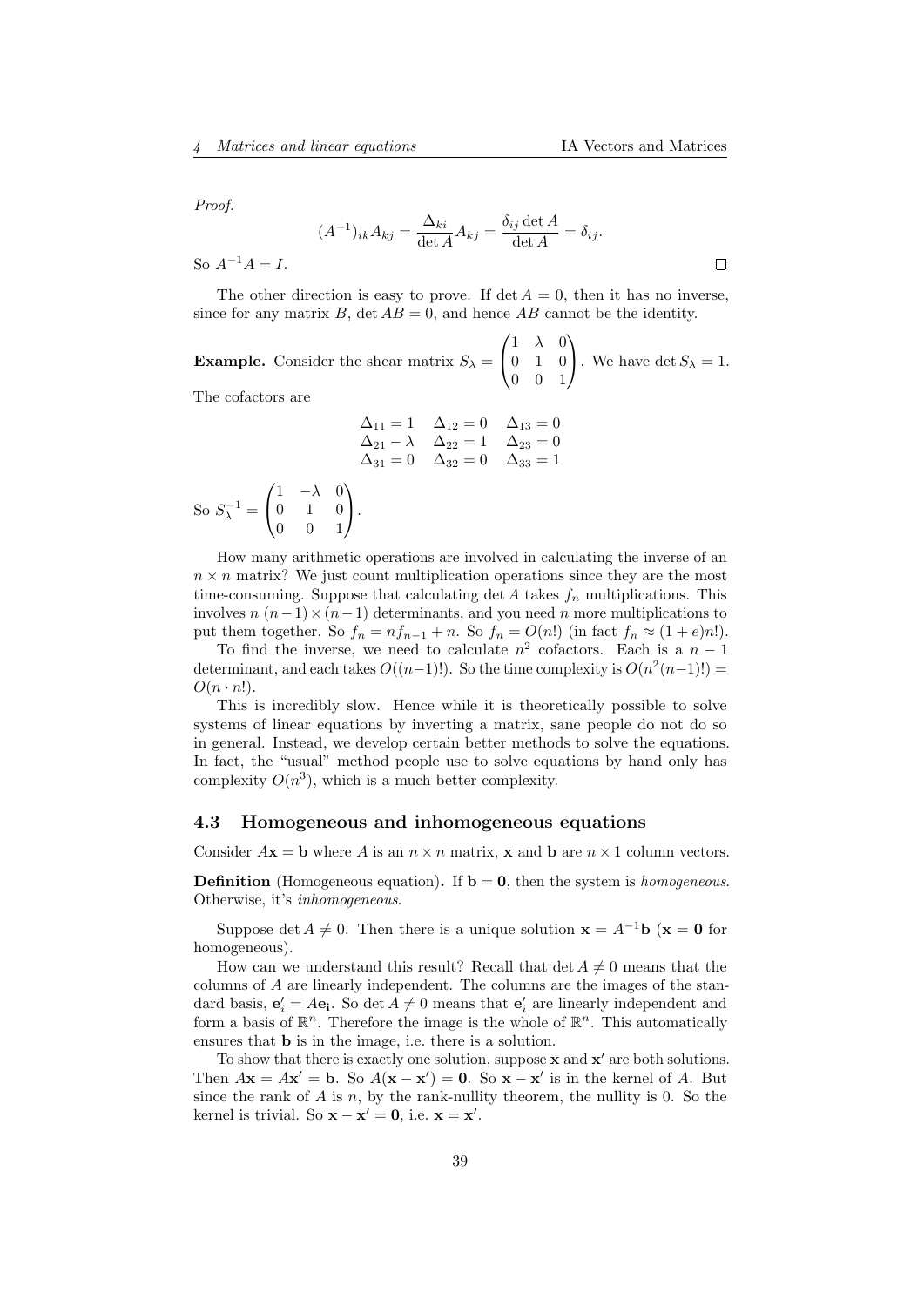Proof.

$$
(A^{-1})_{ik} A_{kj} = \frac{\Delta_{ki}}{\det A} A_{kj} = \frac{\delta_{ij} \det A}{\det A} = \delta_{ij}.
$$

So  $A^{-1}A = I$ .

The other direction is easy to prove. If  $\det A = 0$ , then it has no inverse, since for any matrix B, det  $AB = 0$ , and hence AB cannot be the identity.

**Example.** Consider the shear matrix  $S_{\lambda}$  =  $\sqrt{ }$  $\overline{1}$  $1 \lambda 0$ 0 1 0 0 0 1 V. . We have det  $S_{\lambda} = 1$ .

The cofactors are

$$
\Delta_{11} = 1 \quad \Delta_{12} = 0 \quad \Delta_{13} = 0
$$
  
\n
$$
\Delta_{21} - \lambda \quad \Delta_{22} = 1 \quad \Delta_{23} = 0
$$
  
\n
$$
\Delta_{31} = 0 \quad \Delta_{32} = 0 \quad \Delta_{33} = 1
$$
  
\nSo  $S_{\lambda}^{-1} = \begin{pmatrix} 1 & -\lambda & 0 \\ 0 & 1 & 0 \\ 0 & 0 & 1 \end{pmatrix}$ .

How many arithmetic operations are involved in calculating the inverse of an  $n \times n$  matrix? We just count multiplication operations since they are the most time-consuming. Suppose that calculating  $\det A$  takes  $f_n$  multiplications. This involves  $n(n-1) \times (n-1)$  determinants, and you need n more multiplications to put them together. So  $f_n = nf_{n-1} + n$ . So  $f_n = O(n!)$  (in fact  $f_n \approx (1+e)n!$ ).

To find the inverse, we need to calculate  $n^2$  cofactors. Each is a  $n-1$ determinant, and each takes  $O((n-1)!)$ . So the time complexity is  $O(n^2(n-1)!)$  $O(n \cdot n!)$ .

This is incredibly slow. Hence while it is theoretically possible to solve systems of linear equations by inverting a matrix, sane people do not do so in general. Instead, we develop certain better methods to solve the equations. In fact, the "usual" method people use to solve equations by hand only has complexity  $O(n^3)$ , which is a much better complexity.

## <span id="page-38-0"></span>4.3 Homogeneous and inhomogeneous equations

Consider  $A\mathbf{x} = \mathbf{b}$  where A is an  $n \times n$  matrix, **x** and **b** are  $n \times 1$  column vectors.

**Definition** (Homogeneous equation). If  $\mathbf{b} = \mathbf{0}$ , then the system is homogeneous. Otherwise, it's inhomogeneous.

Suppose det  $A \neq 0$ . Then there is a unique solution  $\mathbf{x} = A^{-1}\mathbf{b}$  ( $\mathbf{x} = \mathbf{0}$  for homogeneous).

How can we understand this result? Recall that det  $A \neq 0$  means that the columns of A are linearly independent. The columns are the images of the standard basis,  $\mathbf{e}'_i = A\mathbf{e}_i$ . So det  $A \neq 0$  means that  $\mathbf{e}'_i$  are linearly independent and form a basis of  $\mathbb{R}^n$ . Therefore the image is the whole of  $\mathbb{R}^n$ . This automatically ensures that b is in the image, i.e. there is a solution.

To show that there is exactly one solution, suppose  $x$  and  $x'$  are both solutions. Then  $A\mathbf{x} = A\mathbf{x}' = \mathbf{b}$ . So  $A(\mathbf{x} - \mathbf{x}') = \mathbf{0}$ . So  $\mathbf{x} - \mathbf{x}'$  is in the kernel of A. But since the rank of A is n, by the rank-nullity theorem, the nullity is 0. So the kernel is trivial. So  $\mathbf{x} - \mathbf{x}' = \mathbf{0}$ , i.e.  $\mathbf{x} = \mathbf{x}'$ .

 $\Box$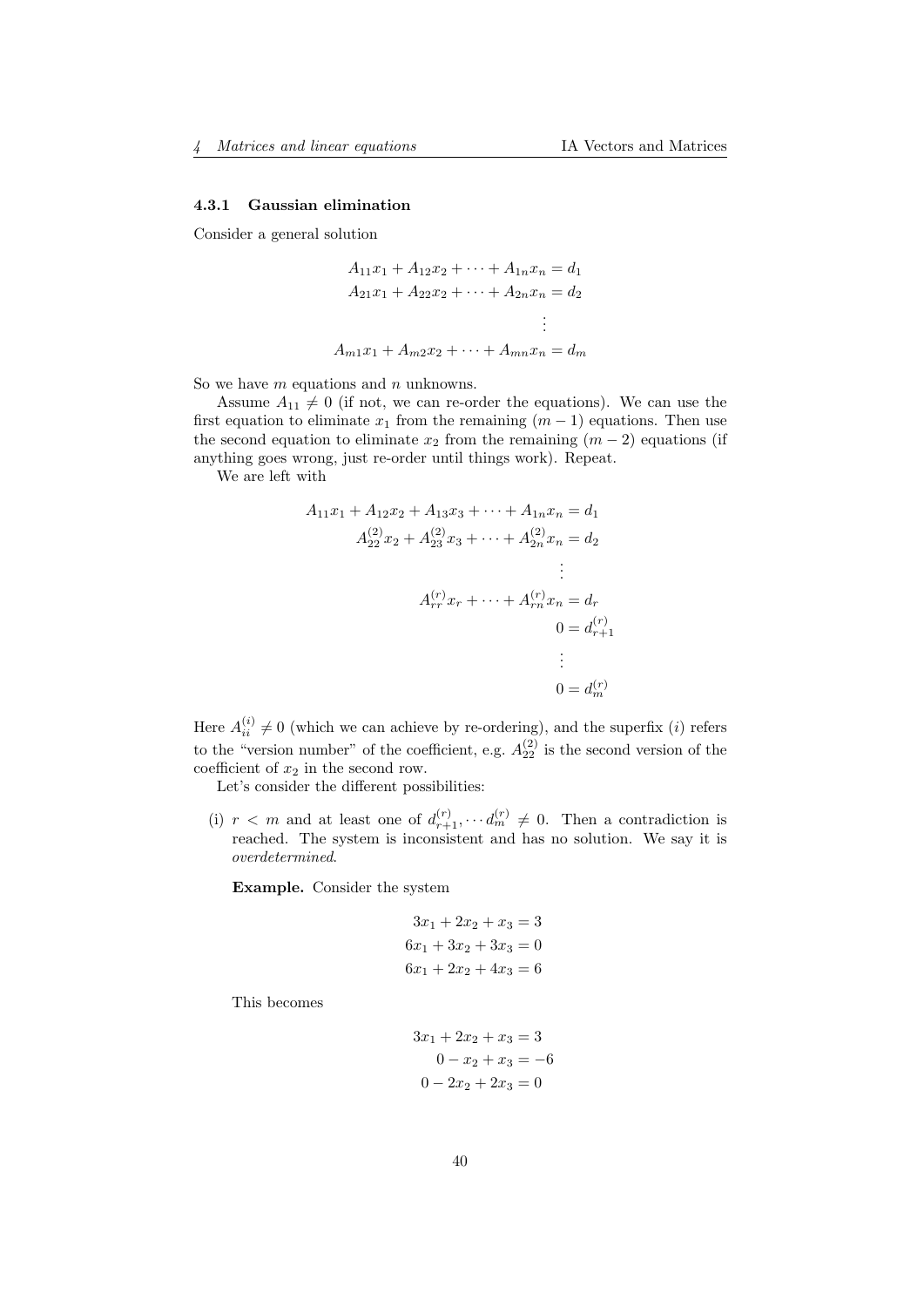#### <span id="page-39-0"></span>4.3.1 Gaussian elimination

Consider a general solution

$$
A_{11}x_1 + A_{12}x_2 + \dots + A_{1n}x_n = d_1
$$
  
\n
$$
A_{21}x_1 + A_{22}x_2 + \dots + A_{2n}x_n = d_2
$$
  
\n
$$
\vdots
$$
  
\n
$$
A_{m1}x_1 + A_{m2}x_2 + \dots + A_{mn}x_n = d_m
$$

So we have  $m$  equations and  $n$  unknowns.

Assume  $A_{11} \neq 0$  (if not, we can re-order the equations). We can use the first equation to eliminate  $x_1$  from the remaining  $(m-1)$  equations. Then use the second equation to eliminate  $x_2$  from the remaining  $(m-2)$  equations (if anything goes wrong, just re-order until things work). Repeat.

We are left with

$$
A_{11}x_1 + A_{12}x_2 + A_{13}x_3 + \cdots + A_{1n}x_n = d_1
$$
  
\n
$$
A_{22}^{(2)}x_2 + A_{23}^{(2)}x_3 + \cdots + A_{2n}^{(2)}x_n = d_2
$$
  
\n
$$
\vdots
$$
  
\n
$$
A_{rr}^{(r)}x_r + \cdots + A_{rn}^{(r)}x_n = d_r
$$
  
\n
$$
0 = d_{r+1}^{(r)}
$$
  
\n
$$
\vdots
$$
  
\n
$$
0 = d_m^{(r)}
$$

Here  $A_{ii}^{(i)} \neq 0$  (which we can achieve by re-ordering), and the superfix (*i*) refers to the "version number" of the coefficient, e.g.  $A_{22}^{(2)}$  is the second version of the coefficient of  $x_2$  in the second row.

Let's consider the different possibilities:

(i)  $r < m$  and at least one of  $d_{r+1}^{(r)}, \cdots, d_m^{(r)} \neq 0$ . Then a contradiction is reached. The system is inconsistent and has no solution. We say it is overdetermined.

Example. Consider the system

$$
3x_1 + 2x_2 + x_3 = 3
$$
  
\n
$$
6x_1 + 3x_2 + 3x_3 = 0
$$
  
\n
$$
6x_1 + 2x_2 + 4x_3 = 6
$$

This becomes

$$
3x_1 + 2x_2 + x_3 = 3
$$
  

$$
0 - x_2 + x_3 = -6
$$
  

$$
0 - 2x_2 + 2x_3 = 0
$$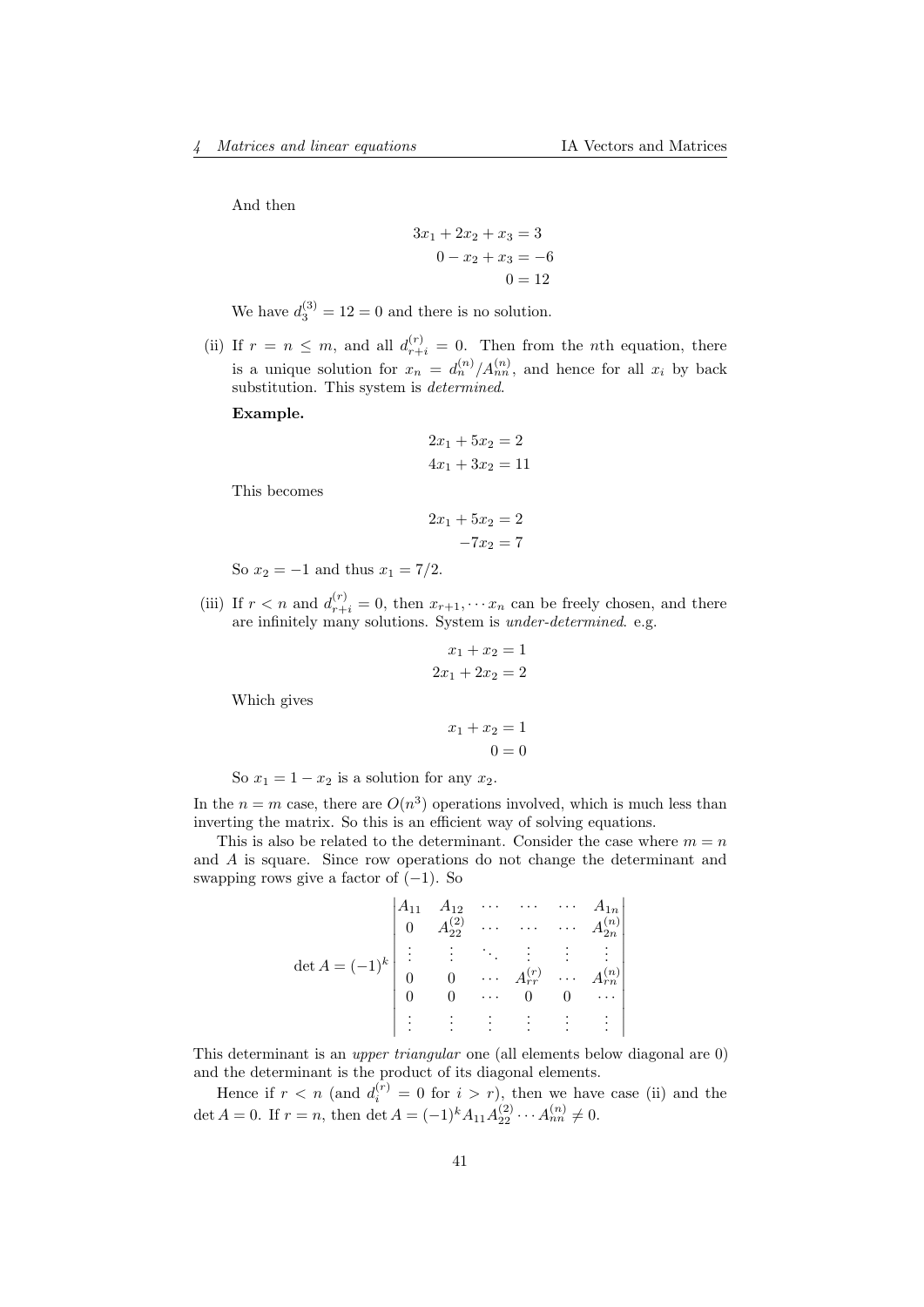And then

$$
3x1 + 2x2 + x3 = 3\n0 - x2 + x3 = -6\n0 = 12
$$

We have  $d_3^{(3)} = 12 = 0$  and there is no solution.

(ii) If  $r = n \leq m$ , and all  $d_{r+i}^{(r)} = 0$ . Then from the *n*th equation, there is a unique solution for  $x_n = d_n^{(n)}/A_{nn}^{(n)}$ , and hence for all  $x_i$  by back substitution. This system is determined.

Example.

$$
2x_1 + 5x_2 = 2
$$
  

$$
4x_1 + 3x_2 = 11
$$

This becomes

$$
2x_1 + 5x_2 = 2
$$

$$
-7x_2 = 7
$$

So  $x_2 = -1$  and thus  $x_1 = 7/2$ .

(iii) If  $r < n$  and  $d_{r+i}^{(r)} = 0$ , then  $x_{r+1}, \dots, x_n$  can be freely chosen, and there are infinitely many solutions. System is under-determined. e.g.

$$
x_1 + x_2 = 1
$$

$$
2x_1 + 2x_2 = 2
$$

Which gives

$$
x_1 + x_2 = 1
$$

$$
0 = 0
$$

So  $x_1 = 1 - x_2$  is a solution for any  $x_2$ .

In the  $n = m$  case, there are  $O(n^3)$  operations involved, which is much less than inverting the matrix. So this is an efficient way of solving equations.

This is also be related to the determinant. Consider the case where  $m = n$ and A is square. Since row operations do not change the determinant and swapping rows give a factor of  $(-1)$ . So

|                                                                 |                | $A_{12}$<br>$A_{22}^{(2)}$                                                                                                          | $\mathbb{R}^n$ |                 | $\ddots$ | $A_{1n}$                                                        |
|-----------------------------------------------------------------|----------------|-------------------------------------------------------------------------------------------------------------------------------------|----------------|-----------------|----------|-----------------------------------------------------------------|
|                                                                 | $\theta$       |                                                                                                                                     |                |                 |          |                                                                 |
| det $A = (-1)^k \begin{bmatrix} \vdots \\ \vdots \end{bmatrix}$ |                | $\begin{array}{ccccccc} \vdots & \ddots & \vdots & \vdots & \vdots \ 0 & \cdots & A_{rr}^{(r)} & \cdots & A_{rn}^{(n)} \end{array}$ |                |                 |          |                                                                 |
|                                                                 |                |                                                                                                                                     |                |                 |          |                                                                 |
|                                                                 |                |                                                                                                                                     |                |                 |          |                                                                 |
|                                                                 | ٠<br>$\bullet$ |                                                                                                                                     | 4. 第1          | $\frac{1}{2}$ . |          | $\left\vert \cdot \right\vert$ : $\left\vert \cdot \right\vert$ |

This determinant is an upper triangular one (all elements below diagonal are 0) and the determinant is the product of its diagonal elements.

Hence if  $r < n$  (and  $d_i^{(r)} = 0$  for  $i > r$ ), then we have case (ii) and the det  $A = 0$ . If  $r = n$ , then det  $A = (-1)^k A_{11} A_{22}^{(2)} \cdots A_{nn}^{(n)} \neq 0$ .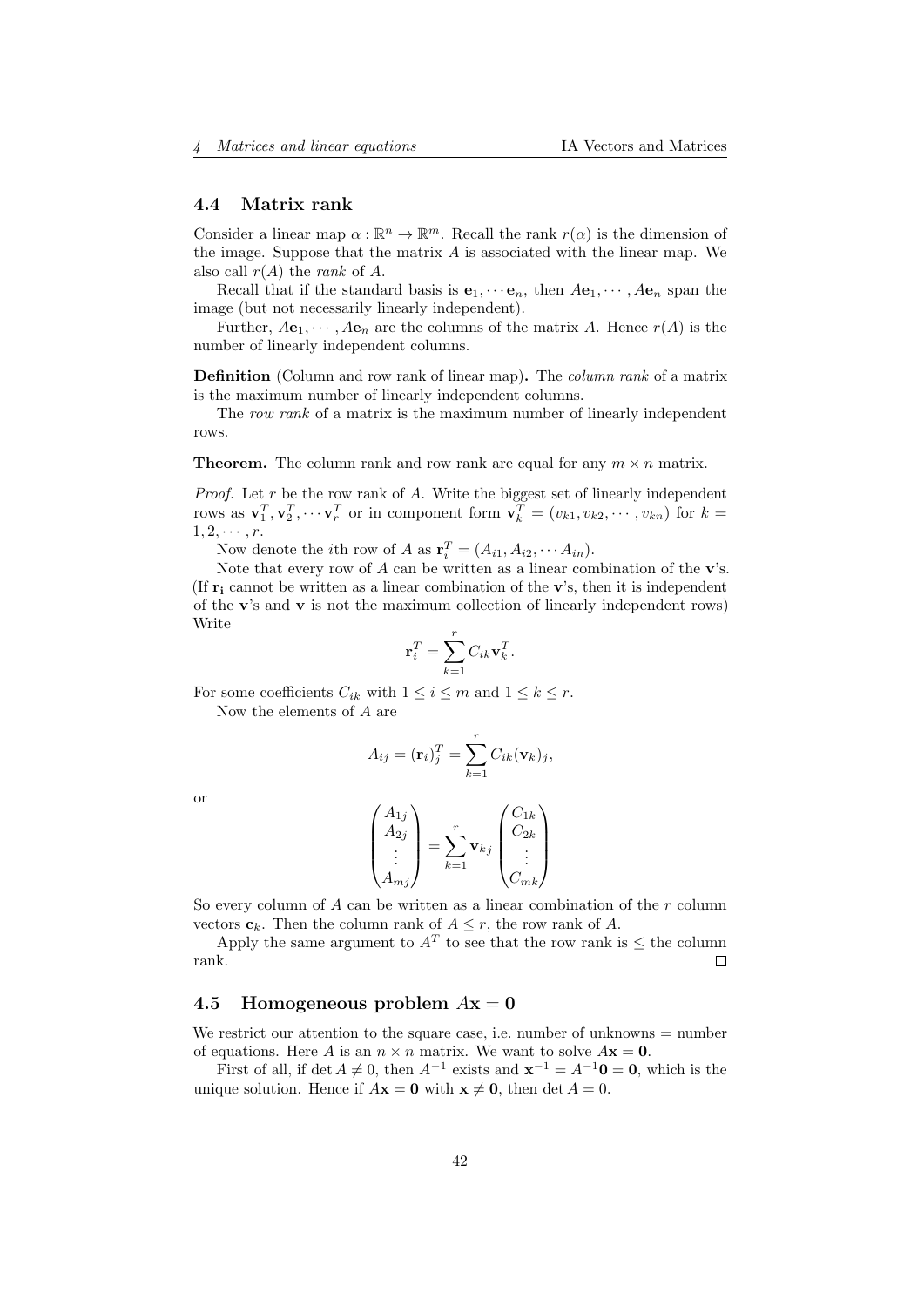### <span id="page-41-0"></span>4.4 Matrix rank

Consider a linear map  $\alpha : \mathbb{R}^n \to \mathbb{R}^m$ . Recall the rank  $r(\alpha)$  is the dimension of the image. Suppose that the matrix  $A$  is associated with the linear map. We also call  $r(A)$  the *rank* of A.

Recall that if the standard basis is  $e_1, \dots, e_n$ , then  $Ae_1, \dots, Ae_n$  span the image (but not necessarily linearly independent).

Further,  $Ae_1, \dots, Ae_n$  are the columns of the matrix A. Hence  $r(A)$  is the number of linearly independent columns.

Definition (Column and row rank of linear map). The column rank of a matrix is the maximum number of linearly independent columns.

The row rank of a matrix is the maximum number of linearly independent rows.

**Theorem.** The column rank and row rank are equal for any  $m \times n$  matrix.

*Proof.* Let  $r$  be the row rank of  $A$ . Write the biggest set of linearly independent rows as  $\mathbf{v}_1^T, \mathbf{v}_2^T, \cdots, \mathbf{v}_r^T$  or in component form  $\mathbf{v}_k^T = (v_{k1}, v_{k2}, \cdots, v_{kn})$  for  $k =$  $1, 2, \cdots, r.$ 

Now denote the *i*th row of A as  $\mathbf{r}_i^T = (A_{i1}, A_{i2}, \cdots A_{in}).$ 

Note that every row of  $A$  can be written as a linear combination of the  $v$ 's. (If  $\mathbf{r_i}$  cannot be written as a linear combination of the  $\mathbf{v}_s$ , then it is independent of the  $\bf{v}$ 's and  $\bf{v}$  is not the maximum collection of linearly independent rows) Write

$$
\mathbf{r}_i^T = \sum_{k=1}^r C_{ik} \mathbf{v}_k^T.
$$

For some coefficients  $C_{ik}$  with  $1 \leq i \leq m$  and  $1 \leq k \leq r$ .

Now the elements of A are

$$
A_{ij} = (\mathbf{r}_i)_j^T = \sum_{k=1}^r C_{ik}(\mathbf{v}_k)_j,
$$

or

$$
\begin{pmatrix} A_{1j} \\ A_{2j} \\ \vdots \\ A_{mj} \end{pmatrix} = \sum_{k=1}^{r} \mathbf{v}_{kj} \begin{pmatrix} C_{1k} \\ C_{2k} \\ \vdots \\ C_{mk} \end{pmatrix}
$$

So every column of  $A$  can be written as a linear combination of the  $r$  column vectors  $c_k$ . Then the column rank of  $A \leq r$ , the row rank of A.

Apply the same argument to  $A<sup>T</sup>$  to see that the row rank is  $\leq$  the column rank.  $\Box$ 

### <span id="page-41-1"></span>4.5 Homogeneous problem  $Ax = 0$

We restrict our attention to the square case, i.e. number of unknowns  $=$  number of equations. Here A is an  $n \times n$  matrix. We want to solve  $A\mathbf{x} = \mathbf{0}$ .

First of all, if det  $A \neq 0$ , then  $A^{-1}$  exists and  $\mathbf{x}^{-1} = A^{-1} \mathbf{0} = \mathbf{0}$ , which is the unique solution. Hence if  $A\mathbf{x} = \mathbf{0}$  with  $\mathbf{x} \neq \mathbf{0}$ , then det  $A = 0$ .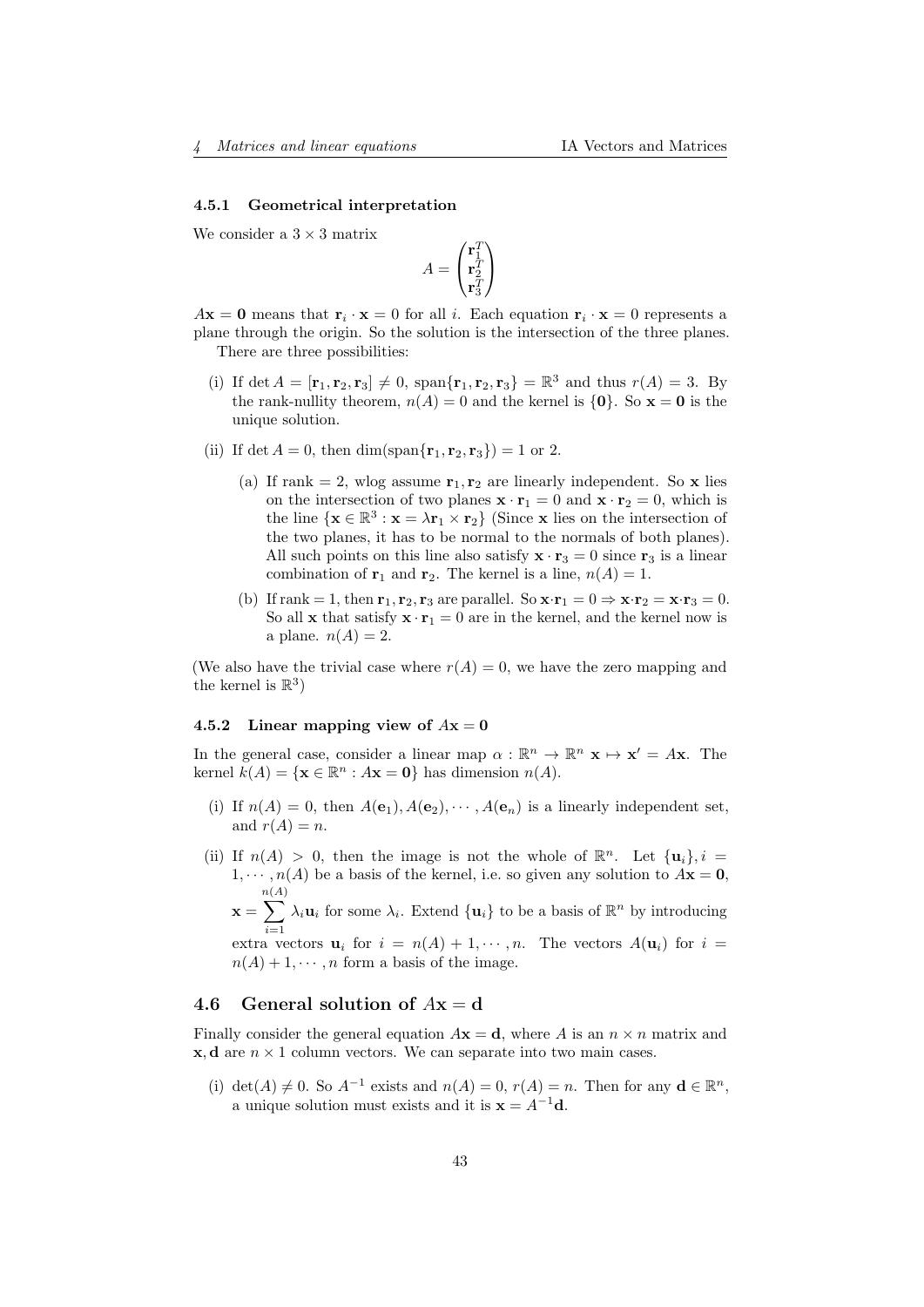#### <span id="page-42-0"></span>4.5.1 Geometrical interpretation

We consider a  $3 \times 3$  matrix

$$
A = \begin{pmatrix} \mathbf{r}_1^T \\ \mathbf{r}_2^T \\ \mathbf{r}_3^T \end{pmatrix}
$$

 $A\mathbf{x} = \mathbf{0}$  means that  $\mathbf{r}_i \cdot \mathbf{x} = 0$  for all i. Each equation  $\mathbf{r}_i \cdot \mathbf{x} = 0$  represents a plane through the origin. So the solution is the intersection of the three planes. There are three possibilities:

- (i) If det  $A = [\mathbf{r}_1, \mathbf{r}_2, \mathbf{r}_3] \neq 0$ , span ${\{\mathbf{r}_1, \mathbf{r}_2, \mathbf{r}_3\}} = \mathbb{R}^3$  and thus  $r(A) = 3$ . By the rank-nullity theorem,  $n(A) = 0$  and the kernel is  $\{0\}$ . So  $\mathbf{x} = \mathbf{0}$  is the unique solution.
- (ii) If det  $A = 0$ , then dim(span{ $\mathbf{r}_1, \mathbf{r}_2, \mathbf{r}_3$ }) = 1 or 2.
	- (a) If rank = 2, wlog assume  $\mathbf{r}_1, \mathbf{r}_2$  are linearly independent. So x lies on the intersection of two planes  $\mathbf{x} \cdot \mathbf{r}_1 = 0$  and  $\mathbf{x} \cdot \mathbf{r}_2 = 0$ , which is the line  $\{x \in \mathbb{R}^3 : x = \lambda \mathbf{r}_1 \times \mathbf{r}_2\}$  (Since x lies on the intersection of the two planes, it has to be normal to the normals of both planes). All such points on this line also satisfy  $\mathbf{x} \cdot \mathbf{r}_3 = 0$  since  $\mathbf{r}_3$  is a linear combination of  $\mathbf{r}_1$  and  $\mathbf{r}_2$ . The kernel is a line,  $n(A) = 1$ .
	- (b) If rank = 1, then  $\mathbf{r}_1, \mathbf{r}_2, \mathbf{r}_3$  are parallel. So  $\mathbf{x} \cdot \mathbf{r}_1 = 0 \Rightarrow \mathbf{x} \cdot \mathbf{r}_2 = \mathbf{x} \cdot \mathbf{r}_3 = 0$ . So all **x** that satisfy  $\mathbf{x} \cdot \mathbf{r}_1 = 0$  are in the kernel, and the kernel now is a plane.  $n(A) = 2$ .

(We also have the trivial case where  $r(A) = 0$ , we have the zero mapping and the kernel is  $\mathbb{R}^3$ )

#### <span id="page-42-1"></span>4.5.2 Linear mapping view of  $Ax = 0$

In the general case, consider a linear map  $\alpha : \mathbb{R}^n \to \mathbb{R}^n$   $\mathbf{x} \mapsto \mathbf{x}' = A\mathbf{x}$ . The kernel  $k(A) = \{ \mathbf{x} \in \mathbb{R}^n : A\mathbf{x} = \mathbf{0} \}$  has dimension  $n(A)$ .

- (i) If  $n(A) = 0$ , then  $A(e_1), A(e_2), \cdots, A(e_n)$  is a linearly independent set, and  $r(A) = n$ .
- (ii) If  $n(A) > 0$ , then the image is not the whole of  $\mathbb{R}^n$ . Let  $\{\mathbf{u}_i\}, i =$  $1, \dots, n(A)$  be a basis of the kernel, i.e. so given any solution to  $A\mathbf{x} = \mathbf{0}$ , n(A)

 $\mathbf{x} =$  $\sum$  $i=1$  $\lambda_i \mathbf{u}_i$  for some  $\lambda_i$ . Extend  $\{\mathbf{u}_i\}$  to be a basis of  $\mathbb{R}^n$  by introducing

extra vectors  $\mathbf{u}_i$  for  $i = n(A) + 1, \cdots, n$ . The vectors  $A(\mathbf{u}_i)$  for  $i =$  $n(A) + 1, \dots, n$  form a basis of the image.

## <span id="page-42-2"></span>4.6 General solution of  $Ax = d$

Finally consider the general equation  $A\mathbf{x} = \mathbf{d}$ , where A is an  $n \times n$  matrix and  $x, d$  are  $n \times 1$  column vectors. We can separate into two main cases.

(i) det(A)  $\neq$  0. So  $A^{-1}$  exists and  $n(A) = 0$ ,  $r(A) = n$ . Then for any  $\mathbf{d} \in \mathbb{R}^n$ , a unique solution must exists and it is  $\mathbf{x} = A^{-1}\mathbf{d}$ .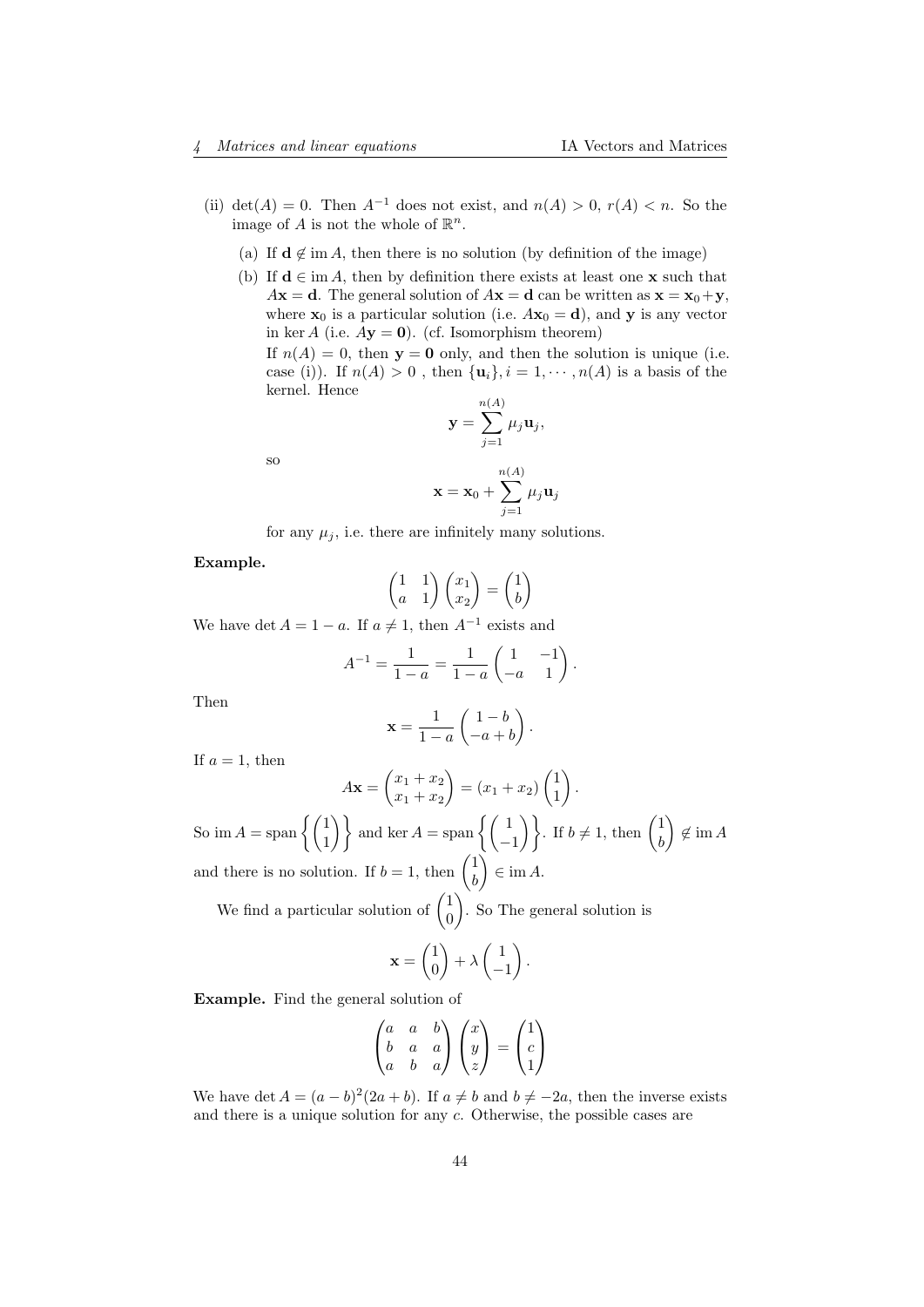- (ii) det(A) = 0. Then  $A^{-1}$  does not exist, and  $n(A) > 0$ ,  $r(A) < n$ . So the image of A is not the whole of  $\mathbb{R}^n$ .
	- (a) If  $\mathbf{d} \notin \text{im } A$ , then there is no solution (by definition of the image)
	- (b) If  $\mathbf{d} \in \text{im } A$ , then by definition there exists at least one **x** such that  $A\mathbf{x} = \mathbf{d}$ . The general solution of  $A\mathbf{x} = \mathbf{d}$  can be written as  $\mathbf{x} = \mathbf{x}_0 + \mathbf{y}$ , where  $\mathbf{x}_0$  is a particular solution (i.e.  $A\mathbf{x}_0 = \mathbf{d}$ ), and **y** is any vector in ker A (i.e.  $A$ **y** = **0**). (cf. Isomorphism theorem)

If  $n(A) = 0$ , then  $y = 0$  only, and then the solution is unique (i.e. case (i)). If  $n(A) > 0$ , then  $\{u_i\}$ ,  $i = 1, \dots, n(A)$  is a basis of the kernel. Hence

$$
\mathbf{y} = \sum_{j=1}^{n(A)} \mu_j \mathbf{u}_j,
$$

so

$$
\mathbf{x} = \mathbf{x}_0 + \sum_{j=1}^{n(A)} \mu_j \mathbf{u}_j
$$

for any  $\mu_j$ , i.e. there are infinitely many solutions.

Example.

$$
\begin{pmatrix} 1 & 1 \ a & 1 \end{pmatrix} \begin{pmatrix} x_1 \ x_2 \end{pmatrix} = \begin{pmatrix} 1 \ b \end{pmatrix}
$$

We have det  $A = 1 - a$ . If  $a \neq 1$ , then  $A^{-1}$  exists and

$$
A^{-1} = \frac{1}{1-a} = \frac{1}{1-a} \begin{pmatrix} 1 & -1 \ -a & 1 \end{pmatrix}.
$$

Then

$$
\mathbf{x} = \frac{1}{1-a} \begin{pmatrix} 1-b \\ -a+b \end{pmatrix}.
$$

If  $a = 1$ , then

$$
A\mathbf{x} = \begin{pmatrix} x_1 + x_2 \\ x_1 + x_2 \end{pmatrix} = (x_1 + x_2) \begin{pmatrix} 1 \\ 1 \end{pmatrix}.
$$

So im  $A = \text{span}\left\{ \begin{pmatrix} 1 \\ 1 \end{pmatrix} \right\}$  and ker  $A = \text{span}\left\{ \begin{pmatrix} 1 \\ -1 \end{pmatrix} \right\}$ . If  $b \neq 1$ , then  $\begin{pmatrix} 1 \\ b \end{pmatrix}$ b  $\Big)$   $\notin$  im A and there is no solution. If  $b = 1$ , then  $\begin{pmatrix} 1 \\ b \end{pmatrix}$ b  $\Big) \in \text{im } A.$ 

We find a particular solution of  $\begin{pmatrix} 1 \\ 0 \end{pmatrix}$ 0 . So The general solution is

$$
\mathbf{x} = \begin{pmatrix} 1 \\ 0 \end{pmatrix} + \lambda \begin{pmatrix} 1 \\ -1 \end{pmatrix}.
$$

Example. Find the general solution of

$$
\begin{pmatrix} a & a & b \\ b & a & a \\ a & b & a \end{pmatrix} \begin{pmatrix} x \\ y \\ z \end{pmatrix} = \begin{pmatrix} 1 \\ c \\ 1 \end{pmatrix}
$$

We have det  $A = (a - b)^2 (2a + b)$ . If  $a \neq b$  and  $b \neq -2a$ , then the inverse exists and there is a unique solution for any  $c$ . Otherwise, the possible cases are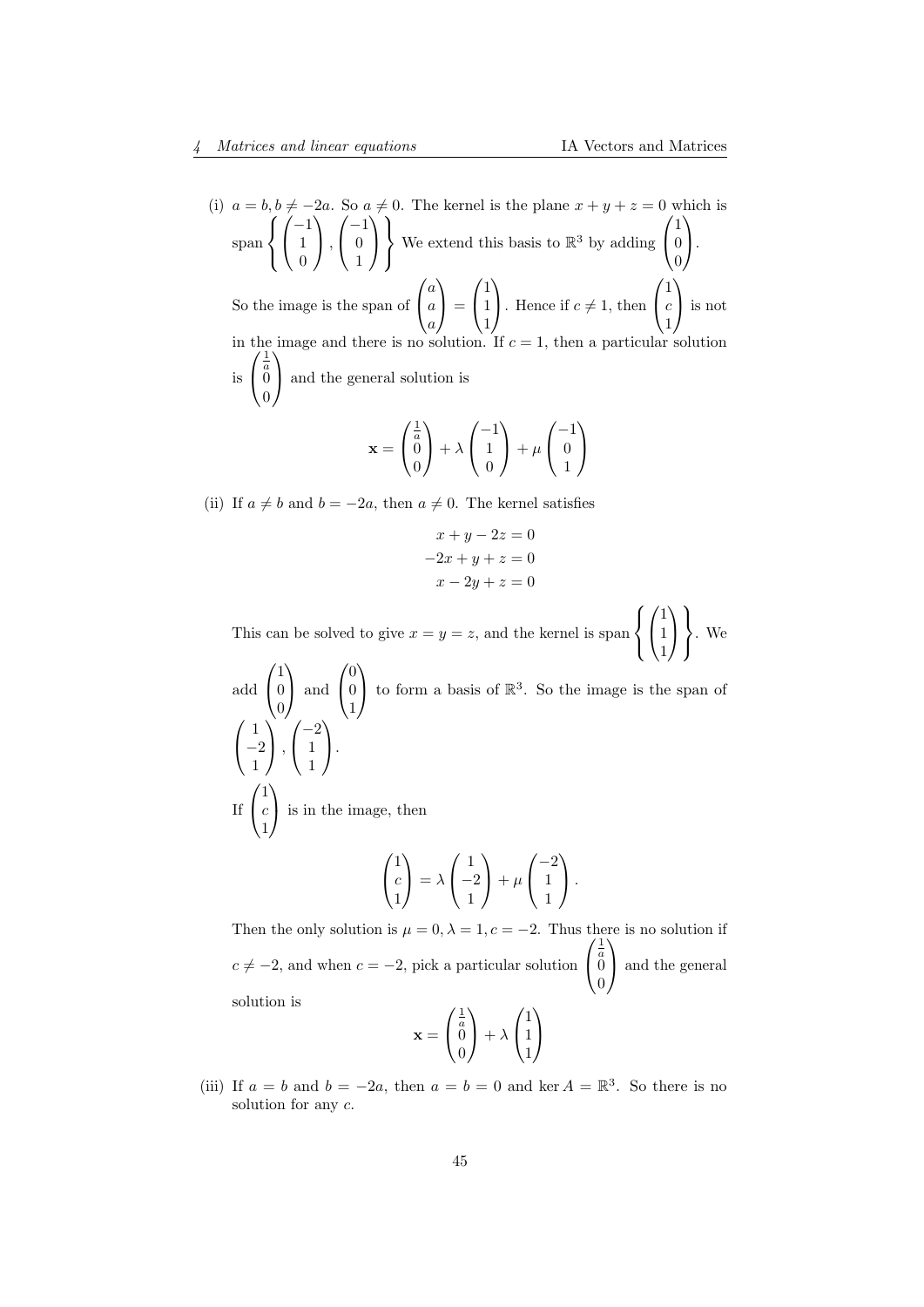(i)  $a = b, b \neq -2a$ . So  $a \neq 0$ . The kernel is the plane  $x + y + z = 0$  which is span  $\sqrt{ }$ J  $\mathcal{L}$  $\sqrt{ }$  $\mathcal{L}$ −1 1 0  $\setminus$  $\vert$ ,  $\sqrt{ }$  $\mathcal{L}$  $-1$ 0 1  $\setminus$  $\overline{1}$  $\mathcal{L}$  $\mathcal{L}$  $\int$ We extend this basis to  $\mathbb{R}^3$  by adding  $\sqrt{ }$  $\mathcal{L}$ 1 0 0  $\setminus$  $\cdot$ So the image is the span of  $\sqrt{ }$  $\mathcal{L}$ a a a  $\setminus$  $\cdot \vert =$  $\sqrt{ }$  $\overline{1}$ 1 1 1  $\setminus$ . Hence if  $c \neq 1$ , then  $\sqrt{ }$  $\overline{1}$ 1 c 1  $\setminus$  is not in the image and there is no solution. If  $c = 1$ , then a particular solution  $(1)$ is  $\sqrt{ }$  $\overline{1}$  $\stackrel{a}{0}$ 0  $\setminus$  and the general solution is  $\frac{1}{2}$  $\left(-1\right)$   $\left(-1\right)$ 

$$
\mathbf{x} = \begin{pmatrix} \frac{1}{a} \\ 0 \\ 0 \end{pmatrix} + \lambda \begin{pmatrix} -1 \\ 1 \\ 0 \end{pmatrix} + \mu \begin{pmatrix} -1 \\ 0 \\ 1 \end{pmatrix}
$$

(ii) If  $a \neq b$  and  $b = -2a$ , then  $a \neq 0$ . The kernel satisfies

$$
x + y - 2z = 0
$$

$$
-2x + y + z = 0
$$

$$
x - 2y + z = 0
$$

This can be solved to give  $x = y = z$ , and the kernel is span  $\sqrt{ }$  $\left| \right|$  $\mathcal{L}$  $\sqrt{ }$  $\overline{1}$ 1 1 1  $\setminus$  $\overline{1}$  $\lambda$  $\mathcal{L}$  $\left| \right|$ . We

add 
$$
\begin{pmatrix} 1 \\ 0 \\ 0 \end{pmatrix}
$$
 and  $\begin{pmatrix} 0 \\ 0 \\ 1 \end{pmatrix}$  to form a basis of  $\mathbb{R}^3$ . So the image is the span of  $\begin{pmatrix} 1 \\ -2 \\ 1 \end{pmatrix}$ ,  $\begin{pmatrix} -2 \\ 1 \\ 1 \end{pmatrix}$ .  
If  $\begin{pmatrix} 1 \\ c \\ 1 \end{pmatrix}$  is in the image, then  $\begin{pmatrix} 1 \\ c \\ 1 \end{pmatrix} = \lambda \begin{pmatrix} 1 \\ -2 \\ 1 \end{pmatrix} + \mu \begin{pmatrix} -2 \\ 1 \\ 1 \end{pmatrix}$ .

Then the only solution is  $\mu = 0, \lambda = 1, c = -2$ . Thus there is no solution if  $c \neq -2$ , and when  $c = -2$ , pick a particular solution  $\sqrt{ }$  $\overline{1}$  $\frac{1}{a}$ <sup>0</sup>  $\boldsymbol{0}$  $\setminus$  and the general solution is  $\frac{1}{2}$ a  $\sqrt{1}$ 

$$
\mathbf{x} = \begin{pmatrix} \frac{1}{a} \\ 0 \\ 0 \end{pmatrix} + \lambda \begin{pmatrix} 1 \\ 1 \\ 1 \end{pmatrix}
$$

(iii) If  $a = b$  and  $b = -2a$ , then  $a = b = 0$  and ker  $A = \mathbb{R}^3$ . So there is no solution for any c.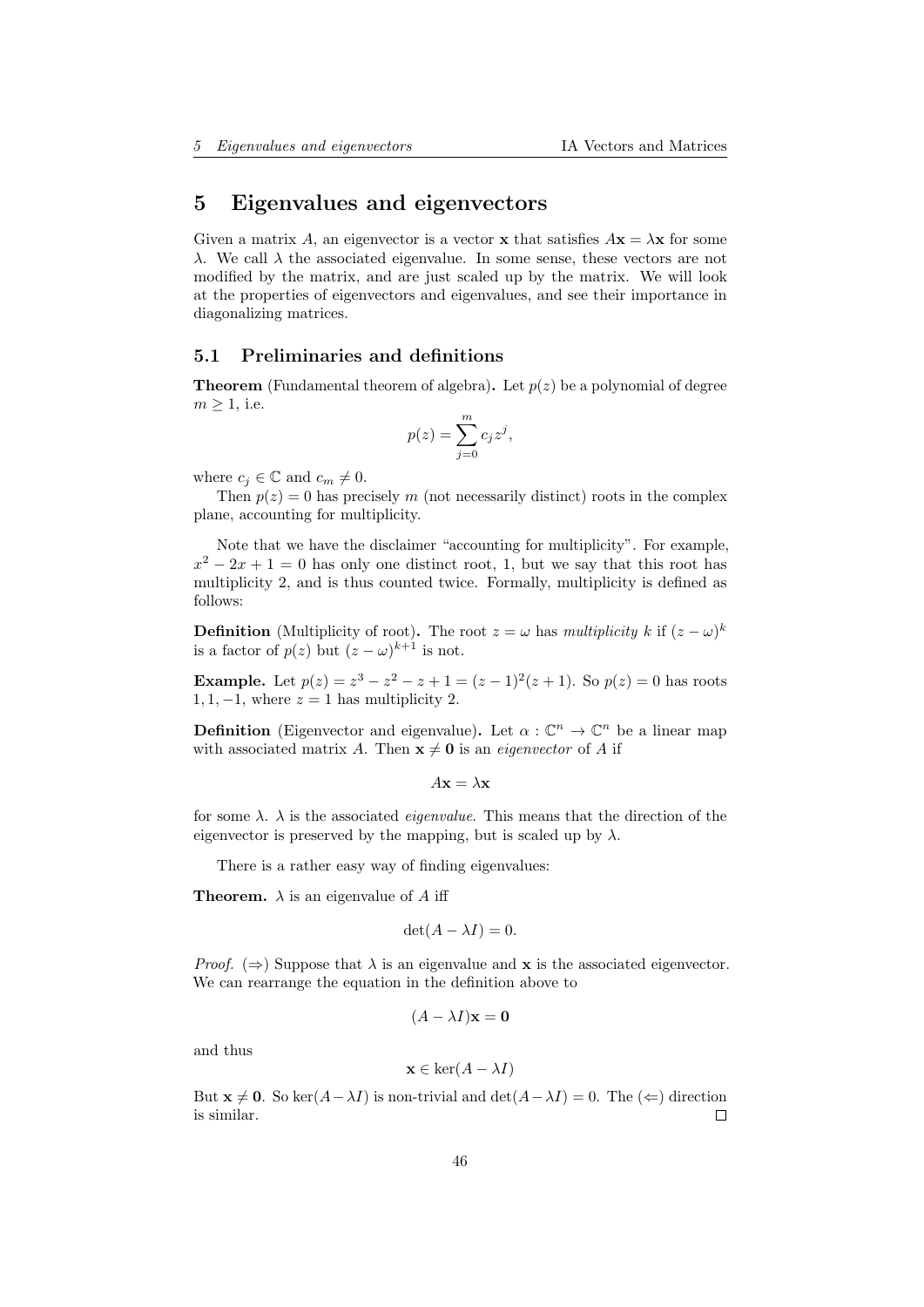# <span id="page-45-0"></span>5 Eigenvalues and eigenvectors

Given a matrix A, an eigenvector is a vector **x** that satisfies  $A\mathbf{x} = \lambda \mathbf{x}$  for some λ. We call λ the associated eigenvalue. In some sense, these vectors are not modified by the matrix, and are just scaled up by the matrix. We will look at the properties of eigenvectors and eigenvalues, and see their importance in diagonalizing matrices.

### <span id="page-45-1"></span>5.1 Preliminaries and definitions

**Theorem** (Fundamental theorem of algebra). Let  $p(z)$  be a polynomial of degree  $m > 1$ , i.e.

$$
p(z) = \sum_{j=0}^{m} c_j z^j,
$$

where  $c_i \in \mathbb{C}$  and  $c_m \neq 0$ .

Then  $p(z) = 0$  has precisely m (not necessarily distinct) roots in the complex plane, accounting for multiplicity.

Note that we have the disclaimer "accounting for multiplicity". For example,  $x^2 - 2x + 1 = 0$  has only one distinct root, 1, but we say that this root has multiplicity 2, and is thus counted twice. Formally, multiplicity is defined as follows:

**Definition** (Multiplicity of root). The root  $z = \omega$  has multiplicity k if  $(z - \omega)^k$ is a factor of  $p(z)$  but  $(z - \omega)^{k+1}$  is not.

**Example.** Let  $p(z) = z^3 - z^2 - z + 1 = (z - 1)^2(z + 1)$ . So  $p(z) = 0$  has roots 1, 1, -1, where  $z = 1$  has multiplicity 2.

**Definition** (Eigenvector and eigenvalue). Let  $\alpha : \mathbb{C}^n \to \mathbb{C}^n$  be a linear map with associated matrix A. Then  $\mathbf{x} \neq \mathbf{0}$  is an *eigenvector* of A if

$$
A\mathbf{x} = \lambda \mathbf{x}
$$

for some  $\lambda$ .  $\lambda$  is the associated *eigenvalue*. This means that the direction of the eigenvector is preserved by the mapping, but is scaled up by  $\lambda$ .

There is a rather easy way of finding eigenvalues:

**Theorem.**  $\lambda$  is an eigenvalue of A iff

$$
\det(A - \lambda I) = 0.
$$

*Proof.* ( $\Rightarrow$ ) Suppose that  $\lambda$  is an eigenvalue and **x** is the associated eigenvector. We can rearrange the equation in the definition above to

$$
(A - \lambda I)\mathbf{x} = \mathbf{0}
$$

and thus

$$
\mathbf{x} \in \ker(A - \lambda I)
$$

But  $\mathbf{x} \neq \mathbf{0}$ . So ker(A- $\lambda I$ ) is non-trivial and det(A- $\lambda I$ ) = 0. The ( $\Leftarrow$ ) direction is similar.  $\Box$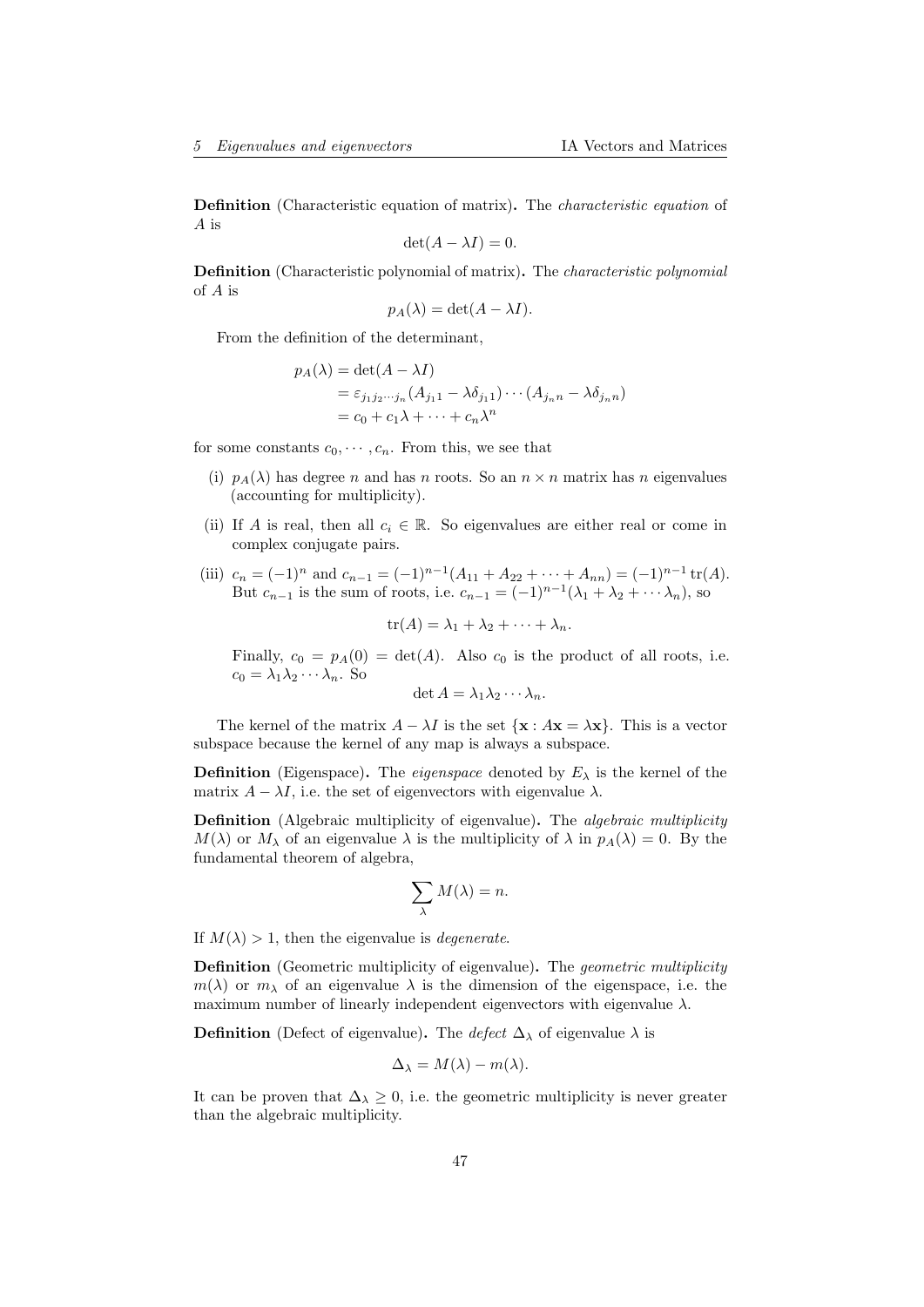Definition (Characteristic equation of matrix). The characteristic equation of A is

$$
\det(A - \lambda I) = 0.
$$

Definition (Characteristic polynomial of matrix). The characteristic polynomial of A is

$$
p_A(\lambda) = \det(A - \lambda I).
$$

From the definition of the determinant,

$$
p_A(\lambda) = \det(A - \lambda I)
$$
  
=  $\varepsilon_{j_1 j_2 \cdots j_n} (A_{j_1 1} - \lambda \delta_{j_1 1}) \cdots (A_{j_n n} - \lambda \delta_{j_n n})$   
=  $c_0 + c_1 \lambda + \cdots + c_n \lambda^n$ 

for some constants  $c_0, \dots, c_n$ . From this, we see that

- (i)  $p_A(\lambda)$  has degree n and has n roots. So an  $n \times n$  matrix has n eigenvalues (accounting for multiplicity).
- (ii) If A is real, then all  $c_i \in \mathbb{R}$ . So eigenvalues are either real or come in complex conjugate pairs.
- (iii)  $c_n = (-1)^n$  and  $c_{n-1} = (-1)^{n-1}(A_{11} + A_{22} + \cdots + A_{nn}) = (-1)^{n-1} \text{tr}(A)$ . But  $c_{n-1}$  is the sum of roots, i.e.  $c_{n-1} = (-1)^{n-1}(\lambda_1 + \lambda_2 + \cdots + \lambda_n)$ , so

 $tr(A) = \lambda_1 + \lambda_2 + \cdots + \lambda_n.$ 

Finally,  $c_0 = p_A(0) = \det(A)$ . Also  $c_0$  is the product of all roots, i.e.  $c_0 = \lambda_1 \lambda_2 \cdots \lambda_n$ . So

$$
\det A = \lambda_1 \lambda_2 \cdots \lambda_n.
$$

The kernel of the matrix  $A - \lambda I$  is the set  $\{x : Ax = \lambda x\}$ . This is a vector subspace because the kernel of any map is always a subspace.

**Definition** (Eigenspace). The *eigenspace* denoted by  $E_{\lambda}$  is the kernel of the matrix  $A - \lambda I$ , i.e. the set of eigenvectors with eigenvalue  $\lambda$ .

Definition (Algebraic multiplicity of eigenvalue). The *algebraic multiplicity*  $M(\lambda)$  or  $M_\lambda$  of an eigenvalue  $\lambda$  is the multiplicity of  $\lambda$  in  $p_A(\lambda) = 0$ . By the fundamental theorem of algebra,

$$
\sum_{\lambda}M(\lambda)=n.
$$

If  $M(\lambda) > 1$ , then the eigenvalue is *degenerate*.

**Definition** (Geometric multiplicity of eigenvalue). The *geometric multiplicity*  $m(\lambda)$  or  $m_{\lambda}$  of an eigenvalue  $\lambda$  is the dimension of the eigenspace, i.e. the maximum number of linearly independent eigenvectors with eigenvalue  $\lambda$ .

**Definition** (Defect of eigenvalue). The *defect*  $\Delta_{\lambda}$  of eigenvalue  $\lambda$  is

$$
\Delta_{\lambda} = M(\lambda) - m(\lambda).
$$

It can be proven that  $\Delta_{\lambda} \geq 0$ , i.e. the geometric multiplicity is never greater than the algebraic multiplicity.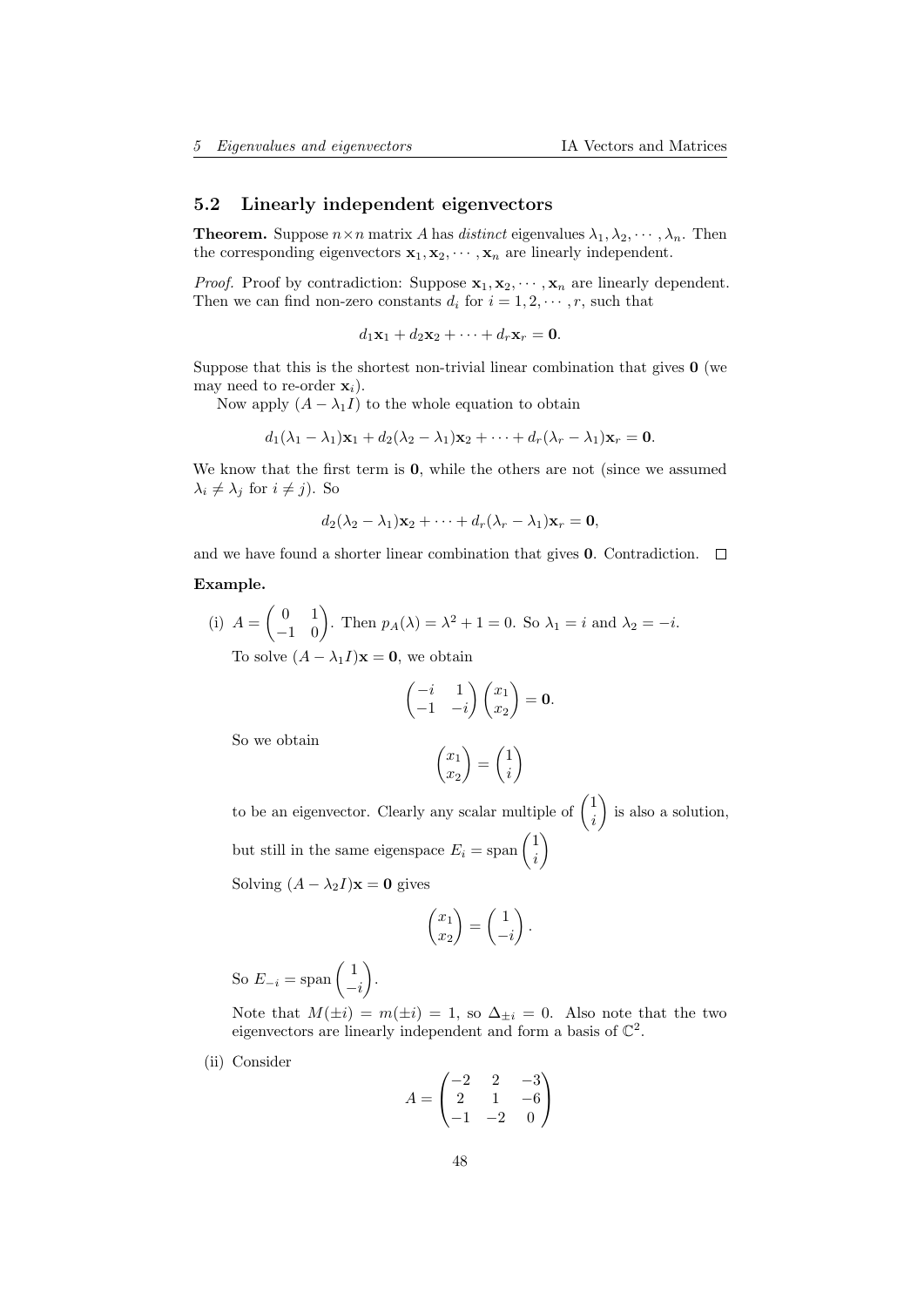## <span id="page-47-0"></span>5.2 Linearly independent eigenvectors

**Theorem.** Suppose  $n \times n$  matrix A has distinct eigenvalues  $\lambda_1, \lambda_2, \dots, \lambda_n$ . Then the corresponding eigenvectors  $x_1, x_2, \dots, x_n$  are linearly independent.

*Proof.* Proof by contradiction: Suppose  $x_1, x_2, \dots, x_n$  are linearly dependent. Then we can find non-zero constants  $d_i$  for  $i = 1, 2, \dots, r$ , such that

$$
d_1\mathbf{x}_1 + d_2\mathbf{x}_2 + \cdots + d_r\mathbf{x}_r = \mathbf{0}.
$$

Suppose that this is the shortest non-trivial linear combination that gives  $\bf{0}$  (we may need to re-order  $\mathbf{x}_i$ ).

Now apply  $(A - \lambda_1 I)$  to the whole equation to obtain

$$
d_1(\lambda_1-\lambda_1)\mathbf{x}_1+d_2(\lambda_2-\lambda_1)\mathbf{x}_2+\cdots+d_r(\lambda_r-\lambda_1)\mathbf{x}_r=\mathbf{0}.
$$

We know that the first term is  $\mathbf{0}$ , while the others are not (since we assumed  $\lambda_i \neq \lambda_j$  for  $i \neq j$ ). So

$$
d_2(\lambda_2-\lambda_1)\mathbf{x}_2+\cdots+d_r(\lambda_r-\lambda_1)\mathbf{x}_r=\mathbf{0},
$$

and we have found a shorter linear combination that gives **0**. Contradiction.  $\Box$ 

#### Example.

(i) 
$$
A = \begin{pmatrix} 0 & 1 \\ -1 & 0 \end{pmatrix}
$$
. Then  $p_A(\lambda) = \lambda^2 + 1 = 0$ . So  $\lambda_1 = i$  and  $\lambda_2 = -i$ .  
To solve  $(A - \lambda_1 I)\mathbf{x} = \mathbf{0}$ , we obtain

$$
\begin{pmatrix} -i & 1 \ -1 & -i \end{pmatrix} \begin{pmatrix} x_1 \ x_2 \end{pmatrix} = \mathbf{0}.
$$

So we obtain

$$
\begin{pmatrix} x_1 \\ x_2 \end{pmatrix} = \begin{pmatrix} 1 \\ i \end{pmatrix}
$$

to be an eigenvector. Clearly any scalar multiple of  $\begin{pmatrix} 1 \\ i \end{pmatrix}$ i is also a solution, but still in the same eigenspace  $E_i = \text{span} \begin{pmatrix} 1 \\ i \end{pmatrix}$ i  $\setminus$ 

Solving  $(A - \lambda_2 I)\mathbf{x} = \mathbf{0}$  gives

$$
\begin{pmatrix} x_1 \\ x_2 \end{pmatrix} = \begin{pmatrix} 1 \\ -i \end{pmatrix}.
$$

So  $E_{-i} = \text{span} \left( \begin{array}{c} 1 \end{array} \right)$  $-i$ .

Note that  $M(\pm i) = m(\pm i) = 1$ , so  $\Delta_{\pm i} = 0$ . Also note that the two eigenvectors are linearly independent and form a basis of  $\mathbb{C}^2$ .

(ii) Consider

$$
A = \begin{pmatrix} -2 & 2 & -3 \\ 2 & 1 & -6 \\ -1 & -2 & 0 \end{pmatrix}
$$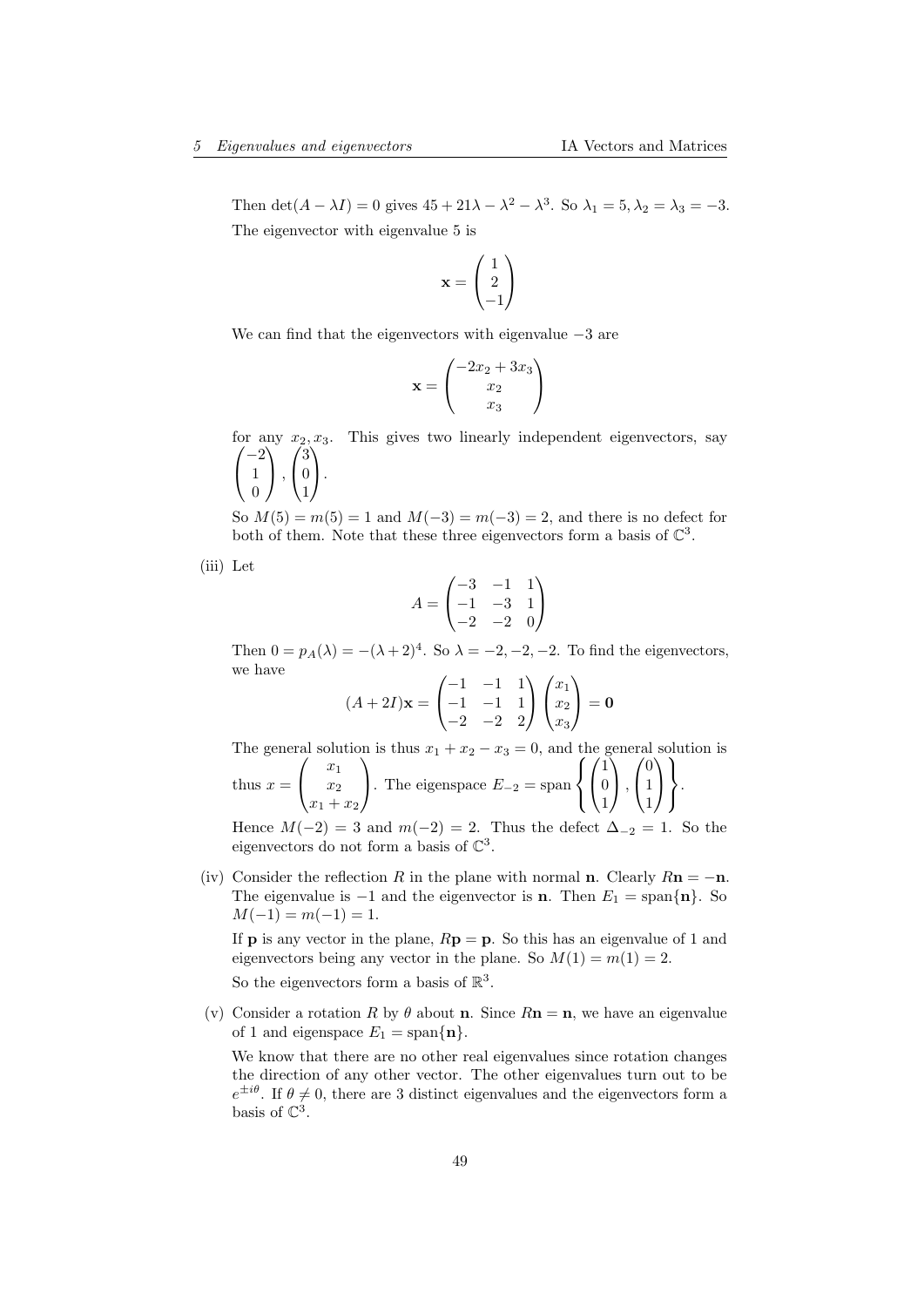Then  $\det(A - \lambda I) = 0$  gives  $45 + 21\lambda - \lambda^2 - \lambda^3$ . So  $\lambda_1 = 5, \lambda_2 = \lambda_3 = -3$ . The eigenvector with eigenvalue 5 is

$$
\mathbf{x} = \begin{pmatrix} 1 \\ 2 \\ -1 \end{pmatrix}
$$

We can find that the eigenvectors with eigenvalue  $-3$  are

$$
\mathbf{x} = \begin{pmatrix} -2x_2 + 3x_3 \\ x_2 \\ x_3 \end{pmatrix}
$$

for any  $x_2, x_3$ . This gives two linearly independent eigenvectors, say  $\sqrt{ }$  $\overline{1}$  $-2$ 1  $\boldsymbol{0}$  $\setminus$  $\vert$ ,  $\sqrt{ }$  $\overline{1}$ 3 0 1  $\setminus$  $\cdot$ 

So  $M(5) = m(5) = 1$  and  $M(-3) = m(-3) = 2$ , and there is no defect for both of them. Note that these three eigenvectors form a basis of  $\mathbb{C}^3$ .

(iii) Let

$$
A = \begin{pmatrix} -3 & -1 & 1 \\ -1 & -3 & 1 \\ -2 & -2 & 0 \end{pmatrix}
$$

Then  $0 = p_A(\lambda) = -(\lambda + 2)^4$ . So  $\lambda = -2, -2, -2$ . To find the eigenvectors, we have

$$
(A+2I)\mathbf{x} = \begin{pmatrix} -1 & -1 & 1 \\ -1 & -1 & 1 \\ -2 & -2 & 2 \end{pmatrix} \begin{pmatrix} x_1 \\ x_2 \\ x_3 \end{pmatrix} = \mathbf{0}
$$

The general solution is thus  $x_1 + x_2 - x_3 = 0$ , and the general solution is thus  $x =$  $\sqrt{ }$  $\overline{1}$  $\overline{x}_1$  $\overline{x_2}$  $x_1 + x_2$  $\setminus$ . The eigenspace  $E_{-2}$  = span  $\sqrt{ }$  $\left\vert \right\vert$  $\mathcal{L}$  $\sqrt{ }$  $\overline{1}$ 1 0 1  $\setminus$  $\cdot$  ,  $\sqrt{ }$  $\overline{1}$ 0 1 1  $\setminus$  $\overline{1}$  $\mathcal{L}$  $\mathcal{L}$  $\left| \right|$ .

Hence  $M(-2) = 3$  and  $m(-2) = 2$ . Thus the defect  $\Delta_{-2} = 1$ . So the eigenvectors do not form a basis of  $\mathbb{C}^3$ .

(iv) Consider the reflection R in the plane with normal **n**. Clearly  $Rn = -n$ . The eigenvalue is  $-1$  and the eigenvector is **n**. Then  $E_1 = \text{span}\{\mathbf{n}\}\.$  So  $M(-1) = m(-1) = 1.$ 

If **p** is any vector in the plane,  $R\mathbf{p} = \mathbf{p}$ . So this has an eigenvalue of 1 and eigenvectors being any vector in the plane. So  $M(1) = m(1) = 2$ .

So the eigenvectors form a basis of  $\mathbb{R}^3$ .

(v) Consider a rotation R by  $\theta$  about **n**. Since  $Rn = n$ , we have an eigenvalue of 1 and eigenspace  $E_1 = \text{span}\{\mathbf{n}\}.$ 

We know that there are no other real eigenvalues since rotation changes the direction of any other vector. The other eigenvalues turn out to be  $e^{\pm i\theta}$ . If  $\theta \neq 0$ , there are 3 distinct eigenvalues and the eigenvectors form a basis of  $\mathbb{C}^3$ .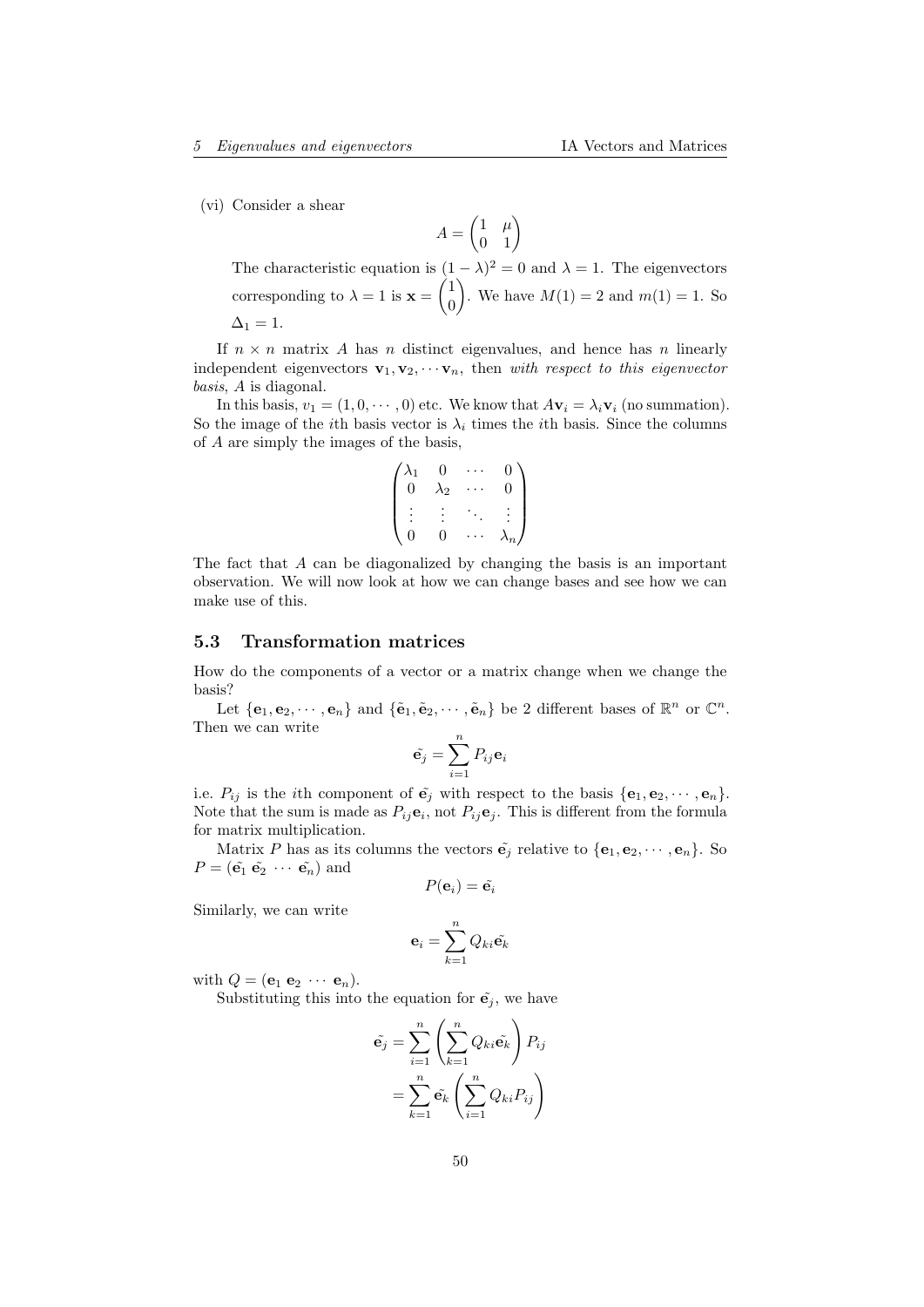(vi) Consider a shear

 $A = \begin{pmatrix} 1 & \mu \\ 0 & 1 \end{pmatrix}$ 

The characteristic equation is  $(1 - \lambda)^2 = 0$  and  $\lambda = 1$ . The eigenvectors corresponding to  $\lambda = 1$  is  $\mathbf{x} = \begin{pmatrix} 1 \\ 0 \end{pmatrix}$  $\boldsymbol{0}$ ). We have  $M(1) = 2$  and  $m(1) = 1$ . So  $\Delta_1 = 1.$ 

If  $n \times n$  matrix A has n distinct eigenvalues, and hence has n linearly independent eigenvectors  $\mathbf{v}_1, \mathbf{v}_2, \cdots, \mathbf{v}_n$ , then with respect to this eigenvector basis, A is diagonal.

In this basis,  $v_1 = (1, 0, \dots, 0)$  etc. We know that  $A\mathbf{v}_i = \lambda_i \mathbf{v}_i$  (no summation). So the image of the *i*th basis vector is  $\lambda_i$  times the *i*th basis. Since the columns of A are simply the images of the basis,

$$
\begin{pmatrix}\n\lambda_1 & 0 & \cdots & 0 \\
0 & \lambda_2 & \cdots & 0 \\
\vdots & \vdots & \ddots & \vdots \\
0 & 0 & \cdots & \lambda_n\n\end{pmatrix}
$$

The fact that A can be diagonalized by changing the basis is an important observation. We will now look at how we can change bases and see how we can make use of this.

## <span id="page-49-0"></span>5.3 Transformation matrices

How do the components of a vector or a matrix change when we change the basis?

Let  $\{\mathbf{e}_1, \mathbf{e}_2, \cdots, \mathbf{e}_n\}$  and  $\{\tilde{\mathbf{e}}_1, \tilde{\mathbf{e}}_2, \cdots, \tilde{\mathbf{e}}_n\}$  be 2 different bases of  $\mathbb{R}^n$  or  $\mathbb{C}^n$ . Then we can write

$$
\tilde{\mathbf{e}_j} = \sum_{i=1}^n P_{ij} \mathbf{e}_i
$$

i.e.  $P_{ij}$  is the *i*th component of  $\tilde{\mathbf{e}}_j$  with respect to the basis  $\{\mathbf{e}_1, \mathbf{e}_2, \cdots, \mathbf{e}_n\}$ . Note that the sum is made as  $P_{ij}$ **e**<sub>i</sub>, not  $P_{ij}$ **e**<sub>j</sub>. This is different from the formula for matrix multiplication.

Matrix P has as its columns the vectors  $\tilde{\mathbf{e}}_i$  relative to  $\{\mathbf{e}_1, \mathbf{e}_2, \cdots, \mathbf{e}_n\}$ . So  $P = (\tilde{\mathbf{e}_1} \tilde{\mathbf{e}_2} \cdots \tilde{\mathbf{e}_n})$  and

$$
P(\mathbf{e}_i) = \tilde{\mathbf{e}_i}
$$

Similarly, we can write

$$
\mathbf{e}_i = \sum_{k=1}^n Q_{ki} \tilde{\mathbf{e}_k}
$$

with  $Q = (\mathbf{e}_1 \mathbf{e}_2 \cdots \mathbf{e}_n)$ .

Substituting this into the equation for  $\tilde{\mathbf{e}}_i$ , we have

$$
\tilde{\mathbf{e}}_j = \sum_{i=1}^n \left( \sum_{k=1}^n Q_{ki} \tilde{\mathbf{e}}_k \right) P_{ij}
$$

$$
= \sum_{k=1}^n \tilde{\mathbf{e}}_k \left( \sum_{i=1}^n Q_{ki} P_{ij} \right)
$$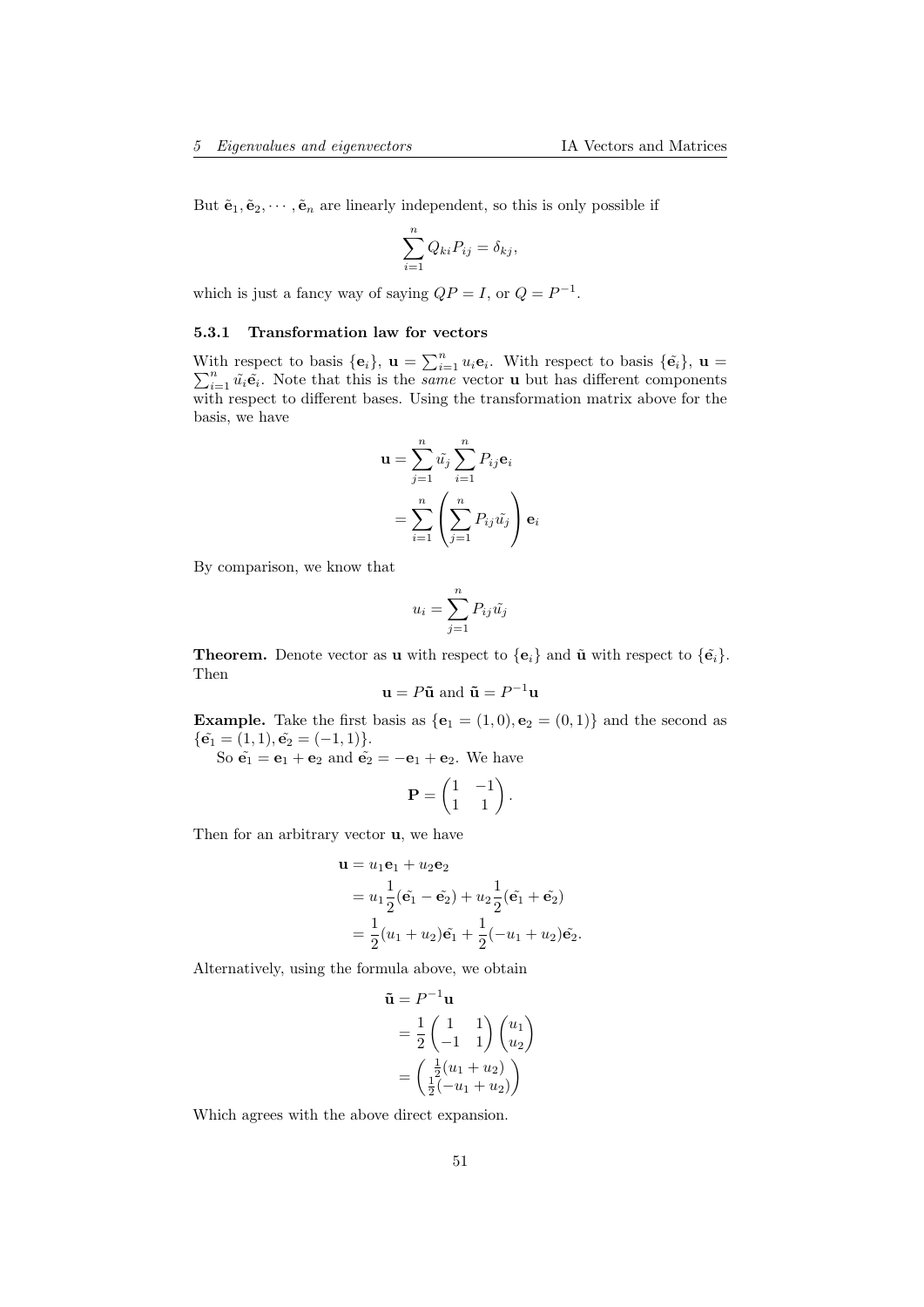But  $\tilde{\mathbf{e}}_1, \tilde{\mathbf{e}}_2, \cdots, \tilde{\mathbf{e}}_n$  are linearly independent, so this is only possible if

$$
\sum_{i=1}^{n} Q_{ki} P_{ij} = \delta_{kj},
$$

which is just a fancy way of saying  $QP = I$ , or  $Q = P^{-1}$ .

## <span id="page-50-0"></span>5.3.1 Transformation law for vectors

With respect to basis  $\{\mathbf{e}_i\}$ ,  $\mathbf{u} = \sum_{i=1}^n u_i \mathbf{e}_i$ P ith respect to basis  $\{\mathbf{e}_i\}$ ,  $\mathbf{u} = \sum_{i=1}^n u_i \mathbf{e}_i$ . With respect to basis  $\{\tilde{\mathbf{e}}_i\}$ ,  $\mathbf{u} =$  $\sum_{i=1}^n \tilde{u}_i \tilde{\mathbf{e}}_i$ . Note that this is the *same* vector **u** but has different components with respect to different bases. Using the transformation matrix above for the basis, we have

$$
\mathbf{u} = \sum_{j=1}^{n} \tilde{u}_j \sum_{i=1}^{n} P_{ij} \mathbf{e}_i
$$

$$
= \sum_{i=1}^{n} \left( \sum_{j=1}^{n} P_{ij} \tilde{u}_j \right) \mathbf{e}_i
$$

By comparison, we know that

$$
u_i = \sum_{j=1}^n P_{ij} \tilde{u_j}
$$

**Theorem.** Denote vector as **u** with respect to  $\{\mathbf{e}_i\}$  and  $\tilde{\mathbf{u}}$  with respect to  $\{\tilde{\mathbf{e}}_i\}$ . Then

$$
\mathbf{u} = P\tilde{\mathbf{u}} \text{ and } \tilde{\mathbf{u}} = P^{-1}\mathbf{u}
$$

**Example.** Take the first basis as  $\{e_1 = (1,0), e_2 = (0,1)\}$  and the second as  $\{\tilde{\mathbf{e}_1} = (1, 1), \tilde{\mathbf{e}_2} = (-1, 1)\}.$ 

So  $\tilde{\mathbf{e}}_1 = \mathbf{e}_1 + \mathbf{e}_2$  and  $\tilde{\mathbf{e}}_2 = -\mathbf{e}_1 + \mathbf{e}_2$ . We have

$$
\mathbf{P} = \begin{pmatrix} 1 & -1 \\ 1 & 1 \end{pmatrix}.
$$

Then for an arbitrary vector u, we have

$$
\mathbf{u} = u_1 \mathbf{e}_1 + u_2 \mathbf{e}_2
$$
  
=  $u_1 \frac{1}{2} (\tilde{\mathbf{e}}_1 - \tilde{\mathbf{e}}_2) + u_2 \frac{1}{2} (\tilde{\mathbf{e}}_1 + \tilde{\mathbf{e}}_2)$   
=  $\frac{1}{2} (u_1 + u_2) \tilde{\mathbf{e}}_1 + \frac{1}{2} (-u_1 + u_2) \tilde{\mathbf{e}}_2.$ 

Alternatively, using the formula above, we obtain

$$
\tilde{\mathbf{u}} = P^{-1}\mathbf{u}
$$
  
=  $\frac{1}{2}\begin{pmatrix} 1 & 1 \\ -1 & 1 \end{pmatrix}\begin{pmatrix} u_1 \\ u_2 \end{pmatrix}$   
=  $\begin{pmatrix} \frac{1}{2}(u_1 + u_2) \\ \frac{1}{2}(-u_1 + u_2) \end{pmatrix}$ 

Which agrees with the above direct expansion.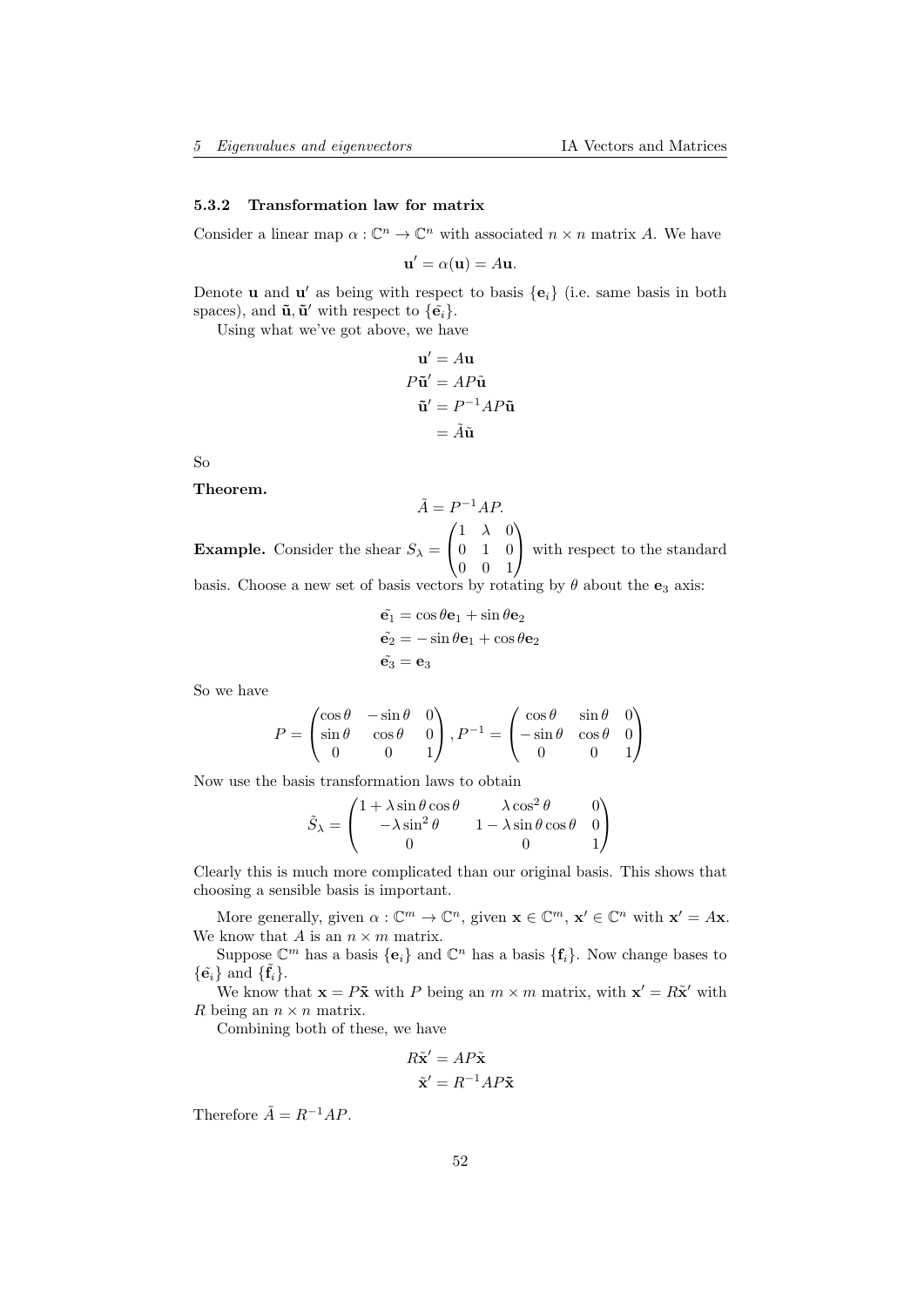#### <span id="page-51-0"></span>5.3.2 Transformation law for matrix

Consider a linear map  $\alpha: \mathbb{C}^n \to \mathbb{C}^n$  with associated  $n \times n$  matrix A. We have

$$
\mathbf{u}' = \alpha(\mathbf{u}) = A\mathbf{u}.
$$

Denote **u** and **u**' as being with respect to basis  ${e_i}$  (i.e. same basis in both spaces), and  $\tilde{\mathbf{u}}, \tilde{\mathbf{u}}'$  with respect to  $\{\tilde{\mathbf{e}}_i\}$ .

Using what we've got above, we have

$$
\mathbf{u}' = A\mathbf{u}
$$
  
\n
$$
P\tilde{\mathbf{u}}' = AP\tilde{\mathbf{u}}
$$
  
\n
$$
\tilde{\mathbf{u}}' = P^{-1}AP\tilde{\mathbf{u}}
$$
  
\n
$$
= \tilde{A}\tilde{\mathbf{u}}
$$

So

Theorem.

 $\tilde{A} = P^{-1}AP$ . **Example.** Consider the shear  $S_{\lambda}$  =  $\sqrt{ }$  $\overline{1}$  $1 \lambda 0$ 0 1 0 0 0 1  $\setminus$ with respect to the standard

basis. Choose a new set of basis vectors by rotating by  $\theta$  about the  $\mathbf{e}_3$  axis:

$$
\tilde{\mathbf{e}}_1 = \cos \theta \mathbf{e}_1 + \sin \theta \mathbf{e}_2 \n\tilde{\mathbf{e}}_2 = -\sin \theta \mathbf{e}_1 + \cos \theta \mathbf{e}_2 \n\tilde{\mathbf{e}}_3 = \mathbf{e}_3
$$

So we have

$$
P = \begin{pmatrix} \cos \theta & -\sin \theta & 0 \\ \sin \theta & \cos \theta & 0 \\ 0 & 0 & 1 \end{pmatrix}, P^{-1} = \begin{pmatrix} \cos \theta & \sin \theta & 0 \\ -\sin \theta & \cos \theta & 0 \\ 0 & 0 & 1 \end{pmatrix}
$$

Now use the basis transformation laws to obtain

$$
\tilde{S}_{\lambda} = \begin{pmatrix}\n1 + \lambda \sin \theta \cos \theta & \lambda \cos^2 \theta & 0 \\
-\lambda \sin^2 \theta & 1 - \lambda \sin \theta \cos \theta & 0 \\
0 & 0 & 1\n\end{pmatrix}
$$

Clearly this is much more complicated than our original basis. This shows that choosing a sensible basis is important.

More generally, given  $\alpha: \mathbb{C}^m \to \mathbb{C}^n$ , given  $\mathbf{x} \in \mathbb{C}^m$ ,  $\mathbf{x}' \in \mathbb{C}^n$  with  $\mathbf{x}' = A\mathbf{x}$ . We know that A is an  $n \times m$  matrix.

Suppose  $\mathbb{C}^m$  has a basis  $\{\mathbf{e}_i\}$  and  $\mathbb{C}^n$  has a basis  $\{\mathbf{f}_i\}$ . Now change bases to  $\{\tilde{\mathbf{e}_i}\}\$ and  $\{\tilde{\mathbf{f}_i}\}.$ 

We know that  $\mathbf{x} = P\tilde{\mathbf{x}}$  with P being an  $m \times m$  matrix, with  $\mathbf{x}' = R\tilde{\mathbf{x}}'$  with R being an  $n \times n$  matrix.

Combining both of these, we have

$$
R\tilde{\mathbf{x}}' = AP\tilde{\mathbf{x}}
$$

$$
\tilde{\mathbf{x}}' = R^{-1}AP\tilde{\mathbf{x}}
$$

Therefore  $\tilde{A} = R^{-1}AP$ .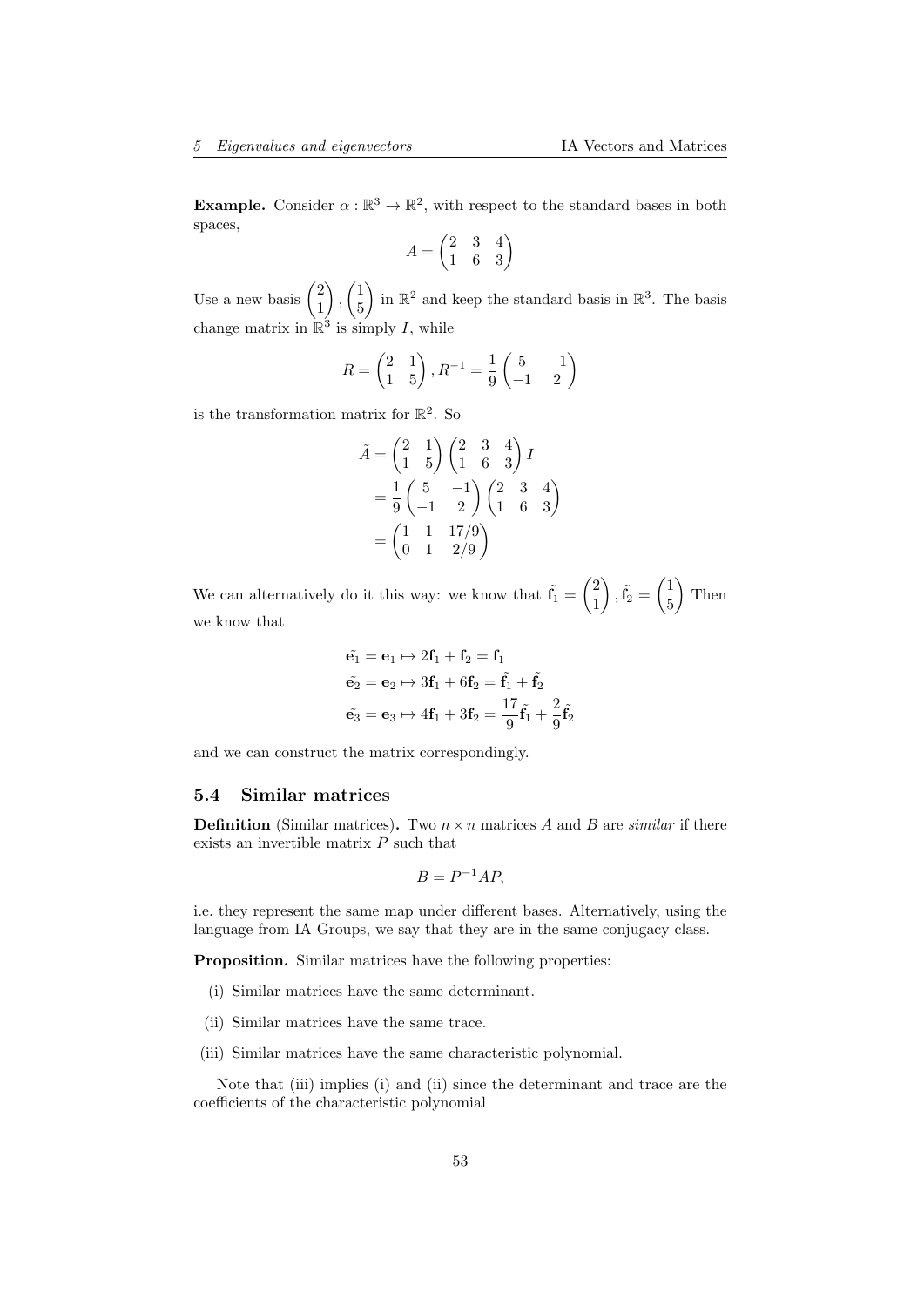**Example.** Consider  $\alpha : \mathbb{R}^3 \to \mathbb{R}^2$ , with respect to the standard bases in both spaces,

$$
A = \begin{pmatrix} 2 & 3 & 4 \\ 1 & 6 & 3 \end{pmatrix}
$$

Use a new basis  $\binom{2}{1}$ 1  $\bigg)$ ,  $\bigg( \frac{1}{r} \bigg)$ 5 in  $\mathbb{R}^2$  and keep the standard basis in  $\mathbb{R}^3$ . The basis change matrix in  $\mathbb{R}^3$  is simply I, while

$$
R = \begin{pmatrix} 2 & 1 \\ 1 & 5 \end{pmatrix}, R^{-1} = \frac{1}{9} \begin{pmatrix} 5 & -1 \\ -1 & 2 \end{pmatrix}
$$

is the transformation matrix for  $\mathbb{R}^2$ . So

$$
\tilde{A} = \begin{pmatrix} 2 & 1 \\ 1 & 5 \end{pmatrix} \begin{pmatrix} 2 & 3 & 4 \\ 1 & 6 & 3 \end{pmatrix} I
$$
  
=  $\frac{1}{9} \begin{pmatrix} 5 & -1 \\ -1 & 2 \end{pmatrix} \begin{pmatrix} 2 & 3 & 4 \\ 1 & 6 & 3 \end{pmatrix}$   
=  $\begin{pmatrix} 1 & 1 & 17/9 \\ 0 & 1 & 2/9 \end{pmatrix}$ 

We can alternatively do it this way: we know that  $\tilde{f}_1 = \begin{pmatrix} 2 \\ 1 \end{pmatrix}$ 1  $\left\langle \right\rangle ,\tilde{\mathbf{f}}_{2}=\begin{pmatrix}1\ 1\ 1\end{pmatrix}$ 5  $\Big)$  Then we know that

$$
\tilde{\mathbf{e}}_1 = \mathbf{e}_1 \mapsto 2\mathbf{f}_1 + \mathbf{f}_2 = \mathbf{f}_1
$$

$$
\tilde{\mathbf{e}}_2 = \mathbf{e}_2 \mapsto 3\mathbf{f}_1 + 6\mathbf{f}_2 = \tilde{\mathbf{f}}_1 + \tilde{\mathbf{f}}_2
$$

$$
\tilde{\mathbf{e}}_3 = \mathbf{e}_3 \mapsto 4\mathbf{f}_1 + 3\mathbf{f}_2 = \frac{17}{9}\tilde{\mathbf{f}}_1 + \frac{2}{9}\tilde{\mathbf{f}}_2
$$

and we can construct the matrix correspondingly.

## <span id="page-52-0"></span>5.4 Similar matrices

**Definition** (Similar matrices). Two  $n \times n$  matrices A and B are *similar* if there exists an invertible matrix P such that

$$
B = P^{-1}AP,
$$

i.e. they represent the same map under different bases. Alternatively, using the language from IA Groups, we say that they are in the same conjugacy class.

Proposition. Similar matrices have the following properties:

- (i) Similar matrices have the same determinant.
- (ii) Similar matrices have the same trace.
- (iii) Similar matrices have the same characteristic polynomial.

Note that (iii) implies (i) and (ii) since the determinant and trace are the coefficients of the characteristic polynomial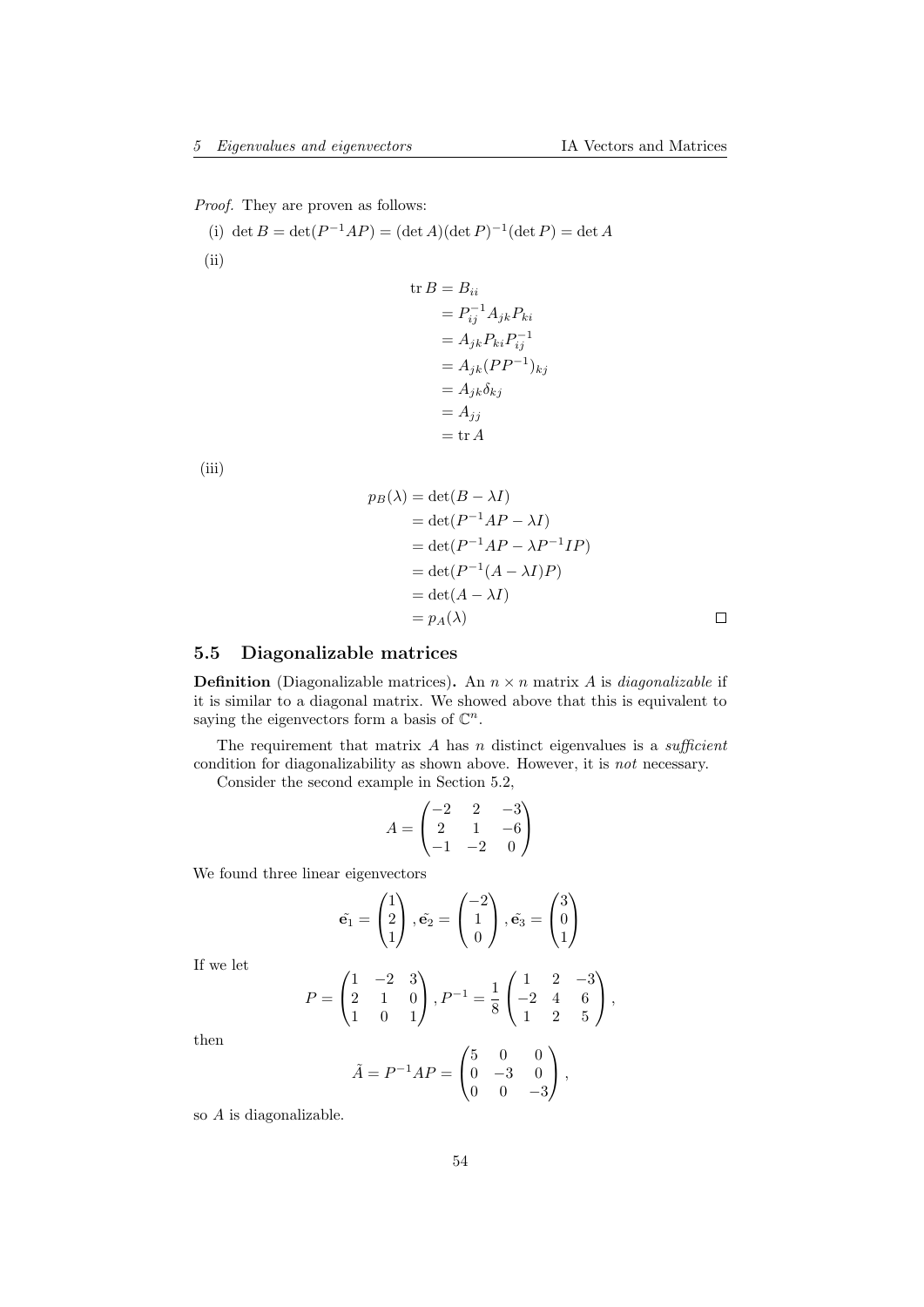Proof. They are proven as follows:

(i)  $\det B = \det(P^{-1}AP) = (\det A)(\det P)^{-1}(\det P) = \det A$ (ii)

$$
\begin{aligned} \text{tr}\,B &= B_{ii} \\ &= P_{ij}^{-1} A_{jk} P_{ki} \\ &= A_{jk} P_{ki} P_{ij}^{-1} \\ &= A_{jk} (P P^{-1})_{kj} \\ &= A_{jk} \delta_{kj} \\ &= A_{jj} \\ &= \text{tr}\,A \end{aligned}
$$

(iii)

$$
p_B(\lambda) = \det(B - \lambda I)
$$
  
= 
$$
\det(P^{-1}AP - \lambda I)
$$
  
= 
$$
\det(P^{-1}AP - \lambda P^{-1}IP)
$$
  
= 
$$
\det(P^{-1}(A - \lambda I)P)
$$
  
= 
$$
\det(A - \lambda I)
$$
  
= 
$$
p_A(\lambda)
$$

## <span id="page-53-0"></span>5.5 Diagonalizable matrices

**Definition** (Diagonalizable matrices). An  $n \times n$  matrix A is *diagonalizable* if it is similar to a diagonal matrix. We showed above that this is equivalent to saying the eigenvectors form a basis of  $\mathbb{C}^n$ .

The requirement that matrix  $A$  has  $n$  distinct eigenvalues is a *sufficient* condition for diagonalizability as shown above. However, it is not necessary.

Consider the second example in Section 5.2,

$$
A = \begin{pmatrix} -2 & 2 & -3 \\ 2 & 1 & -6 \\ -1 & -2 & 0 \end{pmatrix}
$$

We found three linear eigenvectors

$$
\tilde{\mathbf{e}}_1 = \begin{pmatrix} 1 \\ 2 \\ 1 \end{pmatrix}, \tilde{\mathbf{e}}_2 = \begin{pmatrix} -2 \\ 1 \\ 0 \end{pmatrix}, \tilde{\mathbf{e}}_3 = \begin{pmatrix} 3 \\ 0 \\ 1 \end{pmatrix}
$$

If we let

$$
P = \begin{pmatrix} 1 & -2 & 3 \\ 2 & 1 & 0 \\ 1 & 0 & 1 \end{pmatrix}, P^{-1} = \frac{1}{8} \begin{pmatrix} 1 & 2 & -3 \\ -2 & 4 & 6 \\ 1 & 2 & 5 \end{pmatrix},
$$

then

$$
\tilde{A} = P^{-1}AP = \begin{pmatrix} 5 & 0 & 0 \\ 0 & -3 & 0 \\ 0 & 0 & -3 \end{pmatrix},
$$

so A is diagonalizable.

 $\Box$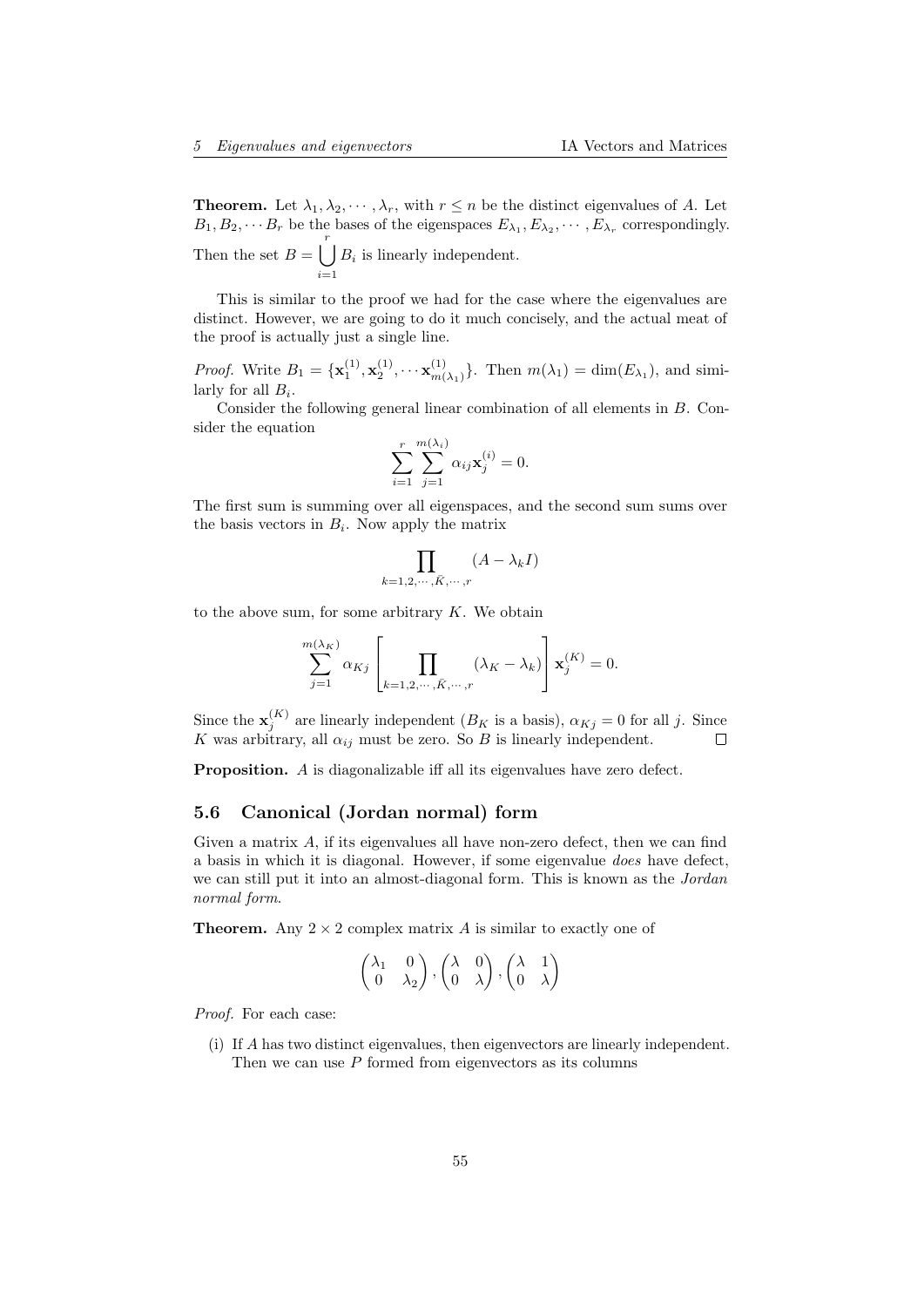**Theorem.** Let  $\lambda_1, \lambda_2, \dots, \lambda_r$ , with  $r \leq n$  be the distinct eigenvalues of A. Let  $B_1, B_2, \cdots B_r$  be the bases of the eigenspaces  $E_{\lambda_1}, E_{\lambda_2}, \cdots, E_{\lambda_r}$  correspondingly. Then the set  $B = \begin{bmatrix} r \\ r \end{bmatrix}$  $i=1$  $B_i$  is linearly independent.

This is similar to the proof we had for the case where the eigenvalues are distinct. However, we are going to do it much concisely, and the actual meat of the proof is actually just a single line.

*Proof.* Write  $B_1 = {\mathbf{x}_1^{(1)}, \mathbf{x}_2^{(1)}, \cdots \mathbf{x}_{m}^{(1)}}$  $\{m(\lambda_1)\}\right.$  Then  $m(\lambda_1) = \dim(E_{\lambda_1})$ , and similarly for all  $B_i$ .

Consider the following general linear combination of all elements in B. Consider the equation

$$
\sum_{i=1}^{r} \sum_{j=1}^{m(\lambda_i)} \alpha_{ij} \mathbf{x}_j^{(i)} = 0.
$$

The first sum is summing over all eigenspaces, and the second sum sums over the basis vectors in  $B_i$ . Now apply the matrix

$$
\prod_{k=1,2,\cdots,\bar{K},\cdots,r} (A - \lambda_k I)
$$

to the above sum, for some arbitrary  $K$ . We obtain

$$
\sum_{j=1}^{m(\lambda_K)} \alpha_{Kj} \left[ \prod_{k=1,2,\cdots,\bar{K},\cdots,r} (\lambda_K - \lambda_k) \right] \mathbf{x}_j^{(K)} = 0.
$$

Since the  $\mathbf{x}_{j}^{(K)}$  are linearly independent  $(B_K$  is a basis),  $\alpha_{Kj} = 0$  for all j. Since K was arbitrary, all  $\alpha_{ij}$  must be zero. So B is linearly independent.

Proposition. A is diagonalizable iff all its eigenvalues have zero defect.

# <span id="page-54-0"></span>5.6 Canonical (Jordan normal) form

Given a matrix  $A$ , if its eigenvalues all have non-zero defect, then we can find a basis in which it is diagonal. However, if some eigenvalue does have defect, we can still put it into an almost-diagonal form. This is known as the *Jordan* normal form.

**Theorem.** Any  $2 \times 2$  complex matrix A is similar to exactly one of

$$
\begin{pmatrix} \lambda_1 & 0 \\ 0 & \lambda_2 \end{pmatrix}, \begin{pmatrix} \lambda & 0 \\ 0 & \lambda \end{pmatrix}, \begin{pmatrix} \lambda & 1 \\ 0 & \lambda \end{pmatrix}
$$

Proof. For each case:

(i) If A has two distinct eigenvalues, then eigenvectors are linearly independent. Then we can use  $P$  formed from eigenvectors as its columns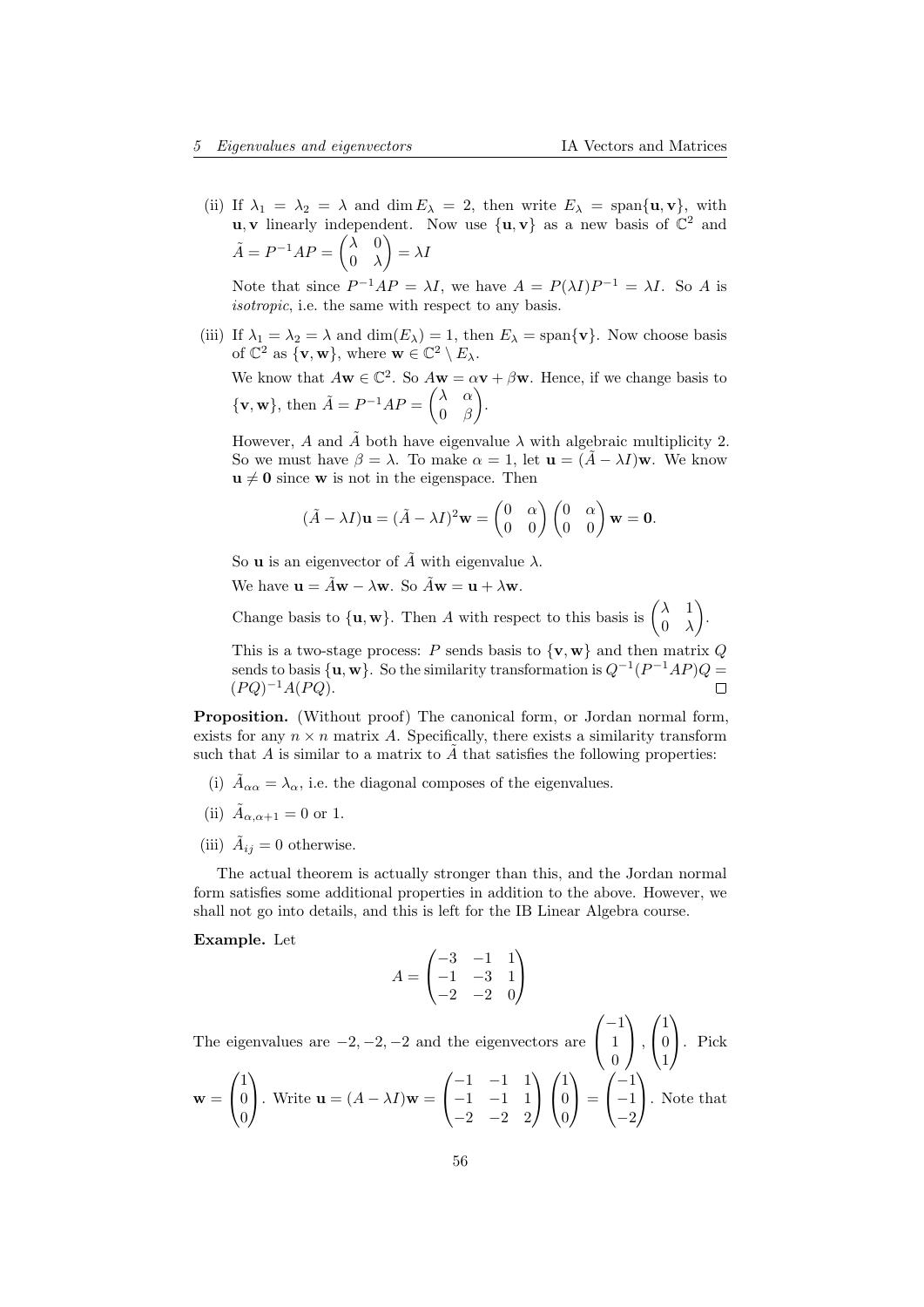(ii) If  $\lambda_1 = \lambda_2 = \lambda$  and dim  $E_\lambda = 2$ , then write  $E_\lambda = \text{span}\{\mathbf{u}, \mathbf{v}\}\)$ , with **u**, **v** linearly independent. Now use  $\{u, v\}$  as a new basis of  $\mathbb{C}^2$  and  $\tilde{A} = P^{-1}AP = \begin{pmatrix} \lambda & 0 \\ 0 & \lambda \end{pmatrix}$  $0 \lambda$  $\bigg) = \lambda I$ 

Note that since  $P^{-1}AP = \lambda I$ , we have  $A = P(\lambda I)P^{-1} = \lambda I$ . So A is isotropic, i.e. the same with respect to any basis.

(iii) If  $\lambda_1 = \lambda_2 = \lambda$  and  $\dim(E_\lambda) = 1$ , then  $E_\lambda = \text{span}\{\mathbf{v}\}\$ . Now choose basis of  $\mathbb{C}^2$  as  $\{v, w\}$ , where  $w \in \mathbb{C}^2 \setminus E_\lambda$ .

We know that  $A\mathbf{w} \in \mathbb{C}^2$ . So  $A\mathbf{w} = \alpha \mathbf{v} + \beta \mathbf{w}$ . Hence, if we change basis to  $\{v, w\}$ , then  $\tilde{A} = P^{-1}AP = \begin{pmatrix} \lambda & \alpha \\ 0 & \beta \end{pmatrix}$ 0 β .

However, A and  $\tilde{A}$  both have eigenvalue  $\lambda$  with algebraic multiplicity 2. So we must have  $\beta = \lambda$ . To make  $\alpha = 1$ , let  $\mathbf{u} = (\tilde{A} - \lambda I)\mathbf{w}$ . We know  $u \neq 0$  since w is not in the eigenspace. Then

$$
(\tilde{A} - \lambda I)\mathbf{u} = (\tilde{A} - \lambda I)^2 \mathbf{w} = \begin{pmatrix} 0 & \alpha \\ 0 & 0 \end{pmatrix} \begin{pmatrix} 0 & \alpha \\ 0 & 0 \end{pmatrix} \mathbf{w} = \mathbf{0}.
$$

So **u** is an eigenvector of  $\tilde{A}$  with eigenvalue  $\lambda$ .

We have  $\mathbf{u} = \tilde{A}\mathbf{w} - \lambda \mathbf{w}$ . So  $\tilde{A}\mathbf{w} = \mathbf{u} + \lambda \mathbf{w}$ .

Change basis to  $\{u, w\}$ . Then A with respect to this basis is  $\begin{pmatrix} \lambda & 1 \\ 0 & \lambda \end{pmatrix}$  $0 \lambda$ .

This is a two-stage process: P sends basis to  $\{v, w\}$  and then matrix Q sends to basis  $\{u, w\}$ . So the similarity transformation is  $Q^{-1}(P^{-1}AP)Q =$  $(PQ)^{-1}A(PQ).$ 

Proposition. (Without proof) The canonical form, or Jordan normal form, exists for any  $n \times n$  matrix A. Specifically, there exists a similarity transform such that A is similar to a matrix to  $\tilde{A}$  that satisfies the following properties:

- (i)  $\tilde{A}_{\alpha\alpha} = \lambda_{\alpha}$ , i.e. the diagonal composes of the eigenvalues.
- (ii)  $\tilde{A}_{\alpha,\alpha+1} = 0$  or 1.
- (iii)  $\tilde{A}_{ij} = 0$  otherwise.

The actual theorem is actually stronger than this, and the Jordan normal form satisfies some additional properties in addition to the above. However, we shall not go into details, and this is left for the IB Linear Algebra course.

Example. Let

$$
A = \begin{pmatrix} -3 & -1 & 1 \\ -1 & -3 & 1 \\ -2 & -2 & 0 \end{pmatrix}
$$

The eigenvalues are  $-2, -2, -2$  and the eigenvectors are  $\sqrt{ }$  $\overline{1}$  $-1$ 1  $\boldsymbol{0}$  $\setminus$  $\vert$ ,  $\sqrt{ }$  $\overline{1}$ 1 0 1  $\setminus$ . Pick

$$
\mathbf{w} = \begin{pmatrix} 1 \\ 0 \\ 0 \end{pmatrix}. \text{ Write } \mathbf{u} = (A - \lambda I)\mathbf{w} = \begin{pmatrix} -1 & -1 & 1 \\ -1 & -1 & 1 \\ -2 & -2 & 2 \end{pmatrix} \begin{pmatrix} 1 \\ 0 \\ 0 \end{pmatrix} = \begin{pmatrix} -1 \\ -1 \\ -2 \end{pmatrix}. \text{ Note that}
$$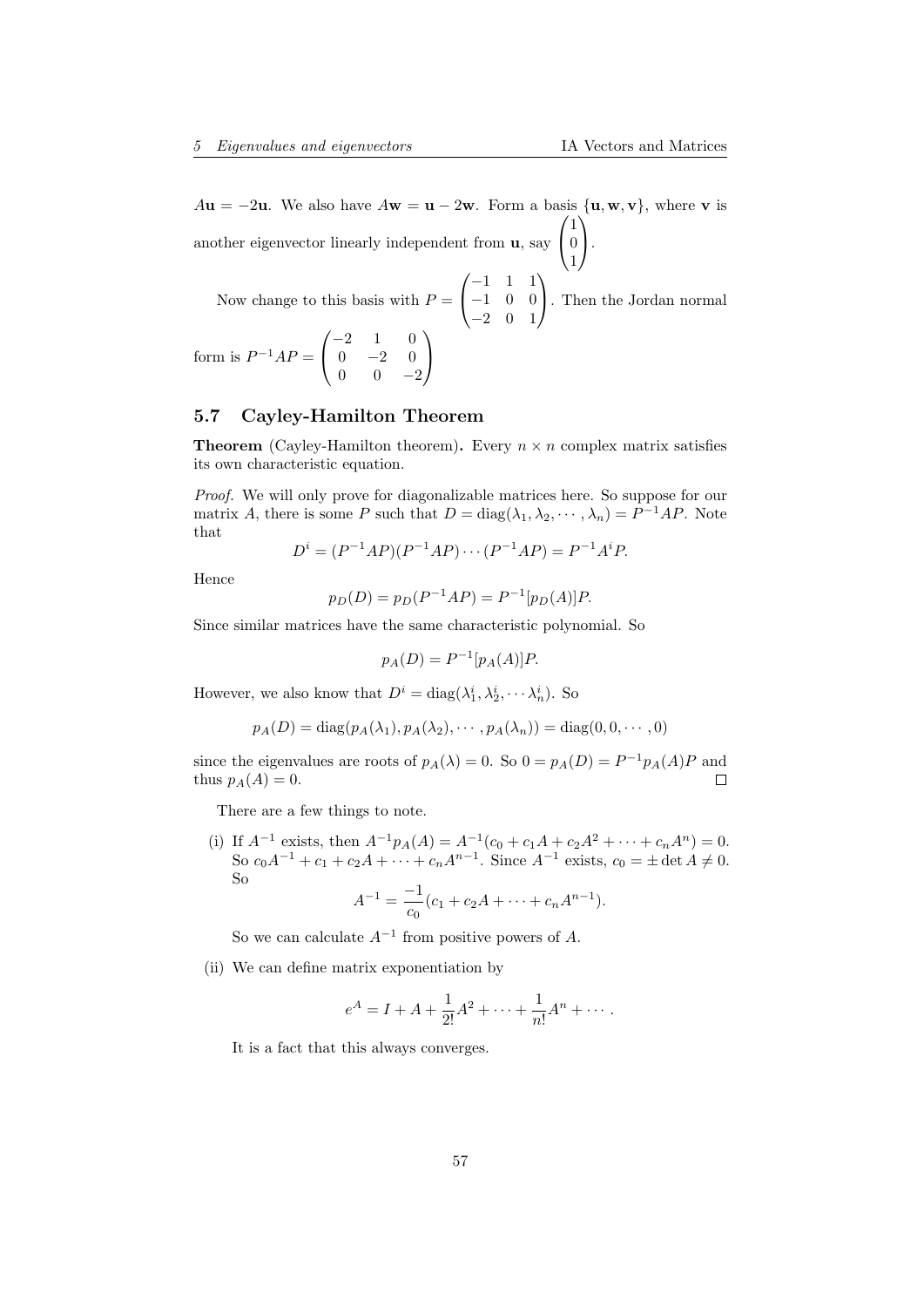$Au = -2u$ . We also have  $A\mathbf{w} = \mathbf{u} - 2\mathbf{w}$ . Form a basis  $\{\mathbf{u}, \mathbf{w}, \mathbf{v}\}\)$ , where **v** is another eigenvector linearly independent from  $\mathbf{u}$ , say  $\sqrt{ }$  $\mathcal{L}$ 1 0 1  $\setminus$  $\cdot$ . Now change to this basis with  $P =$  $\sqrt{ }$  $\overline{1}$ −1 1 1 −1 0 0  $\setminus$ . Then the Jordan normal

−2 0 1

form is  $P^{-1}AP =$  $\sqrt{ }$  $\mathcal{L}$  $-2$  1 0  $0 \t -2 \t 0$  $0 \t 0 \t -2$  $\setminus$  $\overline{ }$ 

## <span id="page-56-0"></span>5.7 Cayley-Hamilton Theorem

**Theorem** (Cayley-Hamilton theorem). Every  $n \times n$  complex matrix satisfies its own characteristic equation.

Proof. We will only prove for diagonalizable matrices here. So suppose for our matrix A, there is some P such that  $D = \text{diag}(\lambda_1, \lambda_2, \dots, \lambda_n) = P^{-1}AP$ . Note that

$$
D^{i} = (P^{-1}AP)(P^{-1}AP)\cdots(P^{-1}AP) = P^{-1}A^{i}P.
$$

Hence

$$
p_D(D) = p_D(P^{-1}AP) = P^{-1}[p_D(A)]P.
$$

Since similar matrices have the same characteristic polynomial. So

$$
p_A(D) = P^{-1}[p_A(A)]P.
$$

However, we also know that  $D^i = \text{diag}(\lambda_1^i, \lambda_2^i, \dots, \lambda_n^i)$ . So

$$
p_A(D) = \text{diag}(p_A(\lambda_1), p_A(\lambda_2), \cdots, p_A(\lambda_n)) = \text{diag}(0, 0, \cdots, 0)
$$

since the eigenvalues are roots of  $p_A(\lambda) = 0$ . So  $0 = p_A(D) = P^{-1}p_A(A)P$  and thus  $p_A(A) = 0$ . Г

There are a few things to note.

(i) If  $A^{-1}$  exists, then  $A^{-1}p_A(A) = A^{-1}(c_0 + c_1A + c_2A^2 + \cdots + c_nA^n) = 0$ . So  $c_0A^{-1} + c_1 + c_2A + \cdots + c_nA^{n-1}$ . Since  $A^{-1}$  exists,  $c_0 = \pm \det A \neq 0$ . So −1

$$
A^{-1} = \frac{-1}{c_0}(c_1 + c_2A + \dots + c_nA^{n-1}).
$$

So we can calculate  $A^{-1}$  from positive powers of A.

(ii) We can define matrix exponentiation by

$$
e^A = I + A + \frac{1}{2!}A^2 + \dots + \frac{1}{n!}A^n + \dots
$$

It is a fact that this always converges.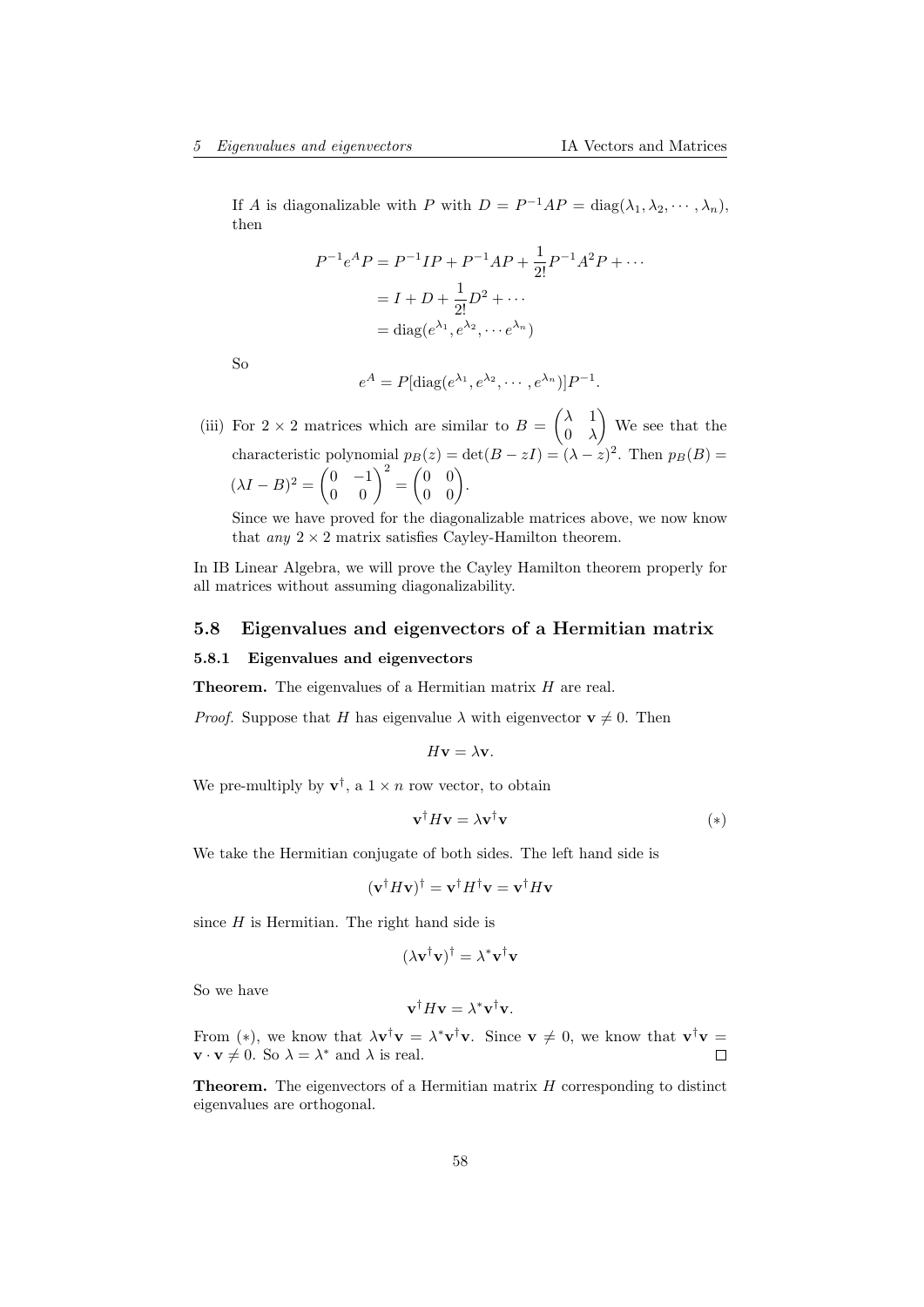If A is diagonalizable with  $P$  with  $D = P^{-1}AP = \text{diag}(\lambda_1, \lambda_2, \dots, \lambda_n)$ , then

$$
P^{-1}e^{A}P = P^{-1}IP + P^{-1}AP + \frac{1}{2!}P^{-1}A^{2}P + \cdots
$$

$$
= I + D + \frac{1}{2!}D^{2} + \cdots
$$

$$
= diag(e^{\lambda_{1}}, e^{\lambda_{2}}, \cdots e^{\lambda_{n}})
$$

So

$$
e^A = P[\operatorname{diag}(e^{\lambda_1}, e^{\lambda_2}, \cdots, e^{\lambda_n})]P^{-1}.
$$

(iii) For  $2 \times 2$  matrices which are similar to  $B = \begin{pmatrix} \lambda & 1 \\ 0 & \lambda \end{pmatrix}$  $0 \lambda$  We see that the characteristic polynomial  $p_B(z) = \det(B - zI) = (\lambda - z)^2$ . Then  $p_B(B) =$  $(\lambda I - B)^2 = \begin{pmatrix} 0 & -1 \\ 0 & 0 \end{pmatrix}^2 = \begin{pmatrix} 0 & 0 \\ 0 & 0 \end{pmatrix}.$ 

Since we have proved for the diagonalizable matrices above, we now know that any  $2 \times 2$  matrix satisfies Cayley-Hamilton theorem.

In IB Linear Algebra, we will prove the Cayley Hamilton theorem properly for all matrices without assuming diagonalizability.

## <span id="page-57-0"></span>5.8 Eigenvalues and eigenvectors of a Hermitian matrix

## <span id="page-57-1"></span>5.8.1 Eigenvalues and eigenvectors

Theorem. The eigenvalues of a Hermitian matrix H are real.

*Proof.* Suppose that H has eigenvalue  $\lambda$  with eigenvector  $v \neq 0$ . Then

$$
H\mathbf{v}=\lambda\mathbf{v}.
$$

We pre-multiply by  $\mathbf{v}^{\dagger}$ , a  $1 \times n$  row vector, to obtain

$$
\mathbf{v}^\dagger H \mathbf{v} = \lambda \mathbf{v}^\dagger \mathbf{v} \tag{*}
$$

We take the Hermitian conjugate of both sides. The left hand side is

$$
(\mathbf{v}^\dagger H \mathbf{v})^\dagger = \mathbf{v}^\dagger H^\dagger \mathbf{v} = \mathbf{v}^\dagger H \mathbf{v}
$$

since  $H$  is Hermitian. The right hand side is

$$
(\lambda \mathbf{v}^{\dagger} \mathbf{v})^{\dagger} = \lambda^* \mathbf{v}^{\dagger} \mathbf{v}
$$

So we have

$$
\mathbf{v}^\dagger H \mathbf{v} = \lambda^* \mathbf{v}^\dagger \mathbf{v}.
$$

From (\*), we know that  $\lambda \mathbf{v}^{\dagger} \mathbf{v} = \lambda^* \mathbf{v}^{\dagger} \mathbf{v}$ . Since  $\mathbf{v} \neq 0$ , we know that  $\mathbf{v}^{\dagger} \mathbf{v} =$  $\mathbf{v} \cdot \mathbf{v} \neq 0$ . So  $\lambda = \lambda^*$  and  $\lambda$  is real.  $\Box$ 

**Theorem.** The eigenvectors of a Hermitian matrix  $H$  corresponding to distinct eigenvalues are orthogonal.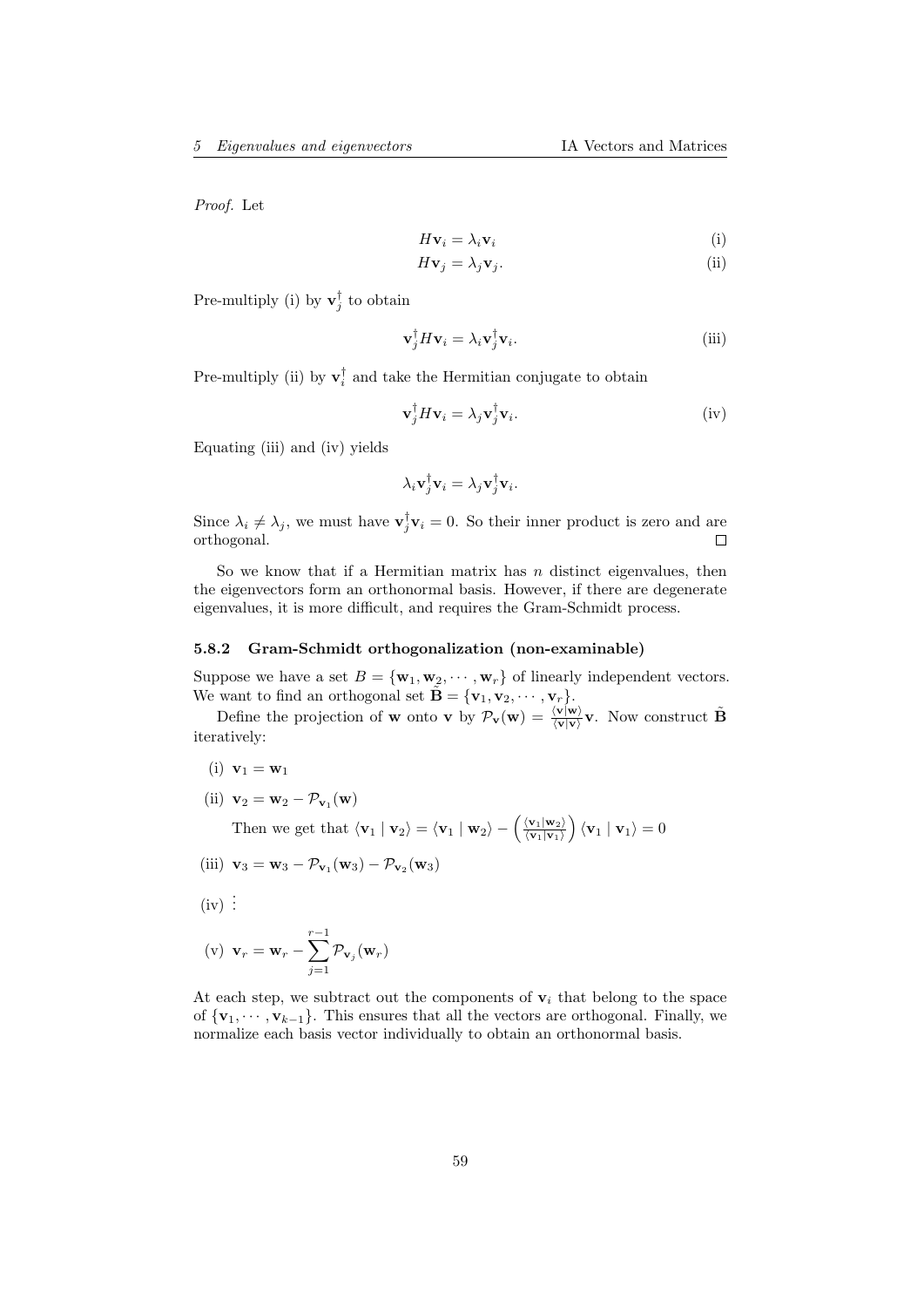Proof. Let

$$
H\mathbf{v}_i = \lambda_i \mathbf{v}_i \tag{i}
$$

$$
H\mathbf{v}_j = \lambda_j \mathbf{v}_j. \tag{ii}
$$

Pre-multiply (i) by  $\mathbf{v}_j^{\dagger}$  to obtain

$$
\mathbf{v}_j^{\dagger} H \mathbf{v}_i = \lambda_i \mathbf{v}_j^{\dagger} \mathbf{v}_i. \tag{iii}
$$

Pre-multiply (ii) by  $\mathbf{v}_i^{\dagger}$  and take the Hermitian conjugate to obtain

$$
\mathbf{v}_j^{\dagger} H \mathbf{v}_i = \lambda_j \mathbf{v}_j^{\dagger} \mathbf{v}_i. \tag{iv}
$$

Equating (iii) and (iv) yields

$$
\lambda_i \mathbf{v}_j^{\dagger} \mathbf{v}_i = \lambda_j \mathbf{v}_j^{\dagger} \mathbf{v}_i.
$$

Since  $\lambda_i \neq \lambda_j$ , we must have  $\mathbf{v}_j^{\dagger} \mathbf{v}_i = 0$ . So their inner product is zero and are orthogonal.

So we know that if a Hermitian matrix has  $n$  distinct eigenvalues, then the eigenvectors form an orthonormal basis. However, if there are degenerate eigenvalues, it is more difficult, and requires the Gram-Schmidt process.

#### <span id="page-58-0"></span>5.8.2 Gram-Schmidt orthogonalization (non-examinable)

Suppose we have a set  $B = {\mathbf{w}_1, \mathbf{w}_2, \cdots, \mathbf{w}_r}$  of linearly independent vectors. We want to find an orthogonal set  $\tilde{\mathbf{B}} = {\mathbf{v}_1, \mathbf{v}_2, \cdots, \mathbf{v}_r}$ .

Define the projection of **w** onto **v** by  $\mathcal{P}_{\mathbf{v}}(\mathbf{w}) = \frac{\langle \mathbf{v} | \mathbf{w} \rangle}{\langle \mathbf{v} | \mathbf{v} \rangle} \mathbf{v}$ . Now construct  $\tilde{\mathbf{B}}$ iteratively:

- (i)  ${\bf v}_1 = {\bf w}_1$
- (ii)  $\mathbf{v}_2 = \mathbf{w}_2 \mathcal{P}_{\mathbf{v}_1}(\mathbf{w})$

Then we get that  $\langle v_1 | v_2 \rangle = \langle v_1 | w_2 \rangle - \frac{\langle v_1 | w_2 \rangle}{\langle v_1 | v_1 \rangle}$  $\frac{\langle \mathbf{v}_1 | \mathbf{w}_2 \rangle}{\langle \mathbf{v}_1 | \mathbf{v}_1 \rangle}$   $\langle \mathbf{v}_1 | \mathbf{v}_1 \rangle = 0$ 

$$
\text{(iii)} \ \mathbf{v}_3 = \mathbf{w}_3 - \mathcal{P}_{\mathbf{v}_1}(\mathbf{w}_3) - \mathcal{P}_{\mathbf{v}_2}(\mathbf{w}_3)
$$

 $(iv)$ :

$$
(\mathbf{v}) \ \mathbf{v}_r = \mathbf{w}_r - \sum_{j=1}^{r-1} \mathcal{P}_{\mathbf{v}_j}(\mathbf{w}_r)
$$

At each step, we subtract out the components of  $v_i$  that belong to the space of  ${\bf v}_1, \dots, {\bf v}_{k-1}$ . This ensures that all the vectors are orthogonal. Finally, we normalize each basis vector individually to obtain an orthonormal basis.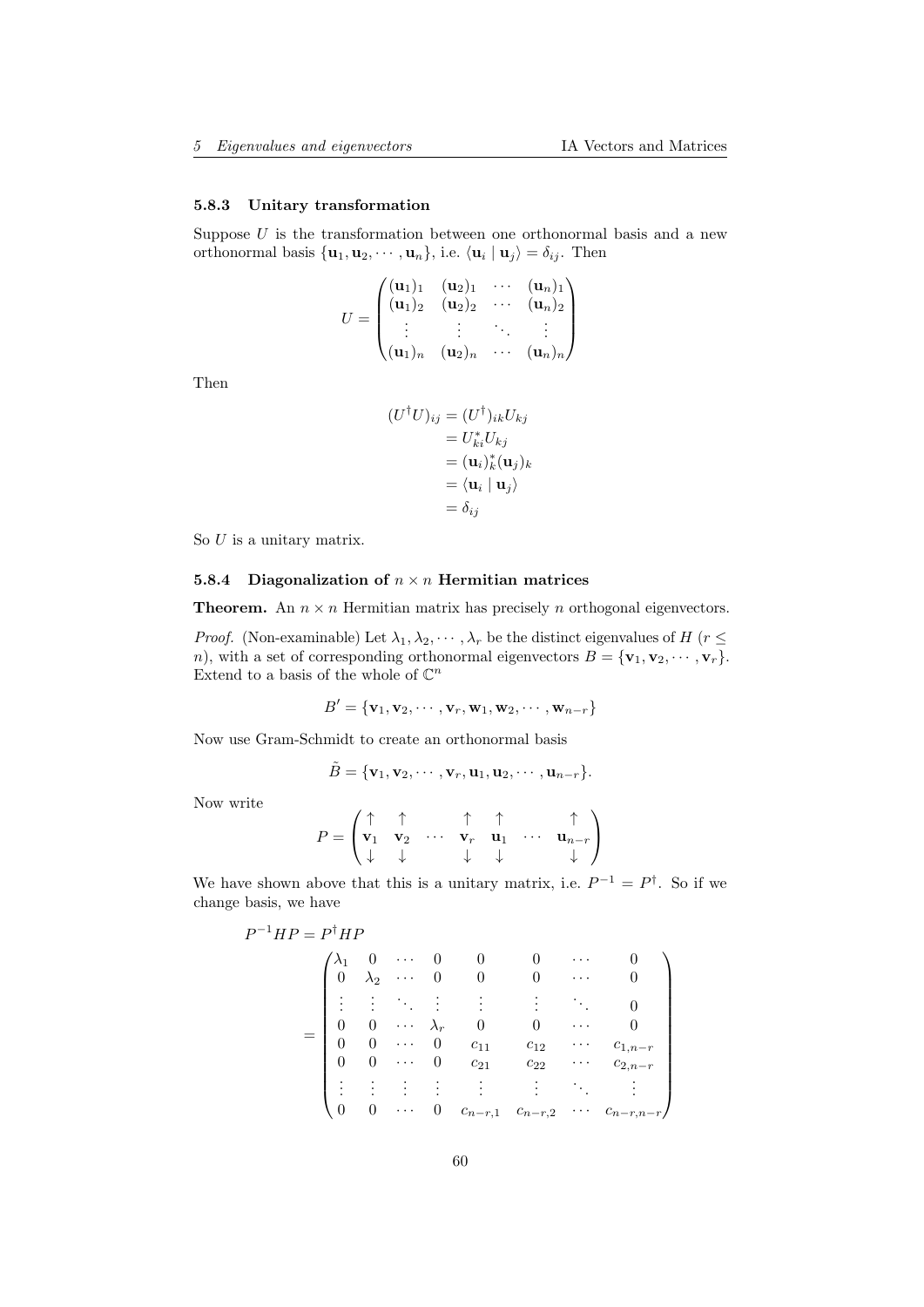## <span id="page-59-0"></span>5.8.3 Unitary transformation

Suppose  $U$  is the transformation between one orthonormal basis and a new orthonormal basis  $\{\mathbf u_1, \mathbf u_2, \cdots, \mathbf u_n\}$ , i.e.  $\langle \mathbf u_i | \mathbf u_j \rangle = \delta_{ij}$ . Then

$$
U = \begin{pmatrix} (\mathbf{u}_1)_1 & (\mathbf{u}_2)_1 & \cdots & (\mathbf{u}_n)_1 \\ (\mathbf{u}_1)_2 & (\mathbf{u}_2)_2 & \cdots & (\mathbf{u}_n)_2 \\ \vdots & \vdots & \ddots & \vdots \\ (\mathbf{u}_1)_n & (\mathbf{u}_2)_n & \cdots & (\mathbf{u}_n)_n \end{pmatrix}
$$

Then

$$
(U^{\dagger}U)_{ij} = (U^{\dagger})_{ik}U_{kj}
$$
  
=  $U_{ki}^{*}U_{kj}$   
=  $(\mathbf{u}_{i})_{k}^{*}(\mathbf{u}_{j})_{k}$   
=  $\langle \mathbf{u}_{i} | \mathbf{u}_{j} \rangle$   
=  $\delta_{ij}$ 

So  $U$  is a unitary matrix.

## <span id="page-59-1"></span>5.8.4 Diagonalization of  $n \times n$  Hermitian matrices

**Theorem.** An  $n \times n$  Hermitian matrix has precisely n orthogonal eigenvectors.

*Proof.* (Non-examinable) Let  $\lambda_1, \lambda_2, \cdots, \lambda_r$  be the distinct eigenvalues of H ( $r \leq$ n), with a set of corresponding orthonormal eigenvectors  $B = {\mathbf{v}_1, \mathbf{v}_2, \cdots, \mathbf{v}_r}$ . Extend to a basis of the whole of  $\mathbb{C}^n$ 

$$
B' = {\mathbf{v}_1, \mathbf{v}_2, \cdots, \mathbf{v}_r, \mathbf{w}_1, \mathbf{w}_2, \cdots, \mathbf{w}_{n-r}}
$$

Now use Gram-Schmidt to create an orthonormal basis

 $\lambda$ .

$$
\tilde{B} = {\mathbf{v}_1, \mathbf{v}_2, \cdots, \mathbf{v}_r, \mathbf{u}_1, \mathbf{u}_2, \cdots, \mathbf{u}_{n-r}}
$$

Now write

P

$$
P = \begin{pmatrix} \uparrow & \uparrow & \uparrow & \uparrow & \uparrow \\ \mathbf{v}_1 & \mathbf{v}_2 & \cdots & \mathbf{v}_r & \mathbf{u}_1 & \cdots & \mathbf{u}_{n-r} \\ \downarrow & \downarrow & & \downarrow & \downarrow & & \downarrow \end{pmatrix}
$$

 $\mathcal{L}$ 

 $\setminus$ 

We have shown above that this is a unitary matrix, i.e.  $P^{-1} = P^{\dagger}$ . So if we change basis, we have

$$
{}^{-1}HP = P^{\dagger}HP
$$
\n
$$
= \begin{pmatrix}\n\lambda_1 & 0 & \cdots & 0 & 0 & 0 & \cdots & 0 \\
0 & \lambda_2 & \cdots & 0 & 0 & 0 & \cdots & 0 \\
\vdots & \vdots & \ddots & \vdots & \vdots & \vdots & \ddots & 0 \\
0 & 0 & \cdots & \lambda_r & 0 & 0 & \cdots & 0 \\
0 & 0 & \cdots & 0 & c_{11} & c_{12} & \cdots & c_{1,n-r} \\
0 & 0 & \cdots & 0 & c_{21} & c_{22} & \cdots & c_{2,n-r} \\
\vdots & \vdots & \vdots & \vdots & \vdots & \vdots & \ddots & \vdots \\
0 & 0 & \cdots & 0 & c_{n-r,1} & c_{n-r,2} & \cdots & c_{n-r,n-r}\n\end{pmatrix}
$$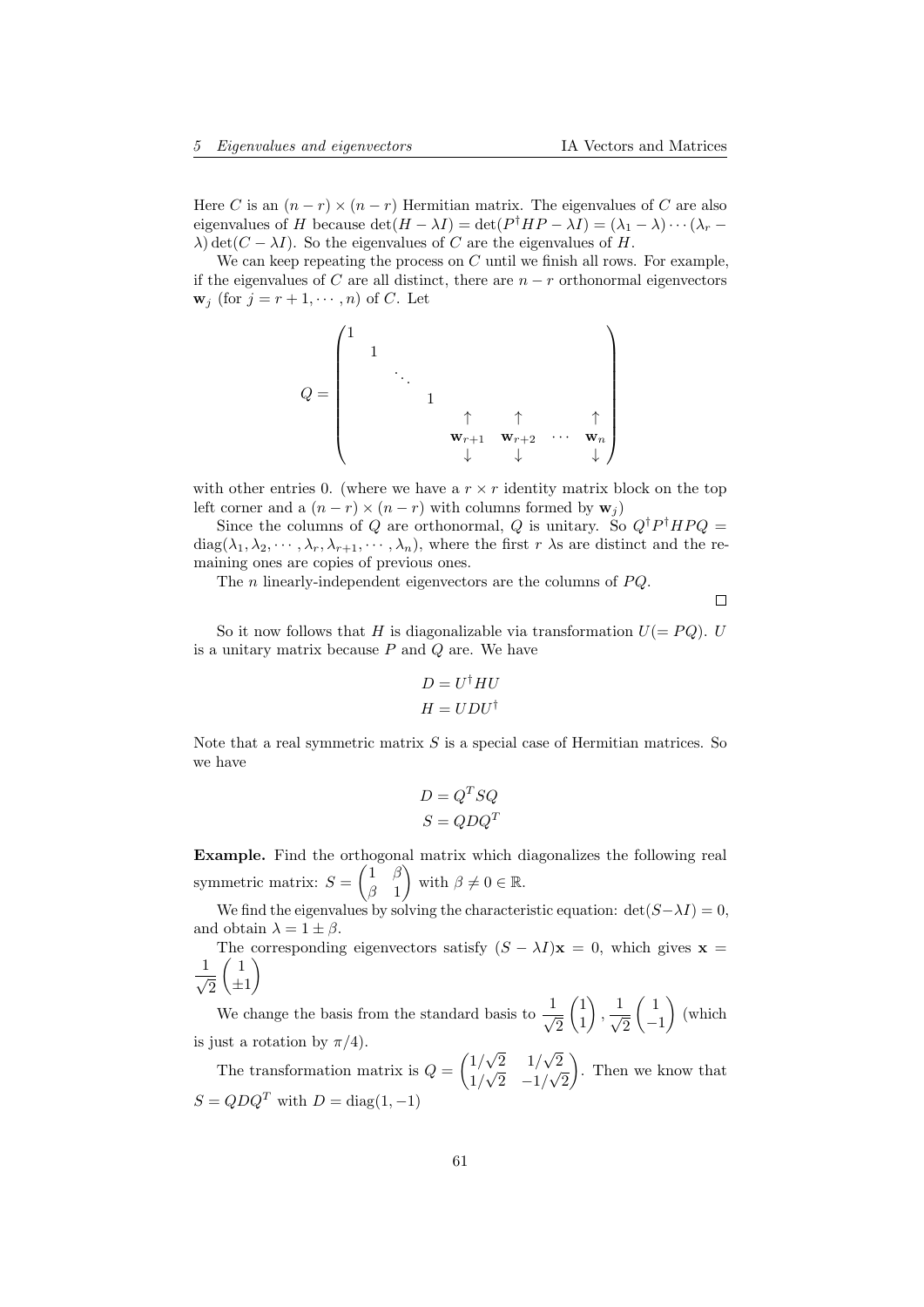Here C is an  $(n - r) \times (n - r)$  Hermitian matrix. The eigenvalues of C are also eigenvalues of H because  $\det(H - \lambda I) = \det(P^{\dagger} H P - \lambda I) = (\lambda_1 - \lambda) \cdots (\lambda_r - \lambda_r)$  $\lambda$ ) det( $C - \lambda I$ ). So the eigenvalues of C are the eigenvalues of H.

We can keep repeating the process on  $C$  until we finish all rows. For example, if the eigenvalues of C are all distinct, there are  $n - r$  orthonormal eigenvectors  $\mathbf{w}_j$  (for  $j = r + 1, \dots, n$ ) of C. Let

$$
Q = \begin{pmatrix} 1 & & & & & & \\ & 1 & & & & & & \\ & & \ddots & & & & & \\ & & & 1 & & & & \\ & & & & \uparrow & \uparrow & & \uparrow \\ & & & & \mathbf{w}_{r+1} & \mathbf{w}_{r+2} & \cdots & \mathbf{w}_n \\ & & & & \downarrow & & \downarrow & & \downarrow \end{pmatrix}
$$

with other entries 0. (where we have a  $r \times r$  identity matrix block on the top left corner and a  $(n - r) \times (n - r)$  with columns formed by  $\mathbf{w}_i$ )

Since the columns of Q are orthonormal, Q is unitary. So  $Q^{\dagger}P^{\dagger}HPQ =$  $diag(\lambda_1, \lambda_2, \dots, \lambda_r, \lambda_{r+1}, \dots, \lambda_n)$ , where the first r  $\lambda$ s are distinct and the remaining ones are copies of previous ones.

The *n* linearly-independent eigenvectors are the columns of  $PQ$ .

 $\Box$ 

So it now follows that H is diagonalizable via transformation  $U(= PQ)$ . U is a unitary matrix because  $P$  and  $Q$  are. We have

$$
D = U^{\dagger} H U
$$

$$
H = U D U^{\dagger}
$$

Note that a real symmetric matrix  $S$  is a special case of Hermitian matrices. So we have

$$
D = Q^T S Q
$$

$$
S = Q D Q^T
$$

Example. Find the orthogonal matrix which diagonalizes the following real symmetric matrix:  $S = \begin{pmatrix} 1 & \beta \\ \beta & 1 \end{pmatrix}$  $\beta$  1 with  $\beta \neq 0 \in \mathbb{R}$ .

We find the eigenvalues by solving the characteristic equation:  $det(S-\lambda I) = 0$ , and obtain  $\lambda = 1 \pm \beta$ .

The corresponding eigenvectors satisfy  $(S - \lambda I)\mathbf{x} = 0$ , which gives  $\mathbf{x} =$  $\frac{1}{\sqrt{2}}$  $\overline{2}$  $\begin{pmatrix} 1 \end{pmatrix}$  $\pm 1$  $\setminus$ 

We change the basis from the standard basis to  $\frac{1}{4}$ 2  $\sqrt{1}$ 1  $\Big)$ ,  $\frac{1}{2}$  $\overline{c}$  $\left(1\right)$ −1  $\big)$  (which is just a rotation by  $\pi/4$ ). √ √

The transformation matrix is  $Q = \begin{pmatrix} 1/2 \\ 1/2 \end{pmatrix}$ 2 1/  $\overline{c}$ 1/  $\mathcal{N}_{\mathcal{A}}$  $2 -1/$ √  $\overline{c}$  $\cdot$ . Then we know that  $S = QDQ<sup>T</sup>$  with  $D = \text{diag}(1, -1)$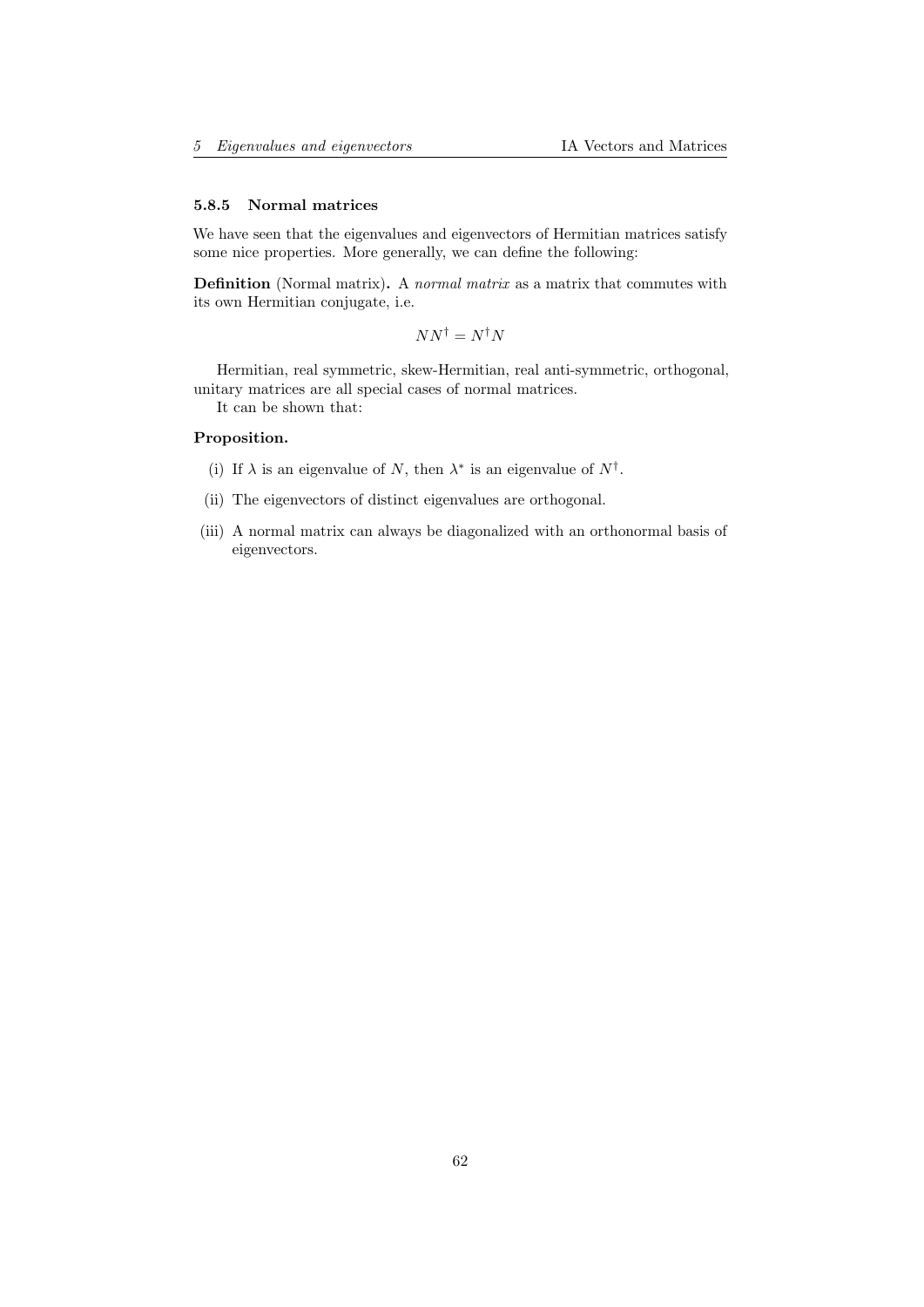#### <span id="page-61-0"></span>5.8.5 Normal matrices

We have seen that the eigenvalues and eigenvectors of Hermitian matrices satisfy some nice properties. More generally, we can define the following:

Definition (Normal matrix). A normal matrix as a matrix that commutes with its own Hermitian conjugate, i.e.

 $NN^{\dagger} = N^{\dagger}N$ 

Hermitian, real symmetric, skew-Hermitian, real anti-symmetric, orthogonal, unitary matrices are all special cases of normal matrices.

It can be shown that:

#### Proposition.

- (i) If  $\lambda$  is an eigenvalue of N, then  $\lambda^*$  is an eigenvalue of  $N^{\dagger}$ .
- (ii) The eigenvectors of distinct eigenvalues are orthogonal.
- (iii) A normal matrix can always be diagonalized with an orthonormal basis of eigenvectors.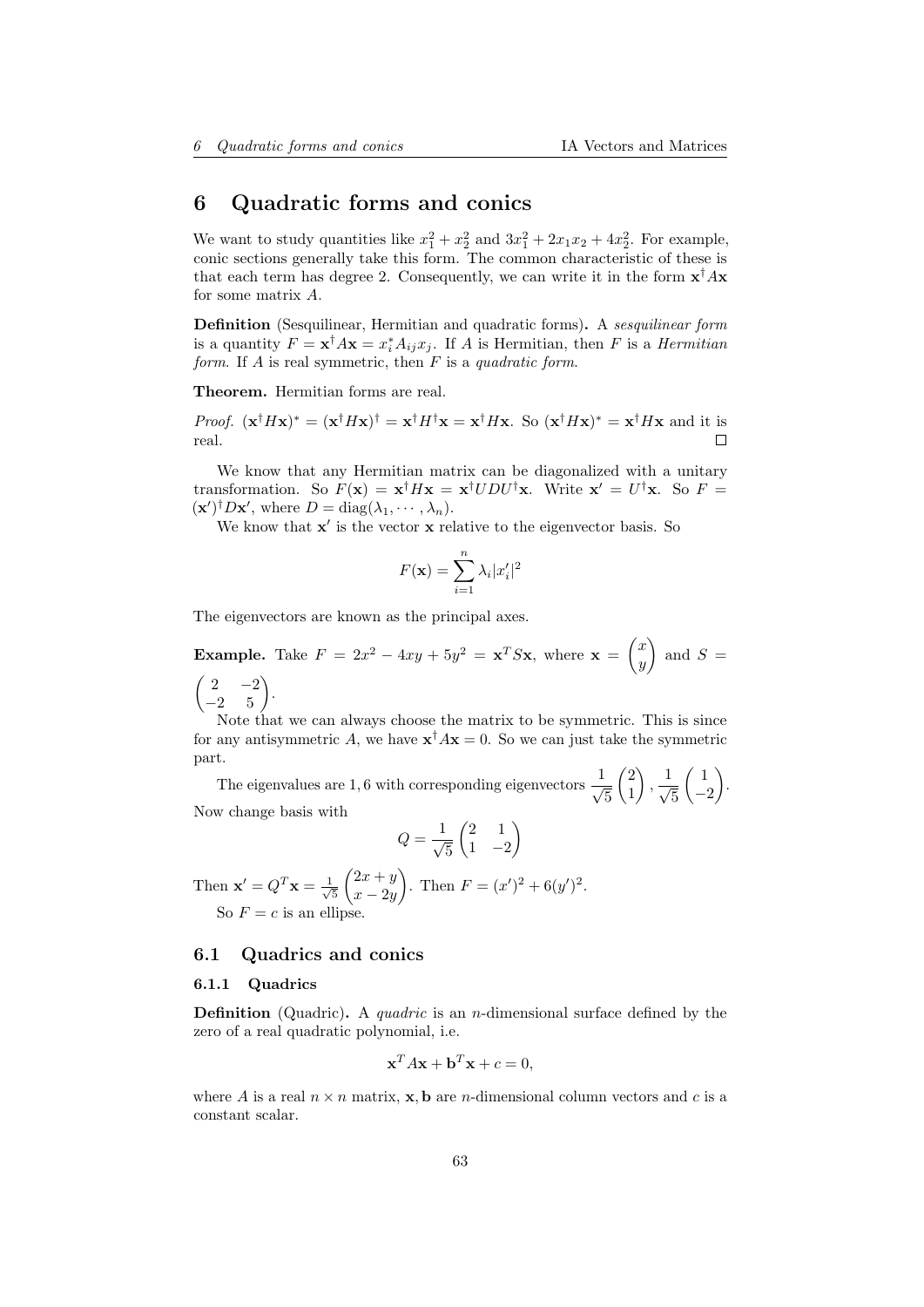# <span id="page-62-0"></span>6 Quadratic forms and conics

We want to study quantities like  $x_1^2 + x_2^2$  and  $3x_1^2 + 2x_1x_2 + 4x_2^2$ . For example, conic sections generally take this form. The common characteristic of these is that each term has degree 2. Consequently, we can write it in the form  $x^{\dagger}Ax$ for some matrix A.

Definition (Sesquilinear, Hermitian and quadratic forms). A sesquilinear form is a quantity  $F = \mathbf{x}^{\dagger} A \mathbf{x} = x_i^* A_{ij} x_j$ . If A is Hermitian, then F is a Hermitian form. If  $A$  is real symmetric, then  $F$  is a quadratic form.

Theorem. Hermitian forms are real.

*Proof.*  $(\mathbf{x}^\dagger H \mathbf{x})^* = (\mathbf{x}^\dagger H \mathbf{x})^\dagger = \mathbf{x}^\dagger H \mathbf{x} = \mathbf{x}^\dagger H \mathbf{x}$ . So  $(\mathbf{x}^\dagger H \mathbf{x})^* = \mathbf{x}^\dagger H \mathbf{x}$  and it is real.

We know that any Hermitian matrix can be diagonalized with a unitary transformation. So  $F(\mathbf{x}) = \mathbf{x}^{\dagger} H \mathbf{x} = \mathbf{x}^{\dagger} U D U^{\dagger} \mathbf{x}$ . Write  $\mathbf{x}' = U^{\dagger} \mathbf{x}$ . So  $F =$  $(\mathbf{x}')^{\dagger}D\mathbf{x}'$ , where  $D = \text{diag}(\lambda_1, \cdots, \lambda_n)$ .

We know that  $x'$  is the vector  $x$  relative to the eigenvector basis. So

$$
F(\mathbf{x}) = \sum_{i=1}^{n} \lambda_i |x'_i|^2
$$

The eigenvectors are known as the principal axes.

**Example.** Take  $F = 2x^2 - 4xy + 5y^2 = x^T S x$ , where  $\mathbf{x} = \begin{pmatrix} x \\ y \end{pmatrix}$  $\hat{y}$  $\bigcap$  and  $S =$  $\begin{pmatrix} 2 & -2 \\ -2 & 5 \end{pmatrix}$ .

Note that we can always choose the matrix to be symmetric. This is since for any antisymmetric A, we have  $\mathbf{x}^{\dagger} A \mathbf{x} = 0$ . So we can just take the symmetric part.

The eigenvalues are 1, 6 with corresponding eigenvectors  $\frac{1}{\sqrt{2}}$ 5  $\sqrt{2}$ 1  $\Big\}, \frac{1}{\sqrt{2}}$ 5  $\begin{pmatrix} 1 \end{pmatrix}$ −2 . Now change basis with

$$
Q = \frac{1}{\sqrt{5}} \begin{pmatrix} 2 & 1 \\ 1 & -2 \end{pmatrix}
$$

Then  $\mathbf{x}' = Q^T \mathbf{x} = \frac{1}{\sqrt{2}}$ 5  $\sqrt{2x + y}$  $x - 2y$ ). Then  $F = (x')^2 + 6(y')^2$ . So  $F = c$  is an ellipse.

# <span id="page-62-1"></span>6.1 Quadrics and conics

#### <span id="page-62-2"></span>6.1.1 Quadrics

**Definition** (Quadric). A *quadric* is an *n*-dimensional surface defined by the zero of a real quadratic polynomial, i.e.

$$
\mathbf{x}^T A \mathbf{x} + \mathbf{b}^T \mathbf{x} + c = 0,
$$

where A is a real  $n \times n$  matrix, **x**, **b** are *n*-dimensional column vectors and c is a constant scalar.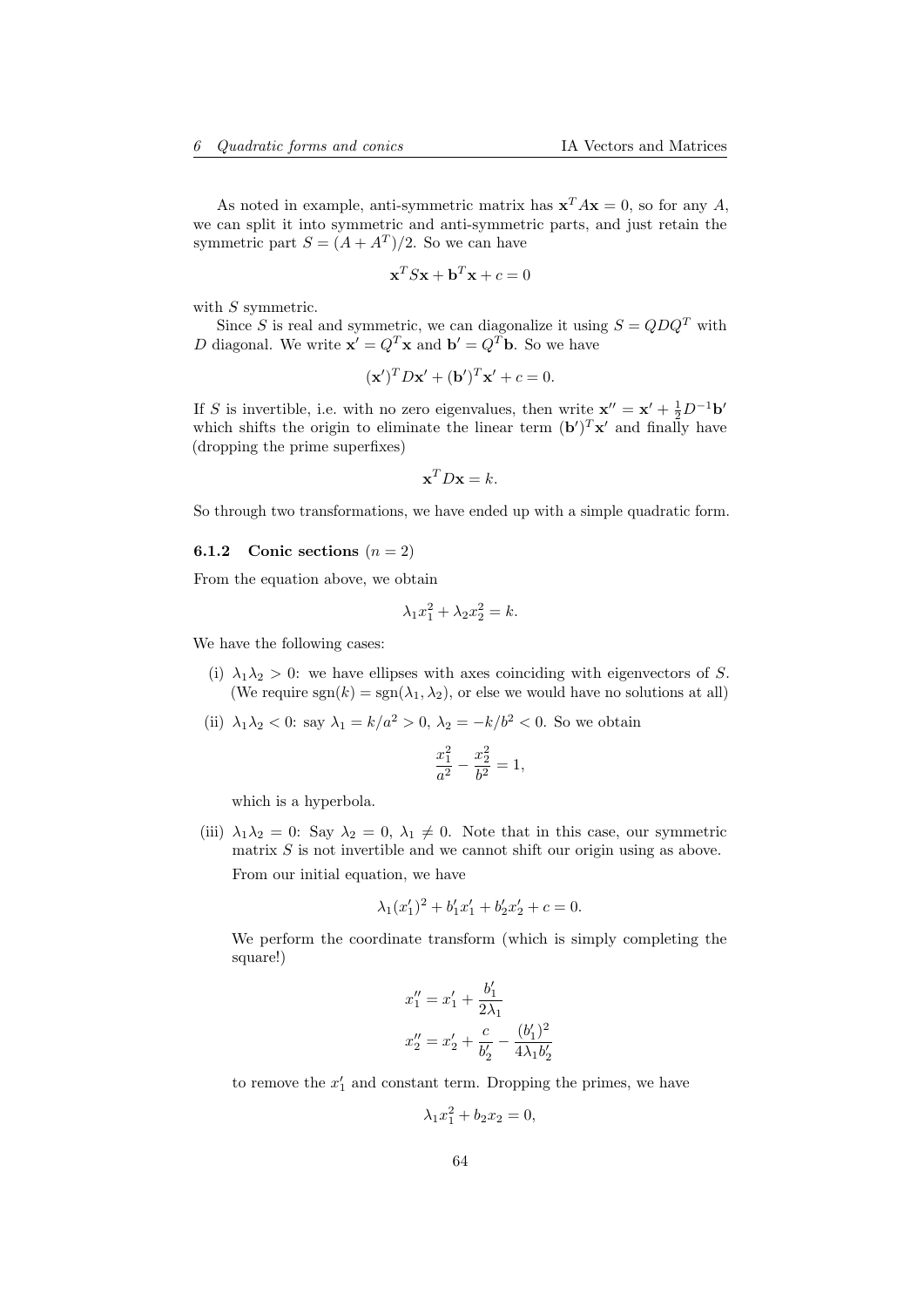As noted in example, anti-symmetric matrix has  $\mathbf{x}^T A \mathbf{x} = 0$ , so for any A, we can split it into symmetric and anti-symmetric parts, and just retain the symmetric part  $S = (A + A^T)/2$ . So we can have

$$
\mathbf{x}^T S \mathbf{x} + \mathbf{b}^T \mathbf{x} + c = 0
$$

with S symmetric.

Since S is real and symmetric, we can diagonalize it using  $S = QDQ<sup>T</sup>$  with D diagonal. We write  $\mathbf{x}' = Q^T \mathbf{x}$  and  $\mathbf{b}' = Q^T \mathbf{b}$ . So we have

$$
(\mathbf{x}')^T D \mathbf{x}' + (\mathbf{b}')^T \mathbf{x}' + c = 0.
$$

If S is invertible, i.e. with no zero eigenvalues, then write  $\mathbf{x}'' = \mathbf{x}' + \frac{1}{2}D^{-1}\mathbf{b}'$ which shifts the origin to eliminate the linear term  $(b')^T x'$  and finally have (dropping the prime superfixes)

$$
\mathbf{x}^T D \mathbf{x} = k.
$$

So through two transformations, we have ended up with a simple quadratic form.

### <span id="page-63-0"></span>**6.1.2** Conic sections  $(n = 2)$

From the equation above, we obtain

$$
\lambda_1 x_1^2 + \lambda_2 x_2^2 = k.
$$

We have the following cases:

- (i)  $\lambda_1 \lambda_2 > 0$ : we have ellipses with axes coinciding with eigenvectors of S. (We require  $sgn(k) = sgn(\lambda_1, \lambda_2)$ , or else we would have no solutions at all)
- (ii)  $\lambda_1 \lambda_2 < 0$ : say  $\lambda_1 = k/a^2 > 0$ ,  $\lambda_2 = -k/b^2 < 0$ . So we obtain

$$
\frac{x_1^2}{a^2} - \frac{x_2^2}{b^2} = 1,
$$

which is a hyperbola.

(iii)  $\lambda_1 \lambda_2 = 0$ : Say  $\lambda_2 = 0$ ,  $\lambda_1 \neq 0$ . Note that in this case, our symmetric matrix  $S$  is not invertible and we cannot shift our origin using as above. From our initial equation, we have

$$
\lambda_1(x_1')^2 + b_1'x_1' + b_2'x_2' + c = 0.
$$

We perform the coordinate transform (which is simply completing the square!)

$$
x_1'' = x_1' + \frac{b_1'}{2\lambda_1}
$$
  

$$
x_2'' = x_2' + \frac{c}{b_2'} - \frac{(b_1')^2}{4\lambda_1 b_2'}
$$

to remove the  $x'_1$  and constant term. Dropping the primes, we have

$$
\lambda_1 x_1^2 + b_2 x_2 = 0,
$$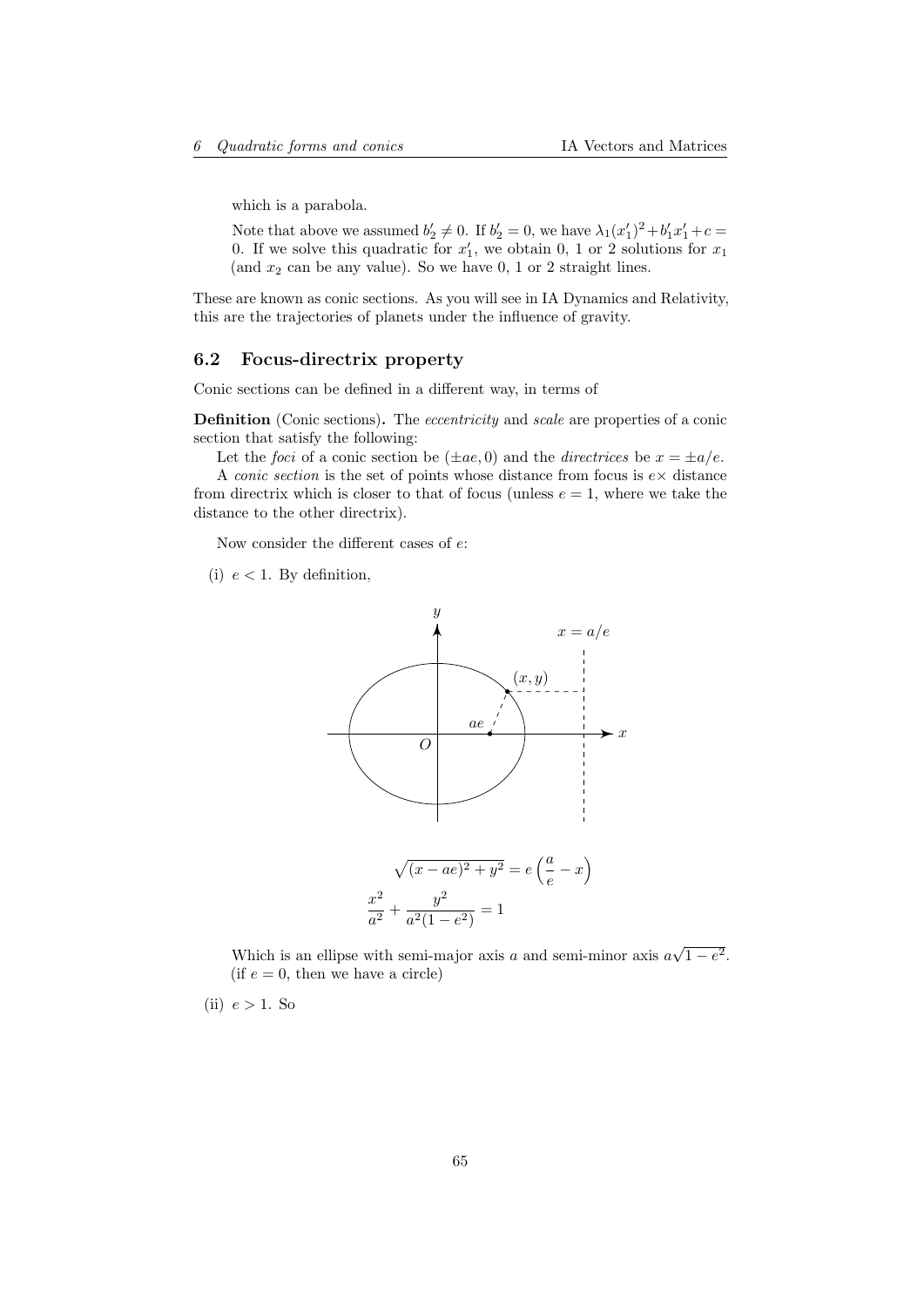which is a parabola.

Note that above we assumed  $b'_2 \neq 0$ . If  $b'_2 = 0$ , we have  $\lambda_1(x'_1)^2 + b'_1x'_1 + c =$ 0. If we solve this quadratic for  $x'_1$ , we obtain 0, 1 or 2 solutions for  $x_1$ (and  $x_2$  can be any value). So we have  $0, 1$  or 2 straight lines.

These are known as conic sections. As you will see in IA Dynamics and Relativity, this are the trajectories of planets under the influence of gravity.

## <span id="page-64-0"></span>6.2 Focus-directrix property

Conic sections can be defined in a different way, in terms of

Definition (Conic sections). The *eccentricity* and *scale* are properties of a conic section that satisfy the following:

Let the *foci* of a conic section be  $(\pm ae, 0)$  and the *directrices* be  $x = \pm a/e$ .

A *conic section* is the set of points whose distance from focus is  $e \times$  distance from directrix which is closer to that of focus (unless  $e = 1$ , where we take the distance to the other directrix).

Now consider the different cases of e:

(i)  $e < 1$ . By definition,



Which is an ellipse with semi-major axis  $a$  and semi-minor axis  $a$ √  $1-e^2$ . (if  $e = 0$ , then we have a circle)

(ii)  $e > 1$ . So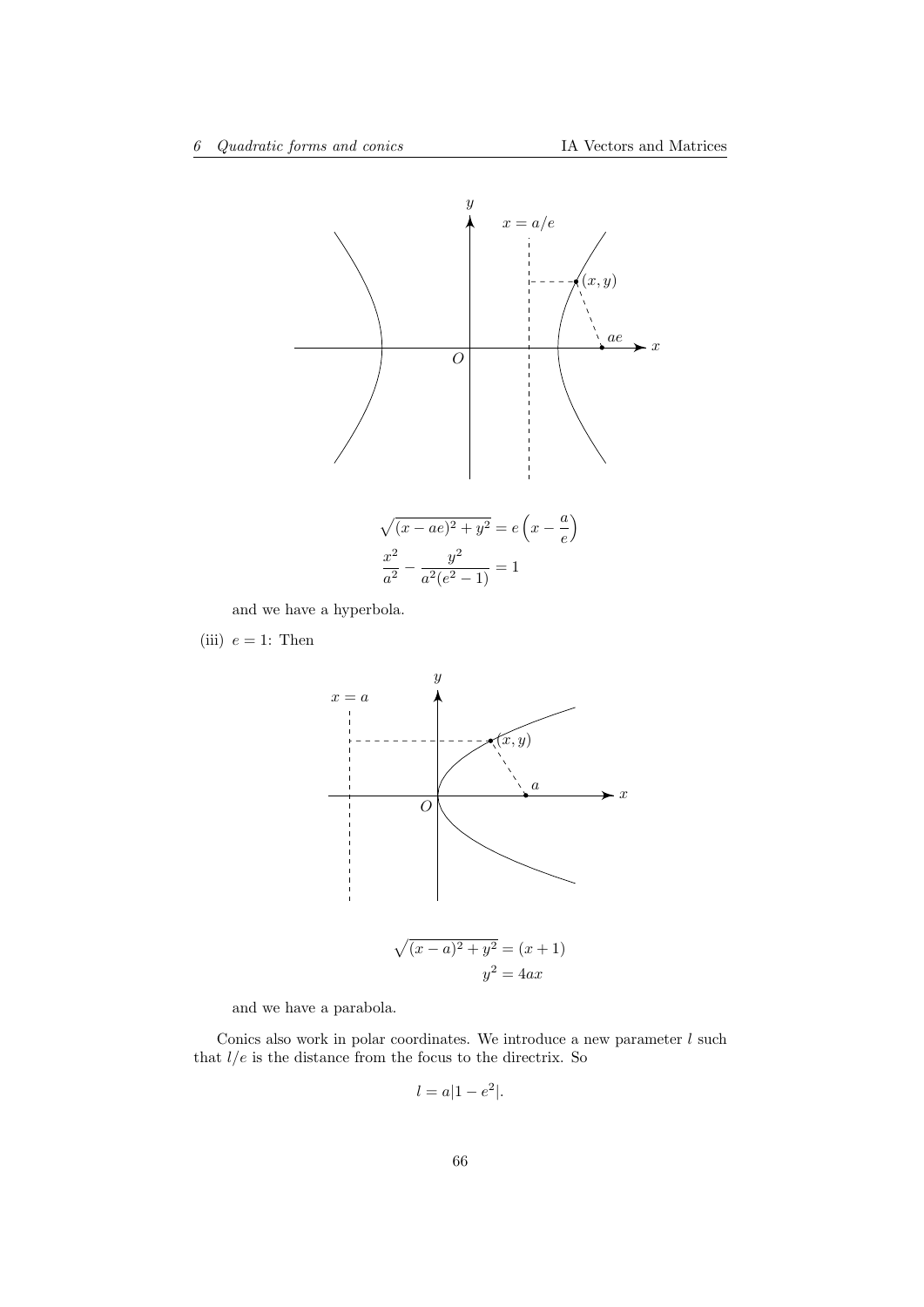

and we have a hyperbola.

(iii)  $e = 1$ : Then



and we have a parabola.

Conics also work in polar coordinates. We introduce a new parameter  $l$  such that  $l/e$  is the distance from the focus to the directrix. So

$$
l = a|1 - e^2|.
$$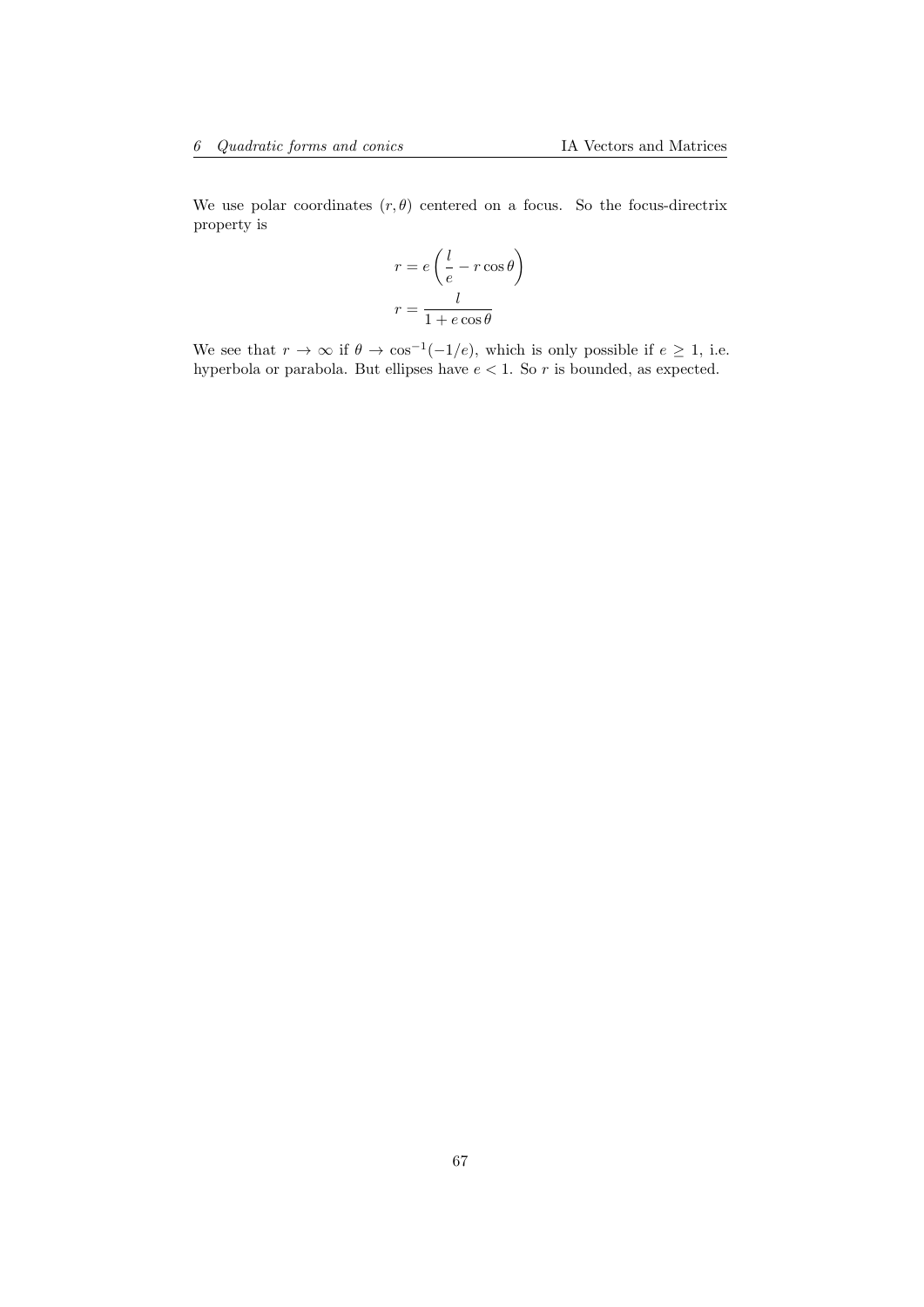We use polar coordinates  $(r, \theta)$  centered on a focus. So the focus-directrix property is

$$
r = e\left(\frac{l}{e} - r\cos\theta\right)
$$

$$
r = \frac{l}{1 + e\cos\theta}
$$

We see that  $r \to \infty$  if  $\theta \to \cos^{-1}(-1/e)$ , which is only possible if  $e \geq 1$ , i.e. hyperbola or parabola. But ellipses have  $e < 1$ . So r is bounded, as expected.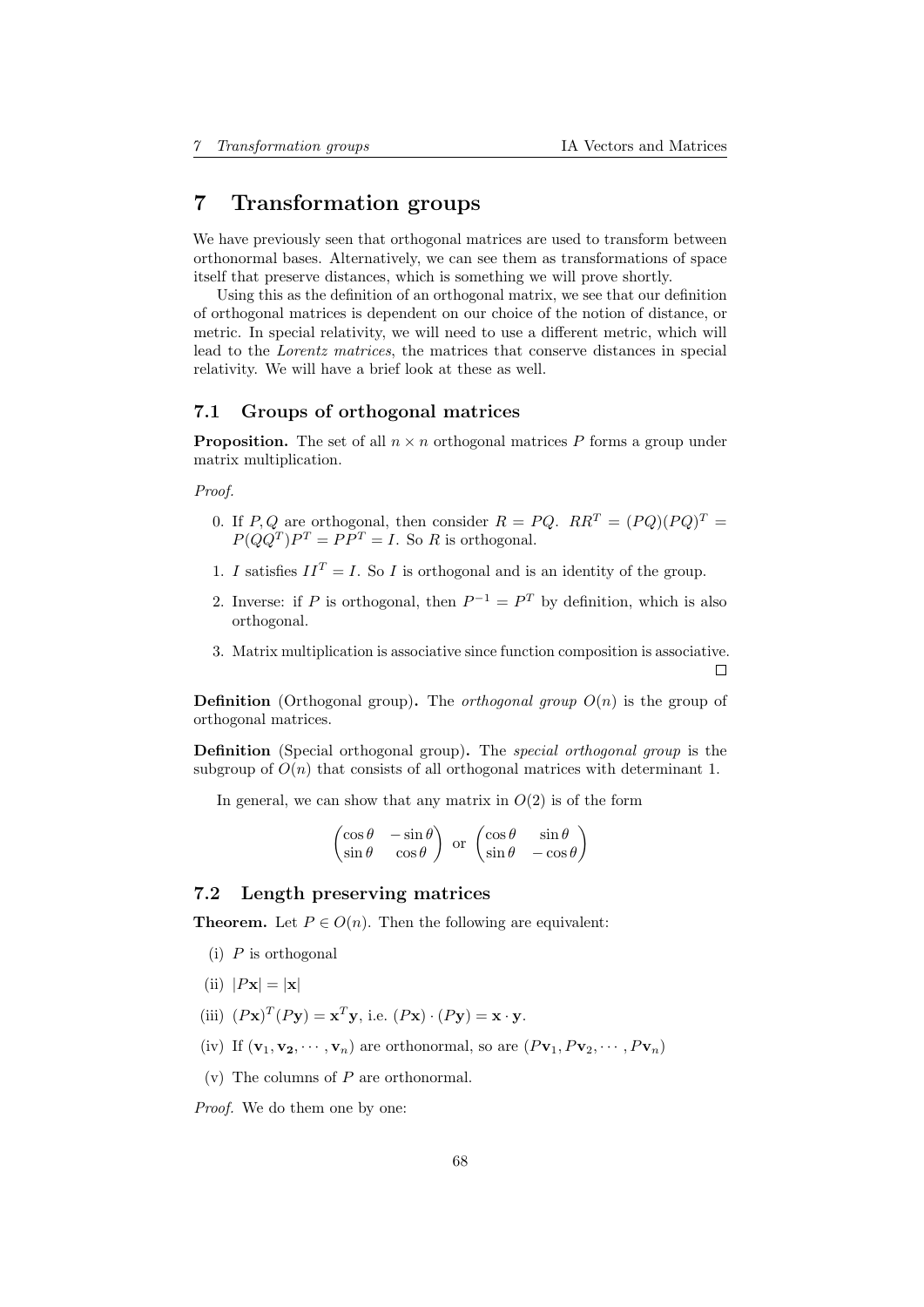# <span id="page-67-0"></span>7 Transformation groups

We have previously seen that orthogonal matrices are used to transform between orthonormal bases. Alternatively, we can see them as transformations of space itself that preserve distances, which is something we will prove shortly.

Using this as the definition of an orthogonal matrix, we see that our definition of orthogonal matrices is dependent on our choice of the notion of distance, or metric. In special relativity, we will need to use a different metric, which will lead to the Lorentz matrices, the matrices that conserve distances in special relativity. We will have a brief look at these as well.

## <span id="page-67-1"></span>7.1 Groups of orthogonal matrices

**Proposition.** The set of all  $n \times n$  orthogonal matrices P forms a group under matrix multiplication.

Proof.

- 0. If P, Q are orthogonal, then consider  $R = PQ$ .  $RR^T = (PQ)(PQ)^T =$  $P(QQ^T)P^T = PP^T = I$ . So R is orthogonal.
- 1. I satisfies  $II^T = I$ . So I is orthogonal and is an identity of the group.
- 2. Inverse: if P is orthogonal, then  $P^{-1} = P^T$  by definition, which is also orthogonal.
- 3. Matrix multiplication is associative since function composition is associative.

 $\Box$ 

**Definition** (Orthogonal group). The *orthogonal group*  $O(n)$  is the group of orthogonal matrices.

Definition (Special orthogonal group). The *special orthogonal group* is the subgroup of  $O(n)$  that consists of all orthogonal matrices with determinant 1.

In general, we can show that any matrix in  $O(2)$  is of the form

$$
\begin{pmatrix}\n\cos \theta & -\sin \theta \\
\sin \theta & \cos \theta\n\end{pmatrix} \text{ or } \begin{pmatrix}\n\cos \theta & \sin \theta \\
\sin \theta & -\cos \theta\n\end{pmatrix}
$$

# <span id="page-67-2"></span>7.2 Length preserving matrices

**Theorem.** Let  $P \in O(n)$ . Then the following are equivalent:

- $(i)$  P is orthogonal
- (ii)  $|P\mathbf{x}| = |\mathbf{x}|$
- (iii)  $(P\mathbf{x})^T(P\mathbf{y}) = \mathbf{x}^T\mathbf{y}$ , i.e.  $(P\mathbf{x}) \cdot (P\mathbf{y}) = \mathbf{x} \cdot \mathbf{y}$ .
- (iv) If  $(\mathbf{v}_1, \mathbf{v}_2, \cdots, \mathbf{v}_n)$  are orthonormal, so are  $(P\mathbf{v}_1, P\mathbf{v}_2, \cdots, P\mathbf{v}_n)$
- $(v)$  The columns of  $P$  are orthonormal.

Proof. We do them one by one: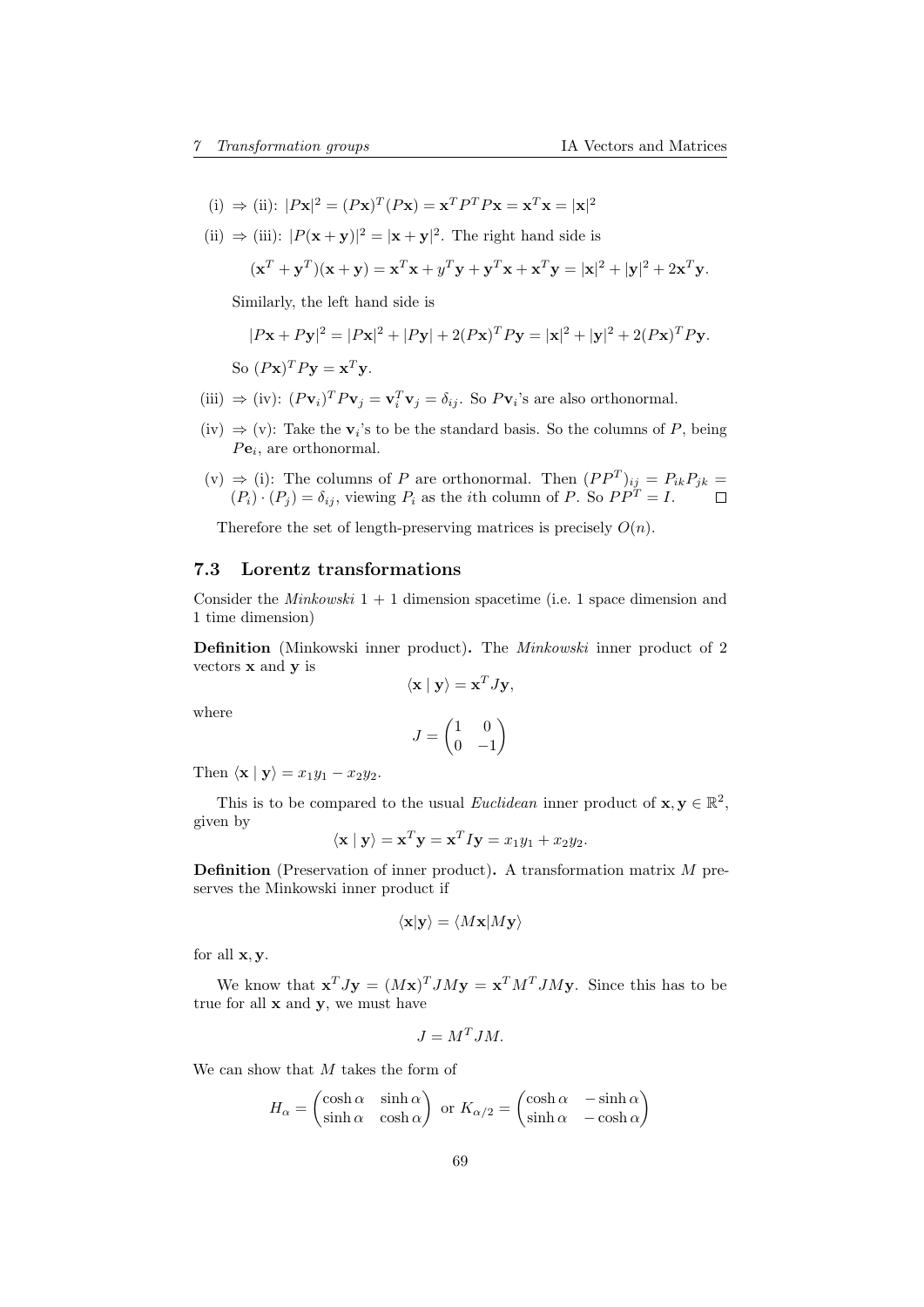- (i)  $\Rightarrow$  (ii):  $|P\mathbf{x}|^2 = (P\mathbf{x})^T(P\mathbf{x}) = \mathbf{x}^T P^T P \mathbf{x} = \mathbf{x}^T \mathbf{x} = |\mathbf{x}|^2$
- (ii)  $\Rightarrow$  (iii):  $|P(\mathbf{x} + \mathbf{y})|^2 = |\mathbf{x} + \mathbf{y}|^2$ . The right hand side is

$$
(\mathbf{x}^T + \mathbf{y}^T)(\mathbf{x} + \mathbf{y}) = \mathbf{x}^T \mathbf{x} + y^T \mathbf{y} + \mathbf{y}^T \mathbf{x} + \mathbf{x}^T \mathbf{y} = |\mathbf{x}|^2 + |\mathbf{y}|^2 + 2\mathbf{x}^T \mathbf{y}.
$$

Similarly, the left hand side is

$$
|P\mathbf{x} + P\mathbf{y}|^2 = |P\mathbf{x}|^2 + |P\mathbf{y}| + 2(P\mathbf{x})^T P\mathbf{y} = |\mathbf{x}|^2 + |\mathbf{y}|^2 + 2(P\mathbf{x})^T P\mathbf{y}.
$$
  
So  $(P\mathbf{x})^T P\mathbf{y} = \mathbf{x}^T \mathbf{y}.$ 

- (iii)  $\Rightarrow$  (iv):  $(Pv_i)^T P v_j = v_i^T v_j = \delta_{ij}$ . So  $Pv_i$ 's are also orthonormal.
- (iv)  $\Rightarrow$  (v): Take the  $v_i$ 's to be the standard basis. So the columns of P, being  $Pe_i$ , are orthonormal.
- (v) ⇒ (i): The columns of P are orthonormal. Then  $(PP<sup>T</sup>)<sub>ij</sub> = P<sub>ik</sub>P<sub>jk</sub>$  $(P_i) \cdot (P_j) = \delta_{ij}$ , viewing  $P_i$  as the *i*th column of P. So  $PP^T = I$ .

Therefore the set of length-preserving matrices is precisely  $O(n)$ .

## <span id="page-68-0"></span>7.3 Lorentz transformations

Consider the *Minkowski*  $1 + 1$  dimension spacetime (i.e. 1 space dimension and 1 time dimension)

Definition (Minkowski inner product). The Minkowski inner product of 2 vectors  ${\bf x}$  and  ${\bf y}$  is

$$
\langle \mathbf{x} \mid \mathbf{y} \rangle = \mathbf{x}^T J \mathbf{y},
$$

where

$$
J=\begin{pmatrix} 1 & 0 \\ 0 & -1 \end{pmatrix}
$$

Then  $\langle \mathbf{x} | \mathbf{y} \rangle = x_1 y_1 - x_2 y_2$ .

This is to be compared to the usual Euclidean inner product of  $\mathbf{x}, \mathbf{y} \in \mathbb{R}^2$ , given by

$$
\langle \mathbf{x} | \mathbf{y} \rangle = \mathbf{x}^T \mathbf{y} = \mathbf{x}^T I \mathbf{y} = x_1 y_1 + x_2 y_2.
$$

Definition (Preservation of inner product). A transformation matrix M preserves the Minkowski inner product if

$$
\langle \mathbf{x} | \mathbf{y} \rangle = \langle M \mathbf{x} | M \mathbf{y} \rangle
$$

for all x, y.

We know that  $\mathbf{x}^T J \mathbf{y} = (M\mathbf{x})^T J M \mathbf{y} = \mathbf{x}^T M^T J M \mathbf{y}$ . Since this has to be true for all  $x$  and  $y$ , we must have

$$
J = M^T J M.
$$

We can show that M takes the form of

$$
H_{\alpha} = \begin{pmatrix} \cosh \alpha & \sinh \alpha \\ \sinh \alpha & \cosh \alpha \end{pmatrix}
$$
 or  $K_{\alpha/2} = \begin{pmatrix} \cosh \alpha & -\sinh \alpha \\ \sinh \alpha & -\cosh \alpha \end{pmatrix}$